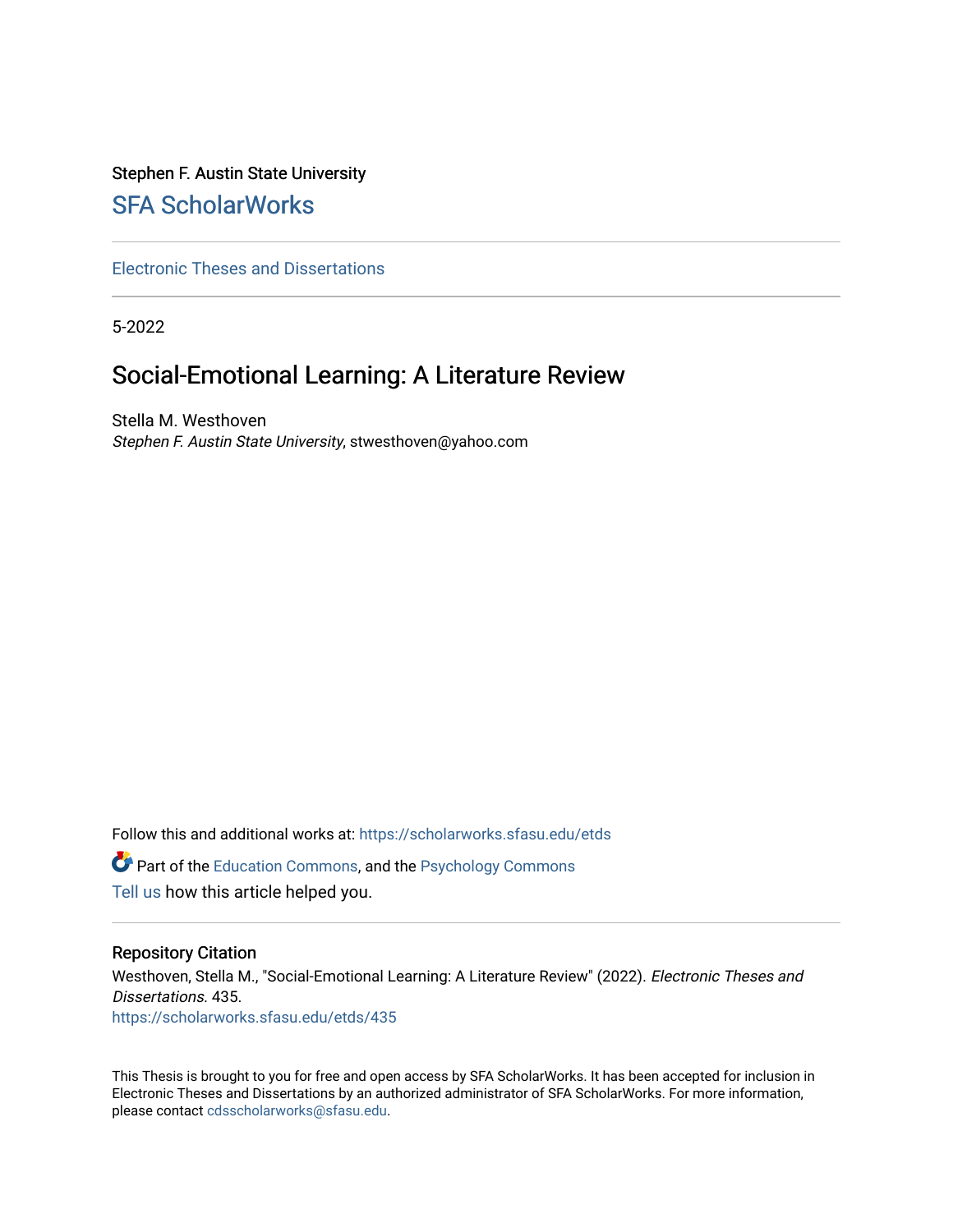# Stephen F. Austin State University [SFA ScholarWorks](https://scholarworks.sfasu.edu/)

[Electronic Theses and Dissertations](https://scholarworks.sfasu.edu/etds)

5-2022

# Social-Emotional Learning: A Literature Review

Stella M. Westhoven Stephen F. Austin State University, stwesthoven@yahoo.com

Follow this and additional works at: [https://scholarworks.sfasu.edu/etds](https://scholarworks.sfasu.edu/etds?utm_source=scholarworks.sfasu.edu%2Fetds%2F435&utm_medium=PDF&utm_campaign=PDFCoverPages)  **C** Part of the [Education Commons](https://network.bepress.com/hgg/discipline/784?utm_source=scholarworks.sfasu.edu%2Fetds%2F435&utm_medium=PDF&utm_campaign=PDFCoverPages), and the Psychology Commons [Tell us](http://sfasu.qualtrics.com/SE/?SID=SV_0qS6tdXftDLradv) how this article helped you.

#### Repository Citation

Westhoven, Stella M., "Social-Emotional Learning: A Literature Review" (2022). Electronic Theses and Dissertations. 435. [https://scholarworks.sfasu.edu/etds/435](https://scholarworks.sfasu.edu/etds/435?utm_source=scholarworks.sfasu.edu%2Fetds%2F435&utm_medium=PDF&utm_campaign=PDFCoverPages) 

This Thesis is brought to you for free and open access by SFA ScholarWorks. It has been accepted for inclusion in Electronic Theses and Dissertations by an authorized administrator of SFA ScholarWorks. For more information, please contact [cdsscholarworks@sfasu.edu.](mailto:cdsscholarworks@sfasu.edu)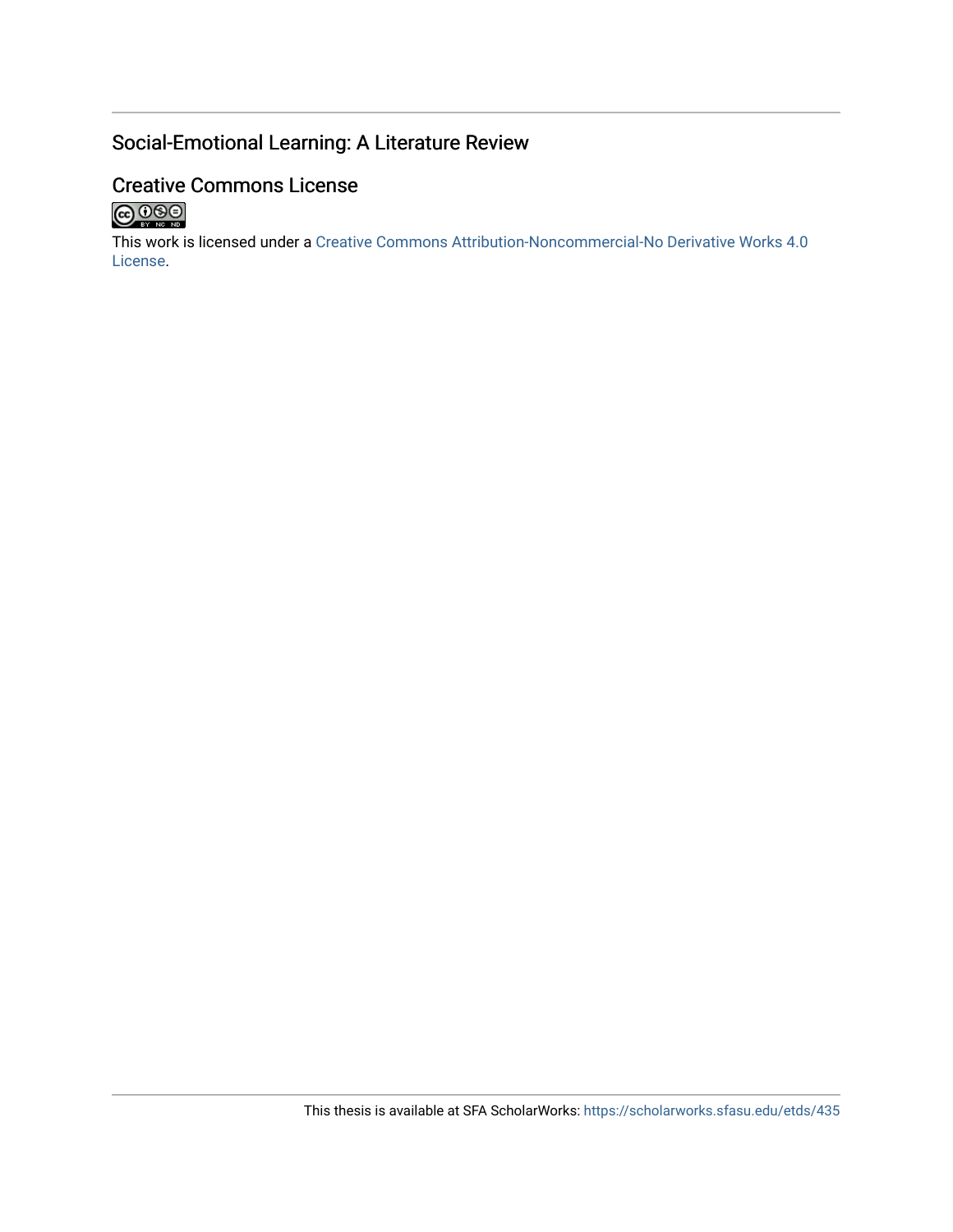# Social-Emotional Learning: A Literature Review

# Creative Commons License



This work is licensed under a [Creative Commons Attribution-Noncommercial-No Derivative Works 4.0](https://creativecommons.org/licenses/by-nc-nd/4.0/) [License](https://creativecommons.org/licenses/by-nc-nd/4.0/).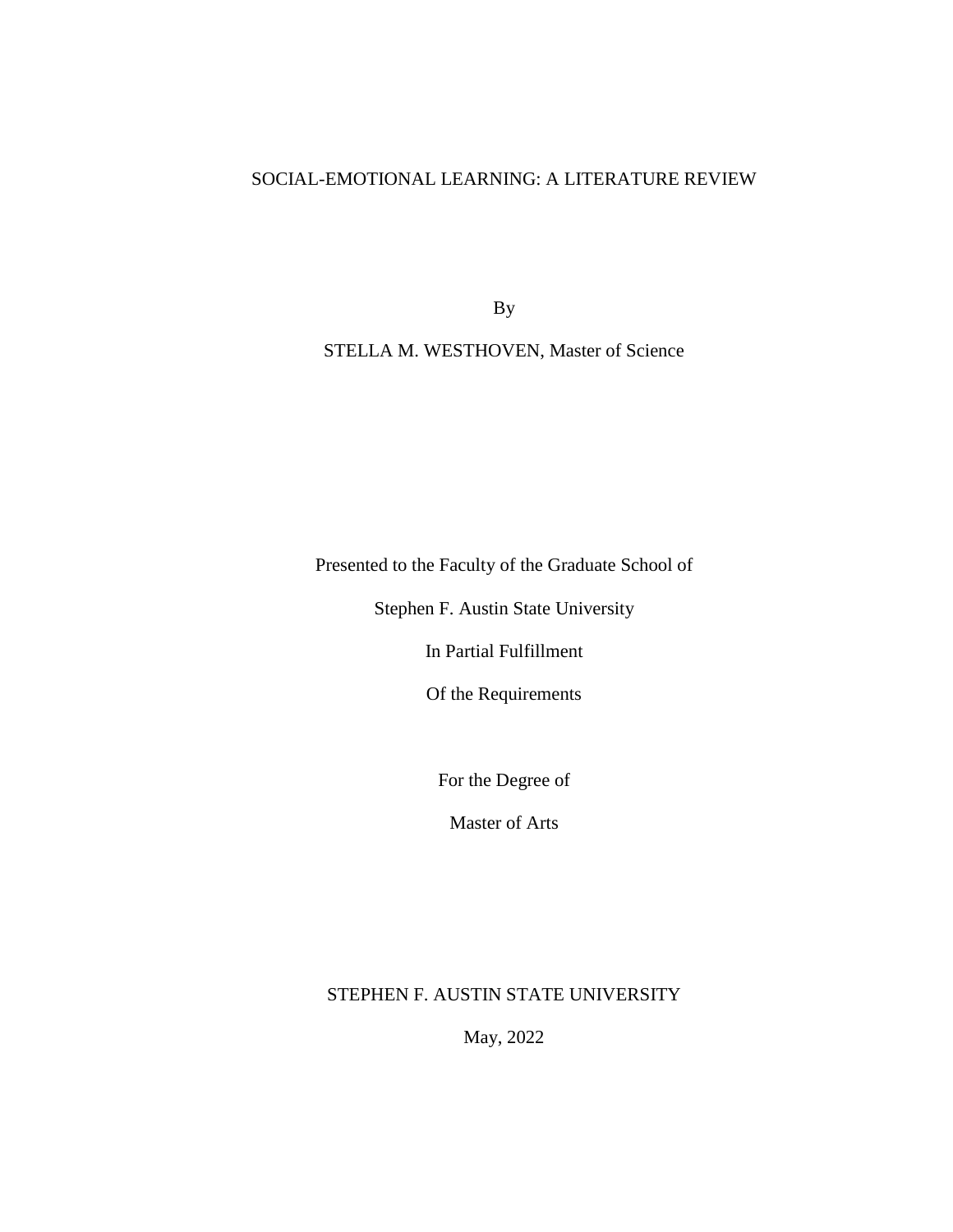# SOCIAL-EMOTIONAL LEARNING: A LITERATURE REVIEW

By

# STELLA M. WESTHOVEN, Master of Science

Presented to the Faculty of the Graduate School of

Stephen F. Austin State University

In Partial Fulfillment

Of the Requirements

For the Degree of

Master of Arts

# STEPHEN F. AUSTIN STATE UNIVERSITY

May, 2022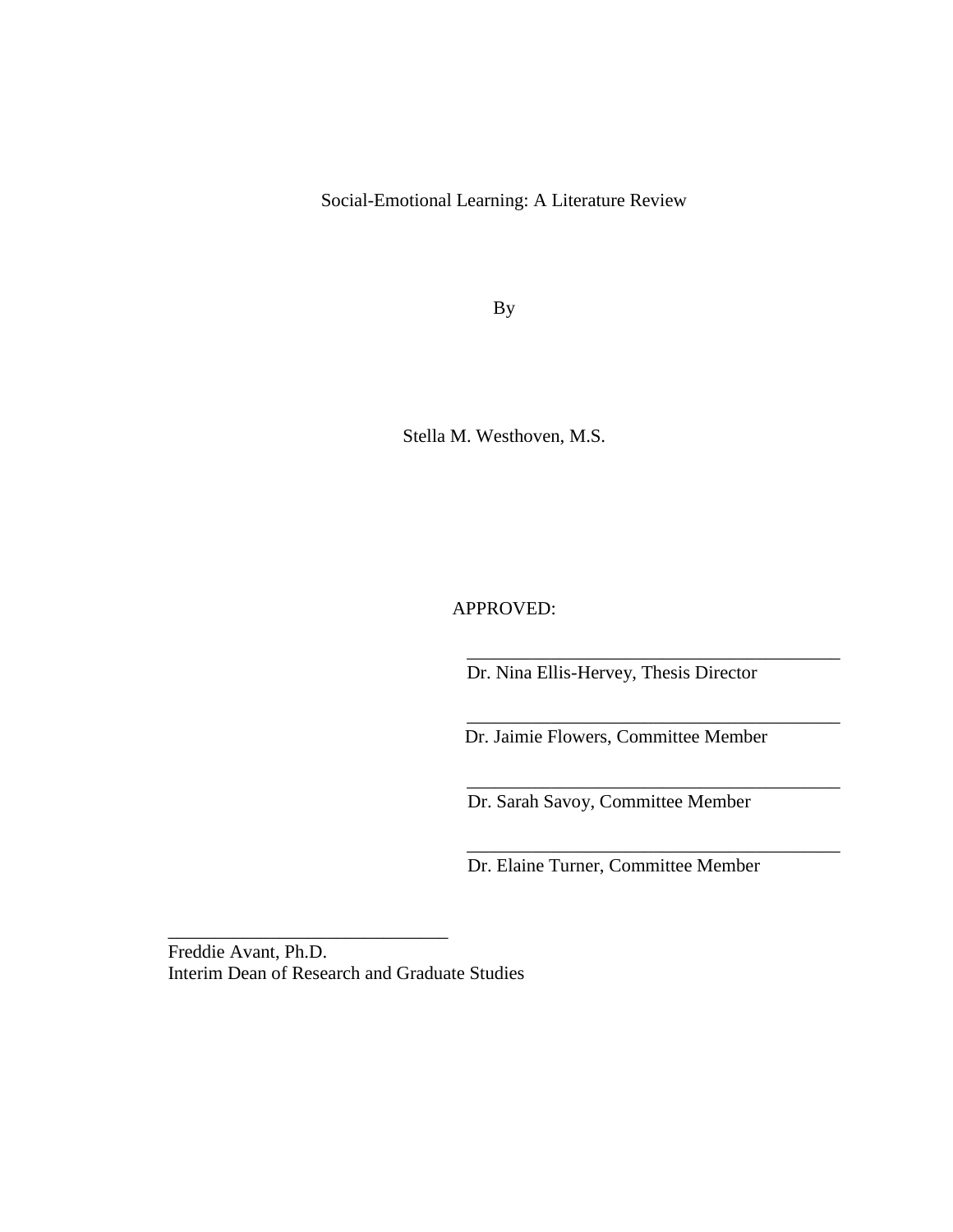Social-Emotional Learning: A Literature Review

By

Stella M. Westhoven, M.S.

APPROVED:

Dr. Nina Ellis-Hervey, Thesis Director

\_\_\_\_\_\_\_\_\_\_\_\_\_\_\_\_\_\_\_\_\_\_\_\_\_\_\_\_\_\_\_\_\_\_\_\_\_\_\_\_

\_\_\_\_\_\_\_\_\_\_\_\_\_\_\_\_\_\_\_\_\_\_\_\_\_\_\_\_\_\_\_\_\_\_\_\_\_\_\_\_

\_\_\_\_\_\_\_\_\_\_\_\_\_\_\_\_\_\_\_\_\_\_\_\_\_\_\_\_\_\_\_\_\_\_\_\_\_\_\_\_

\_\_\_\_\_\_\_\_\_\_\_\_\_\_\_\_\_\_\_\_\_\_\_\_\_\_\_\_\_\_\_\_\_\_\_\_\_\_\_\_

Dr. Jaimie Flowers, Committee Member

Dr. Sarah Savoy, Committee Member

Dr. Elaine Turner, Committee Member

Freddie Avant, Ph.D. Interim Dean of Research and Graduate Studies

\_\_\_\_\_\_\_\_\_\_\_\_\_\_\_\_\_\_\_\_\_\_\_\_\_\_\_\_\_\_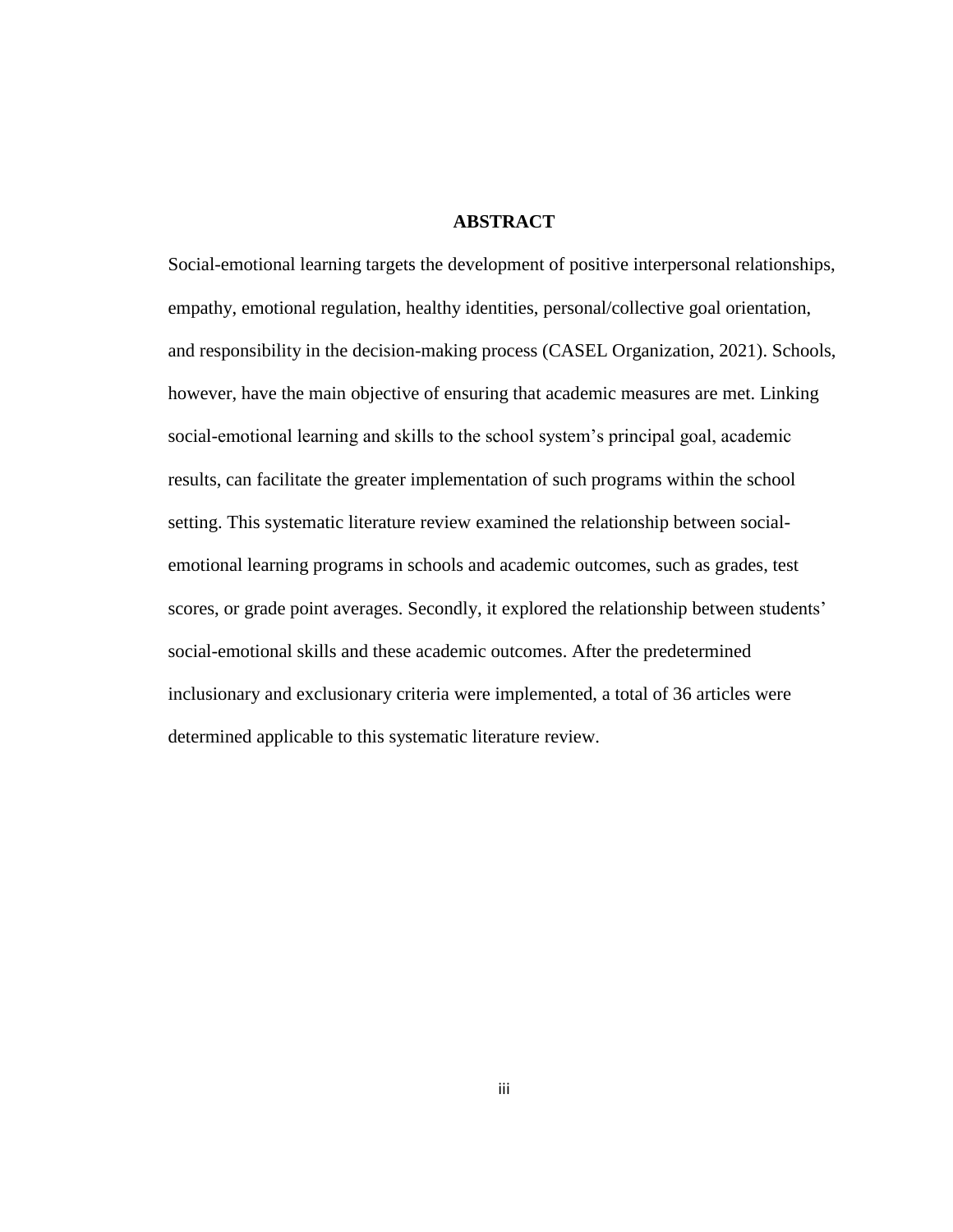## **ABSTRACT**

Social-emotional learning targets the development of positive interpersonal relationships, empathy, emotional regulation, healthy identities, personal/collective goal orientation, and responsibility in the decision-making process (CASEL Organization, 2021). Schools, however, have the main objective of ensuring that academic measures are met. Linking social-emotional learning and skills to the school system's principal goal, academic results, can facilitate the greater implementation of such programs within the school setting. This systematic literature review examined the relationship between socialemotional learning programs in schools and academic outcomes, such as grades, test scores, or grade point averages. Secondly, it explored the relationship between students' social-emotional skills and these academic outcomes. After the predetermined inclusionary and exclusionary criteria were implemented, a total of 36 articles were determined applicable to this systematic literature review.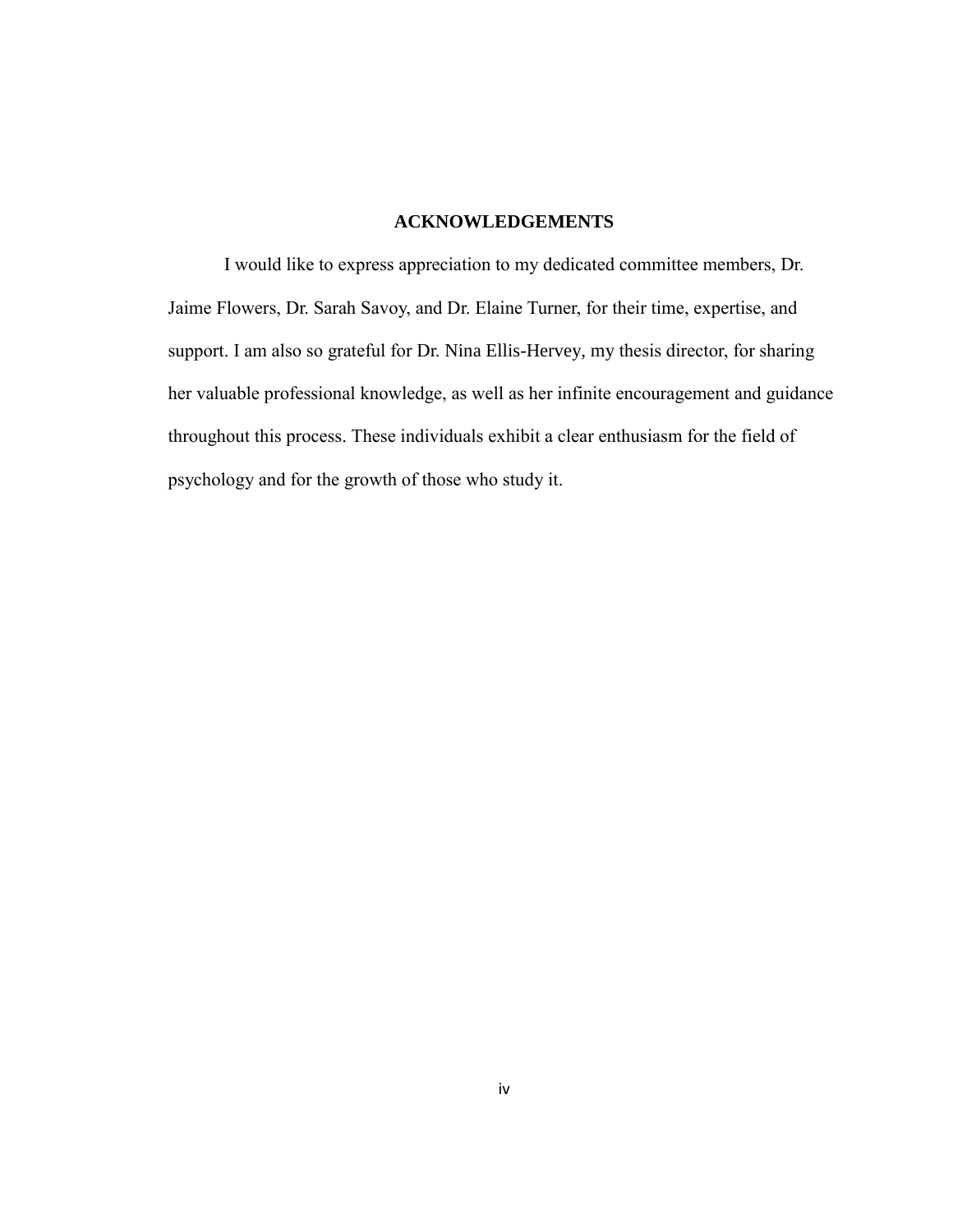### **ACKNOWLEDGEMENTS**

I would like to express appreciation to my dedicated committee members, Dr. Jaime Flowers, Dr. Sarah Savoy, and Dr. Elaine Turner, for their time, expertise, and support. I am also so grateful for Dr. Nina Ellis-Hervey, my thesis director, for sharing her valuable professional knowledge, as well as her infinite encouragement and guidance throughout this process. These individuals exhibit a clear enthusiasm for the field of psychology and for the growth of those who study it.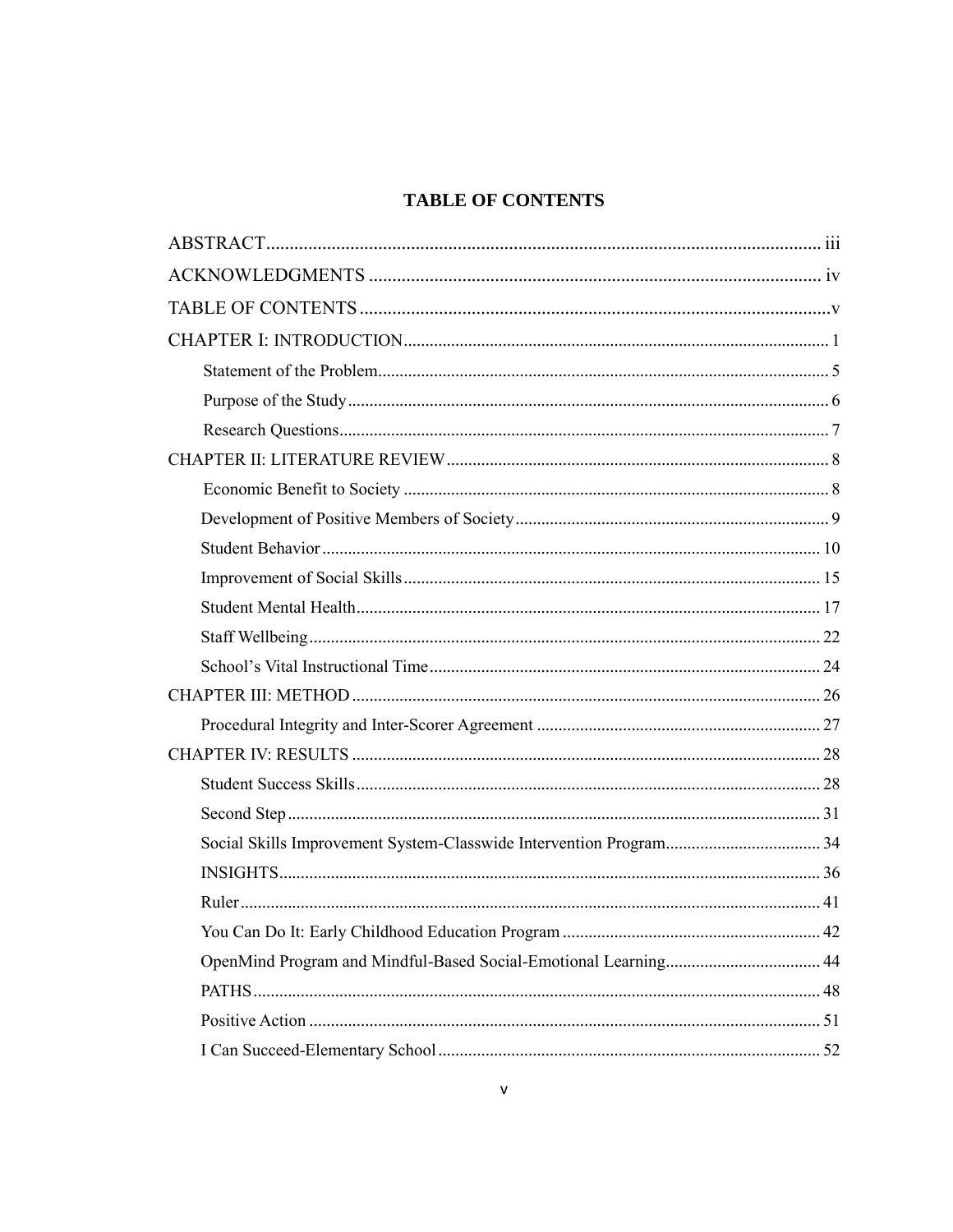# **TABLE OF CONTENTS**

| OpenMind Program and Mindful-Based Social-Emotional Learning 44 |  |
|-----------------------------------------------------------------|--|
|                                                                 |  |
|                                                                 |  |
|                                                                 |  |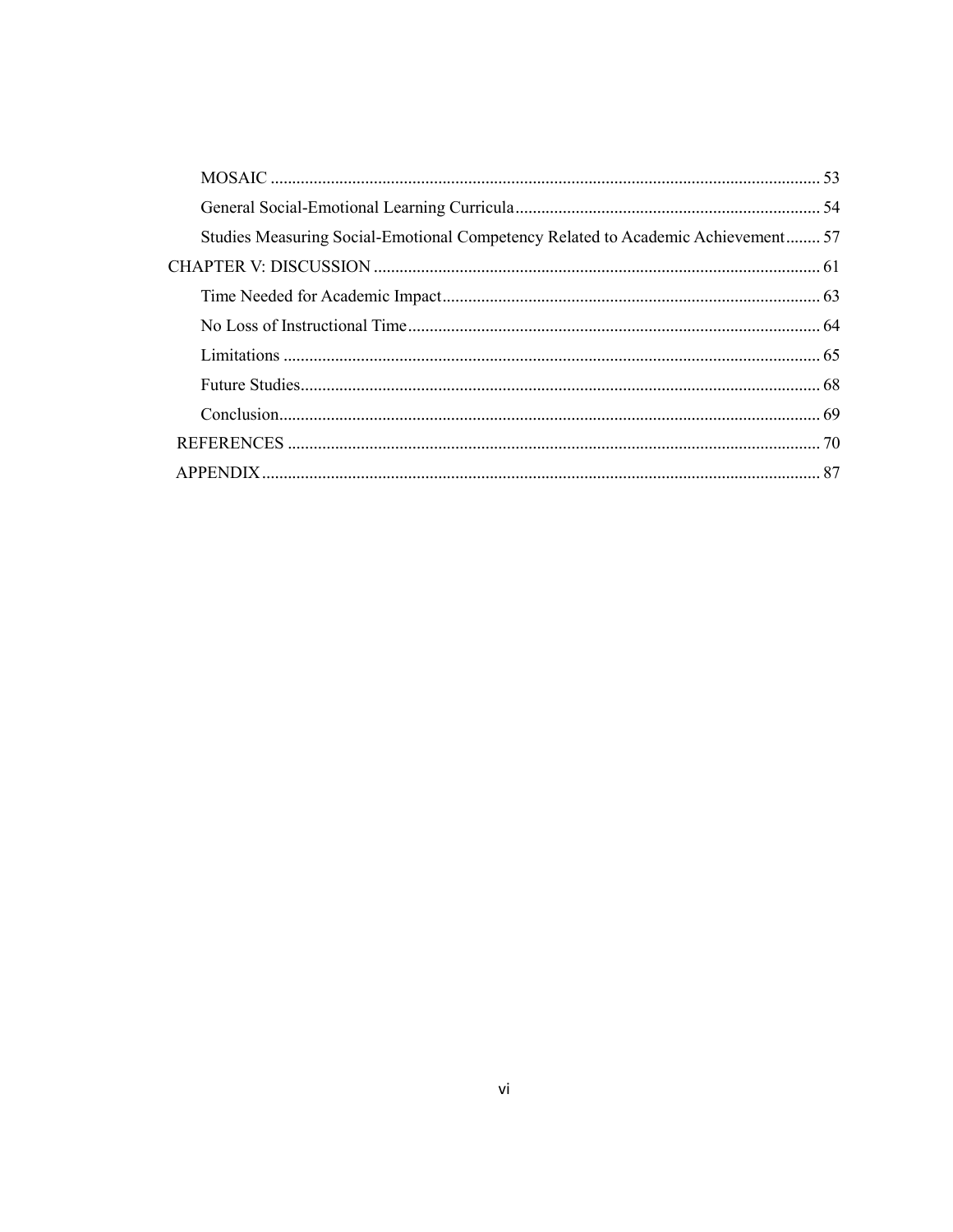| Studies Measuring Social-Emotional Competency Related to Academic Achievement 57 |  |
|----------------------------------------------------------------------------------|--|
|                                                                                  |  |
|                                                                                  |  |
|                                                                                  |  |
|                                                                                  |  |
|                                                                                  |  |
|                                                                                  |  |
|                                                                                  |  |
|                                                                                  |  |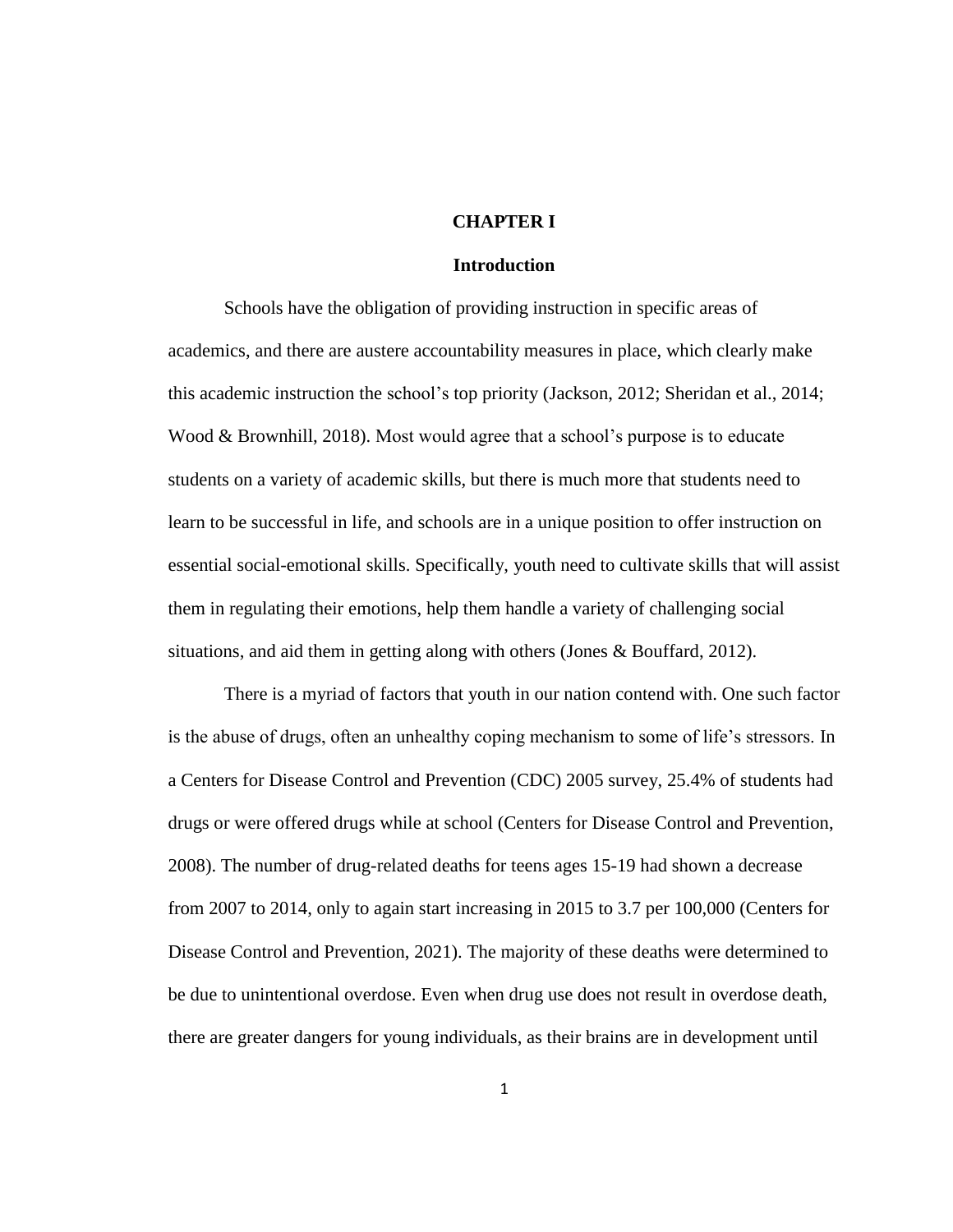#### **CHAPTER I**

## **Introduction**

Schools have the obligation of providing instruction in specific areas of academics, and there are austere accountability measures in place, which clearly make this academic instruction the school's top priority (Jackson, 2012; Sheridan et al., 2014; Wood & Brownhill, 2018). Most would agree that a school's purpose is to educate students on a variety of academic skills, but there is much more that students need to learn to be successful in life, and schools are in a unique position to offer instruction on essential social-emotional skills. Specifically, youth need to cultivate skills that will assist them in regulating their emotions, help them handle a variety of challenging social situations, and aid them in getting along with others (Jones & Bouffard, 2012).

There is a myriad of factors that youth in our nation contend with. One such factor is the abuse of drugs, often an unhealthy coping mechanism to some of life's stressors. In a Centers for Disease Control and Prevention (CDC) 2005 survey, 25.4% of students had drugs or were offered drugs while at school (Centers for Disease Control and Prevention, 2008). The number of drug-related deaths for teens ages 15-19 had shown a decrease from 2007 to 2014, only to again start increasing in 2015 to 3.7 per 100,000 (Centers for Disease Control and Prevention, 2021). The majority of these deaths were determined to be due to unintentional overdose. Even when drug use does not result in overdose death, there are greater dangers for young individuals, as their brains are in development until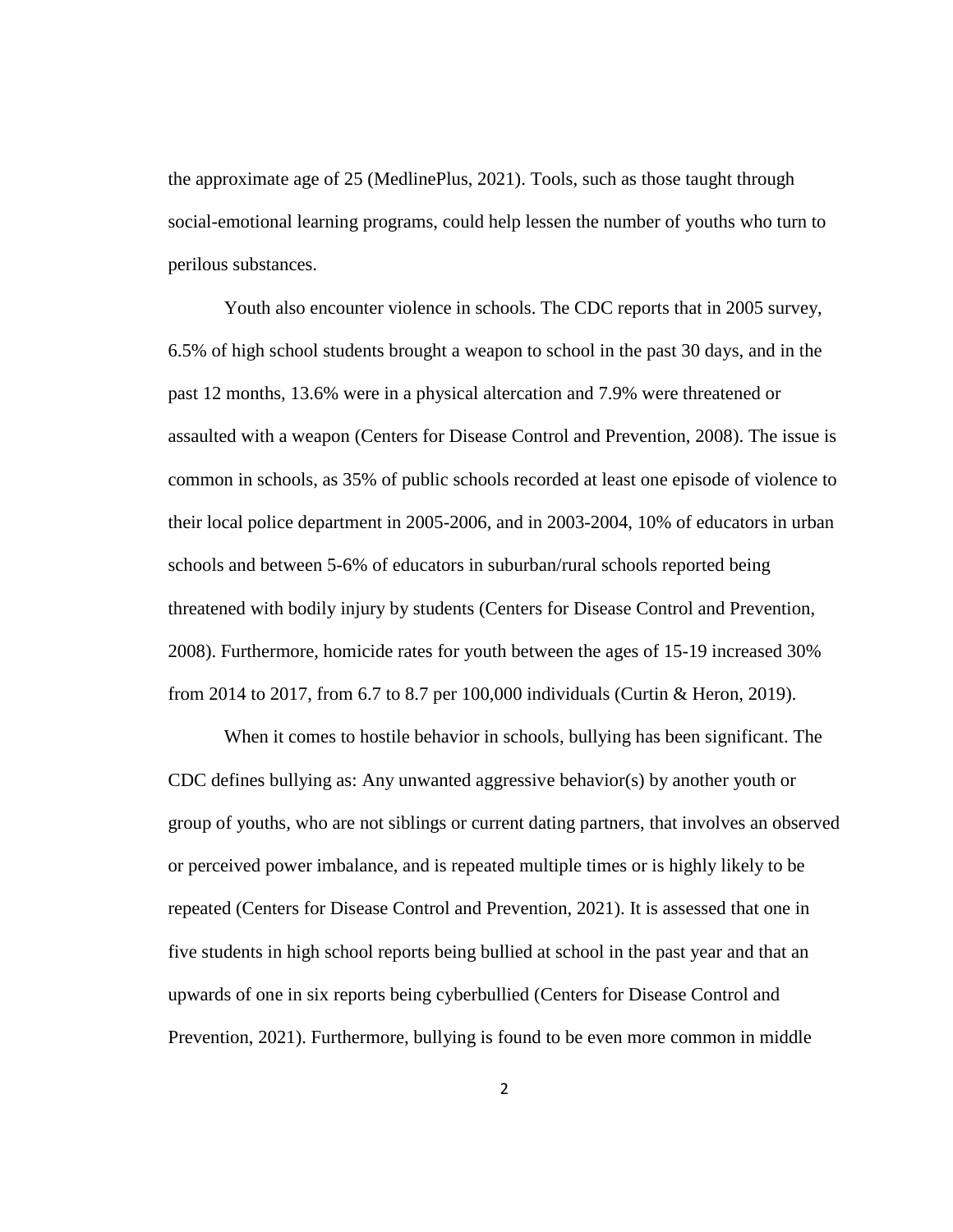the approximate age of 25 (MedlinePlus, 2021). Tools, such as those taught through social-emotional learning programs, could help lessen the number of youths who turn to perilous substances.

Youth also encounter violence in schools. The CDC reports that in 2005 survey, 6.5% of high school students brought a weapon to school in the past 30 days, and in the past 12 months, 13.6% were in a physical altercation and 7.9% were threatened or assaulted with a weapon (Centers for Disease Control and Prevention, 2008). The issue is common in schools, as 35% of public schools recorded at least one episode of violence to their local police department in 2005-2006, and in 2003-2004, 10% of educators in urban schools and between 5-6% of educators in suburban/rural schools reported being threatened with bodily injury by students (Centers for Disease Control and Prevention, 2008). Furthermore, homicide rates for youth between the ages of 15-19 increased 30% from 2014 to 2017, from 6.7 to 8.7 per 100,000 individuals (Curtin & Heron, 2019).

When it comes to hostile behavior in schools, bullying has been significant. The CDC defines bullying as: Any unwanted aggressive behavior(s) by another youth or group of youths, who are not siblings or current dating partners, that involves an observed or perceived power imbalance, and is repeated multiple times or is highly likely to be repeated (Centers for Disease Control and Prevention, 2021). It is assessed that one in five students in high school reports being bullied at school in the past year and that an upwards of one in six reports being cyberbullied (Centers for Disease Control and Prevention, 2021). Furthermore, bullying is found to be even more common in middle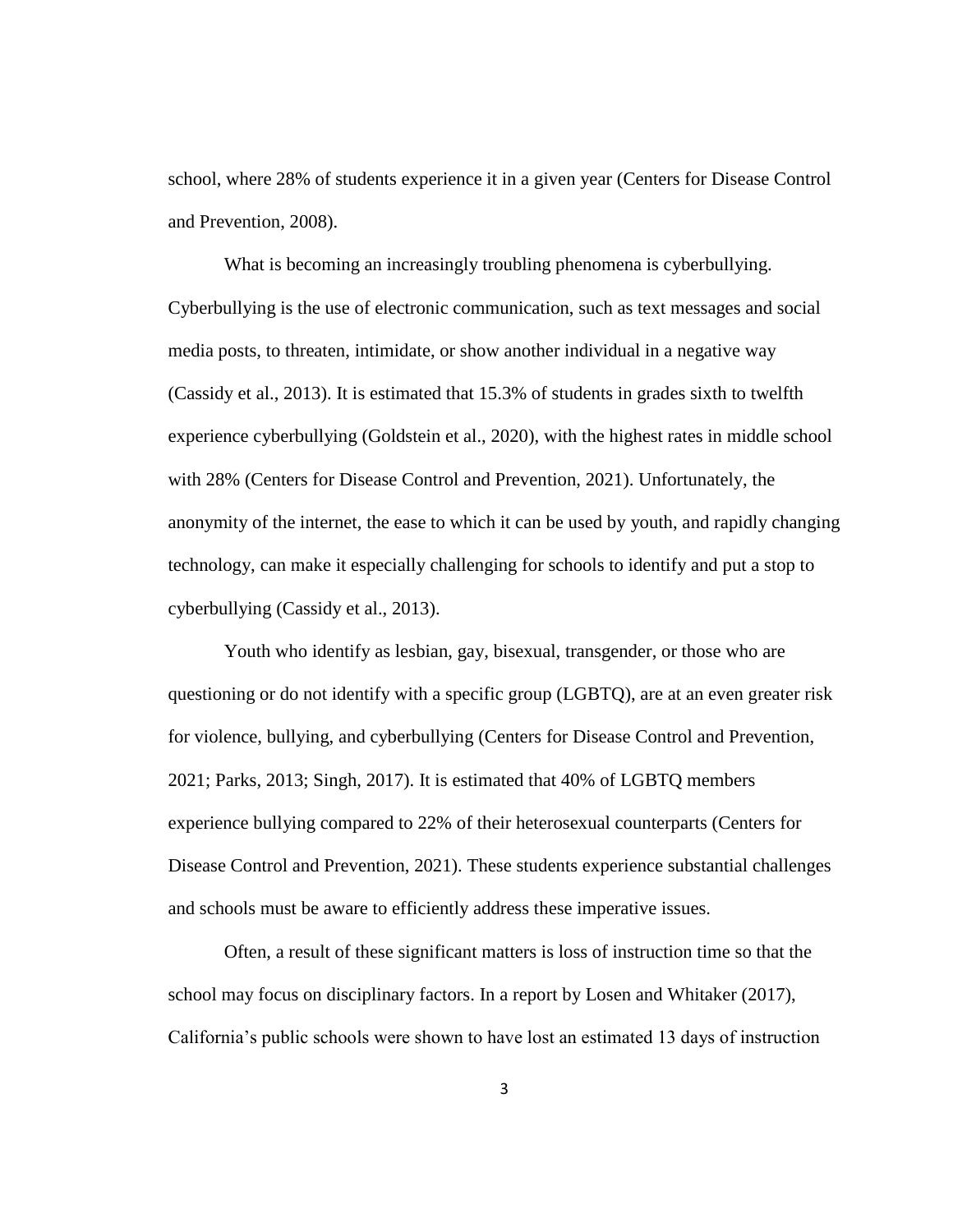school, where 28% of students experience it in a given year (Centers for Disease Control and Prevention, 2008).

What is becoming an increasingly troubling phenomena is cyberbullying. Cyberbullying is the use of electronic communication, such as text messages and social media posts, to threaten, intimidate, or show another individual in a negative way (Cassidy et al., 2013). It is estimated that 15.3% of students in grades sixth to twelfth experience cyberbullying (Goldstein et al., 2020), with the highest rates in middle school with 28% (Centers for Disease Control and Prevention, 2021). Unfortunately, the anonymity of the internet, the ease to which it can be used by youth, and rapidly changing technology, can make it especially challenging for schools to identify and put a stop to cyberbullying (Cassidy et al., 2013).

Youth who identify as lesbian, gay, bisexual, transgender, or those who are questioning or do not identify with a specific group (LGBTQ), are at an even greater risk for violence, bullying, and cyberbullying (Centers for Disease Control and Prevention, 2021; Parks, 2013; Singh, 2017). It is estimated that 40% of LGBTQ members experience bullying compared to 22% of their heterosexual counterparts (Centers for Disease Control and Prevention, 2021). These students experience substantial challenges and schools must be aware to efficiently address these imperative issues.

Often, a result of these significant matters is loss of instruction time so that the school may focus on disciplinary factors. In a report by Losen and Whitaker (2017), California's public schools were shown to have lost an estimated 13 days of instruction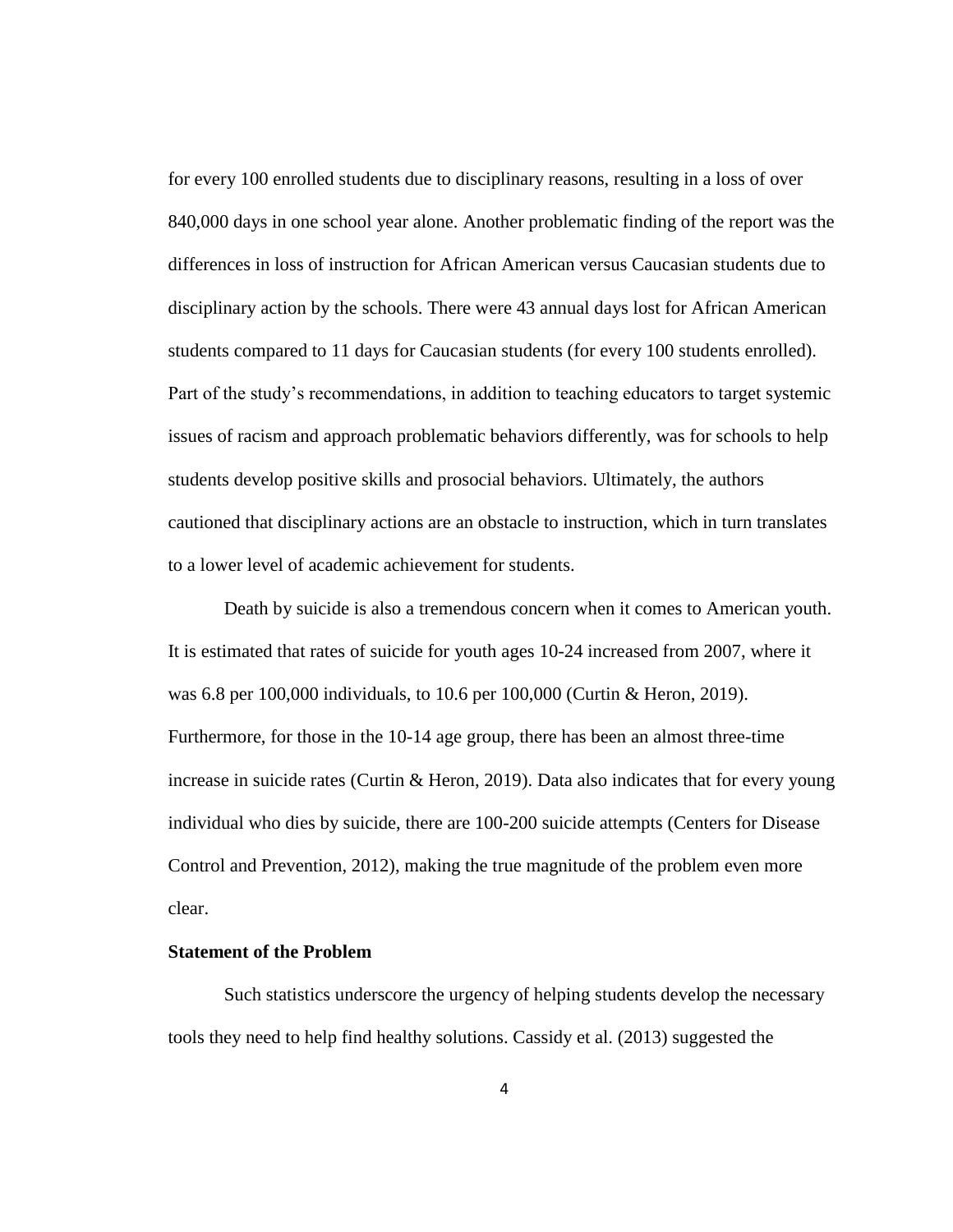for every 100 enrolled students due to disciplinary reasons, resulting in a loss of over 840,000 days in one school year alone. Another problematic finding of the report was the differences in loss of instruction for African American versus Caucasian students due to disciplinary action by the schools. There were 43 annual days lost for African American students compared to 11 days for Caucasian students (for every 100 students enrolled). Part of the study's recommendations, in addition to teaching educators to target systemic issues of racism and approach problematic behaviors differently, was for schools to help students develop positive skills and prosocial behaviors. Ultimately, the authors cautioned that disciplinary actions are an obstacle to instruction, which in turn translates to a lower level of academic achievement for students.

Death by suicide is also a tremendous concern when it comes to American youth. It is estimated that rates of suicide for youth ages 10-24 increased from 2007, where it was 6.8 per 100,000 individuals, to 10.6 per 100,000 (Curtin & Heron, 2019). Furthermore, for those in the 10-14 age group, there has been an almost three-time increase in suicide rates (Curtin & Heron, 2019). Data also indicates that for every young individual who dies by suicide, there are 100-200 suicide attempts (Centers for Disease Control and Prevention, 2012), making the true magnitude of the problem even more clear.

## **Statement of the Problem**

Such statistics underscore the urgency of helping students develop the necessary tools they need to help find healthy solutions. Cassidy et al. (2013) suggested the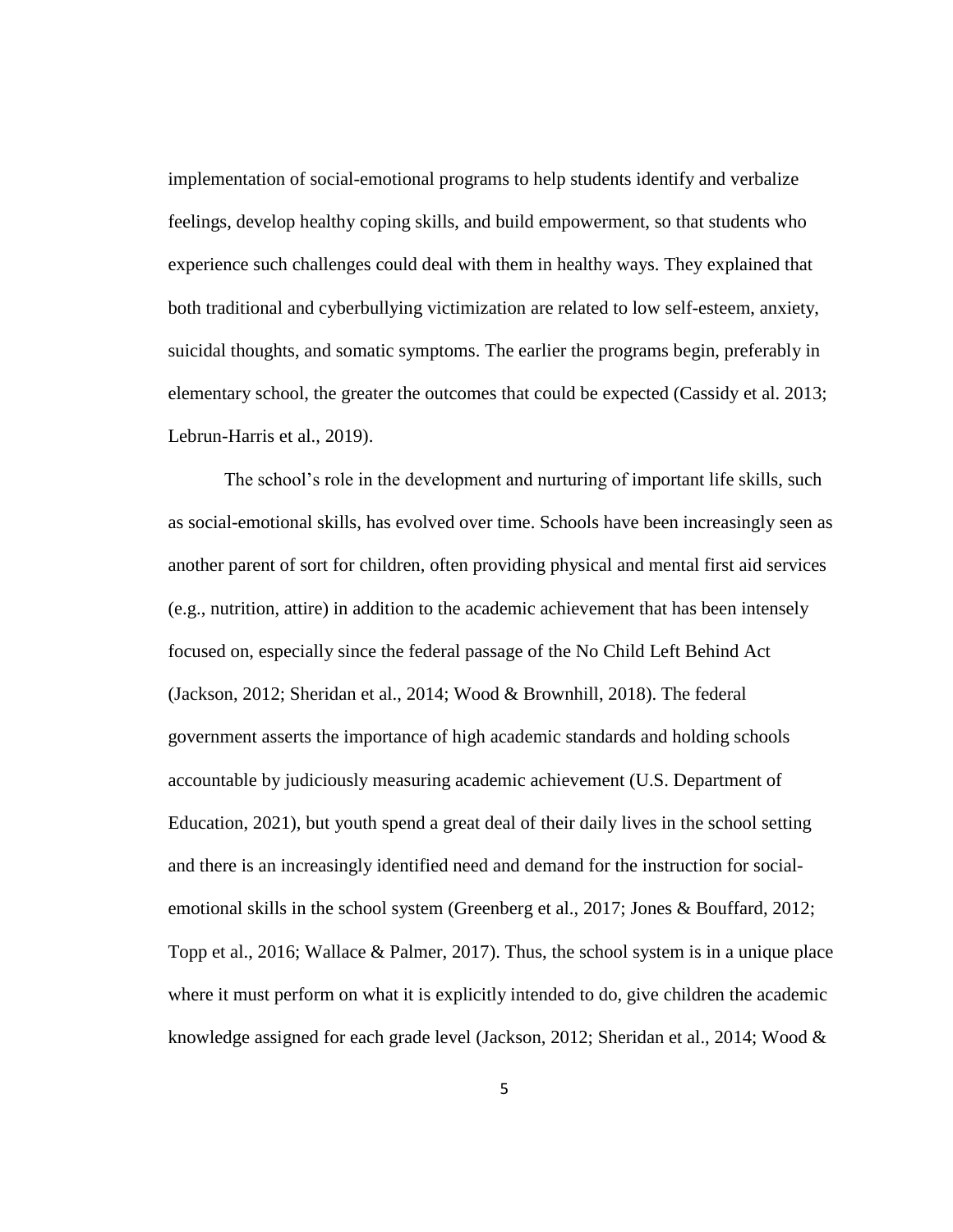implementation of social-emotional programs to help students identify and verbalize feelings, develop healthy coping skills, and build empowerment, so that students who experience such challenges could deal with them in healthy ways. They explained that both traditional and cyberbullying victimization are related to low self-esteem, anxiety, suicidal thoughts, and somatic symptoms. The earlier the programs begin, preferably in elementary school, the greater the outcomes that could be expected (Cassidy et al. 2013; Lebrun-Harris et al., 2019).

The school's role in the development and nurturing of important life skills, such as social-emotional skills, has evolved over time. Schools have been increasingly seen as another parent of sort for children, often providing physical and mental first aid services (e.g., nutrition, attire) in addition to the academic achievement that has been intensely focused on, especially since the federal passage of the No Child Left Behind Act (Jackson, 2012; Sheridan et al., 2014; Wood & Brownhill, 2018). The federal government asserts the importance of high academic standards and holding schools accountable by judiciously measuring academic achievement (U.S. Department of Education, 2021), but youth spend a great deal of their daily lives in the school setting and there is an increasingly identified need and demand for the instruction for socialemotional skills in the school system (Greenberg et al., 2017; Jones & Bouffard, 2012; Topp et al., 2016; Wallace & Palmer, 2017). Thus, the school system is in a unique place where it must perform on what it is explicitly intended to do, give children the academic knowledge assigned for each grade level (Jackson, 2012; Sheridan et al., 2014; Wood  $\&$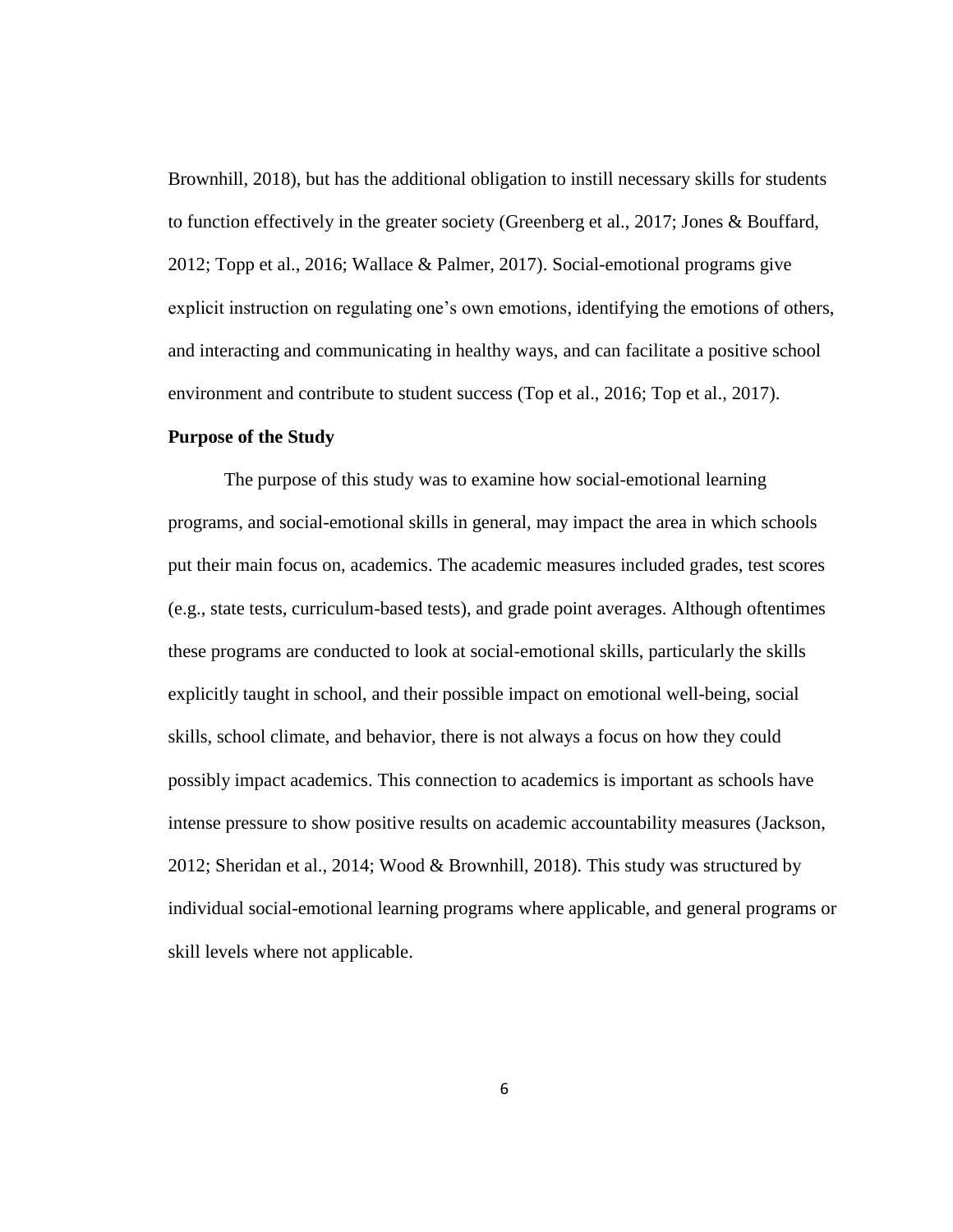Brownhill, 2018), but has the additional obligation to instill necessary skills for students to function effectively in the greater society (Greenberg et al., 2017; Jones & Bouffard, 2012; Topp et al., 2016; Wallace & Palmer, 2017). Social-emotional programs give explicit instruction on regulating one's own emotions, identifying the emotions of others, and interacting and communicating in healthy ways, and can facilitate a positive school environment and contribute to student success (Top et al., 2016; Top et al., 2017).

## **Purpose of the Study**

The purpose of this study was to examine how social-emotional learning programs, and social-emotional skills in general, may impact the area in which schools put their main focus on, academics. The academic measures included grades, test scores (e.g., state tests, curriculum-based tests), and grade point averages. Although oftentimes these programs are conducted to look at social-emotional skills, particularly the skills explicitly taught in school, and their possible impact on emotional well-being, social skills, school climate, and behavior, there is not always a focus on how they could possibly impact academics. This connection to academics is important as schools have intense pressure to show positive results on academic accountability measures (Jackson, 2012; Sheridan et al., 2014; Wood & Brownhill, 2018). This study was structured by individual social-emotional learning programs where applicable, and general programs or skill levels where not applicable.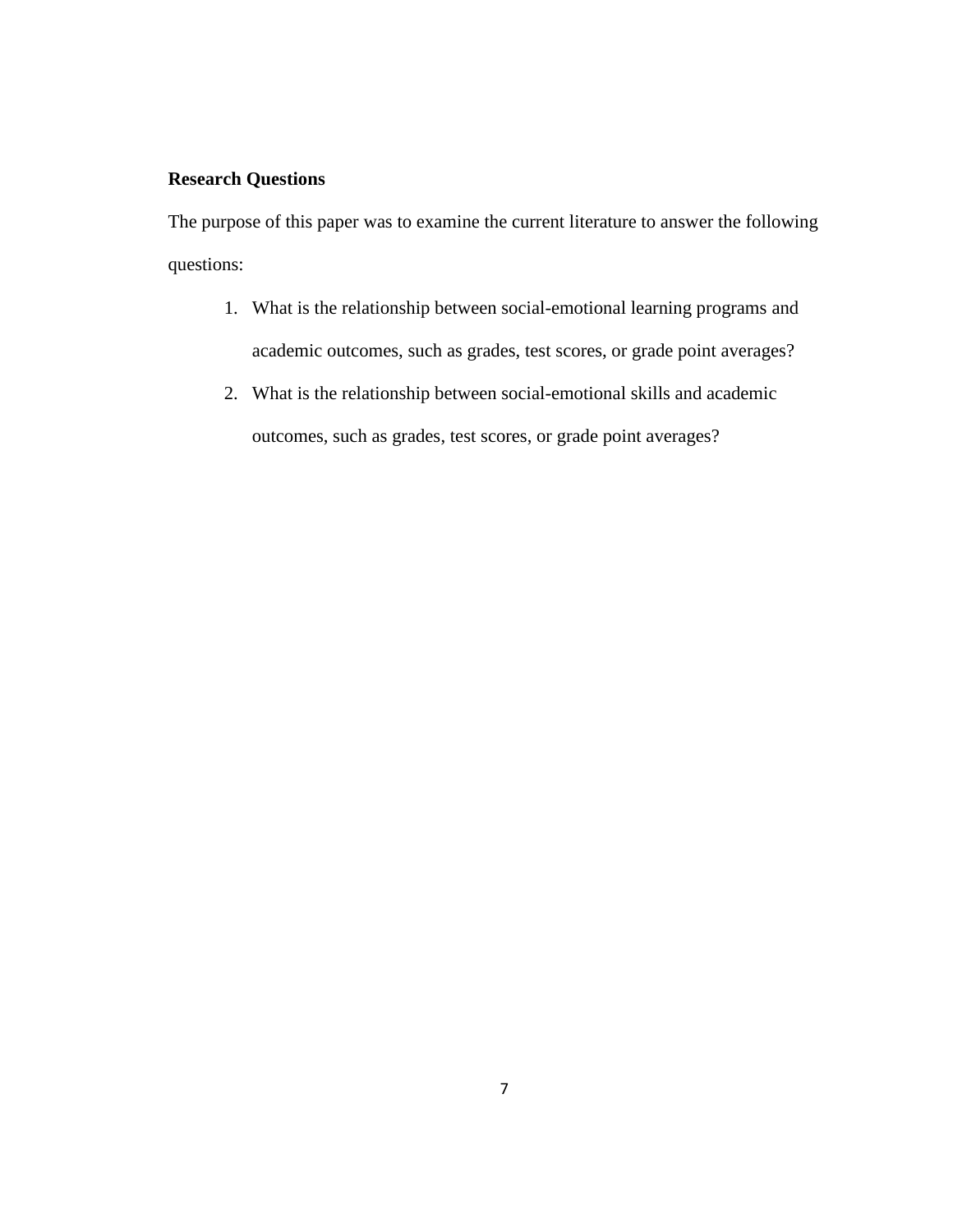# **Research Questions**

The purpose of this paper was to examine the current literature to answer the following questions:

- 1. What is the relationship between social-emotional learning programs and academic outcomes, such as grades, test scores, or grade point averages?
- 2. What is the relationship between social-emotional skills and academic outcomes, such as grades, test scores, or grade point averages?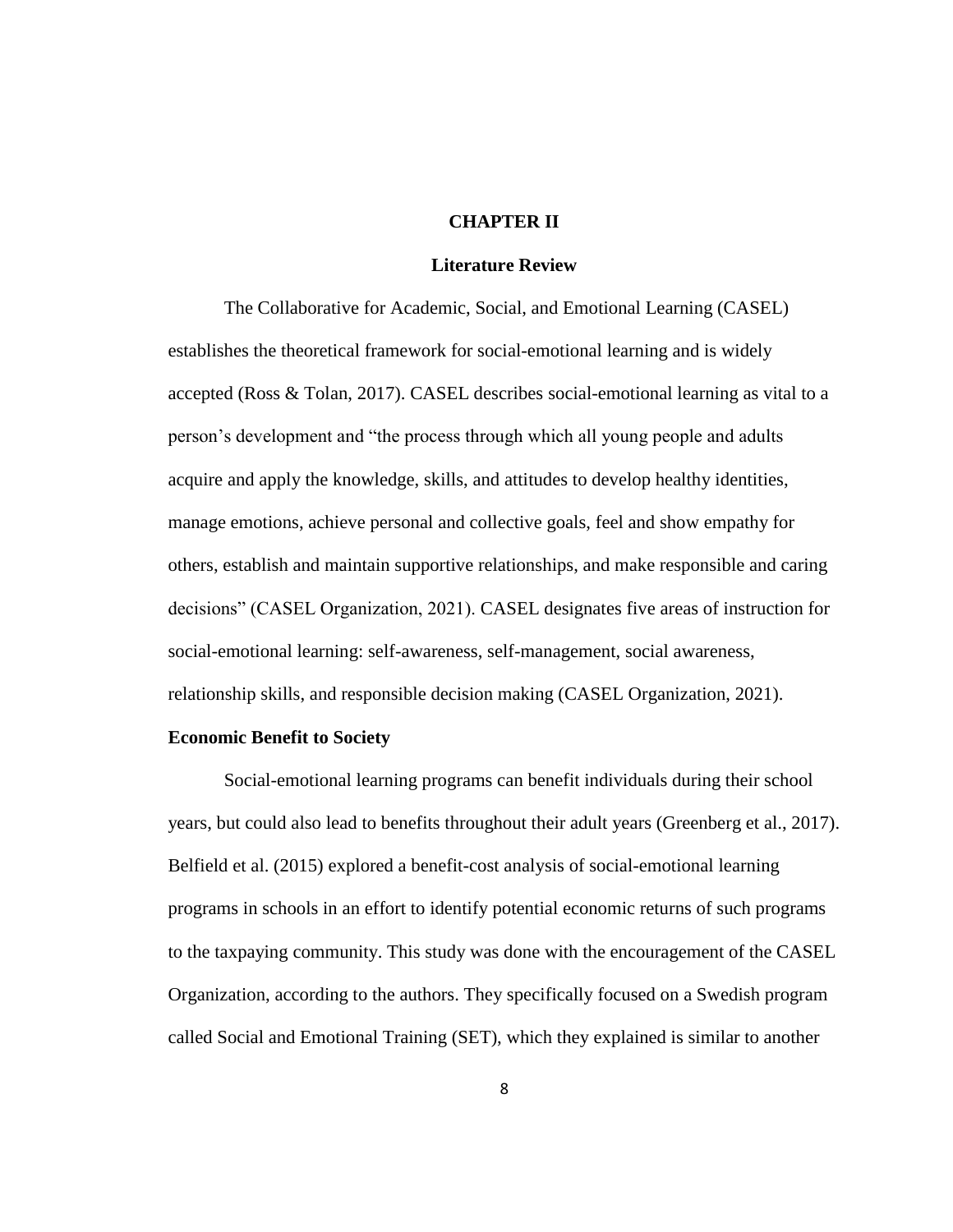#### **CHAPTER II**

#### **Literature Review**

The Collaborative for Academic, Social, and Emotional Learning (CASEL) establishes the theoretical framework for social-emotional learning and is widely accepted (Ross & Tolan, 2017). CASEL describes social-emotional learning as vital to a person's development and "the process through which all young people and adults acquire and apply the knowledge, skills, and attitudes to develop healthy identities, manage emotions, achieve personal and collective goals, feel and show empathy for others, establish and maintain supportive relationships, and make responsible and caring decisions" (CASEL Organization, 2021). CASEL designates five areas of instruction for social-emotional learning: self-awareness, self-management, social awareness, relationship skills, and responsible decision making (CASEL Organization, 2021).

## **Economic Benefit to Society**

Social-emotional learning programs can benefit individuals during their school years, but could also lead to benefits throughout their adult years (Greenberg et al., 2017). Belfield et al. (2015) explored a benefit-cost analysis of social-emotional learning programs in schools in an effort to identify potential economic returns of such programs to the taxpaying community. This study was done with the encouragement of the CASEL Organization, according to the authors. They specifically focused on a Swedish program called Social and Emotional Training (SET), which they explained is similar to another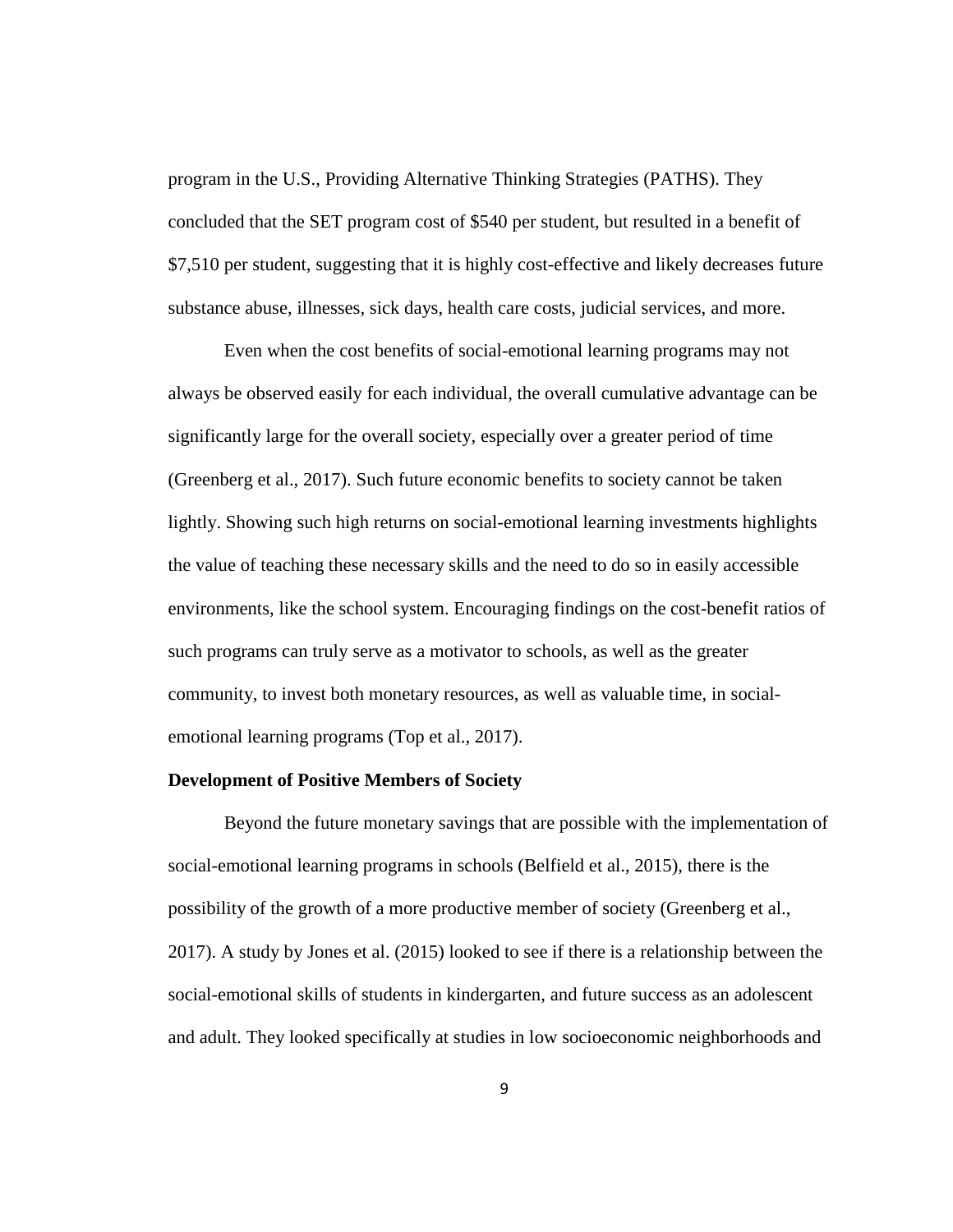program in the U.S., Providing Alternative Thinking Strategies (PATHS). They concluded that the SET program cost of \$540 per student, but resulted in a benefit of \$7,510 per student, suggesting that it is highly cost-effective and likely decreases future substance abuse, illnesses, sick days, health care costs, judicial services, and more.

Even when the cost benefits of social-emotional learning programs may not always be observed easily for each individual, the overall cumulative advantage can be significantly large for the overall society, especially over a greater period of time (Greenberg et al., 2017). Such future economic benefits to society cannot be taken lightly. Showing such high returns on social-emotional learning investments highlights the value of teaching these necessary skills and the need to do so in easily accessible environments, like the school system. Encouraging findings on the cost-benefit ratios of such programs can truly serve as a motivator to schools, as well as the greater community, to invest both monetary resources, as well as valuable time, in socialemotional learning programs (Top et al., 2017).

#### **Development of Positive Members of Society**

Beyond the future monetary savings that are possible with the implementation of social-emotional learning programs in schools (Belfield et al., 2015), there is the possibility of the growth of a more productive member of society (Greenberg et al., 2017). A study by Jones et al. (2015) looked to see if there is a relationship between the social-emotional skills of students in kindergarten, and future success as an adolescent and adult. They looked specifically at studies in low socioeconomic neighborhoods and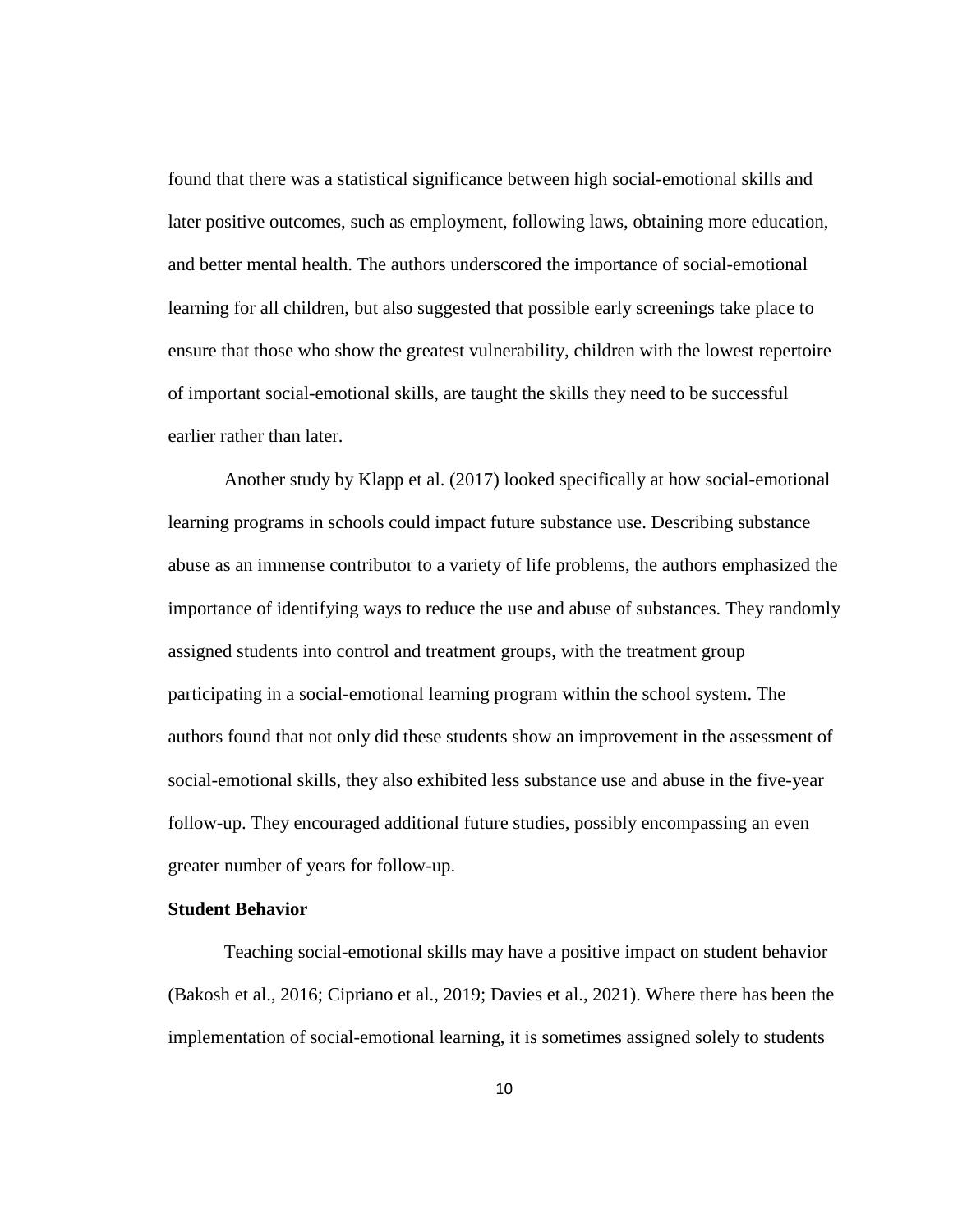found that there was a statistical significance between high social-emotional skills and later positive outcomes, such as employment, following laws, obtaining more education, and better mental health. The authors underscored the importance of social-emotional learning for all children, but also suggested that possible early screenings take place to ensure that those who show the greatest vulnerability, children with the lowest repertoire of important social-emotional skills, are taught the skills they need to be successful earlier rather than later.

Another study by Klapp et al. (2017) looked specifically at how social-emotional learning programs in schools could impact future substance use. Describing substance abuse as an immense contributor to a variety of life problems, the authors emphasized the importance of identifying ways to reduce the use and abuse of substances. They randomly assigned students into control and treatment groups, with the treatment group participating in a social-emotional learning program within the school system. The authors found that not only did these students show an improvement in the assessment of social-emotional skills, they also exhibited less substance use and abuse in the five-year follow-up. They encouraged additional future studies, possibly encompassing an even greater number of years for follow-up.

#### **Student Behavior**

Teaching social-emotional skills may have a positive impact on student behavior (Bakosh et al., 2016; Cipriano et al., 2019; Davies et al., 2021). Where there has been the implementation of social-emotional learning, it is sometimes assigned solely to students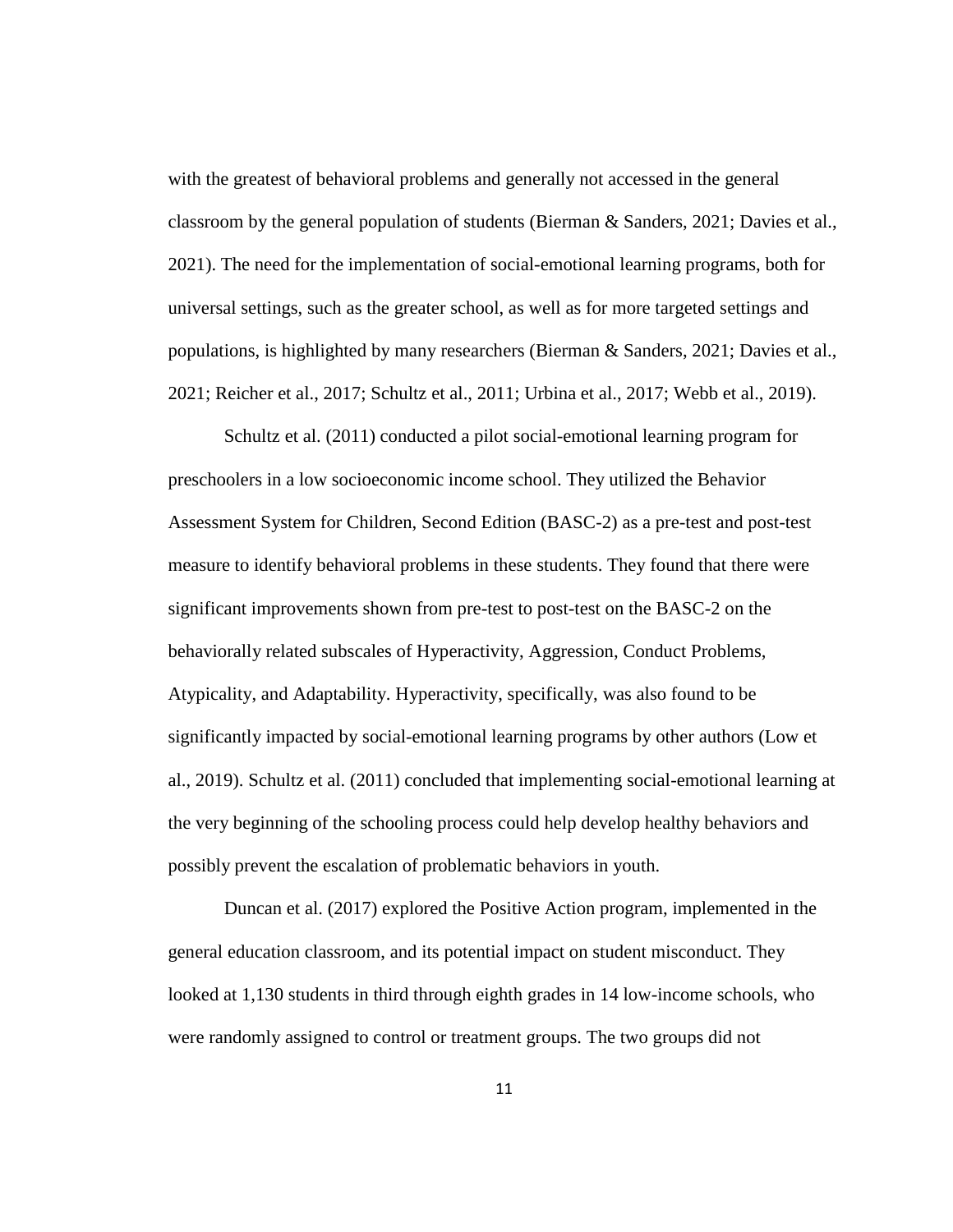with the greatest of behavioral problems and generally not accessed in the general classroom by the general population of students (Bierman & Sanders, 2021; Davies et al., 2021). The need for the implementation of social-emotional learning programs, both for universal settings, such as the greater school, as well as for more targeted settings and populations, is highlighted by many researchers (Bierman & Sanders, 2021; Davies et al., 2021; Reicher et al., 2017; Schultz et al., 2011; Urbina et al., 2017; Webb et al., 2019).

Schultz et al. (2011) conducted a pilot social-emotional learning program for preschoolers in a low socioeconomic income school. They utilized the Behavior Assessment System for Children, Second Edition (BASC-2) as a pre-test and post-test measure to identify behavioral problems in these students. They found that there were significant improvements shown from pre-test to post-test on the BASC-2 on the behaviorally related subscales of Hyperactivity, Aggression, Conduct Problems, Atypicality, and Adaptability. Hyperactivity, specifically, was also found to be significantly impacted by social-emotional learning programs by other authors (Low et al., 2019). Schultz et al. (2011) concluded that implementing social-emotional learning at the very beginning of the schooling process could help develop healthy behaviors and possibly prevent the escalation of problematic behaviors in youth.

Duncan et al. (2017) explored the Positive Action program, implemented in the general education classroom, and its potential impact on student misconduct. They looked at 1,130 students in third through eighth grades in 14 low-income schools, who were randomly assigned to control or treatment groups. The two groups did not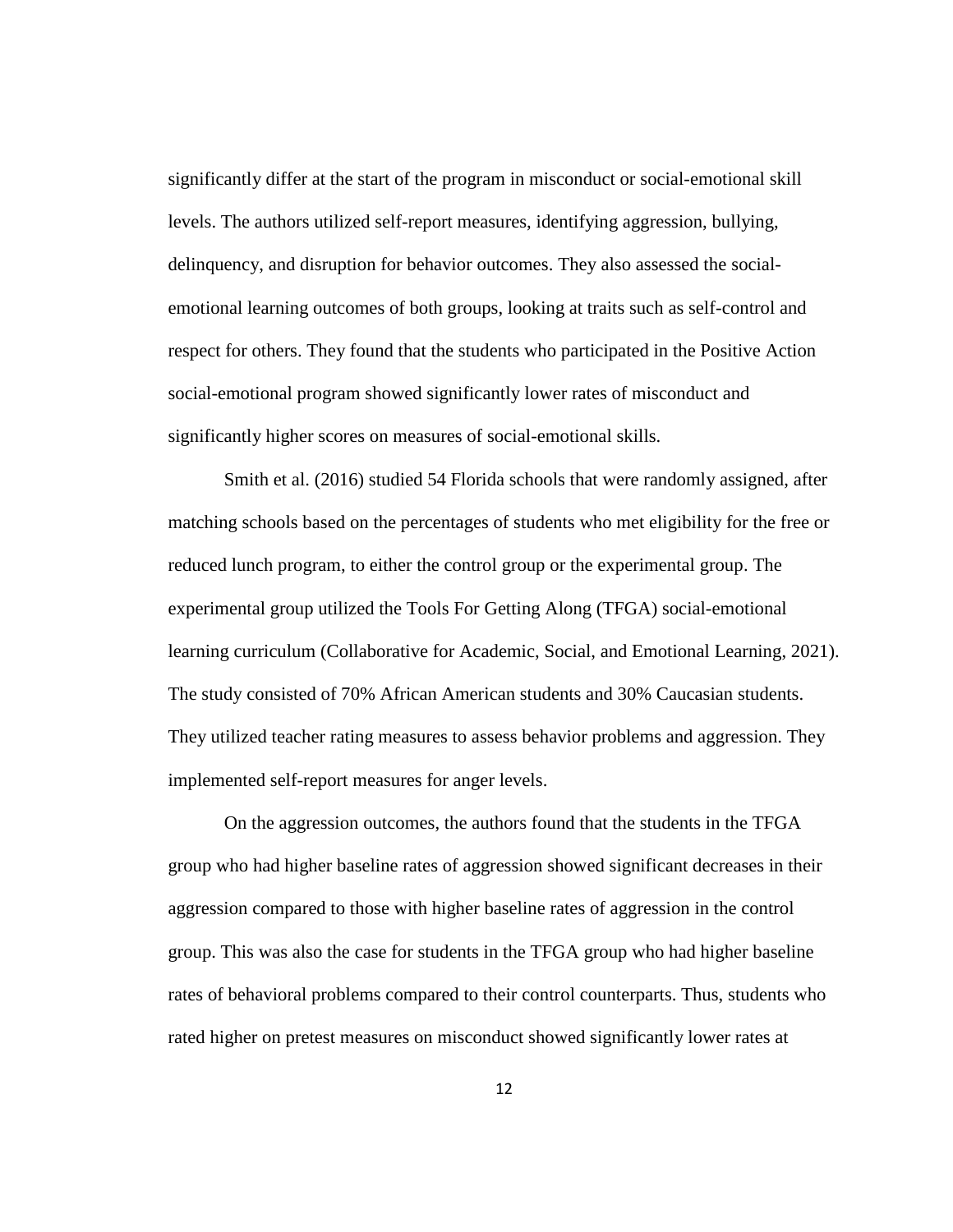significantly differ at the start of the program in misconduct or social-emotional skill levels. The authors utilized self-report measures, identifying aggression, bullying, delinquency, and disruption for behavior outcomes. They also assessed the socialemotional learning outcomes of both groups, looking at traits such as self-control and respect for others. They found that the students who participated in the Positive Action social-emotional program showed significantly lower rates of misconduct and significantly higher scores on measures of social-emotional skills.

Smith et al. (2016) studied 54 Florida schools that were randomly assigned, after matching schools based on the percentages of students who met eligibility for the free or reduced lunch program, to either the control group or the experimental group. The experimental group utilized the Tools For Getting Along (TFGA) social-emotional learning curriculum (Collaborative for Academic, Social, and Emotional Learning, 2021). The study consisted of 70% African American students and 30% Caucasian students. They utilized teacher rating measures to assess behavior problems and aggression. They implemented self-report measures for anger levels.

On the aggression outcomes, the authors found that the students in the TFGA group who had higher baseline rates of aggression showed significant decreases in their aggression compared to those with higher baseline rates of aggression in the control group. This was also the case for students in the TFGA group who had higher baseline rates of behavioral problems compared to their control counterparts. Thus, students who rated higher on pretest measures on misconduct showed significantly lower rates at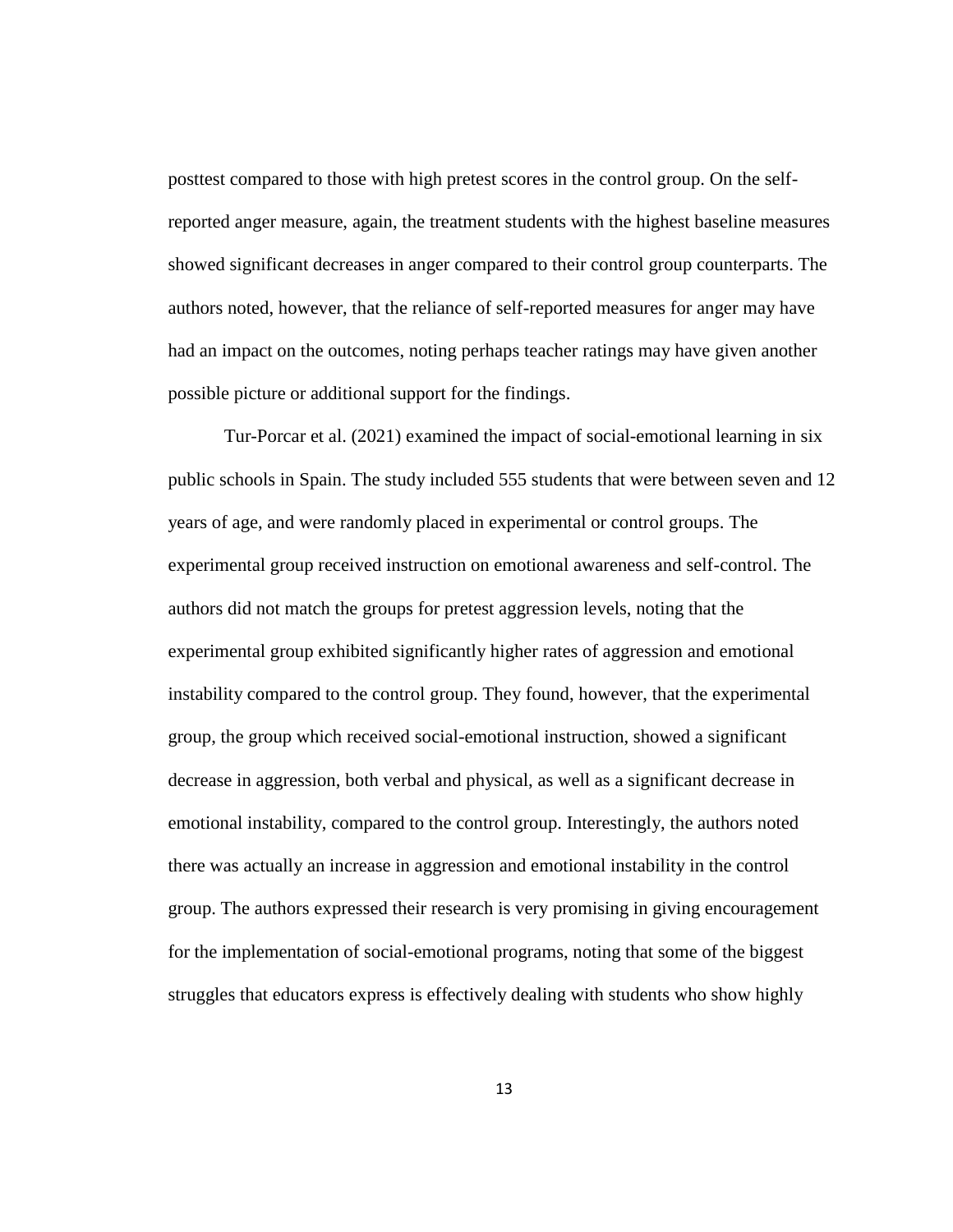posttest compared to those with high pretest scores in the control group. On the selfreported anger measure, again, the treatment students with the highest baseline measures showed significant decreases in anger compared to their control group counterparts. The authors noted, however, that the reliance of self-reported measures for anger may have had an impact on the outcomes, noting perhaps teacher ratings may have given another possible picture or additional support for the findings.

Tur-Porcar et al. (2021) examined the impact of social-emotional learning in six public schools in Spain. The study included 555 students that were between seven and 12 years of age, and were randomly placed in experimental or control groups. The experimental group received instruction on emotional awareness and self-control. The authors did not match the groups for pretest aggression levels, noting that the experimental group exhibited significantly higher rates of aggression and emotional instability compared to the control group. They found, however, that the experimental group, the group which received social-emotional instruction, showed a significant decrease in aggression, both verbal and physical, as well as a significant decrease in emotional instability, compared to the control group. Interestingly, the authors noted there was actually an increase in aggression and emotional instability in the control group. The authors expressed their research is very promising in giving encouragement for the implementation of social-emotional programs, noting that some of the biggest struggles that educators express is effectively dealing with students who show highly

13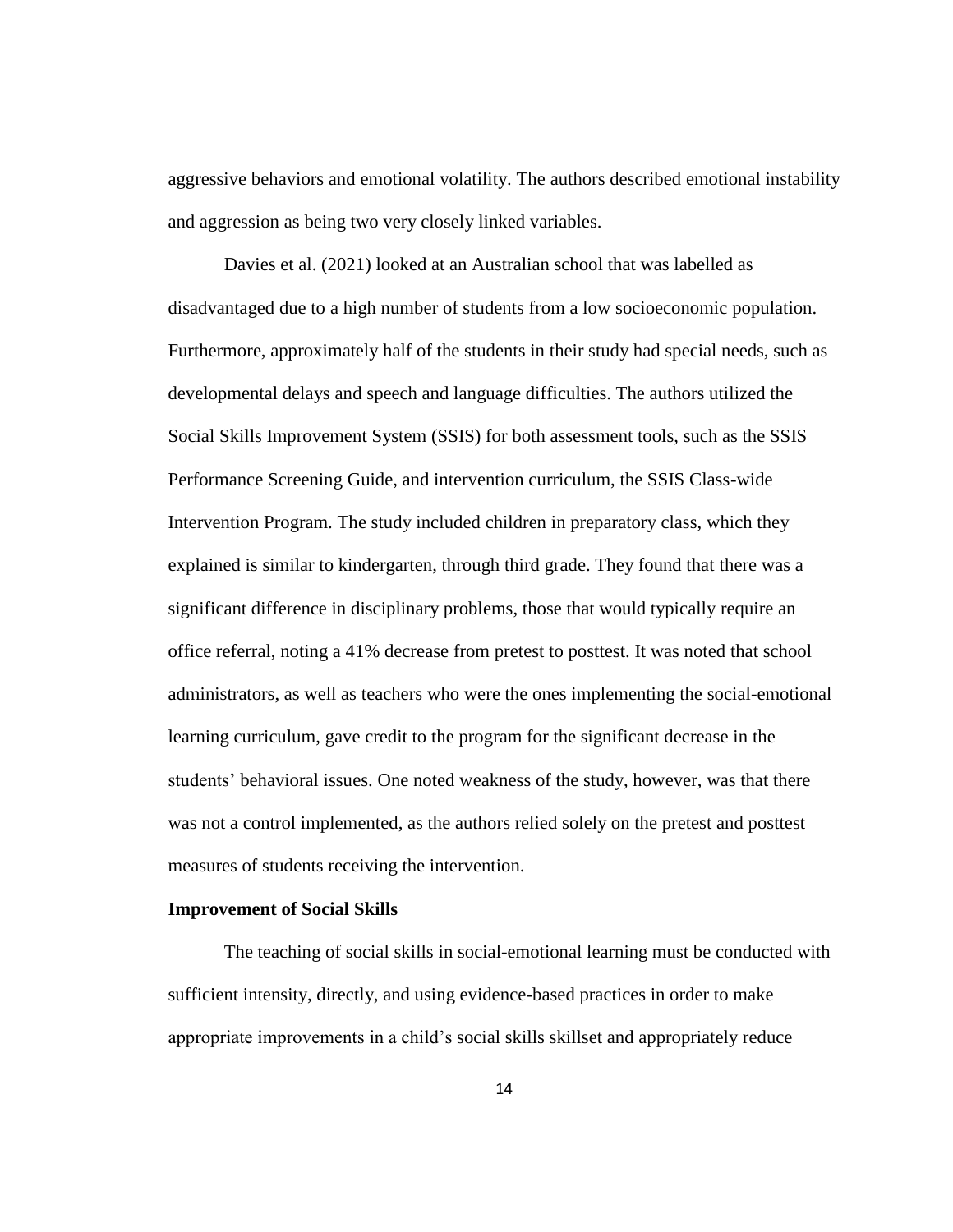aggressive behaviors and emotional volatility. The authors described emotional instability and aggression as being two very closely linked variables.

Davies et al. (2021) looked at an Australian school that was labelled as disadvantaged due to a high number of students from a low socioeconomic population. Furthermore, approximately half of the students in their study had special needs, such as developmental delays and speech and language difficulties. The authors utilized the Social Skills Improvement System (SSIS) for both assessment tools, such as the SSIS Performance Screening Guide, and intervention curriculum, the SSIS Class-wide Intervention Program. The study included children in preparatory class, which they explained is similar to kindergarten, through third grade. They found that there was a significant difference in disciplinary problems, those that would typically require an office referral, noting a 41% decrease from pretest to posttest. It was noted that school administrators, as well as teachers who were the ones implementing the social-emotional learning curriculum, gave credit to the program for the significant decrease in the students' behavioral issues. One noted weakness of the study, however, was that there was not a control implemented, as the authors relied solely on the pretest and posttest measures of students receiving the intervention.

#### **Improvement of Social Skills**

The teaching of social skills in social-emotional learning must be conducted with sufficient intensity, directly, and using evidence-based practices in order to make appropriate improvements in a child's social skills skillset and appropriately reduce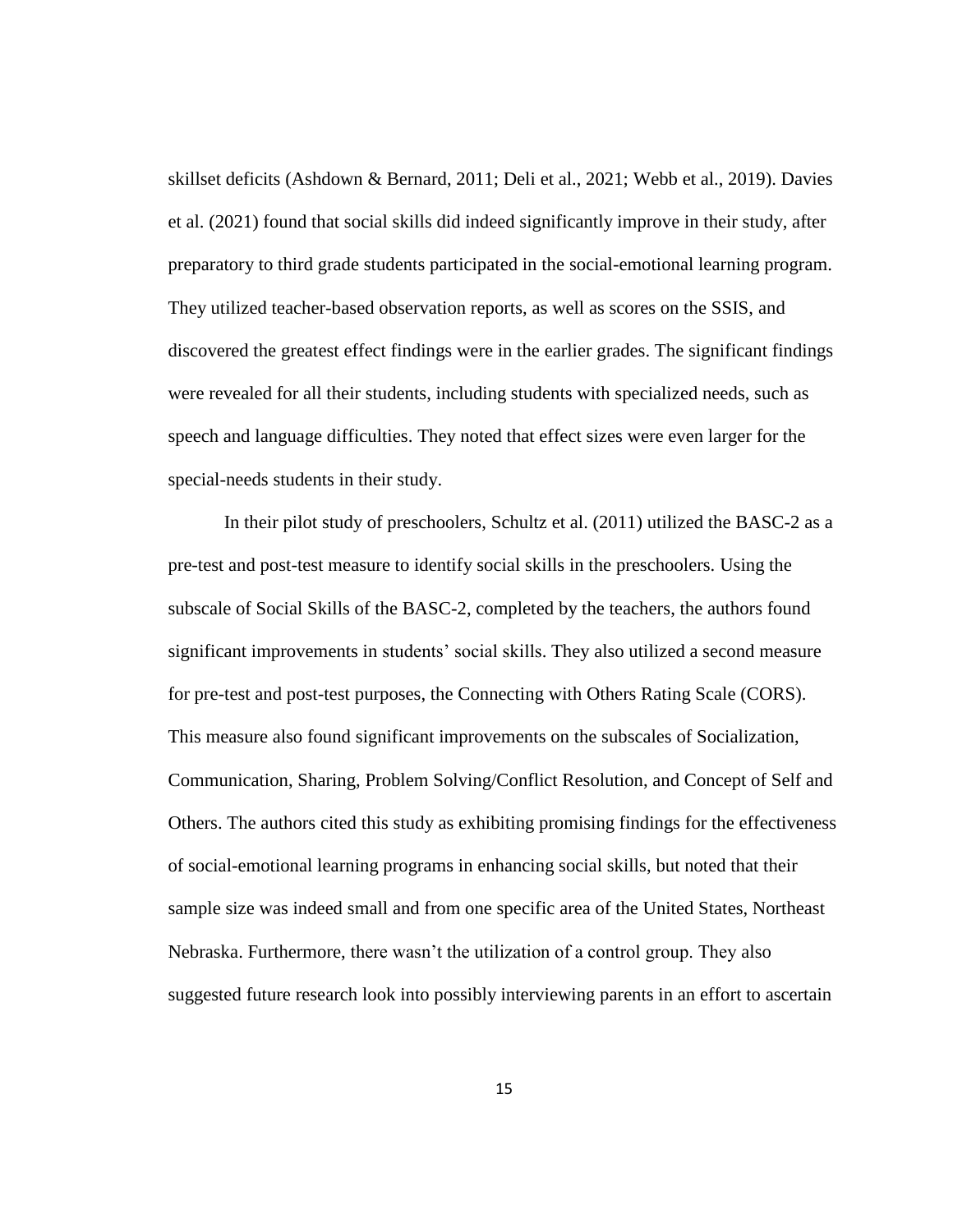skillset deficits (Ashdown & Bernard, 2011; Deli et al., 2021; Webb et al., 2019). Davies et al. (2021) found that social skills did indeed significantly improve in their study, after preparatory to third grade students participated in the social-emotional learning program. They utilized teacher-based observation reports, as well as scores on the SSIS, and discovered the greatest effect findings were in the earlier grades. The significant findings were revealed for all their students, including students with specialized needs, such as speech and language difficulties. They noted that effect sizes were even larger for the special-needs students in their study.

In their pilot study of preschoolers, Schultz et al. (2011) utilized the BASC-2 as a pre-test and post-test measure to identify social skills in the preschoolers. Using the subscale of Social Skills of the BASC-2, completed by the teachers, the authors found significant improvements in students' social skills. They also utilized a second measure for pre-test and post-test purposes, the Connecting with Others Rating Scale (CORS). This measure also found significant improvements on the subscales of Socialization, Communication, Sharing, Problem Solving/Conflict Resolution, and Concept of Self and Others. The authors cited this study as exhibiting promising findings for the effectiveness of social-emotional learning programs in enhancing social skills, but noted that their sample size was indeed small and from one specific area of the United States, Northeast Nebraska. Furthermore, there wasn't the utilization of a control group. They also suggested future research look into possibly interviewing parents in an effort to ascertain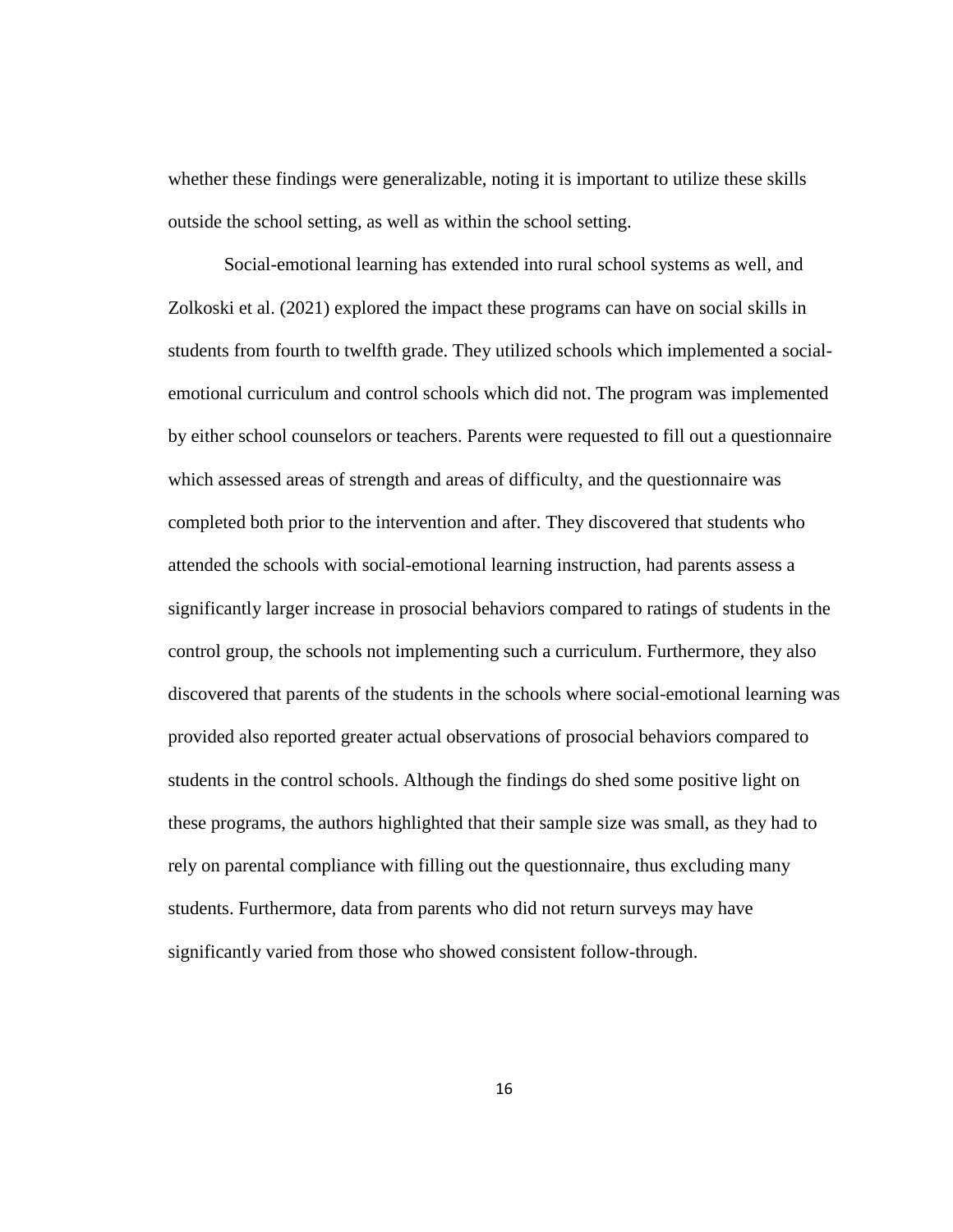whether these findings were generalizable, noting it is important to utilize these skills outside the school setting, as well as within the school setting.

Social-emotional learning has extended into rural school systems as well, and Zolkoski et al. (2021) explored the impact these programs can have on social skills in students from fourth to twelfth grade. They utilized schools which implemented a socialemotional curriculum and control schools which did not. The program was implemented by either school counselors or teachers. Parents were requested to fill out a questionnaire which assessed areas of strength and areas of difficulty, and the questionnaire was completed both prior to the intervention and after. They discovered that students who attended the schools with social-emotional learning instruction, had parents assess a significantly larger increase in prosocial behaviors compared to ratings of students in the control group, the schools not implementing such a curriculum. Furthermore, they also discovered that parents of the students in the schools where social-emotional learning was provided also reported greater actual observations of prosocial behaviors compared to students in the control schools. Although the findings do shed some positive light on these programs, the authors highlighted that their sample size was small, as they had to rely on parental compliance with filling out the questionnaire, thus excluding many students. Furthermore, data from parents who did not return surveys may have significantly varied from those who showed consistent follow-through.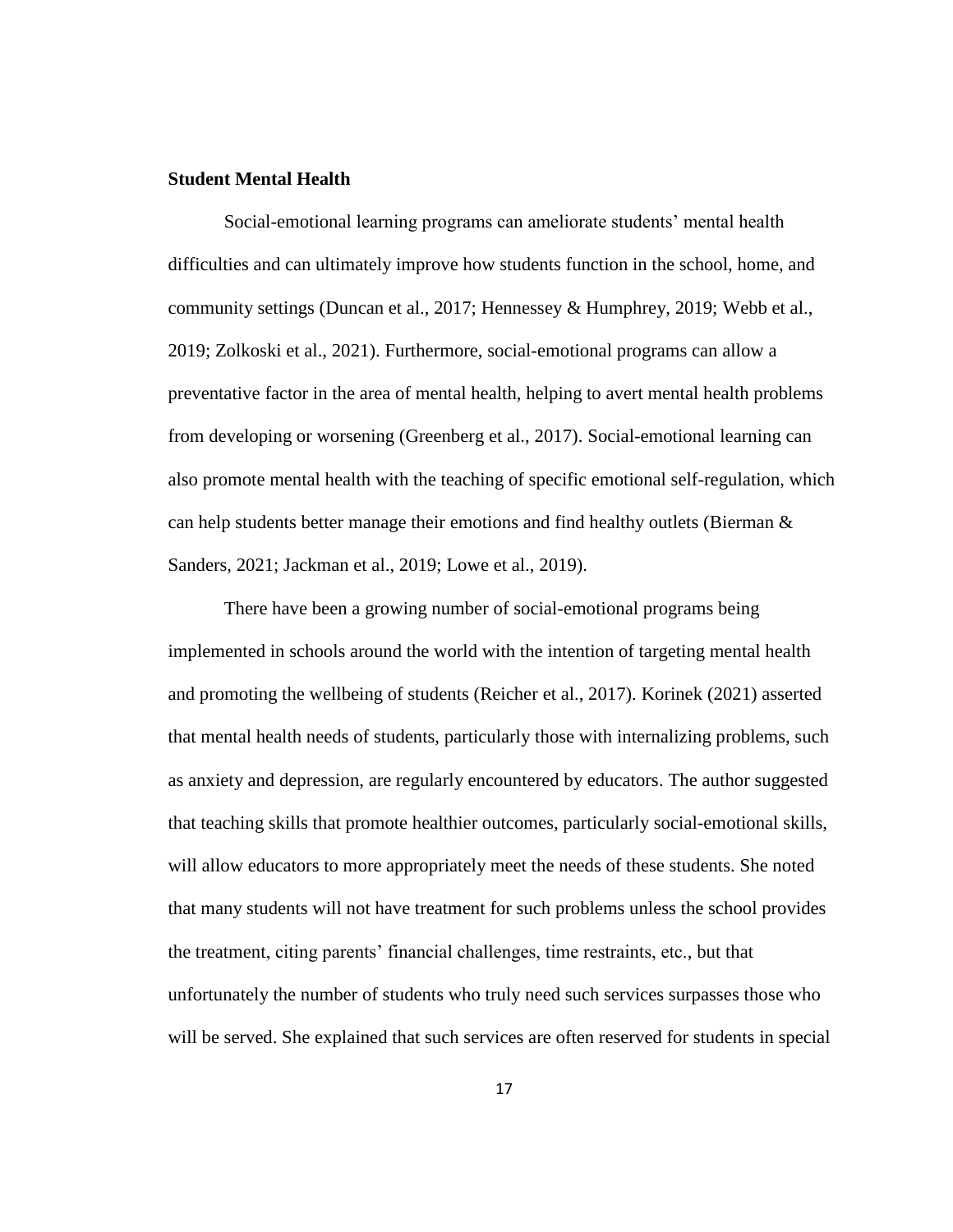## **Student Mental Health**

Social-emotional learning programs can ameliorate students' mental health difficulties and can ultimately improve how students function in the school, home, and community settings (Duncan et al., 2017; Hennessey & Humphrey, 2019; Webb et al., 2019; Zolkoski et al., 2021). Furthermore, social-emotional programs can allow a preventative factor in the area of mental health, helping to avert mental health problems from developing or worsening (Greenberg et al., 2017). Social-emotional learning can also promote mental health with the teaching of specific emotional self-regulation, which can help students better manage their emotions and find healthy outlets (Bierman  $\&$ Sanders, 2021; Jackman et al., 2019; Lowe et al., 2019).

There have been a growing number of social-emotional programs being implemented in schools around the world with the intention of targeting mental health and promoting the wellbeing of students (Reicher et al., 2017). Korinek (2021) asserted that mental health needs of students, particularly those with internalizing problems, such as anxiety and depression, are regularly encountered by educators. The author suggested that teaching skills that promote healthier outcomes, particularly social-emotional skills, will allow educators to more appropriately meet the needs of these students. She noted that many students will not have treatment for such problems unless the school provides the treatment, citing parents' financial challenges, time restraints, etc., but that unfortunately the number of students who truly need such services surpasses those who will be served. She explained that such services are often reserved for students in special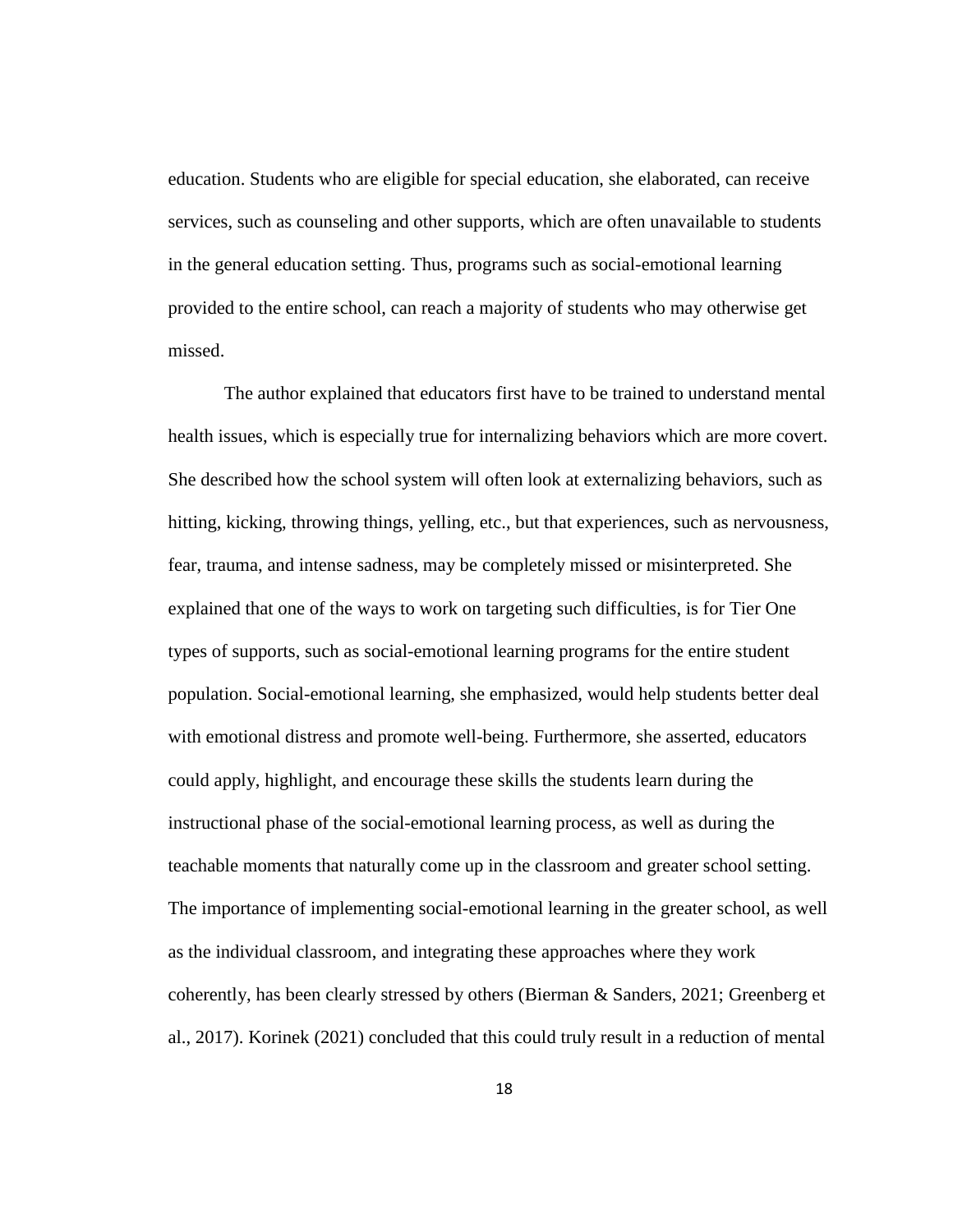education. Students who are eligible for special education, she elaborated, can receive services, such as counseling and other supports, which are often unavailable to students in the general education setting. Thus, programs such as social-emotional learning provided to the entire school, can reach a majority of students who may otherwise get missed.

The author explained that educators first have to be trained to understand mental health issues, which is especially true for internalizing behaviors which are more covert. She described how the school system will often look at externalizing behaviors, such as hitting, kicking, throwing things, yelling, etc., but that experiences, such as nervousness, fear, trauma, and intense sadness, may be completely missed or misinterpreted. She explained that one of the ways to work on targeting such difficulties, is for Tier One types of supports, such as social-emotional learning programs for the entire student population. Social-emotional learning, she emphasized, would help students better deal with emotional distress and promote well-being. Furthermore, she asserted, educators could apply, highlight, and encourage these skills the students learn during the instructional phase of the social-emotional learning process, as well as during the teachable moments that naturally come up in the classroom and greater school setting. The importance of implementing social-emotional learning in the greater school, as well as the individual classroom, and integrating these approaches where they work coherently, has been clearly stressed by others (Bierman & Sanders, 2021; Greenberg et al., 2017). Korinek (2021) concluded that this could truly result in a reduction of mental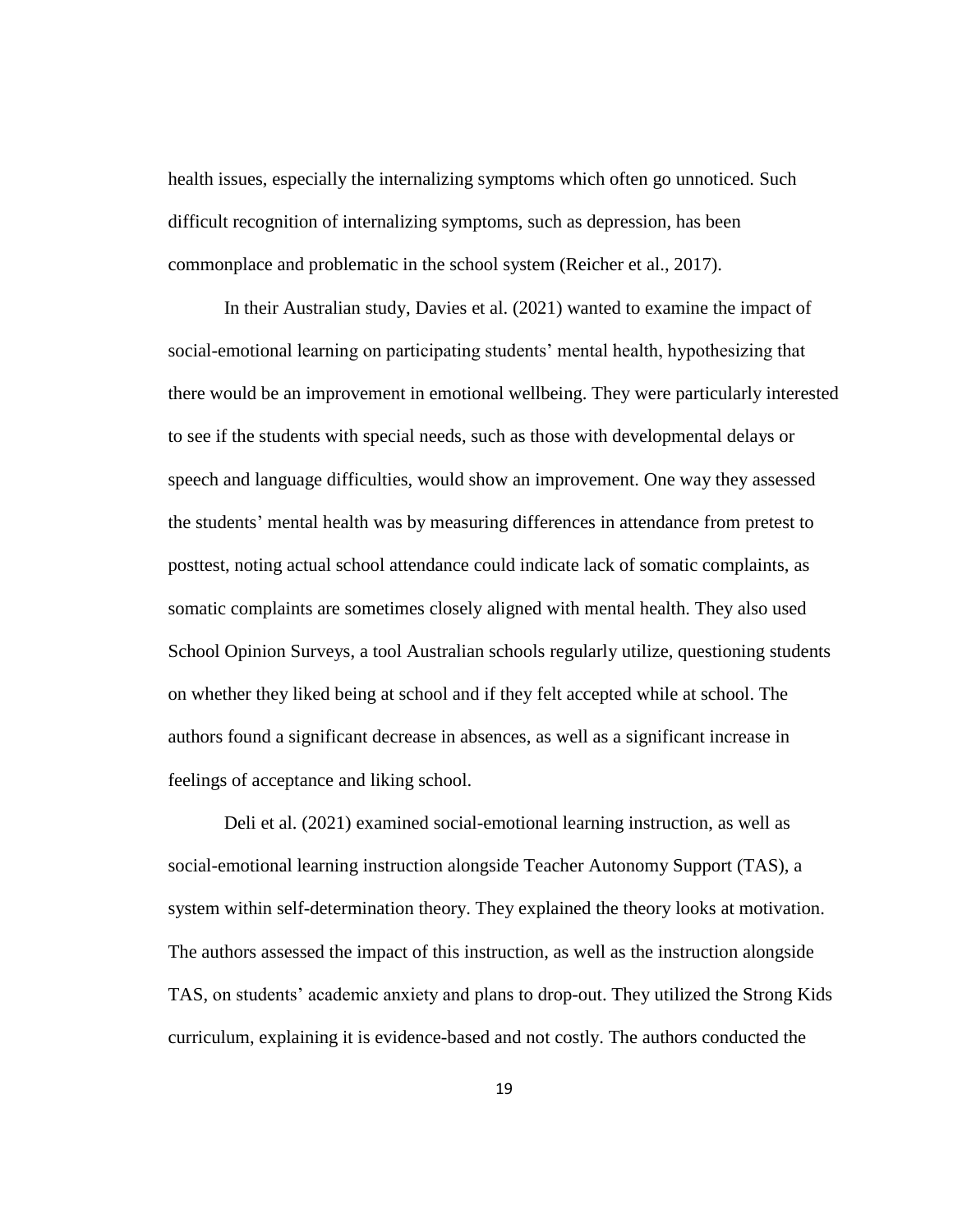health issues, especially the internalizing symptoms which often go unnoticed. Such difficult recognition of internalizing symptoms, such as depression, has been commonplace and problematic in the school system (Reicher et al., 2017).

In their Australian study, Davies et al. (2021) wanted to examine the impact of social-emotional learning on participating students' mental health, hypothesizing that there would be an improvement in emotional wellbeing. They were particularly interested to see if the students with special needs, such as those with developmental delays or speech and language difficulties, would show an improvement. One way they assessed the students' mental health was by measuring differences in attendance from pretest to posttest, noting actual school attendance could indicate lack of somatic complaints, as somatic complaints are sometimes closely aligned with mental health. They also used School Opinion Surveys, a tool Australian schools regularly utilize, questioning students on whether they liked being at school and if they felt accepted while at school. The authors found a significant decrease in absences, as well as a significant increase in feelings of acceptance and liking school.

Deli et al. (2021) examined social-emotional learning instruction, as well as social-emotional learning instruction alongside Teacher Autonomy Support (TAS), a system within self-determination theory. They explained the theory looks at motivation. The authors assessed the impact of this instruction, as well as the instruction alongside TAS, on students' academic anxiety and plans to drop-out. They utilized the Strong Kids curriculum, explaining it is evidence-based and not costly. The authors conducted the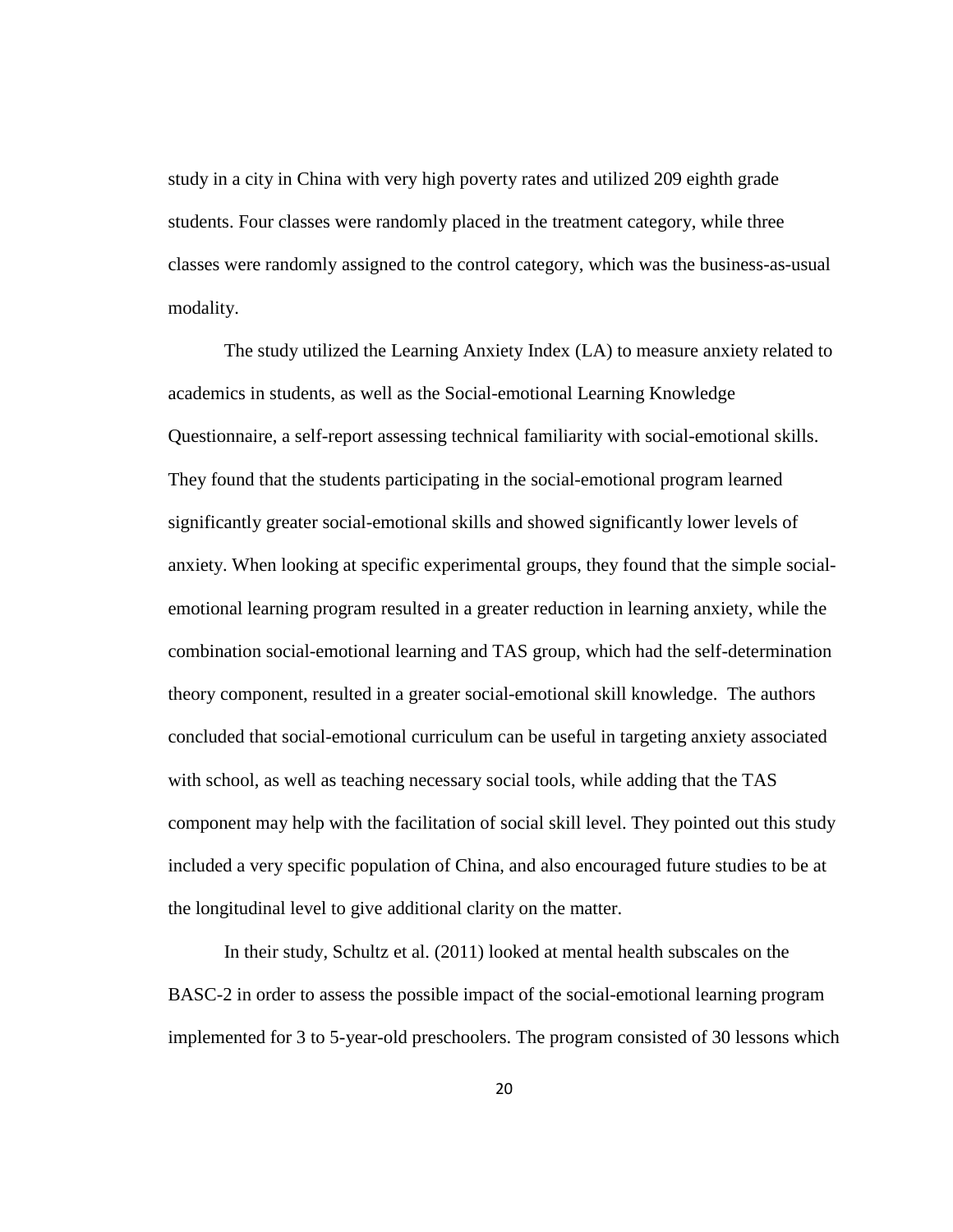study in a city in China with very high poverty rates and utilized 209 eighth grade students. Four classes were randomly placed in the treatment category, while three classes were randomly assigned to the control category, which was the business-as-usual modality.

The study utilized the Learning Anxiety Index (LA) to measure anxiety related to academics in students, as well as the Social-emotional Learning Knowledge Questionnaire, a self-report assessing technical familiarity with social-emotional skills. They found that the students participating in the social-emotional program learned significantly greater social-emotional skills and showed significantly lower levels of anxiety. When looking at specific experimental groups, they found that the simple socialemotional learning program resulted in a greater reduction in learning anxiety, while the combination social-emotional learning and TAS group, which had the self-determination theory component, resulted in a greater social-emotional skill knowledge. The authors concluded that social-emotional curriculum can be useful in targeting anxiety associated with school, as well as teaching necessary social tools, while adding that the TAS component may help with the facilitation of social skill level. They pointed out this study included a very specific population of China, and also encouraged future studies to be at the longitudinal level to give additional clarity on the matter.

In their study, Schultz et al. (2011) looked at mental health subscales on the BASC-2 in order to assess the possible impact of the social-emotional learning program implemented for 3 to 5-year-old preschoolers. The program consisted of 30 lessons which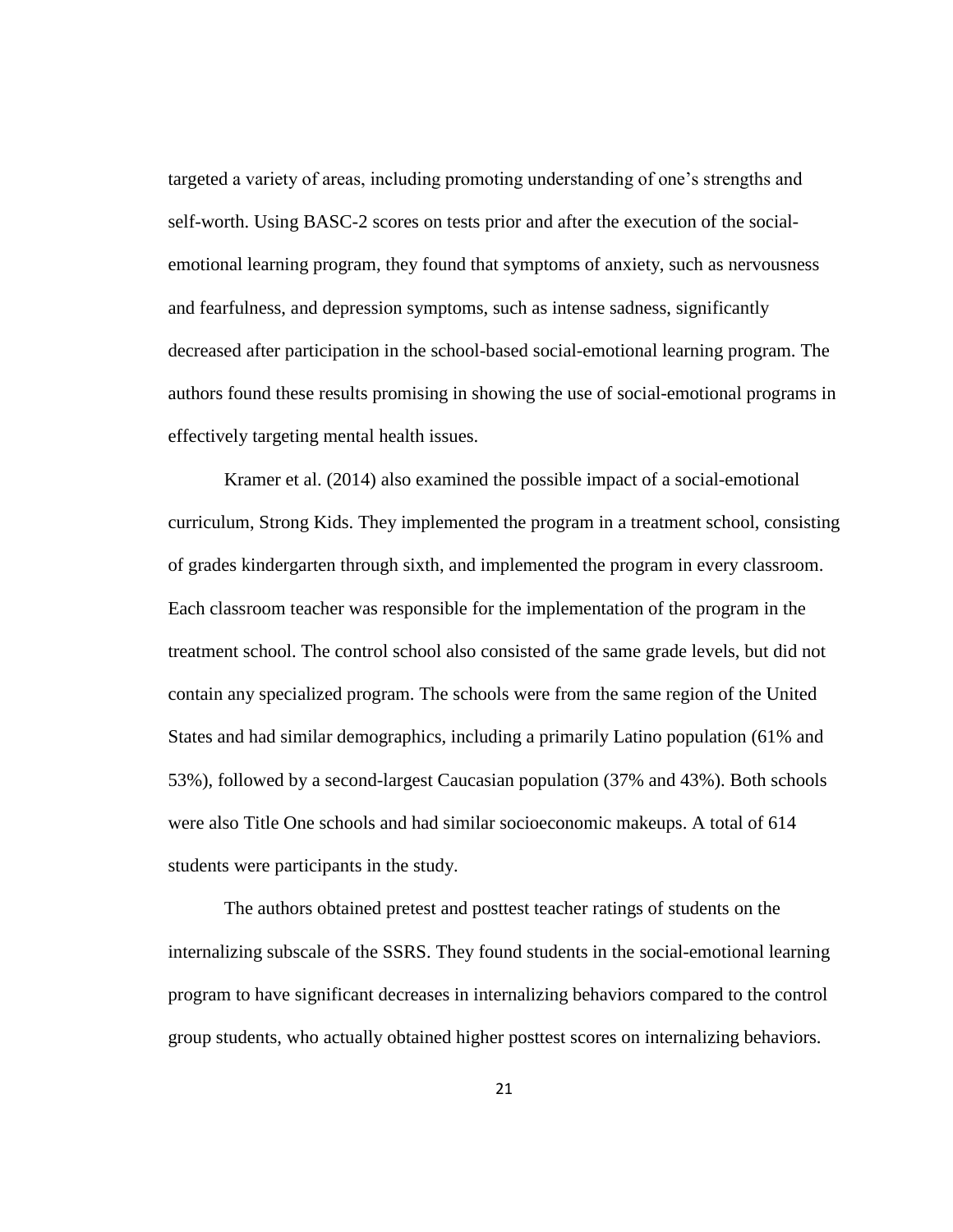targeted a variety of areas, including promoting understanding of one's strengths and self-worth. Using BASC-2 scores on tests prior and after the execution of the socialemotional learning program, they found that symptoms of anxiety, such as nervousness and fearfulness, and depression symptoms, such as intense sadness, significantly decreased after participation in the school-based social-emotional learning program. The authors found these results promising in showing the use of social-emotional programs in effectively targeting mental health issues.

Kramer et al. (2014) also examined the possible impact of a social-emotional curriculum, Strong Kids. They implemented the program in a treatment school, consisting of grades kindergarten through sixth, and implemented the program in every classroom. Each classroom teacher was responsible for the implementation of the program in the treatment school. The control school also consisted of the same grade levels, but did not contain any specialized program. The schools were from the same region of the United States and had similar demographics, including a primarily Latino population (61% and 53%), followed by a second-largest Caucasian population (37% and 43%). Both schools were also Title One schools and had similar socioeconomic makeups. A total of 614 students were participants in the study.

The authors obtained pretest and posttest teacher ratings of students on the internalizing subscale of the SSRS. They found students in the social-emotional learning program to have significant decreases in internalizing behaviors compared to the control group students, who actually obtained higher posttest scores on internalizing behaviors.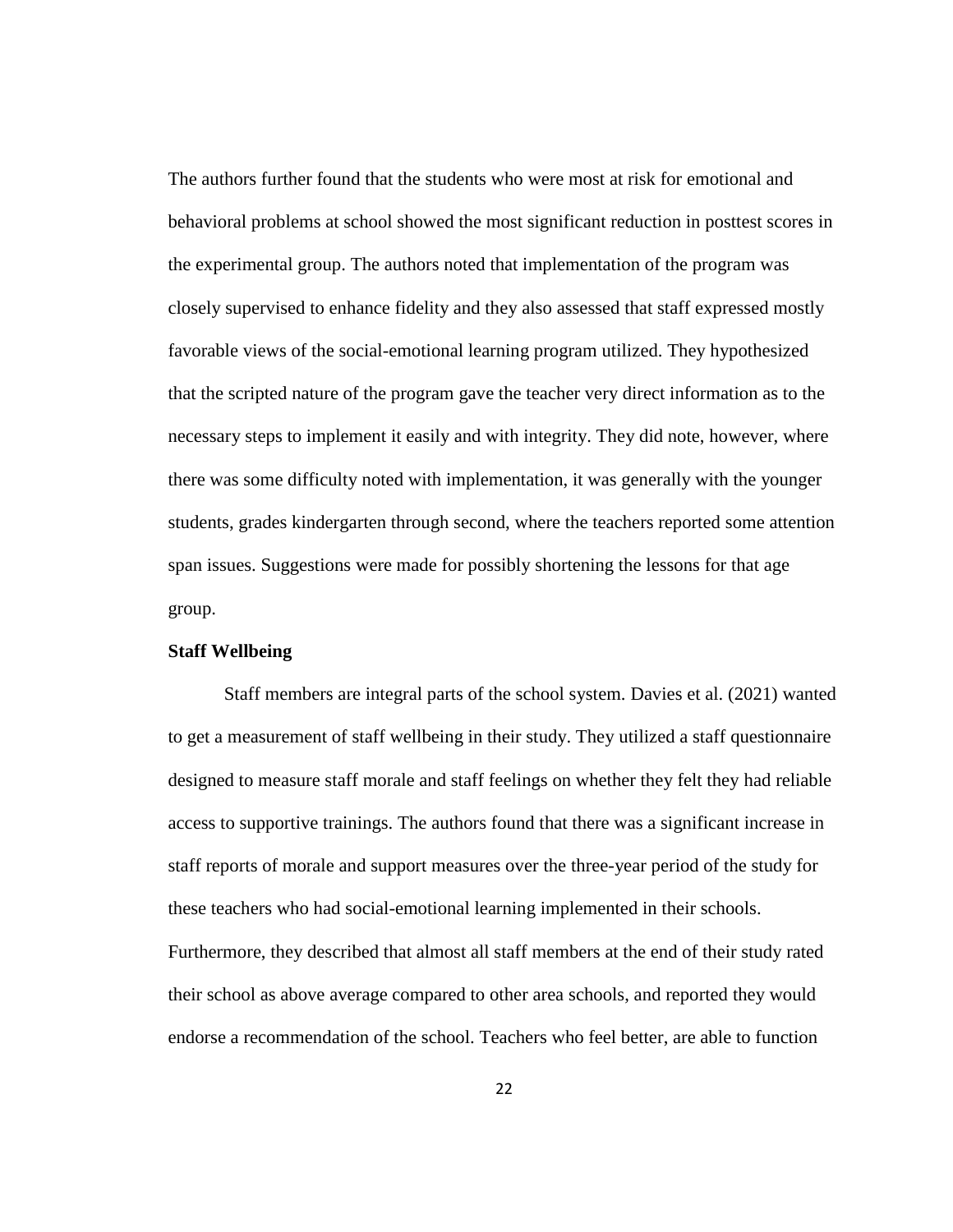The authors further found that the students who were most at risk for emotional and behavioral problems at school showed the most significant reduction in posttest scores in the experimental group. The authors noted that implementation of the program was closely supervised to enhance fidelity and they also assessed that staff expressed mostly favorable views of the social-emotional learning program utilized. They hypothesized that the scripted nature of the program gave the teacher very direct information as to the necessary steps to implement it easily and with integrity. They did note, however, where there was some difficulty noted with implementation, it was generally with the younger students, grades kindergarten through second, where the teachers reported some attention span issues. Suggestions were made for possibly shortening the lessons for that age group.

#### **Staff Wellbeing**

Staff members are integral parts of the school system. Davies et al. (2021) wanted to get a measurement of staff wellbeing in their study. They utilized a staff questionnaire designed to measure staff morale and staff feelings on whether they felt they had reliable access to supportive trainings. The authors found that there was a significant increase in staff reports of morale and support measures over the three-year period of the study for these teachers who had social-emotional learning implemented in their schools. Furthermore, they described that almost all staff members at the end of their study rated their school as above average compared to other area schools, and reported they would endorse a recommendation of the school. Teachers who feel better, are able to function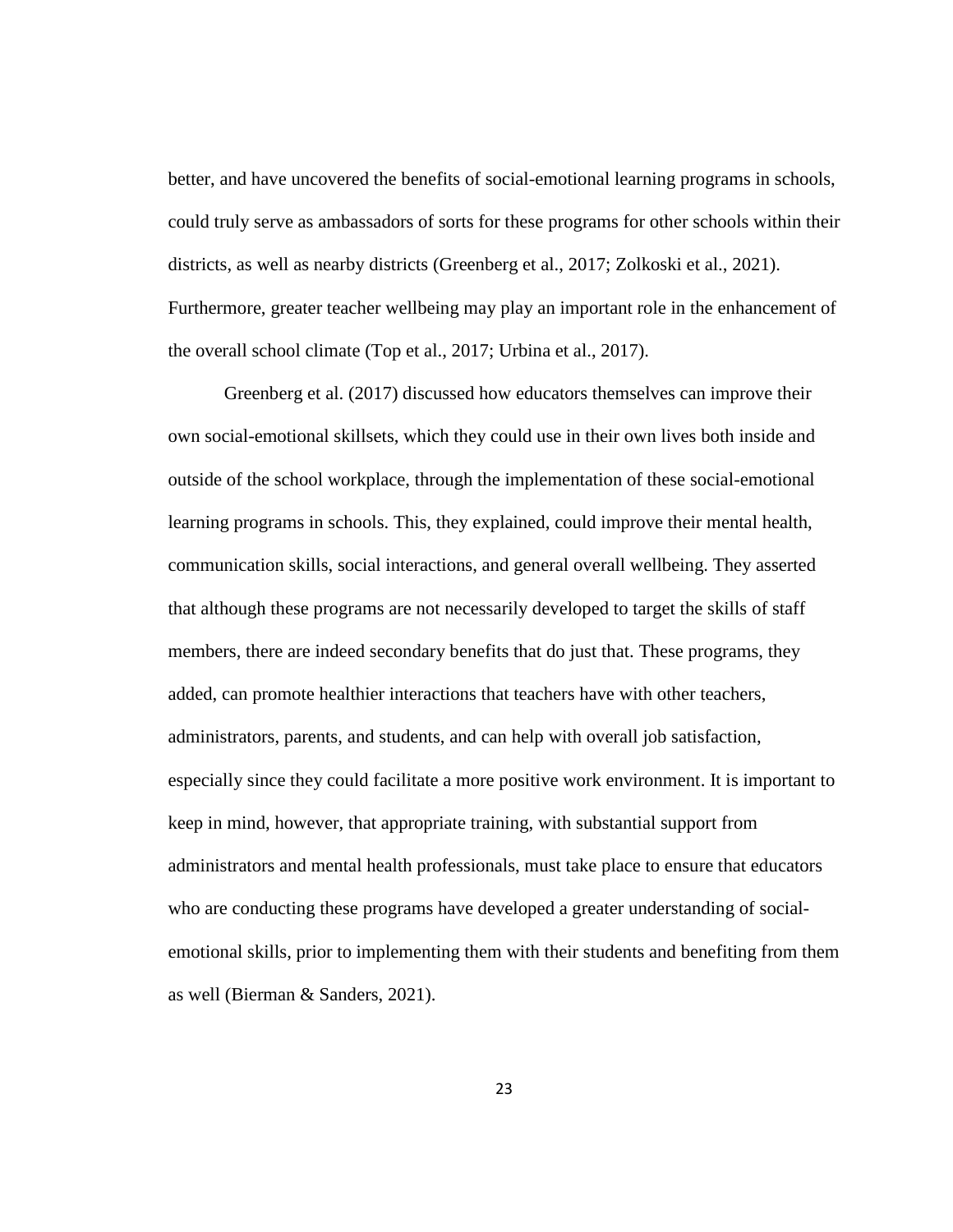better, and have uncovered the benefits of social-emotional learning programs in schools, could truly serve as ambassadors of sorts for these programs for other schools within their districts, as well as nearby districts (Greenberg et al., 2017; Zolkoski et al., 2021). Furthermore, greater teacher wellbeing may play an important role in the enhancement of the overall school climate (Top et al., 2017; Urbina et al., 2017).

Greenberg et al. (2017) discussed how educators themselves can improve their own social-emotional skillsets, which they could use in their own lives both inside and outside of the school workplace, through the implementation of these social-emotional learning programs in schools. This, they explained, could improve their mental health, communication skills, social interactions, and general overall wellbeing. They asserted that although these programs are not necessarily developed to target the skills of staff members, there are indeed secondary benefits that do just that. These programs, they added, can promote healthier interactions that teachers have with other teachers, administrators, parents, and students, and can help with overall job satisfaction, especially since they could facilitate a more positive work environment. It is important to keep in mind, however, that appropriate training, with substantial support from administrators and mental health professionals, must take place to ensure that educators who are conducting these programs have developed a greater understanding of socialemotional skills, prior to implementing them with their students and benefiting from them as well (Bierman & Sanders, 2021).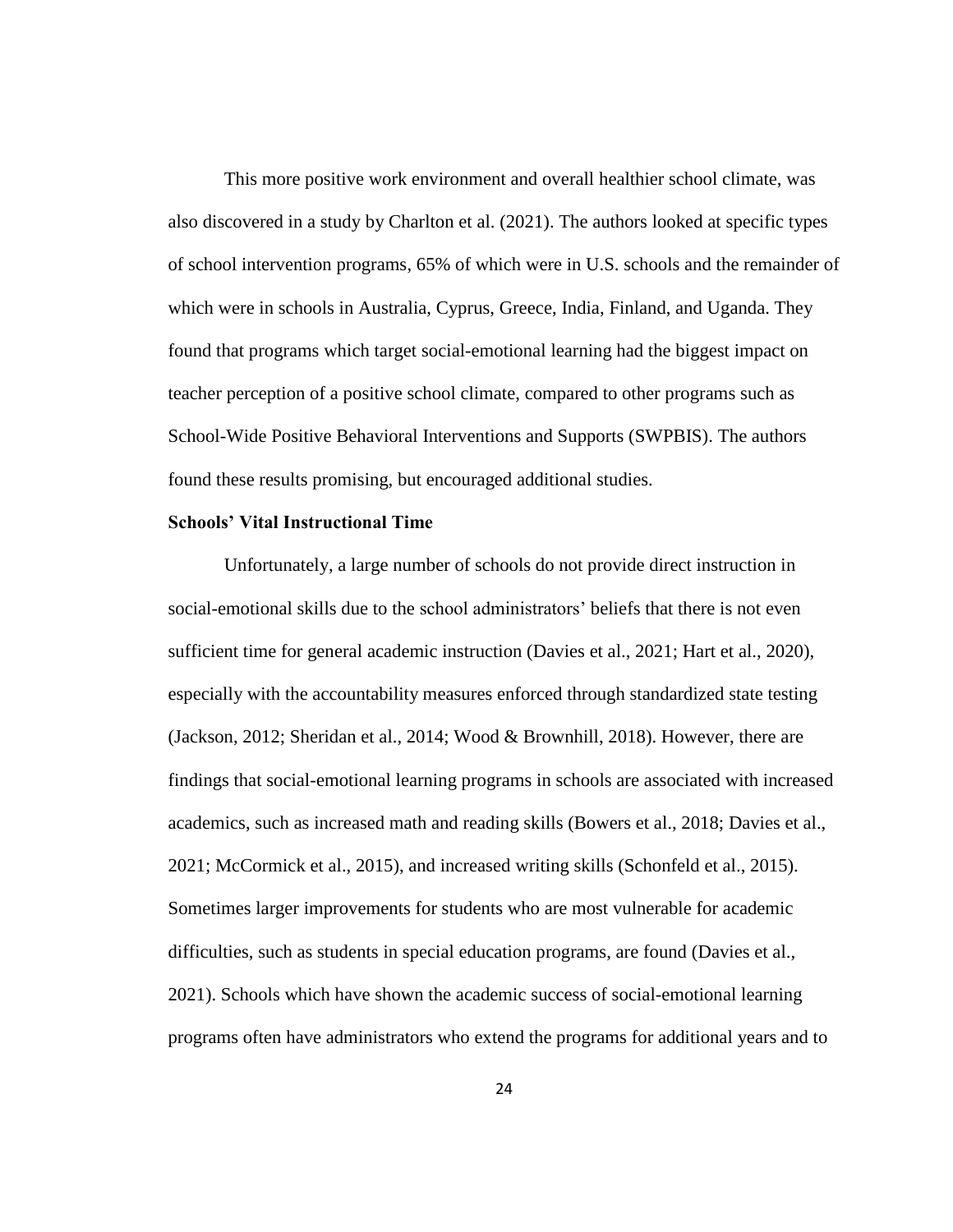This more positive work environment and overall healthier school climate, was also discovered in a study by Charlton et al. (2021). The authors looked at specific types of school intervention programs, 65% of which were in U.S. schools and the remainder of which were in schools in Australia, Cyprus, Greece, India, Finland, and Uganda. They found that programs which target social-emotional learning had the biggest impact on teacher perception of a positive school climate, compared to other programs such as School-Wide Positive Behavioral Interventions and Supports (SWPBIS). The authors found these results promising, but encouraged additional studies.

#### **Schools' Vital Instructional Time**

Unfortunately, a large number of schools do not provide direct instruction in social-emotional skills due to the school administrators' beliefs that there is not even sufficient time for general academic instruction (Davies et al., 2021; Hart et al., 2020), especially with the accountability measures enforced through standardized state testing (Jackson, 2012; Sheridan et al., 2014; Wood & Brownhill, 2018). However, there are findings that social-emotional learning programs in schools are associated with increased academics, such as increased math and reading skills (Bowers et al., 2018; Davies et al., 2021; McCormick et al., 2015), and increased writing skills (Schonfeld et al., 2015). Sometimes larger improvements for students who are most vulnerable for academic difficulties, such as students in special education programs, are found (Davies et al., 2021). Schools which have shown the academic success of social-emotional learning programs often have administrators who extend the programs for additional years and to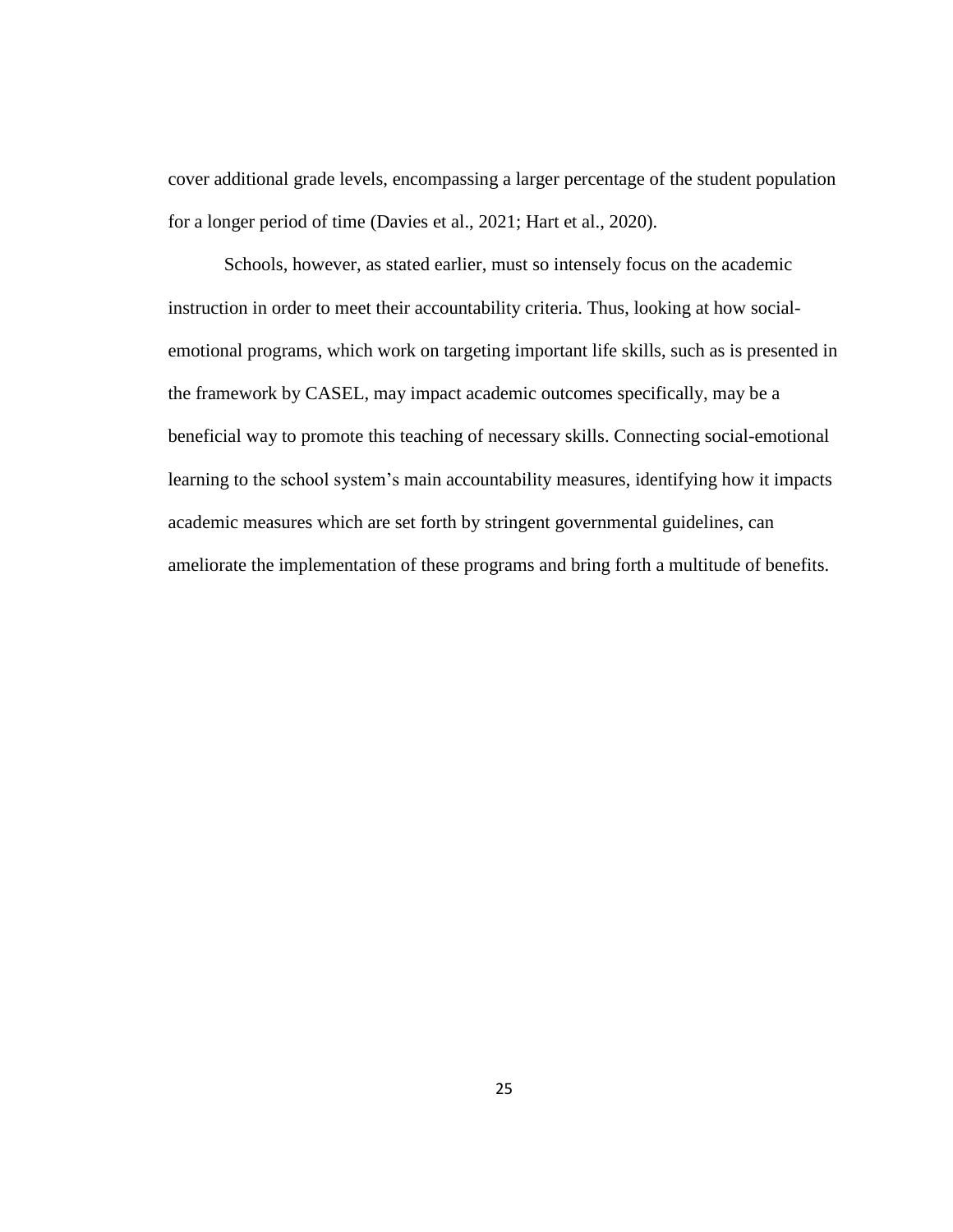cover additional grade levels, encompassing a larger percentage of the student population for a longer period of time (Davies et al., 2021; Hart et al., 2020).

Schools, however, as stated earlier, must so intensely focus on the academic instruction in order to meet their accountability criteria. Thus, looking at how socialemotional programs, which work on targeting important life skills, such as is presented in the framework by CASEL, may impact academic outcomes specifically, may be a beneficial way to promote this teaching of necessary skills. Connecting social-emotional learning to the school system's main accountability measures, identifying how it impacts academic measures which are set forth by stringent governmental guidelines, can ameliorate the implementation of these programs and bring forth a multitude of benefits.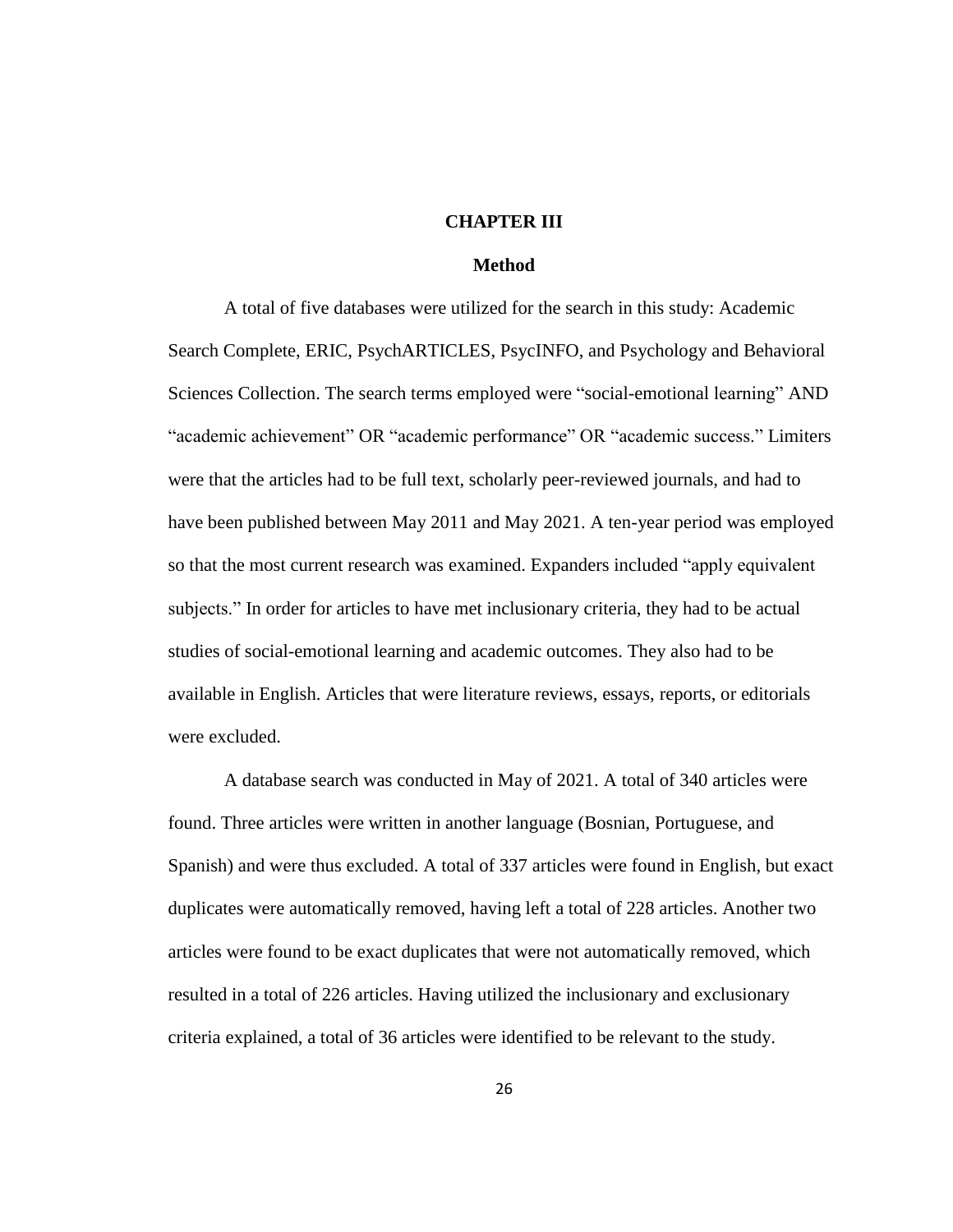#### **CHAPTER III**

## **Method**

A total of five databases were utilized for the search in this study: Academic Search Complete, ERIC, PsychARTICLES, PsycINFO, and Psychology and Behavioral Sciences Collection. The search terms employed were "social-emotional learning" AND "academic achievement" OR "academic performance" OR "academic success." Limiters were that the articles had to be full text, scholarly peer-reviewed journals, and had to have been published between May 2011 and May 2021. A ten-year period was employed so that the most current research was examined. Expanders included "apply equivalent subjects." In order for articles to have met inclusionary criteria, they had to be actual studies of social-emotional learning and academic outcomes. They also had to be available in English. Articles that were literature reviews, essays, reports, or editorials were excluded.

A database search was conducted in May of 2021. A total of 340 articles were found. Three articles were written in another language (Bosnian, Portuguese, and Spanish) and were thus excluded. A total of 337 articles were found in English, but exact duplicates were automatically removed, having left a total of 228 articles. Another two articles were found to be exact duplicates that were not automatically removed, which resulted in a total of 226 articles. Having utilized the inclusionary and exclusionary criteria explained, a total of 36 articles were identified to be relevant to the study.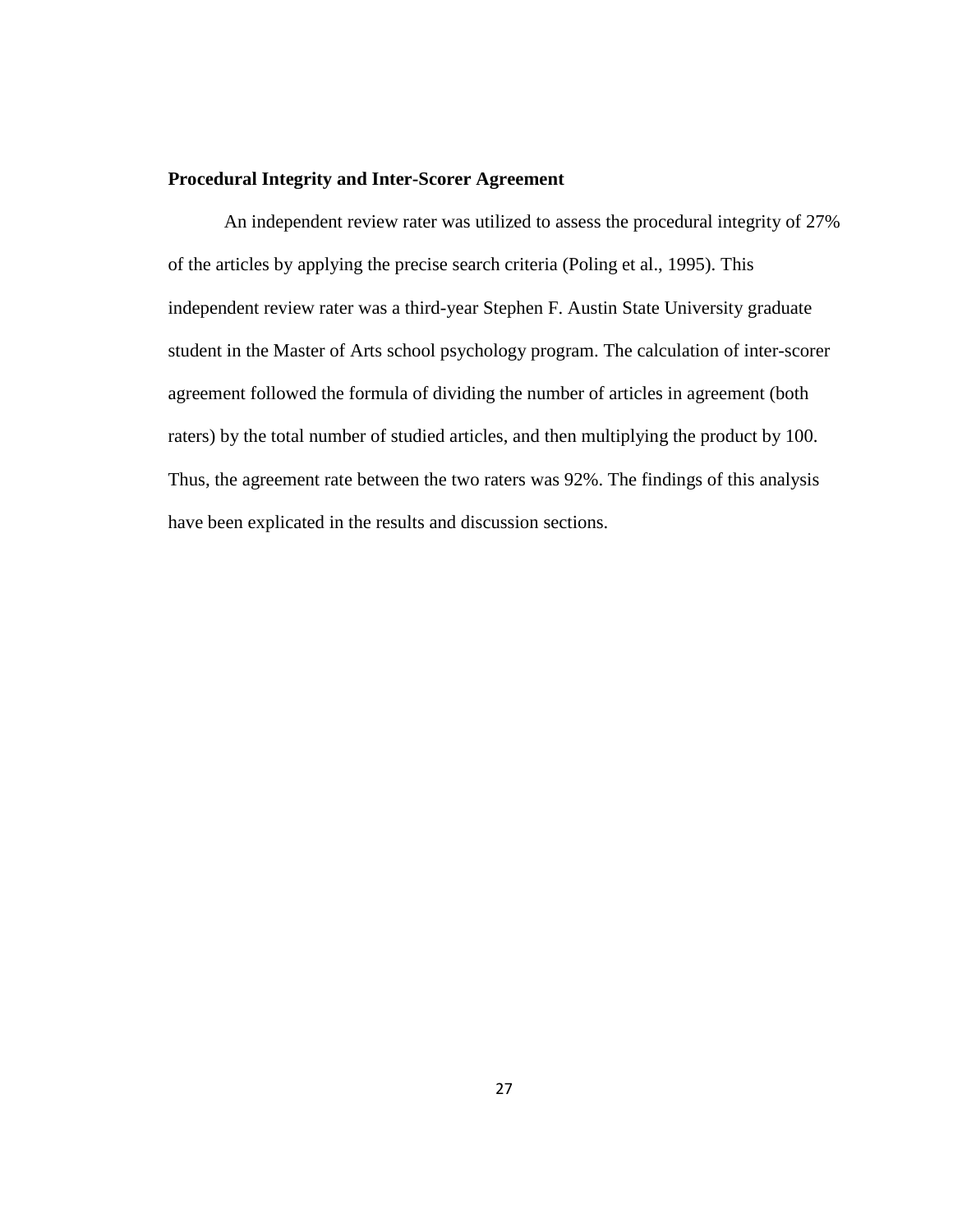### **Procedural Integrity and Inter-Scorer Agreement**

An independent review rater was utilized to assess the procedural integrity of 27% of the articles by applying the precise search criteria (Poling et al., 1995). This independent review rater was a third-year Stephen F. Austin State University graduate student in the Master of Arts school psychology program. The calculation of inter-scorer agreement followed the formula of dividing the number of articles in agreement (both raters) by the total number of studied articles, and then multiplying the product by 100. Thus, the agreement rate between the two raters was 92%. The findings of this analysis have been explicated in the results and discussion sections.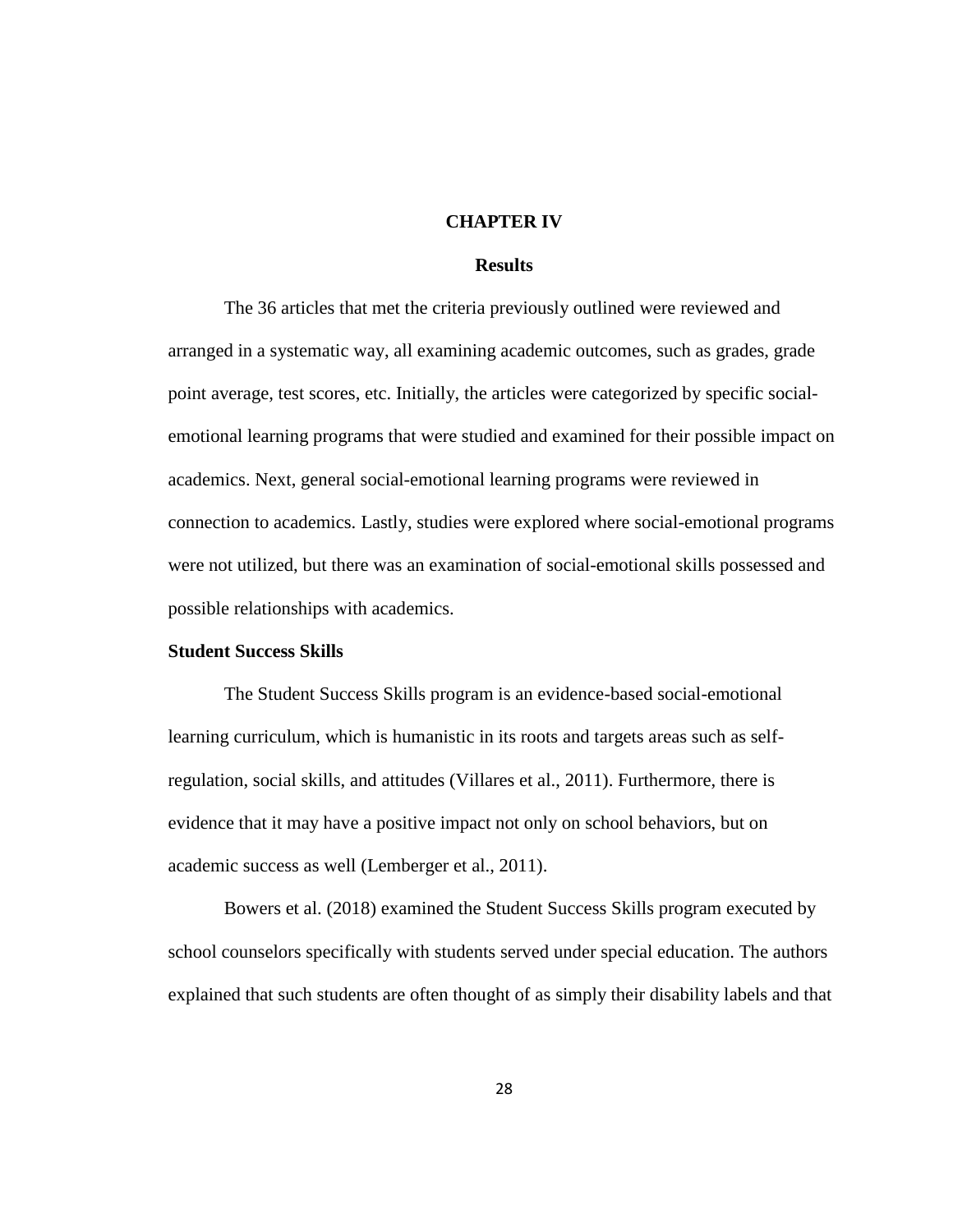#### **CHAPTER IV**

## **Results**

The 36 articles that met the criteria previously outlined were reviewed and arranged in a systematic way, all examining academic outcomes, such as grades, grade point average, test scores, etc. Initially, the articles were categorized by specific socialemotional learning programs that were studied and examined for their possible impact on academics. Next, general social-emotional learning programs were reviewed in connection to academics. Lastly, studies were explored where social-emotional programs were not utilized, but there was an examination of social-emotional skills possessed and possible relationships with academics.

### **Student Success Skills**

The Student Success Skills program is an evidence-based social-emotional learning curriculum, which is humanistic in its roots and targets areas such as selfregulation, social skills, and attitudes (Villares et al., 2011). Furthermore, there is evidence that it may have a positive impact not only on school behaviors, but on academic success as well (Lemberger et al., 2011).

Bowers et al. (2018) examined the Student Success Skills program executed by school counselors specifically with students served under special education. The authors explained that such students are often thought of as simply their disability labels and that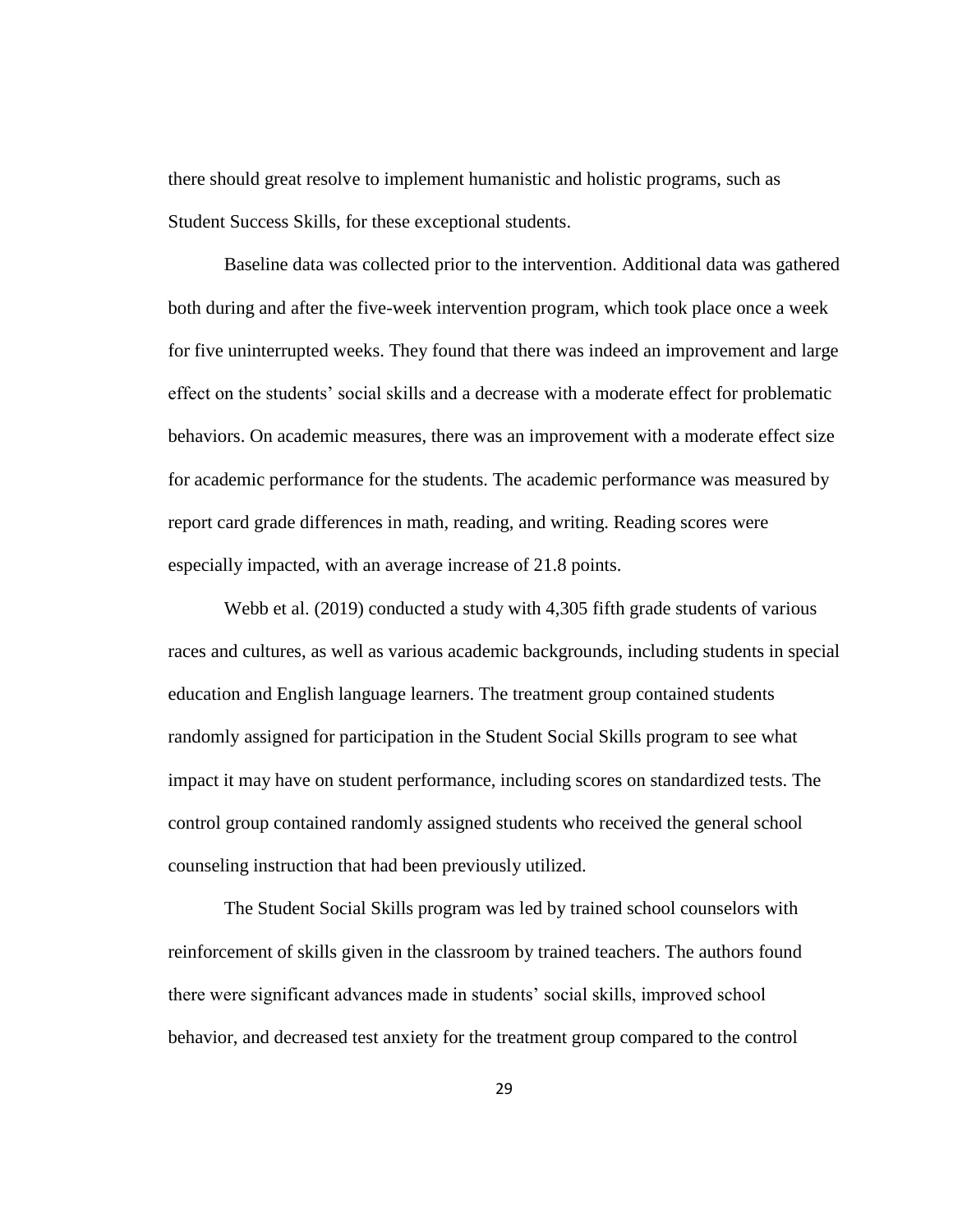there should great resolve to implement humanistic and holistic programs, such as Student Success Skills, for these exceptional students.

Baseline data was collected prior to the intervention. Additional data was gathered both during and after the five-week intervention program, which took place once a week for five uninterrupted weeks. They found that there was indeed an improvement and large effect on the students' social skills and a decrease with a moderate effect for problematic behaviors. On academic measures, there was an improvement with a moderate effect size for academic performance for the students. The academic performance was measured by report card grade differences in math, reading, and writing. Reading scores were especially impacted, with an average increase of 21.8 points.

Webb et al. (2019) conducted a study with 4,305 fifth grade students of various races and cultures, as well as various academic backgrounds, including students in special education and English language learners. The treatment group contained students randomly assigned for participation in the Student Social Skills program to see what impact it may have on student performance, including scores on standardized tests. The control group contained randomly assigned students who received the general school counseling instruction that had been previously utilized.

The Student Social Skills program was led by trained school counselors with reinforcement of skills given in the classroom by trained teachers. The authors found there were significant advances made in students' social skills, improved school behavior, and decreased test anxiety for the treatment group compared to the control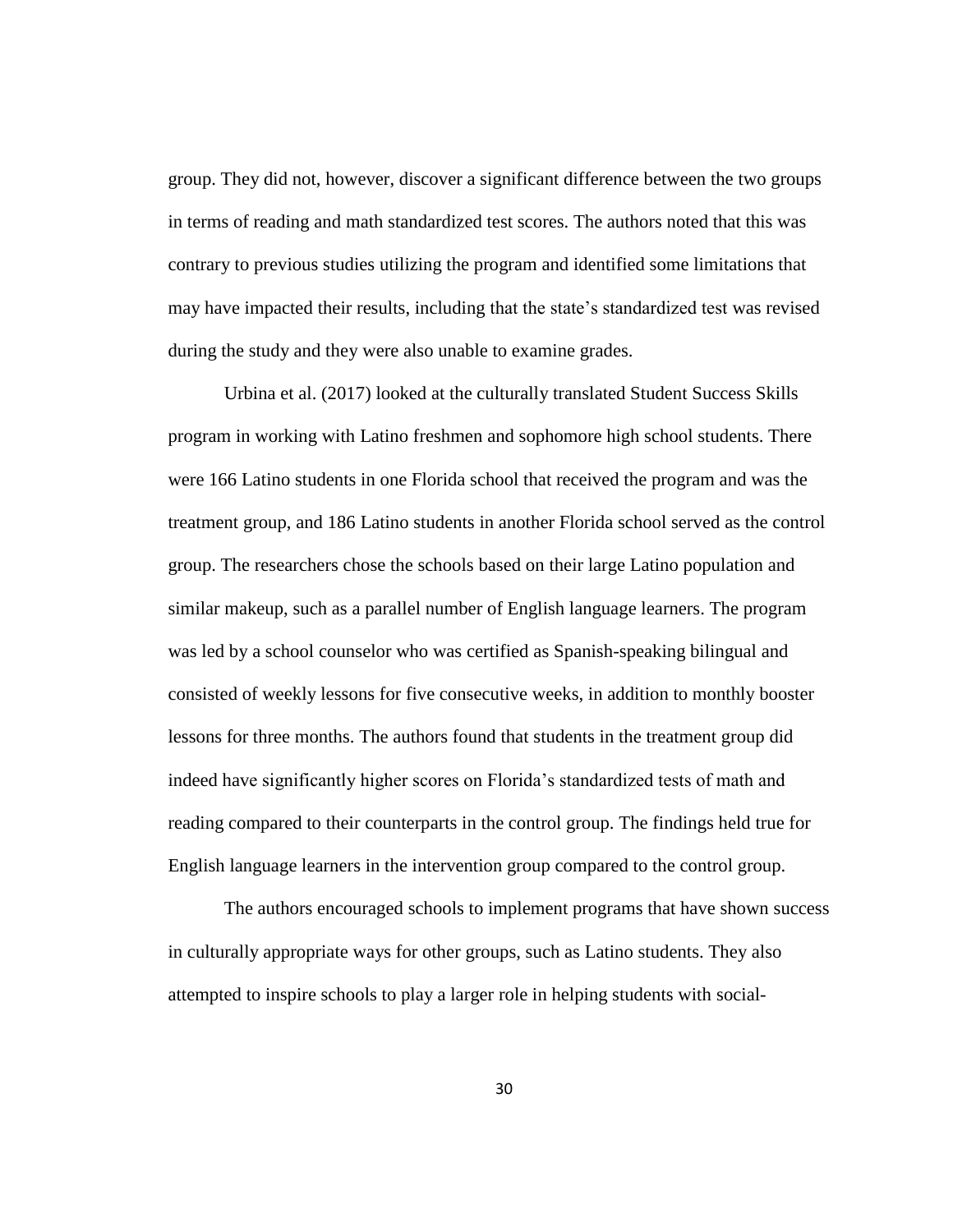group. They did not, however, discover a significant difference between the two groups in terms of reading and math standardized test scores. The authors noted that this was contrary to previous studies utilizing the program and identified some limitations that may have impacted their results, including that the state's standardized test was revised during the study and they were also unable to examine grades.

Urbina et al. (2017) looked at the culturally translated Student Success Skills program in working with Latino freshmen and sophomore high school students. There were 166 Latino students in one Florida school that received the program and was the treatment group, and 186 Latino students in another Florida school served as the control group. The researchers chose the schools based on their large Latino population and similar makeup, such as a parallel number of English language learners. The program was led by a school counselor who was certified as Spanish-speaking bilingual and consisted of weekly lessons for five consecutive weeks, in addition to monthly booster lessons for three months. The authors found that students in the treatment group did indeed have significantly higher scores on Florida's standardized tests of math and reading compared to their counterparts in the control group. The findings held true for English language learners in the intervention group compared to the control group.

The authors encouraged schools to implement programs that have shown success in culturally appropriate ways for other groups, such as Latino students. They also attempted to inspire schools to play a larger role in helping students with social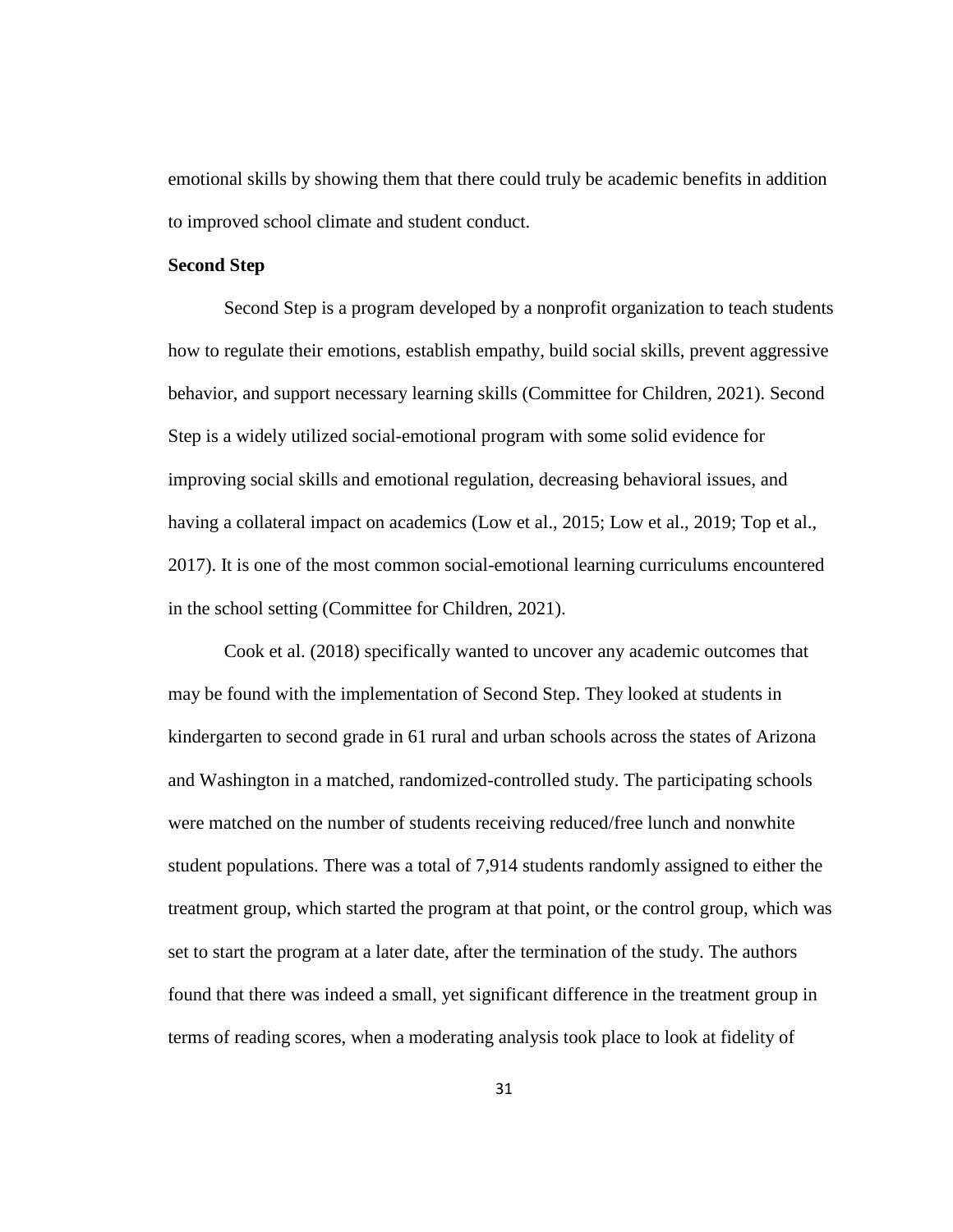emotional skills by showing them that there could truly be academic benefits in addition to improved school climate and student conduct.

## **Second Step**

Second Step is a program developed by a nonprofit organization to teach students how to regulate their emotions, establish empathy, build social skills, prevent aggressive behavior, and support necessary learning skills (Committee for Children, 2021). Second Step is a widely utilized social-emotional program with some solid evidence for improving social skills and emotional regulation, decreasing behavioral issues, and having a collateral impact on academics (Low et al., 2015; Low et al., 2019; Top et al., 2017). It is one of the most common social-emotional learning curriculums encountered in the school setting (Committee for Children, 2021).

Cook et al. (2018) specifically wanted to uncover any academic outcomes that may be found with the implementation of Second Step. They looked at students in kindergarten to second grade in 61 rural and urban schools across the states of Arizona and Washington in a matched, randomized-controlled study. The participating schools were matched on the number of students receiving reduced/free lunch and nonwhite student populations. There was a total of 7,914 students randomly assigned to either the treatment group, which started the program at that point, or the control group, which was set to start the program at a later date, after the termination of the study. The authors found that there was indeed a small, yet significant difference in the treatment group in terms of reading scores, when a moderating analysis took place to look at fidelity of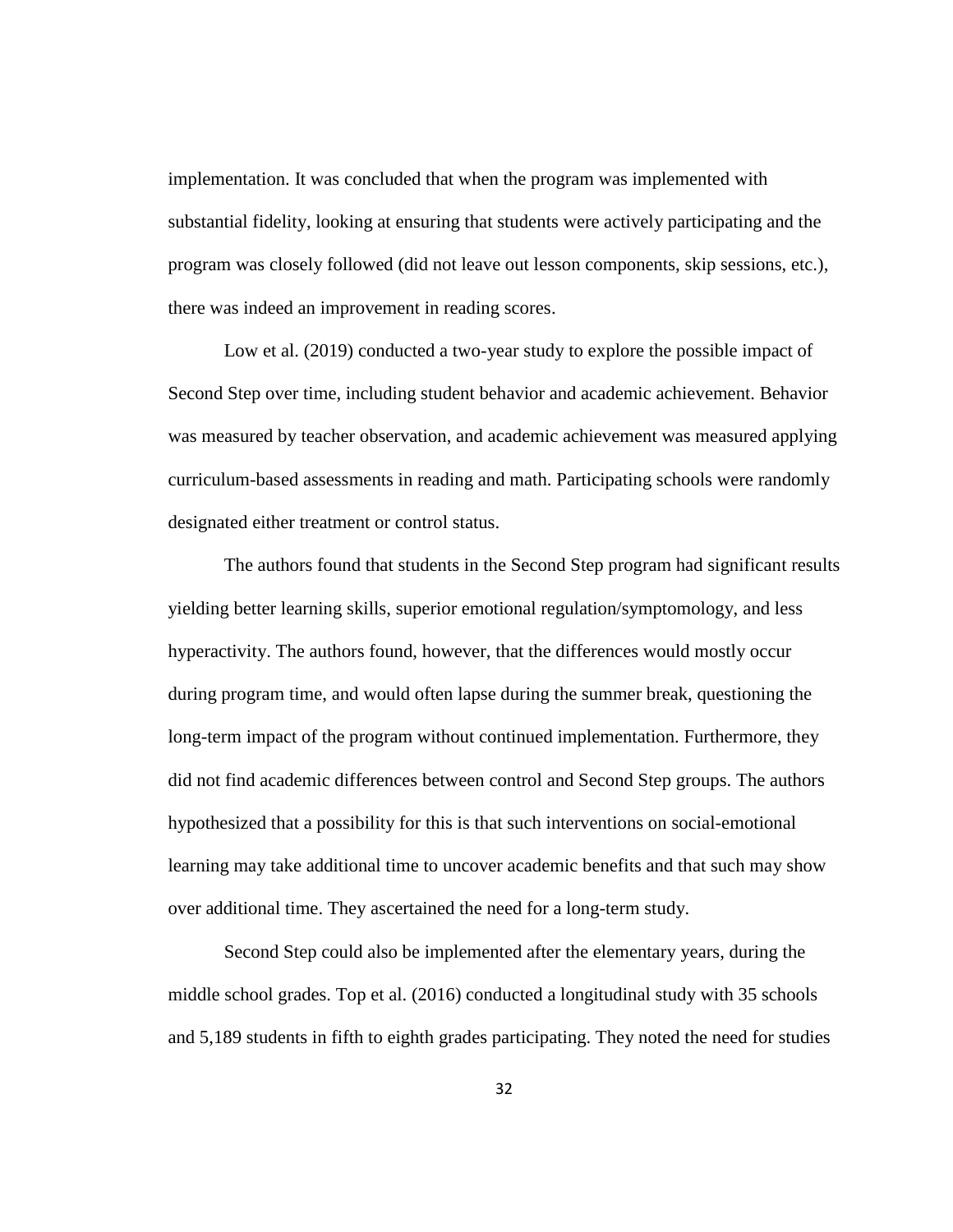implementation. It was concluded that when the program was implemented with substantial fidelity, looking at ensuring that students were actively participating and the program was closely followed (did not leave out lesson components, skip sessions, etc.), there was indeed an improvement in reading scores.

Low et al. (2019) conducted a two-year study to explore the possible impact of Second Step over time, including student behavior and academic achievement. Behavior was measured by teacher observation, and academic achievement was measured applying curriculum-based assessments in reading and math. Participating schools were randomly designated either treatment or control status.

The authors found that students in the Second Step program had significant results yielding better learning skills, superior emotional regulation/symptomology, and less hyperactivity. The authors found, however, that the differences would mostly occur during program time, and would often lapse during the summer break, questioning the long-term impact of the program without continued implementation. Furthermore, they did not find academic differences between control and Second Step groups. The authors hypothesized that a possibility for this is that such interventions on social-emotional learning may take additional time to uncover academic benefits and that such may show over additional time. They ascertained the need for a long-term study.

Second Step could also be implemented after the elementary years, during the middle school grades. Top et al. (2016) conducted a longitudinal study with 35 schools and 5,189 students in fifth to eighth grades participating. They noted the need for studies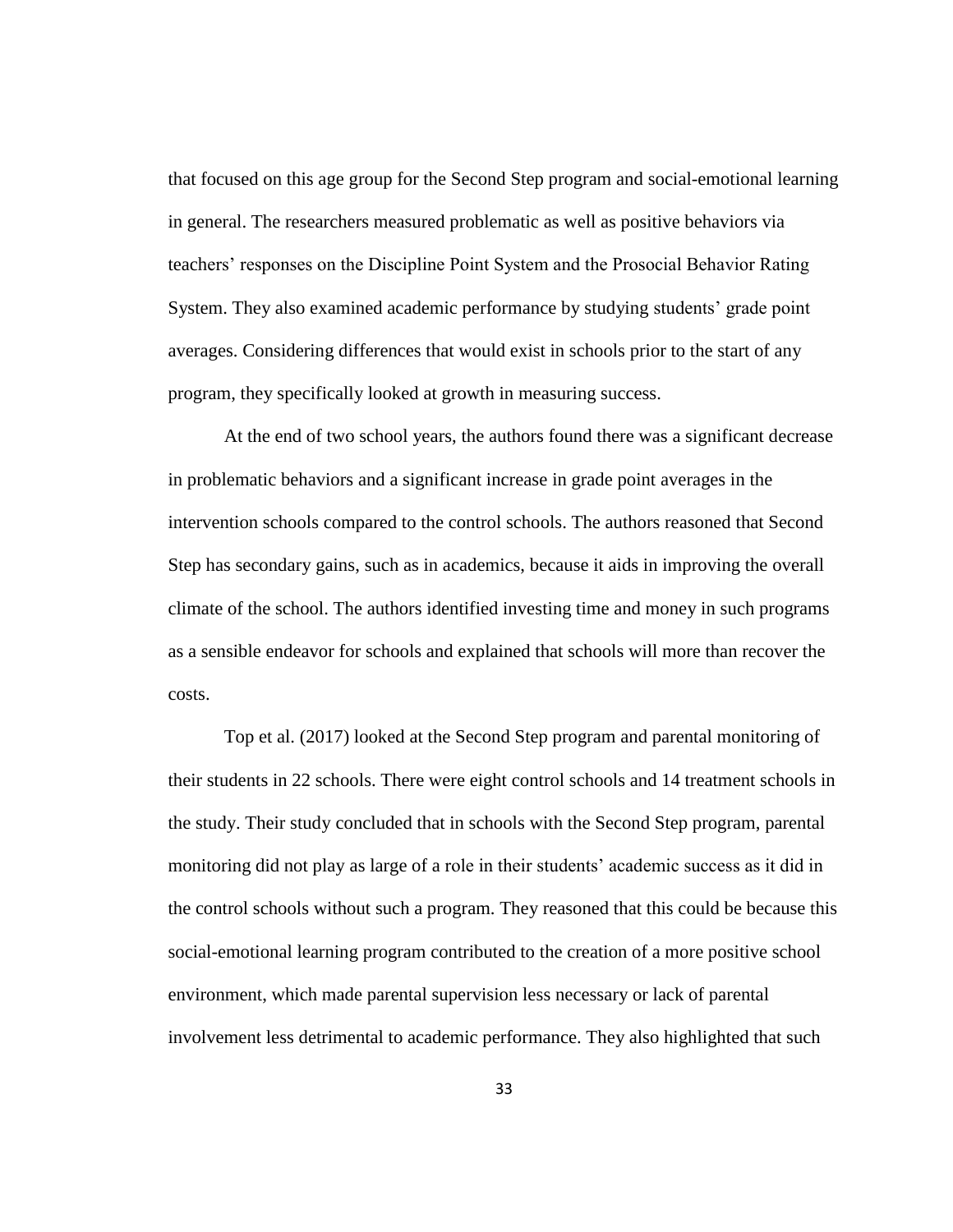that focused on this age group for the Second Step program and social-emotional learning in general. The researchers measured problematic as well as positive behaviors via teachers' responses on the Discipline Point System and the Prosocial Behavior Rating System. They also examined academic performance by studying students' grade point averages. Considering differences that would exist in schools prior to the start of any program, they specifically looked at growth in measuring success.

At the end of two school years, the authors found there was a significant decrease in problematic behaviors and a significant increase in grade point averages in the intervention schools compared to the control schools. The authors reasoned that Second Step has secondary gains, such as in academics, because it aids in improving the overall climate of the school. The authors identified investing time and money in such programs as a sensible endeavor for schools and explained that schools will more than recover the costs.

Top et al. (2017) looked at the Second Step program and parental monitoring of their students in 22 schools. There were eight control schools and 14 treatment schools in the study. Their study concluded that in schools with the Second Step program, parental monitoring did not play as large of a role in their students' academic success as it did in the control schools without such a program. They reasoned that this could be because this social-emotional learning program contributed to the creation of a more positive school environment, which made parental supervision less necessary or lack of parental involvement less detrimental to academic performance. They also highlighted that such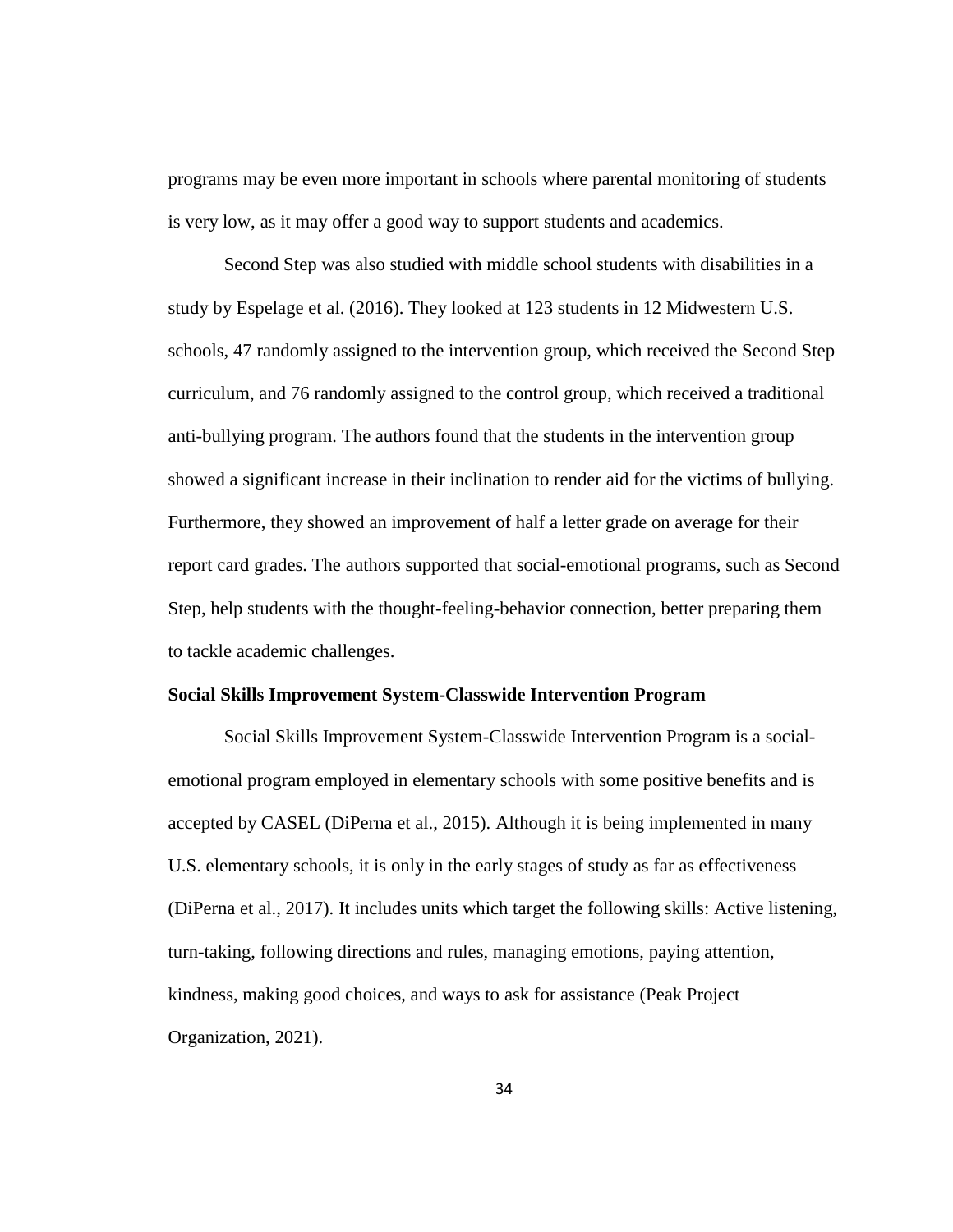programs may be even more important in schools where parental monitoring of students is very low, as it may offer a good way to support students and academics.

Second Step was also studied with middle school students with disabilities in a study by Espelage et al. (2016). They looked at 123 students in 12 Midwestern U.S. schools, 47 randomly assigned to the intervention group, which received the Second Step curriculum, and 76 randomly assigned to the control group, which received a traditional anti-bullying program. The authors found that the students in the intervention group showed a significant increase in their inclination to render aid for the victims of bullying. Furthermore, they showed an improvement of half a letter grade on average for their report card grades. The authors supported that social-emotional programs, such as Second Step, help students with the thought-feeling-behavior connection, better preparing them to tackle academic challenges.

### **Social Skills Improvement System-Classwide Intervention Program**

Social Skills Improvement System-Classwide Intervention Program is a socialemotional program employed in elementary schools with some positive benefits and is accepted by CASEL (DiPerna et al., 2015). Although it is being implemented in many U.S. elementary schools, it is only in the early stages of study as far as effectiveness (DiPerna et al., 2017). It includes units which target the following skills: Active listening, turn-taking, following directions and rules, managing emotions, paying attention, kindness, making good choices, and ways to ask for assistance (Peak Project Organization, 2021).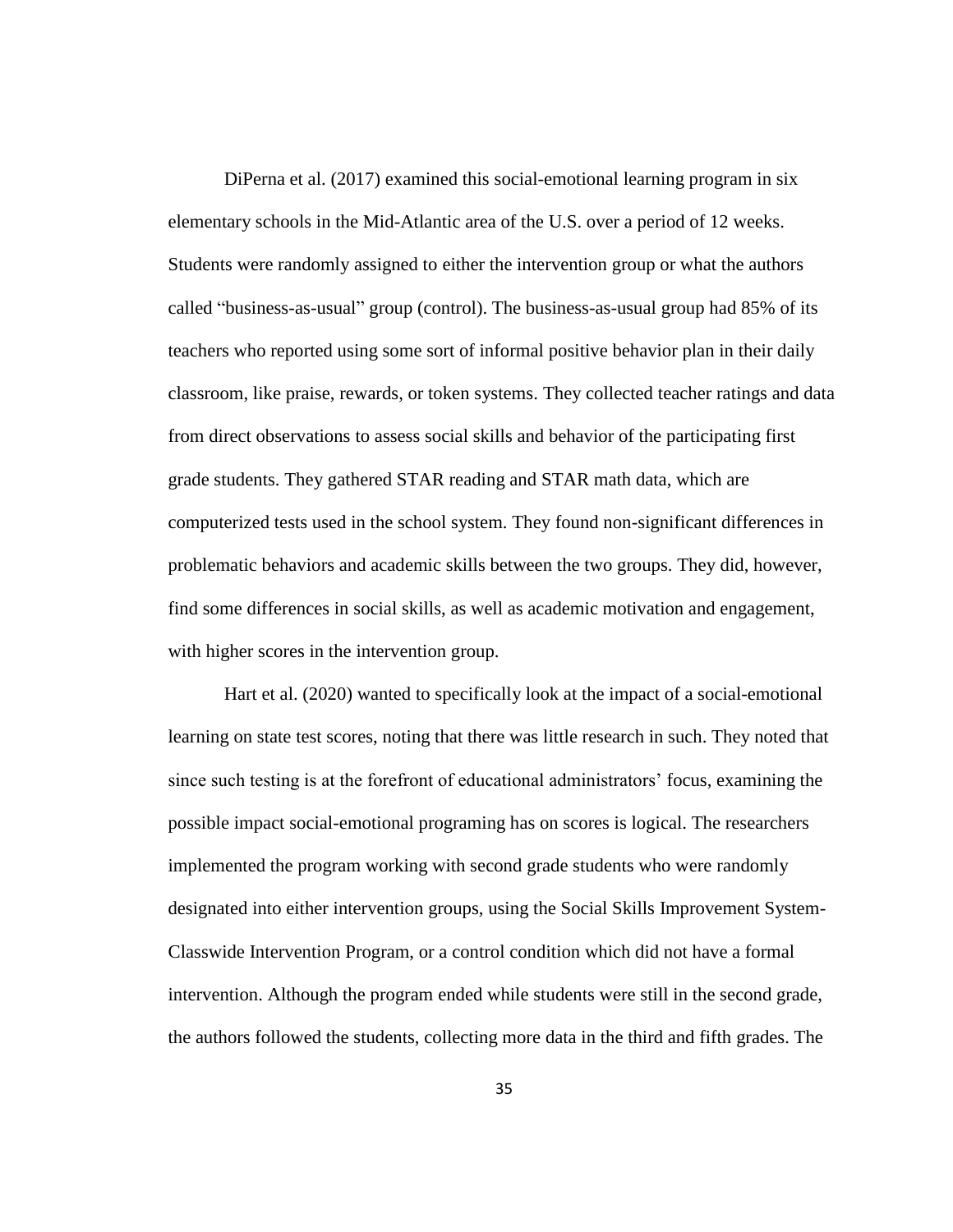DiPerna et al. (2017) examined this social-emotional learning program in six elementary schools in the Mid-Atlantic area of the U.S. over a period of 12 weeks. Students were randomly assigned to either the intervention group or what the authors called "business-as-usual" group (control). The business-as-usual group had 85% of its teachers who reported using some sort of informal positive behavior plan in their daily classroom, like praise, rewards, or token systems. They collected teacher ratings and data from direct observations to assess social skills and behavior of the participating first grade students. They gathered STAR reading and STAR math data, which are computerized tests used in the school system. They found non-significant differences in problematic behaviors and academic skills between the two groups. They did, however, find some differences in social skills, as well as academic motivation and engagement, with higher scores in the intervention group.

Hart et al. (2020) wanted to specifically look at the impact of a social-emotional learning on state test scores, noting that there was little research in such. They noted that since such testing is at the forefront of educational administrators' focus, examining the possible impact social-emotional programing has on scores is logical. The researchers implemented the program working with second grade students who were randomly designated into either intervention groups, using the Social Skills Improvement System-Classwide Intervention Program, or a control condition which did not have a formal intervention. Although the program ended while students were still in the second grade, the authors followed the students, collecting more data in the third and fifth grades. The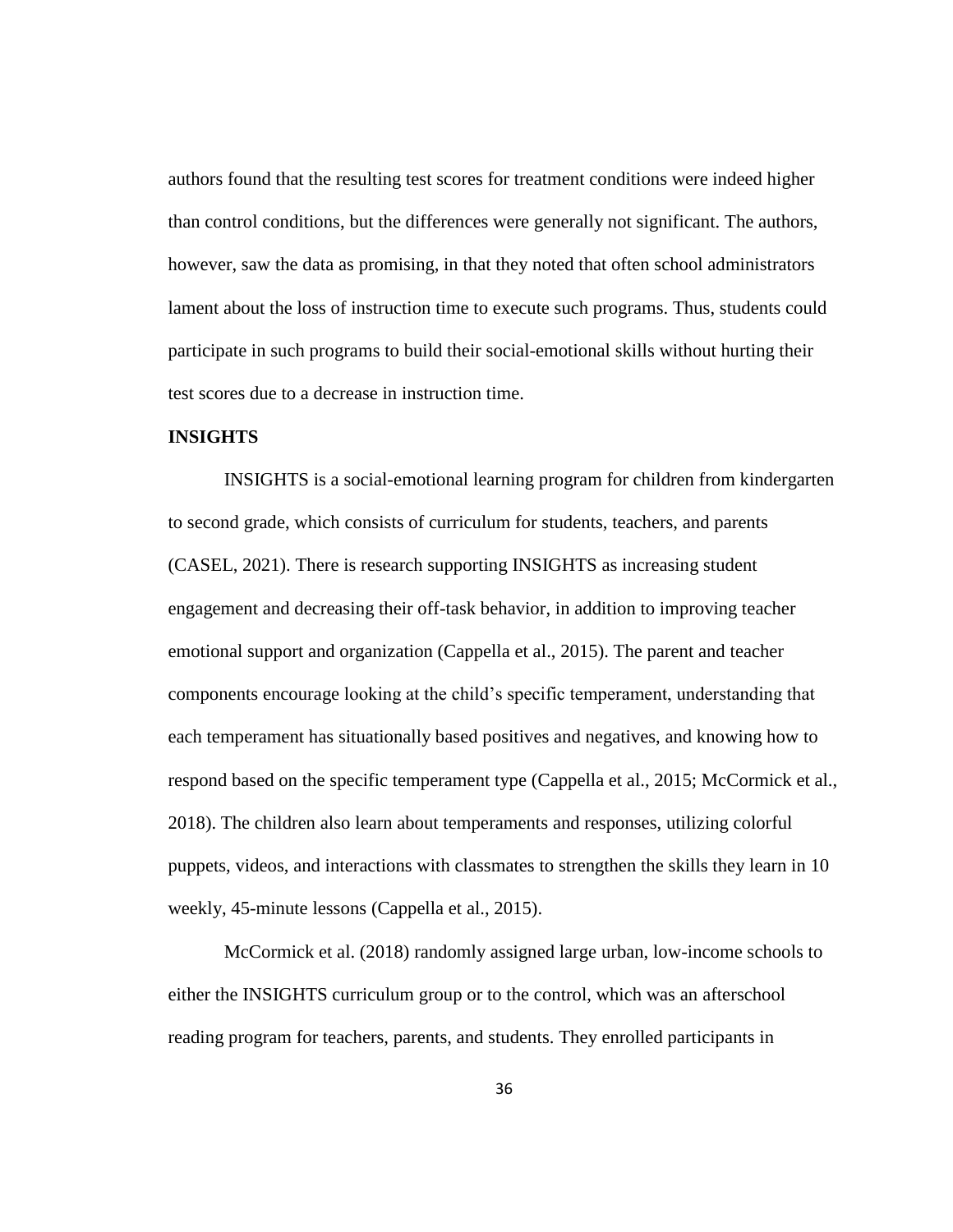authors found that the resulting test scores for treatment conditions were indeed higher than control conditions, but the differences were generally not significant. The authors, however, saw the data as promising, in that they noted that often school administrators lament about the loss of instruction time to execute such programs. Thus, students could participate in such programs to build their social-emotional skills without hurting their test scores due to a decrease in instruction time.

## **INSIGHTS**

INSIGHTS is a social-emotional learning program for children from kindergarten to second grade, which consists of curriculum for students, teachers, and parents (CASEL, 2021). There is research supporting INSIGHTS as increasing student engagement and decreasing their off-task behavior, in addition to improving teacher emotional support and organization (Cappella et al., 2015). The parent and teacher components encourage looking at the child's specific temperament, understanding that each temperament has situationally based positives and negatives, and knowing how to respond based on the specific temperament type (Cappella et al., 2015; McCormick et al., 2018). The children also learn about temperaments and responses, utilizing colorful puppets, videos, and interactions with classmates to strengthen the skills they learn in 10 weekly, 45-minute lessons (Cappella et al., 2015).

McCormick et al. (2018) randomly assigned large urban, low-income schools to either the INSIGHTS curriculum group or to the control, which was an afterschool reading program for teachers, parents, and students. They enrolled participants in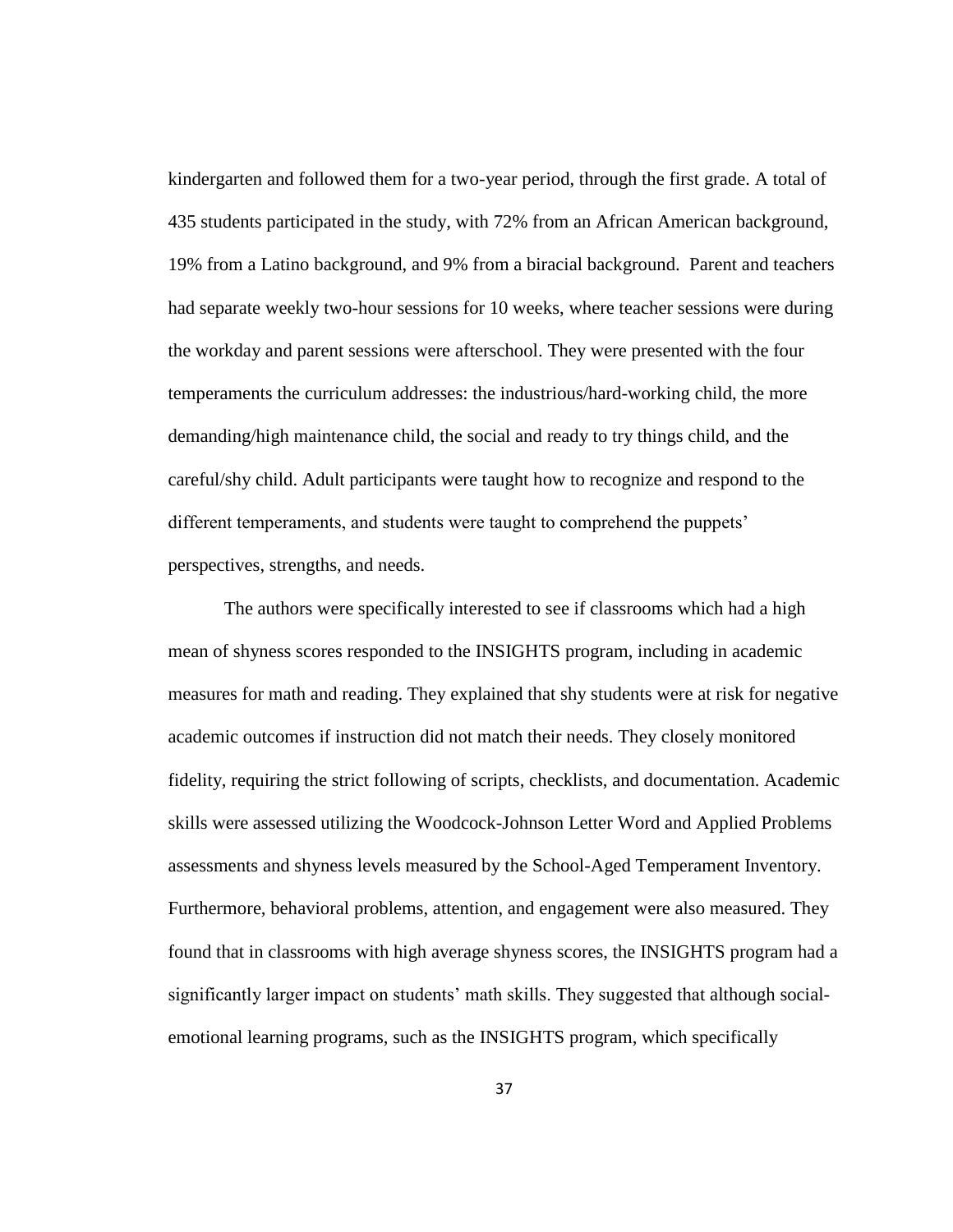kindergarten and followed them for a two-year period, through the first grade. A total of 435 students participated in the study, with 72% from an African American background, 19% from a Latino background, and 9% from a biracial background. Parent and teachers had separate weekly two-hour sessions for 10 weeks, where teacher sessions were during the workday and parent sessions were afterschool. They were presented with the four temperaments the curriculum addresses: the industrious/hard-working child, the more demanding/high maintenance child, the social and ready to try things child, and the careful/shy child. Adult participants were taught how to recognize and respond to the different temperaments, and students were taught to comprehend the puppets' perspectives, strengths, and needs.

The authors were specifically interested to see if classrooms which had a high mean of shyness scores responded to the INSIGHTS program, including in academic measures for math and reading. They explained that shy students were at risk for negative academic outcomes if instruction did not match their needs. They closely monitored fidelity, requiring the strict following of scripts, checklists, and documentation. Academic skills were assessed utilizing the Woodcock-Johnson Letter Word and Applied Problems assessments and shyness levels measured by the School-Aged Temperament Inventory. Furthermore, behavioral problems, attention, and engagement were also measured. They found that in classrooms with high average shyness scores, the INSIGHTS program had a significantly larger impact on students' math skills. They suggested that although socialemotional learning programs, such as the INSIGHTS program, which specifically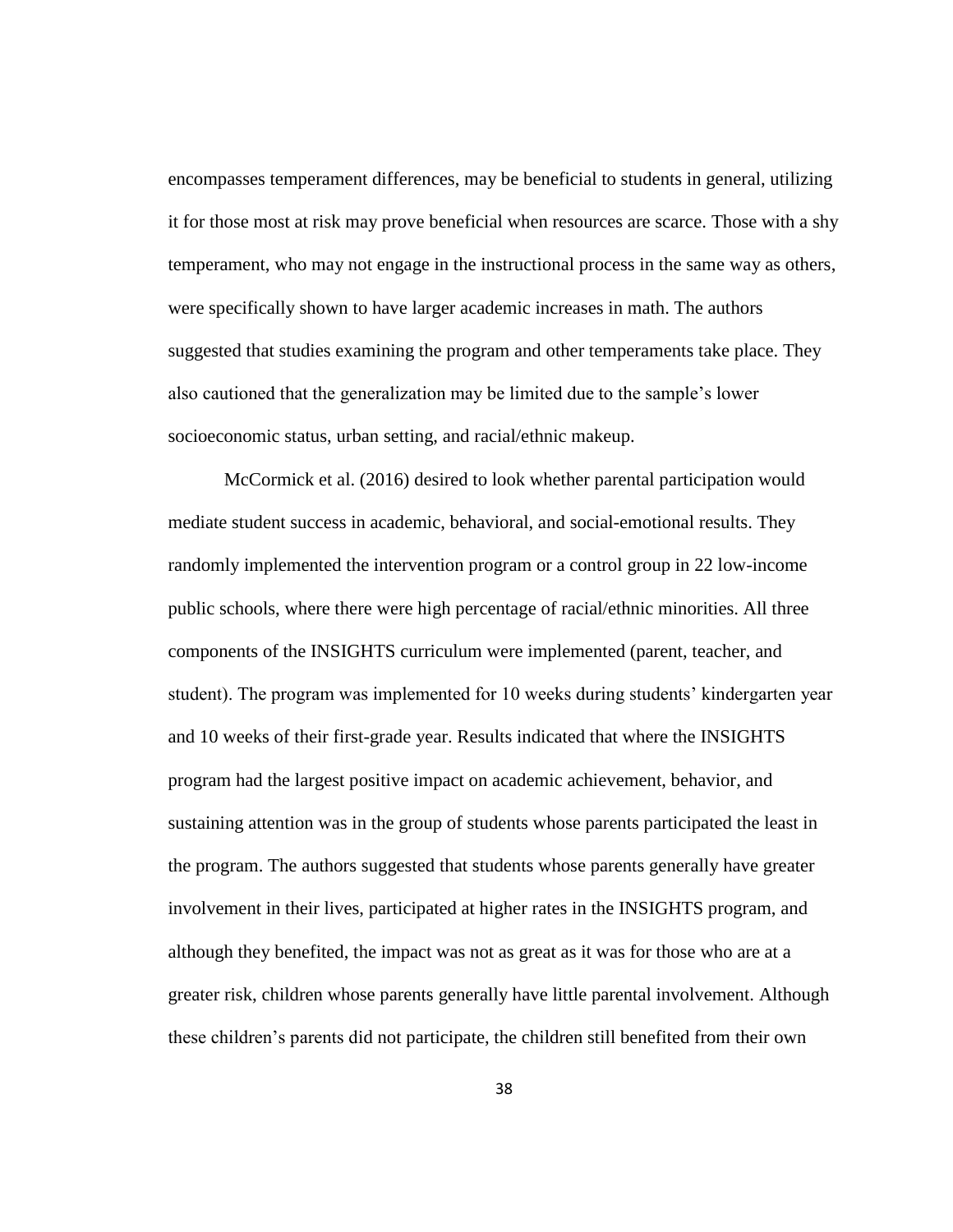encompasses temperament differences, may be beneficial to students in general, utilizing it for those most at risk may prove beneficial when resources are scarce. Those with a shy temperament, who may not engage in the instructional process in the same way as others, were specifically shown to have larger academic increases in math. The authors suggested that studies examining the program and other temperaments take place. They also cautioned that the generalization may be limited due to the sample's lower socioeconomic status, urban setting, and racial/ethnic makeup.

McCormick et al. (2016) desired to look whether parental participation would mediate student success in academic, behavioral, and social-emotional results. They randomly implemented the intervention program or a control group in 22 low-income public schools, where there were high percentage of racial/ethnic minorities. All three components of the INSIGHTS curriculum were implemented (parent, teacher, and student). The program was implemented for 10 weeks during students' kindergarten year and 10 weeks of their first-grade year. Results indicated that where the INSIGHTS program had the largest positive impact on academic achievement, behavior, and sustaining attention was in the group of students whose parents participated the least in the program. The authors suggested that students whose parents generally have greater involvement in their lives, participated at higher rates in the INSIGHTS program, and although they benefited, the impact was not as great as it was for those who are at a greater risk, children whose parents generally have little parental involvement. Although these children's parents did not participate, the children still benefited from their own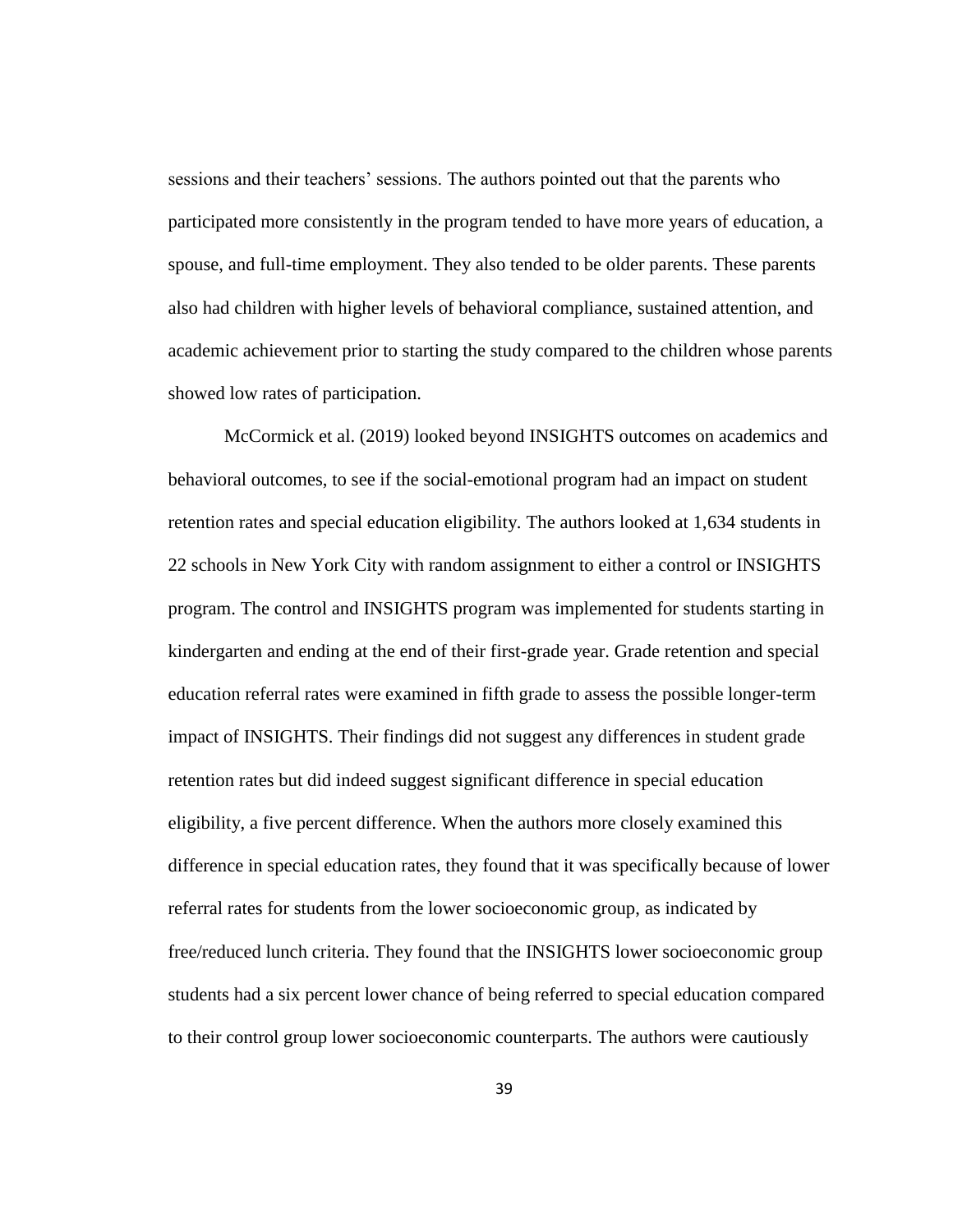sessions and their teachers' sessions. The authors pointed out that the parents who participated more consistently in the program tended to have more years of education, a spouse, and full-time employment. They also tended to be older parents. These parents also had children with higher levels of behavioral compliance, sustained attention, and academic achievement prior to starting the study compared to the children whose parents showed low rates of participation.

McCormick et al. (2019) looked beyond INSIGHTS outcomes on academics and behavioral outcomes, to see if the social-emotional program had an impact on student retention rates and special education eligibility. The authors looked at 1,634 students in 22 schools in New York City with random assignment to either a control or INSIGHTS program. The control and INSIGHTS program was implemented for students starting in kindergarten and ending at the end of their first-grade year. Grade retention and special education referral rates were examined in fifth grade to assess the possible longer-term impact of INSIGHTS. Their findings did not suggest any differences in student grade retention rates but did indeed suggest significant difference in special education eligibility, a five percent difference. When the authors more closely examined this difference in special education rates, they found that it was specifically because of lower referral rates for students from the lower socioeconomic group, as indicated by free/reduced lunch criteria. They found that the INSIGHTS lower socioeconomic group students had a six percent lower chance of being referred to special education compared to their control group lower socioeconomic counterparts. The authors were cautiously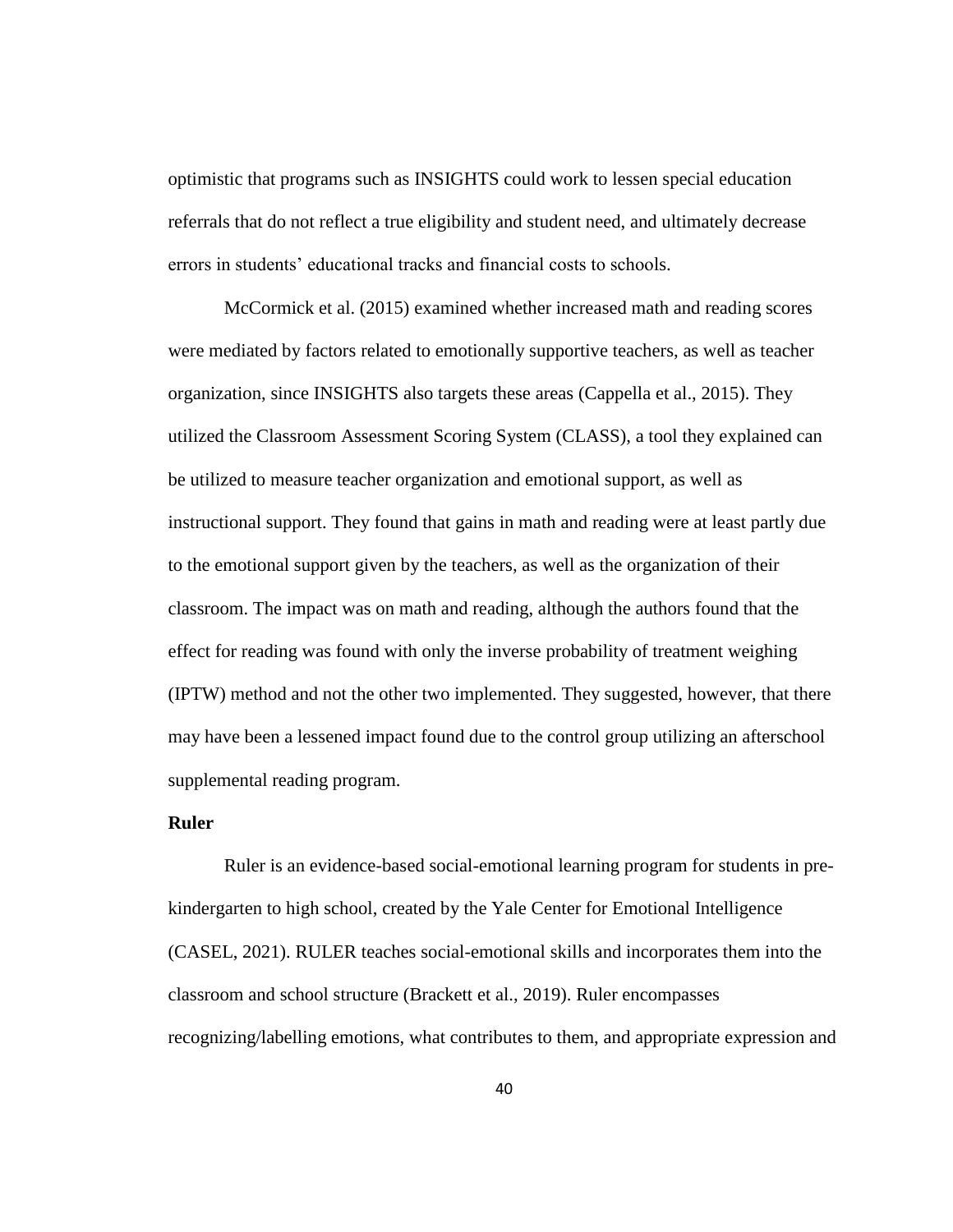optimistic that programs such as INSIGHTS could work to lessen special education referrals that do not reflect a true eligibility and student need, and ultimately decrease errors in students' educational tracks and financial costs to schools.

McCormick et al. (2015) examined whether increased math and reading scores were mediated by factors related to emotionally supportive teachers, as well as teacher organization, since INSIGHTS also targets these areas (Cappella et al., 2015). They utilized the Classroom Assessment Scoring System (CLASS), a tool they explained can be utilized to measure teacher organization and emotional support, as well as instructional support. They found that gains in math and reading were at least partly due to the emotional support given by the teachers, as well as the organization of their classroom. The impact was on math and reading, although the authors found that the effect for reading was found with only the inverse probability of treatment weighing (IPTW) method and not the other two implemented. They suggested, however, that there may have been a lessened impact found due to the control group utilizing an afterschool supplemental reading program.

# **Ruler**

Ruler is an evidence-based social-emotional learning program for students in prekindergarten to high school, created by the Yale Center for Emotional Intelligence (CASEL, 2021). RULER teaches social-emotional skills and incorporates them into the classroom and school structure (Brackett et al., 2019). Ruler encompasses recognizing/labelling emotions, what contributes to them, and appropriate expression and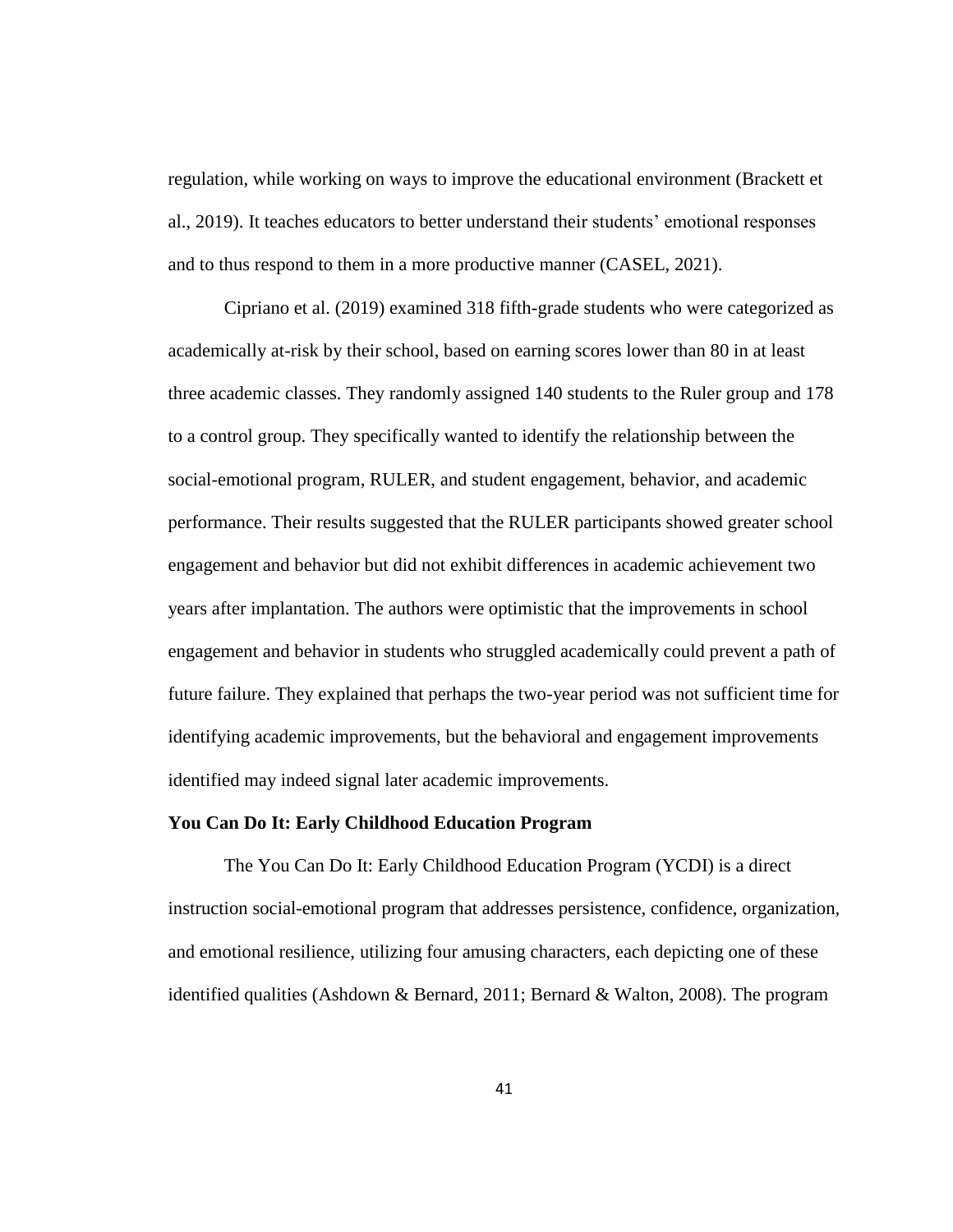regulation, while working on ways to improve the educational environment (Brackett et al., 2019). It teaches educators to better understand their students' emotional responses and to thus respond to them in a more productive manner (CASEL, 2021).

Cipriano et al. (2019) examined 318 fifth-grade students who were categorized as academically at-risk by their school, based on earning scores lower than 80 in at least three academic classes. They randomly assigned 140 students to the Ruler group and 178 to a control group. They specifically wanted to identify the relationship between the social-emotional program, RULER, and student engagement, behavior, and academic performance. Their results suggested that the RULER participants showed greater school engagement and behavior but did not exhibit differences in academic achievement two years after implantation. The authors were optimistic that the improvements in school engagement and behavior in students who struggled academically could prevent a path of future failure. They explained that perhaps the two-year period was not sufficient time for identifying academic improvements, but the behavioral and engagement improvements identified may indeed signal later academic improvements.

## **You Can Do It: Early Childhood Education Program**

The You Can Do It: Early Childhood Education Program (YCDI) is a direct instruction social-emotional program that addresses persistence, confidence, organization, and emotional resilience, utilizing four amusing characters, each depicting one of these identified qualities (Ashdown & Bernard, 2011; Bernard & Walton, 2008). The program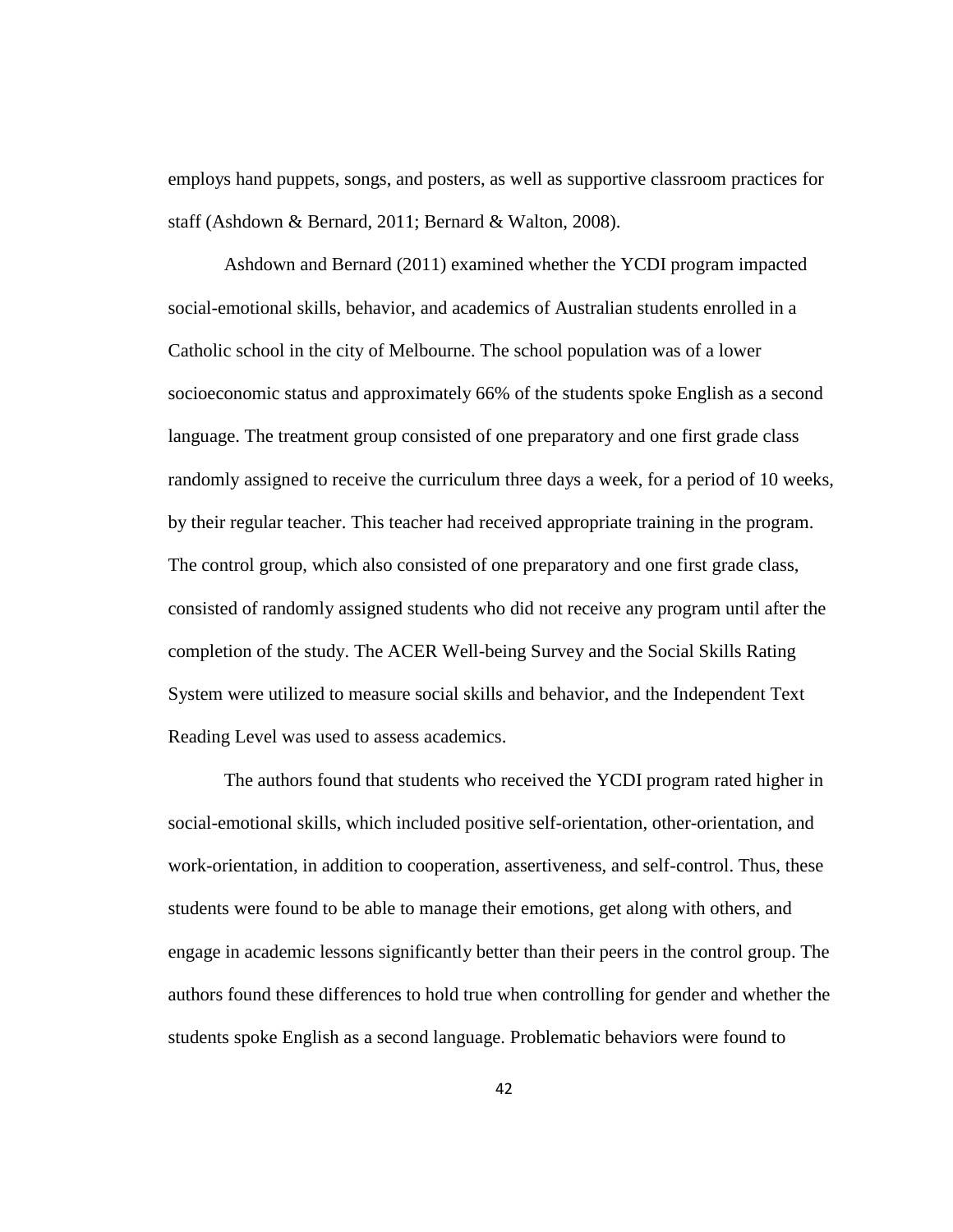employs hand puppets, songs, and posters, as well as supportive classroom practices for staff (Ashdown & Bernard, 2011; Bernard & Walton, 2008).

Ashdown and Bernard (2011) examined whether the YCDI program impacted social-emotional skills, behavior, and academics of Australian students enrolled in a Catholic school in the city of Melbourne. The school population was of a lower socioeconomic status and approximately 66% of the students spoke English as a second language. The treatment group consisted of one preparatory and one first grade class randomly assigned to receive the curriculum three days a week, for a period of 10 weeks, by their regular teacher. This teacher had received appropriate training in the program. The control group, which also consisted of one preparatory and one first grade class, consisted of randomly assigned students who did not receive any program until after the completion of the study. The ACER Well-being Survey and the Social Skills Rating System were utilized to measure social skills and behavior, and the Independent Text Reading Level was used to assess academics.

The authors found that students who received the YCDI program rated higher in social-emotional skills, which included positive self-orientation, other-orientation, and work-orientation, in addition to cooperation, assertiveness, and self-control. Thus, these students were found to be able to manage their emotions, get along with others, and engage in academic lessons significantly better than their peers in the control group. The authors found these differences to hold true when controlling for gender and whether the students spoke English as a second language. Problematic behaviors were found to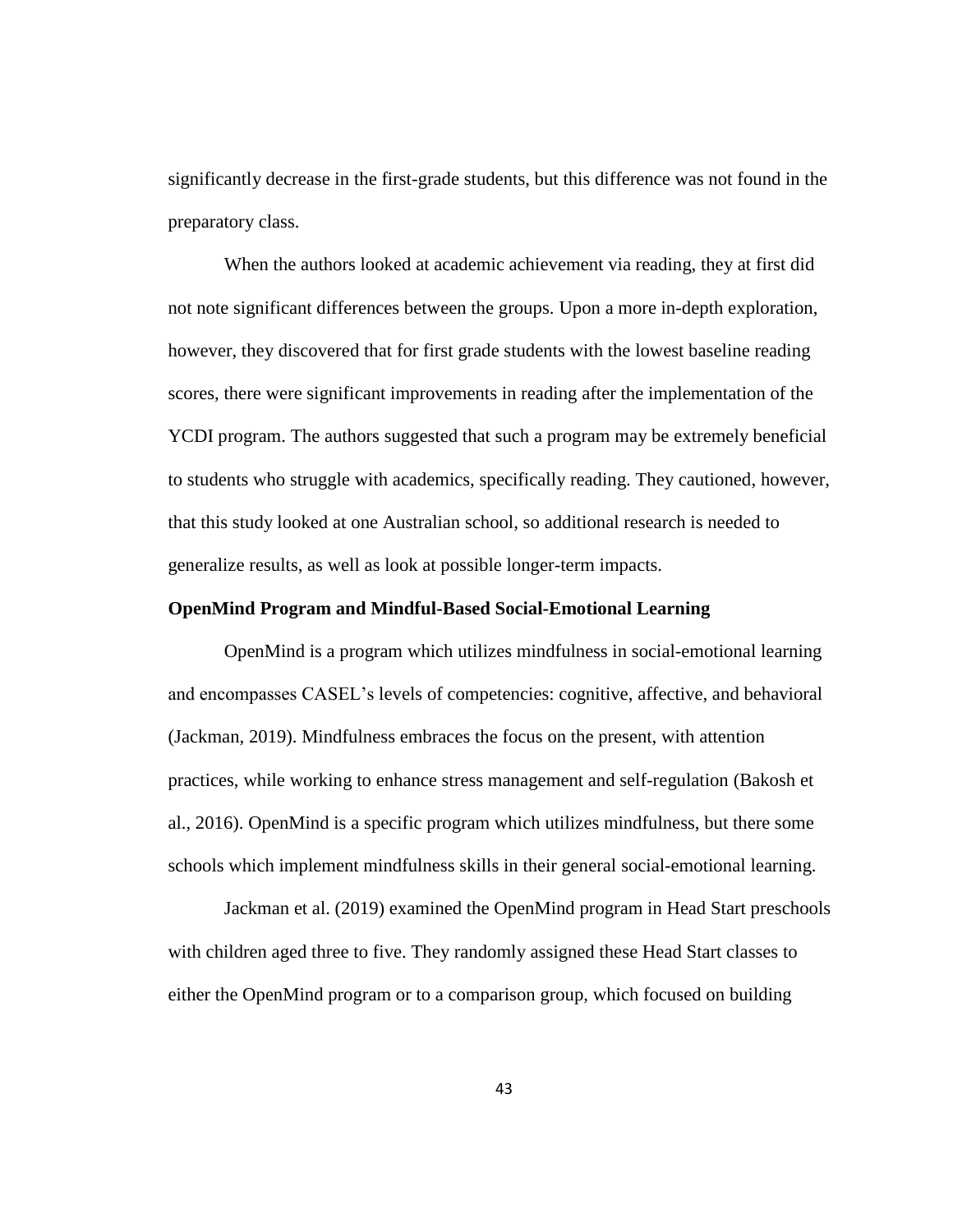significantly decrease in the first-grade students, but this difference was not found in the preparatory class.

When the authors looked at academic achievement via reading, they at first did not note significant differences between the groups. Upon a more in-depth exploration, however, they discovered that for first grade students with the lowest baseline reading scores, there were significant improvements in reading after the implementation of the YCDI program. The authors suggested that such a program may be extremely beneficial to students who struggle with academics, specifically reading. They cautioned, however, that this study looked at one Australian school, so additional research is needed to generalize results, as well as look at possible longer-term impacts.

## **OpenMind Program and Mindful-Based Social-Emotional Learning**

OpenMind is a program which utilizes mindfulness in social-emotional learning and encompasses CASEL's levels of competencies: cognitive, affective, and behavioral (Jackman, 2019). Mindfulness embraces the focus on the present, with attention practices, while working to enhance stress management and self-regulation (Bakosh et al., 2016). OpenMind is a specific program which utilizes mindfulness, but there some schools which implement mindfulness skills in their general social-emotional learning.

Jackman et al. (2019) examined the OpenMind program in Head Start preschools with children aged three to five. They randomly assigned these Head Start classes to either the OpenMind program or to a comparison group, which focused on building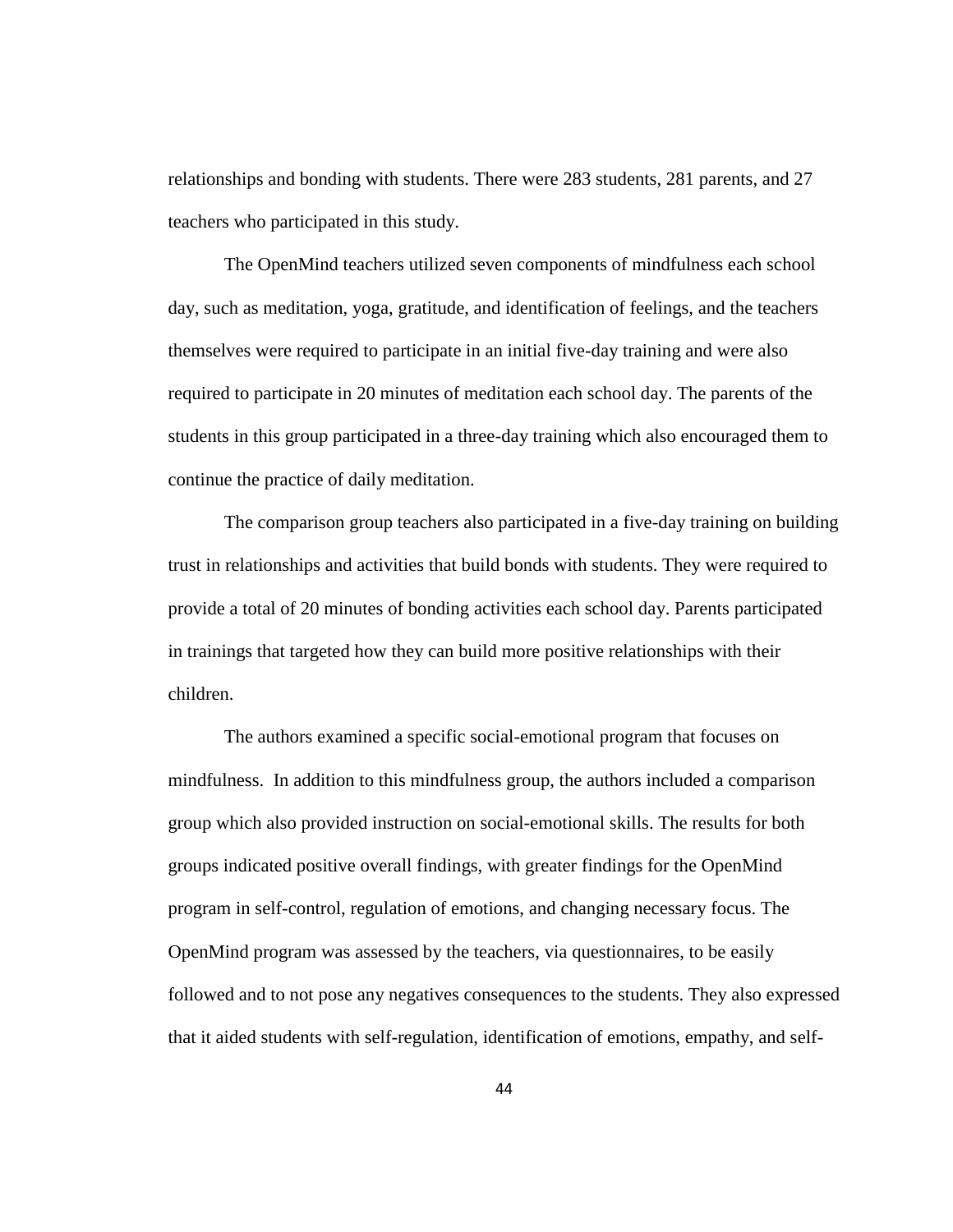relationships and bonding with students. There were 283 students, 281 parents, and 27 teachers who participated in this study.

The OpenMind teachers utilized seven components of mindfulness each school day, such as meditation, yoga, gratitude, and identification of feelings, and the teachers themselves were required to participate in an initial five-day training and were also required to participate in 20 minutes of meditation each school day. The parents of the students in this group participated in a three-day training which also encouraged them to continue the practice of daily meditation.

The comparison group teachers also participated in a five-day training on building trust in relationships and activities that build bonds with students. They were required to provide a total of 20 minutes of bonding activities each school day. Parents participated in trainings that targeted how they can build more positive relationships with their children.

The authors examined a specific social-emotional program that focuses on mindfulness. In addition to this mindfulness group, the authors included a comparison group which also provided instruction on social-emotional skills. The results for both groups indicated positive overall findings, with greater findings for the OpenMind program in self-control, regulation of emotions, and changing necessary focus. The OpenMind program was assessed by the teachers, via questionnaires, to be easily followed and to not pose any negatives consequences to the students. They also expressed that it aided students with self-regulation, identification of emotions, empathy, and self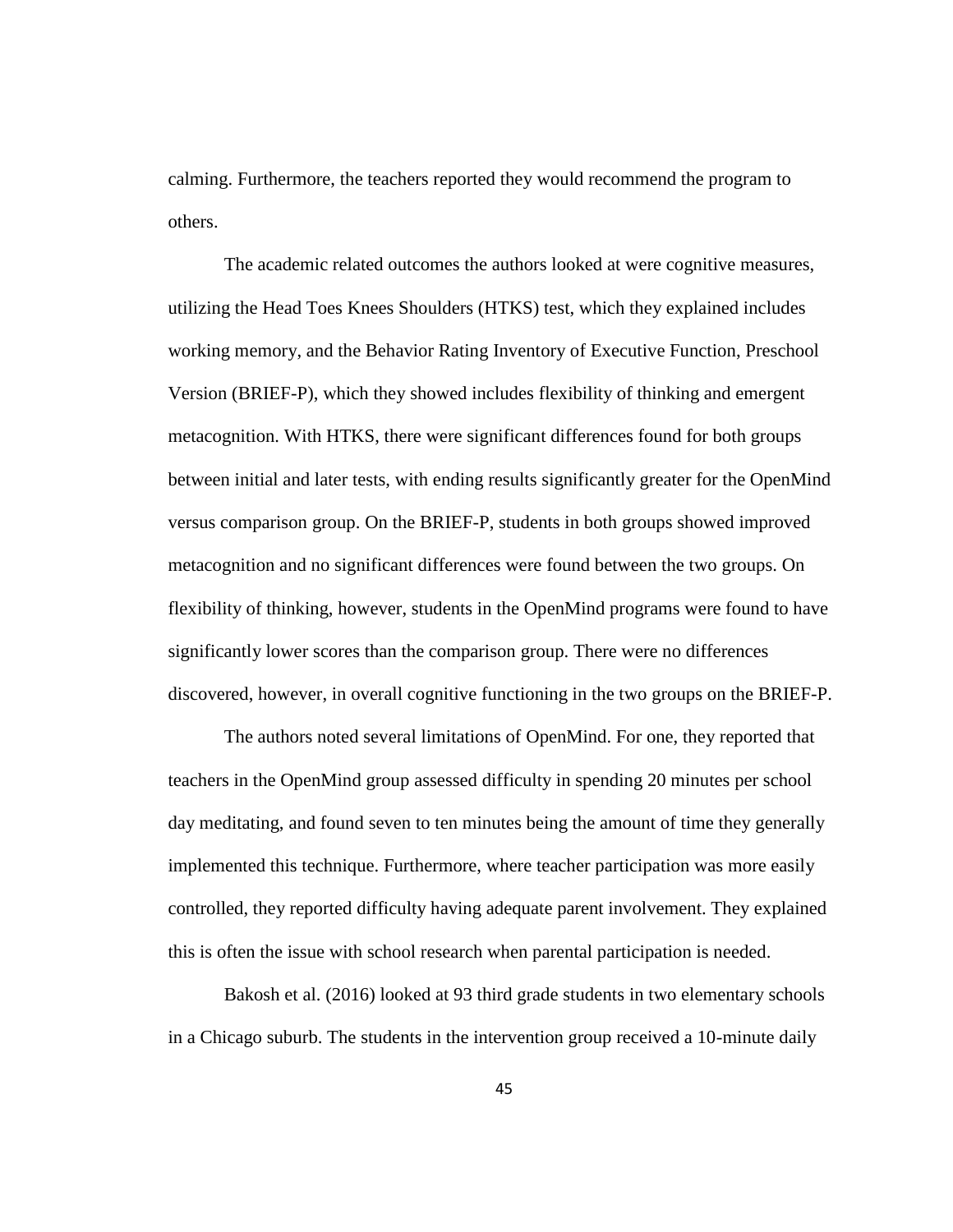calming. Furthermore, the teachers reported they would recommend the program to others.

The academic related outcomes the authors looked at were cognitive measures, utilizing the Head Toes Knees Shoulders (HTKS) test, which they explained includes working memory, and the Behavior Rating Inventory of Executive Function, Preschool Version (BRIEF-P), which they showed includes flexibility of thinking and emergent metacognition. With HTKS, there were significant differences found for both groups between initial and later tests, with ending results significantly greater for the OpenMind versus comparison group. On the BRIEF-P, students in both groups showed improved metacognition and no significant differences were found between the two groups. On flexibility of thinking, however, students in the OpenMind programs were found to have significantly lower scores than the comparison group. There were no differences discovered, however, in overall cognitive functioning in the two groups on the BRIEF-P.

The authors noted several limitations of OpenMind. For one, they reported that teachers in the OpenMind group assessed difficulty in spending 20 minutes per school day meditating, and found seven to ten minutes being the amount of time they generally implemented this technique. Furthermore, where teacher participation was more easily controlled, they reported difficulty having adequate parent involvement. They explained this is often the issue with school research when parental participation is needed.

Bakosh et al. (2016) looked at 93 third grade students in two elementary schools in a Chicago suburb. The students in the intervention group received a 10-minute daily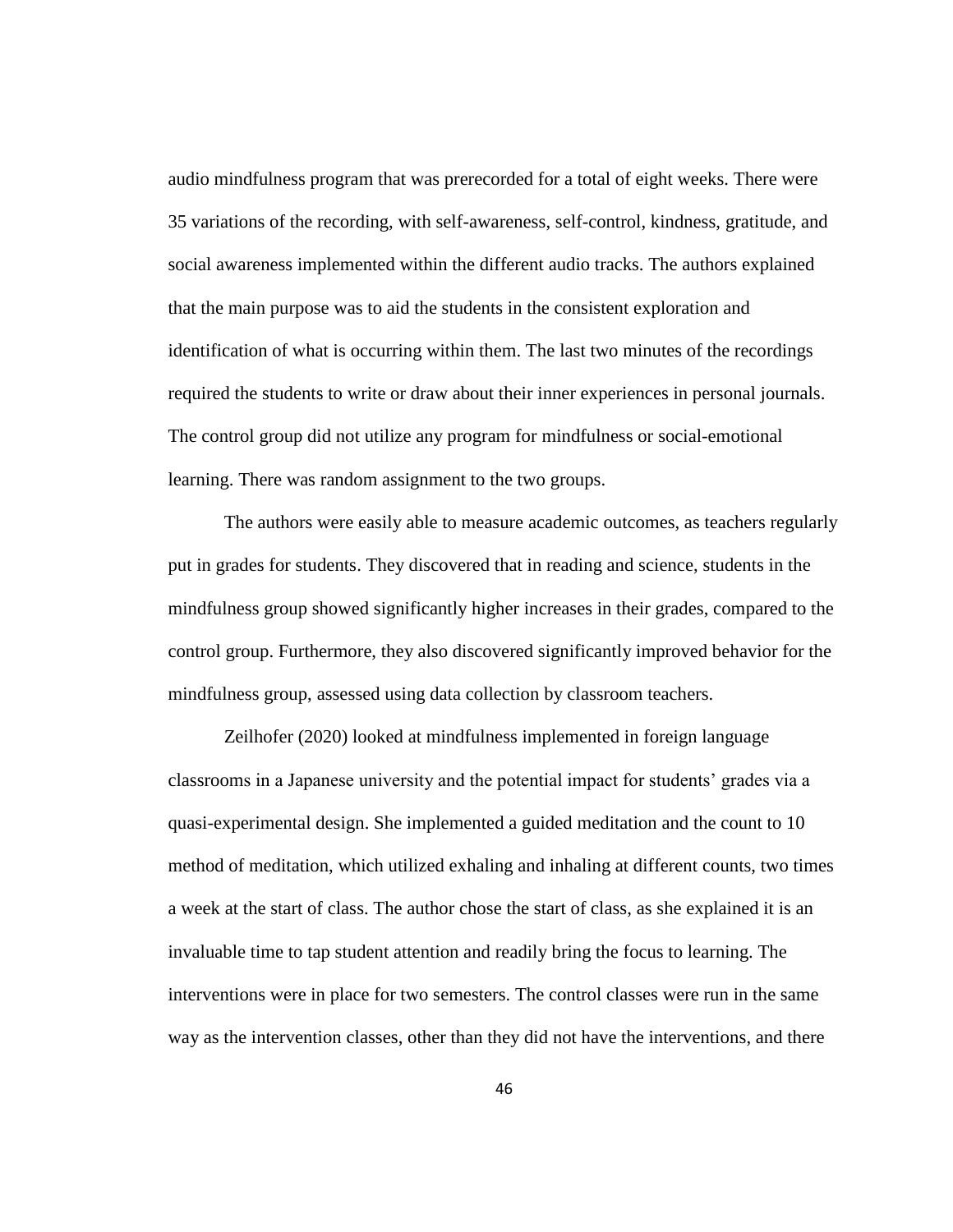audio mindfulness program that was prerecorded for a total of eight weeks. There were 35 variations of the recording, with self-awareness, self-control, kindness, gratitude, and social awareness implemented within the different audio tracks. The authors explained that the main purpose was to aid the students in the consistent exploration and identification of what is occurring within them. The last two minutes of the recordings required the students to write or draw about their inner experiences in personal journals. The control group did not utilize any program for mindfulness or social-emotional learning. There was random assignment to the two groups.

The authors were easily able to measure academic outcomes, as teachers regularly put in grades for students. They discovered that in reading and science, students in the mindfulness group showed significantly higher increases in their grades, compared to the control group. Furthermore, they also discovered significantly improved behavior for the mindfulness group, assessed using data collection by classroom teachers.

Zeilhofer (2020) looked at mindfulness implemented in foreign language classrooms in a Japanese university and the potential impact for students' grades via a quasi-experimental design. She implemented a guided meditation and the count to 10 method of meditation, which utilized exhaling and inhaling at different counts, two times a week at the start of class. The author chose the start of class, as she explained it is an invaluable time to tap student attention and readily bring the focus to learning. The interventions were in place for two semesters. The control classes were run in the same way as the intervention classes, other than they did not have the interventions, and there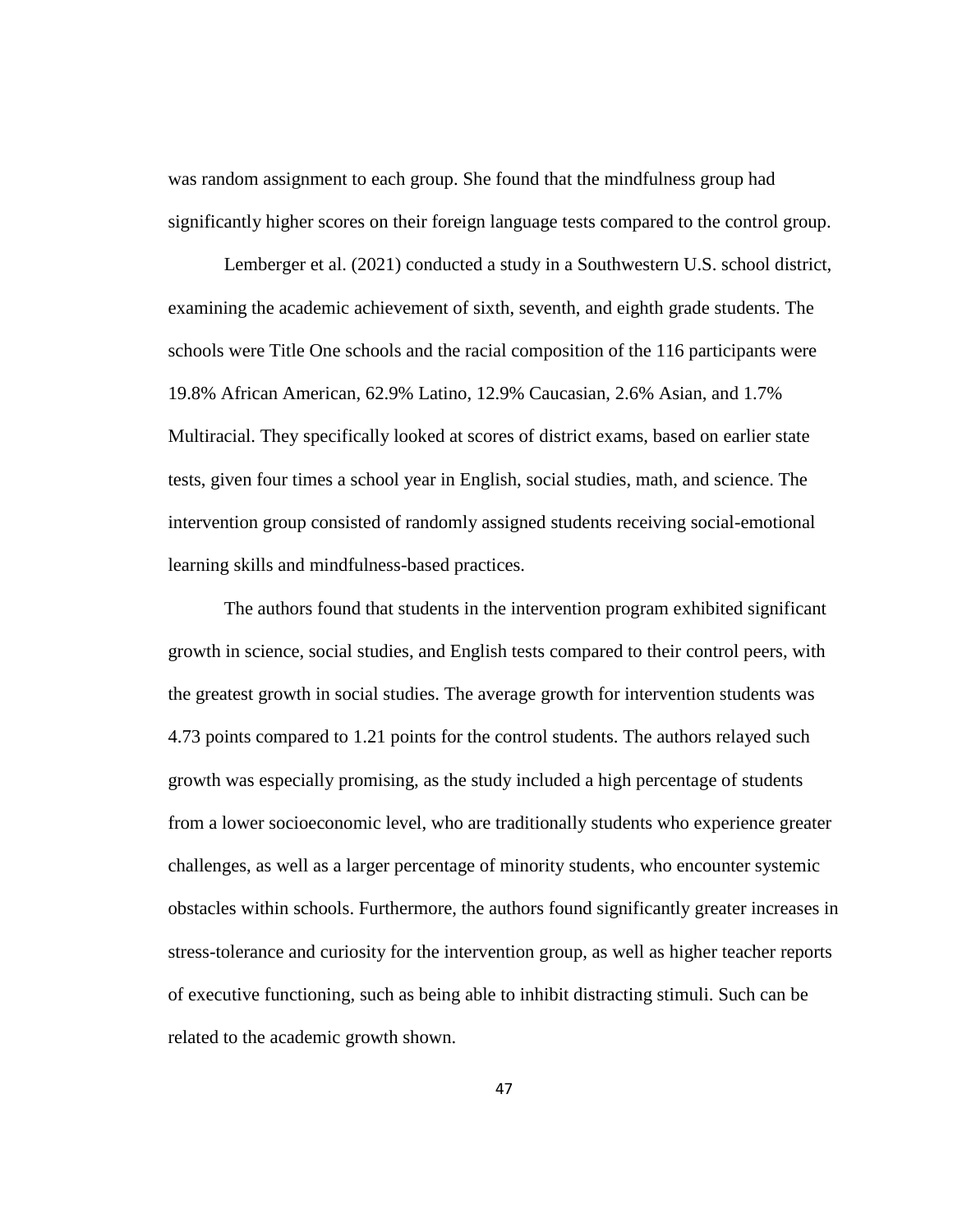was random assignment to each group. She found that the mindfulness group had significantly higher scores on their foreign language tests compared to the control group.

Lemberger et al. (2021) conducted a study in a Southwestern U.S. school district, examining the academic achievement of sixth, seventh, and eighth grade students. The schools were Title One schools and the racial composition of the 116 participants were 19.8% African American, 62.9% Latino, 12.9% Caucasian, 2.6% Asian, and 1.7% Multiracial. They specifically looked at scores of district exams, based on earlier state tests, given four times a school year in English, social studies, math, and science. The intervention group consisted of randomly assigned students receiving social-emotional learning skills and mindfulness-based practices.

The authors found that students in the intervention program exhibited significant growth in science, social studies, and English tests compared to their control peers, with the greatest growth in social studies. The average growth for intervention students was 4.73 points compared to 1.21 points for the control students. The authors relayed such growth was especially promising, as the study included a high percentage of students from a lower socioeconomic level, who are traditionally students who experience greater challenges, as well as a larger percentage of minority students, who encounter systemic obstacles within schools. Furthermore, the authors found significantly greater increases in stress-tolerance and curiosity for the intervention group, as well as higher teacher reports of executive functioning, such as being able to inhibit distracting stimuli. Such can be related to the academic growth shown.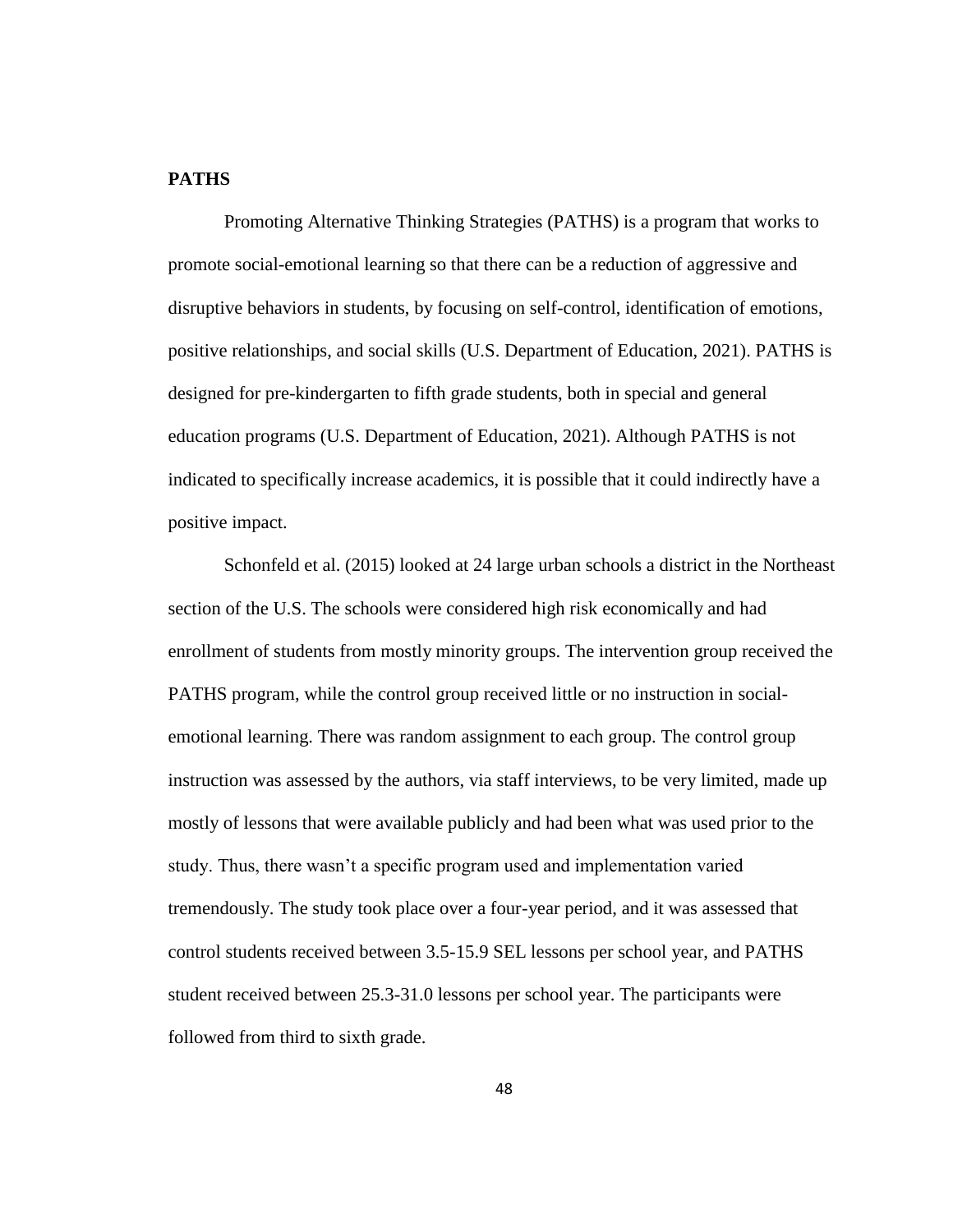# **PATHS**

Promoting Alternative Thinking Strategies (PATHS) is a program that works to promote social-emotional learning so that there can be a reduction of aggressive and disruptive behaviors in students, by focusing on self-control, identification of emotions, positive relationships, and social skills (U.S. Department of Education, 2021). PATHS is designed for pre-kindergarten to fifth grade students, both in special and general education programs (U.S. Department of Education, 2021). Although PATHS is not indicated to specifically increase academics, it is possible that it could indirectly have a positive impact.

Schonfeld et al. (2015) looked at 24 large urban schools a district in the Northeast section of the U.S. The schools were considered high risk economically and had enrollment of students from mostly minority groups. The intervention group received the PATHS program, while the control group received little or no instruction in socialemotional learning. There was random assignment to each group. The control group instruction was assessed by the authors, via staff interviews, to be very limited, made up mostly of lessons that were available publicly and had been what was used prior to the study. Thus, there wasn't a specific program used and implementation varied tremendously. The study took place over a four-year period, and it was assessed that control students received between 3.5-15.9 SEL lessons per school year, and PATHS student received between 25.3-31.0 lessons per school year. The participants were followed from third to sixth grade.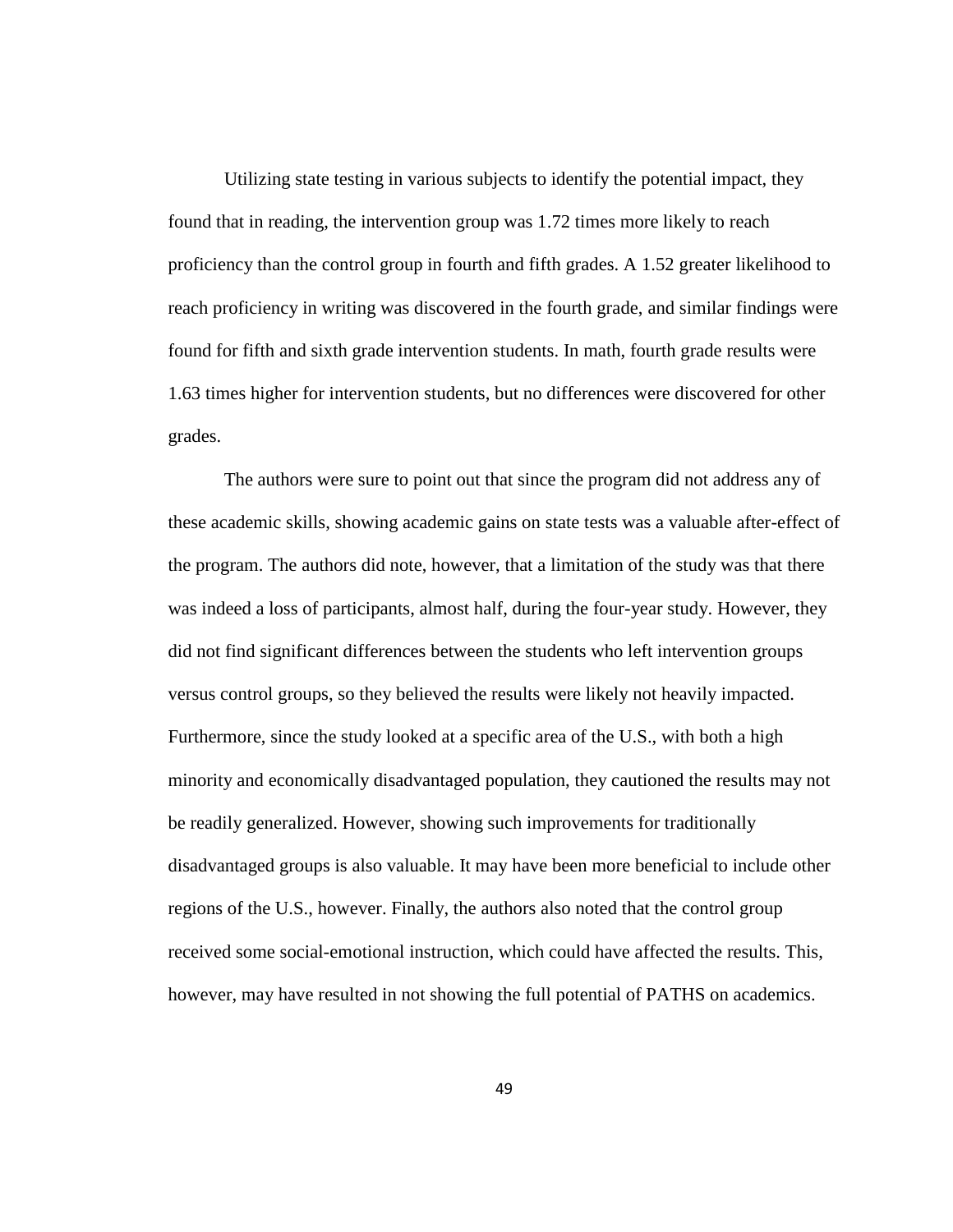Utilizing state testing in various subjects to identify the potential impact, they found that in reading, the intervention group was 1.72 times more likely to reach proficiency than the control group in fourth and fifth grades. A 1.52 greater likelihood to reach proficiency in writing was discovered in the fourth grade, and similar findings were found for fifth and sixth grade intervention students. In math, fourth grade results were 1.63 times higher for intervention students, but no differences were discovered for other grades.

The authors were sure to point out that since the program did not address any of these academic skills, showing academic gains on state tests was a valuable after-effect of the program. The authors did note, however, that a limitation of the study was that there was indeed a loss of participants, almost half, during the four-year study. However, they did not find significant differences between the students who left intervention groups versus control groups, so they believed the results were likely not heavily impacted. Furthermore, since the study looked at a specific area of the U.S., with both a high minority and economically disadvantaged population, they cautioned the results may not be readily generalized. However, showing such improvements for traditionally disadvantaged groups is also valuable. It may have been more beneficial to include other regions of the U.S., however. Finally, the authors also noted that the control group received some social-emotional instruction, which could have affected the results. This, however, may have resulted in not showing the full potential of PATHS on academics.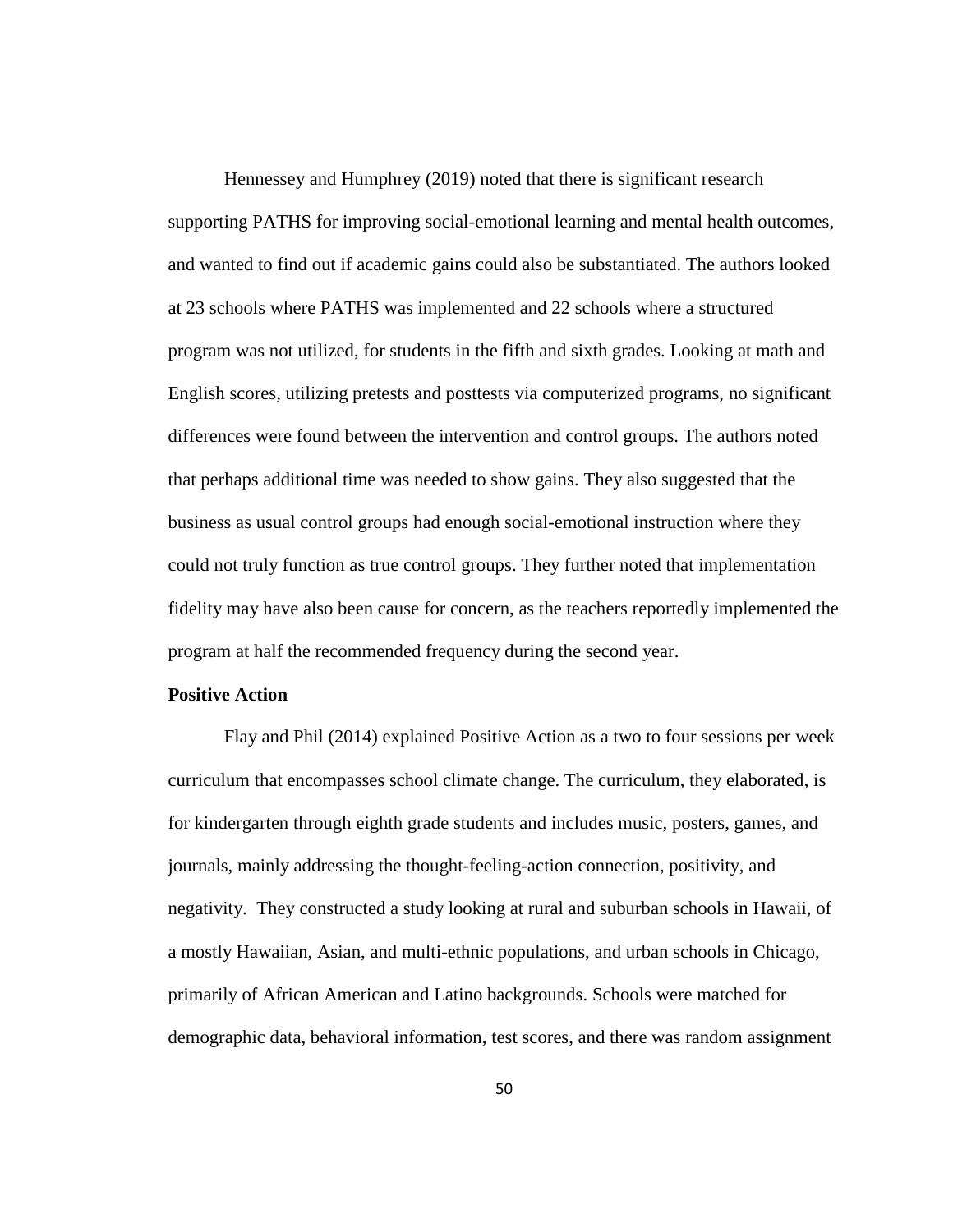Hennessey and Humphrey (2019) noted that there is significant research supporting PATHS for improving social-emotional learning and mental health outcomes, and wanted to find out if academic gains could also be substantiated. The authors looked at 23 schools where PATHS was implemented and 22 schools where a structured program was not utilized, for students in the fifth and sixth grades. Looking at math and English scores, utilizing pretests and posttests via computerized programs, no significant differences were found between the intervention and control groups. The authors noted that perhaps additional time was needed to show gains. They also suggested that the business as usual control groups had enough social-emotional instruction where they could not truly function as true control groups. They further noted that implementation fidelity may have also been cause for concern, as the teachers reportedly implemented the program at half the recommended frequency during the second year.

# **Positive Action**

Flay and Phil (2014) explained Positive Action as a two to four sessions per week curriculum that encompasses school climate change. The curriculum, they elaborated, is for kindergarten through eighth grade students and includes music, posters, games, and journals, mainly addressing the thought-feeling-action connection, positivity, and negativity. They constructed a study looking at rural and suburban schools in Hawaii, of a mostly Hawaiian, Asian, and multi-ethnic populations, and urban schools in Chicago, primarily of African American and Latino backgrounds. Schools were matched for demographic data, behavioral information, test scores, and there was random assignment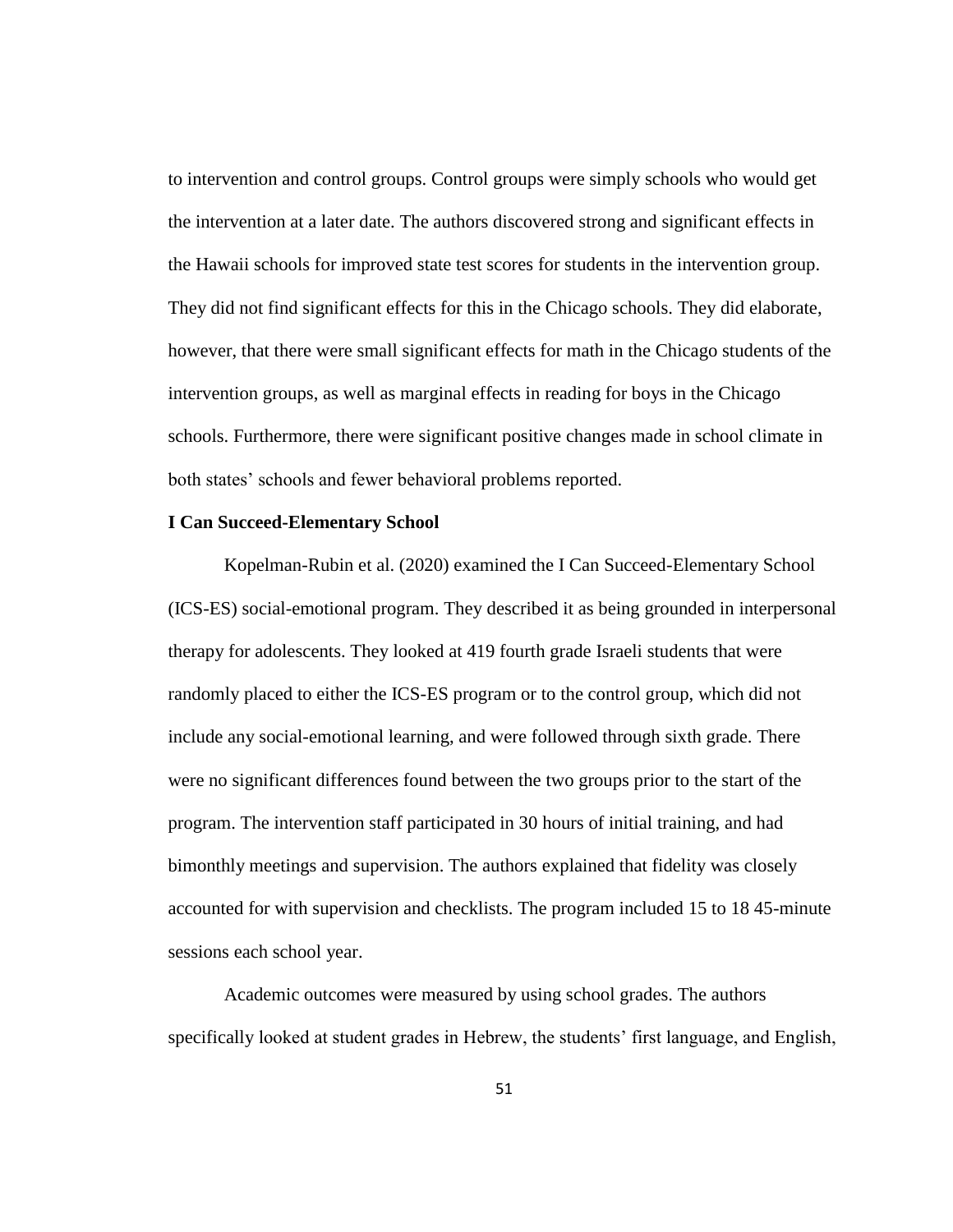to intervention and control groups. Control groups were simply schools who would get the intervention at a later date. The authors discovered strong and significant effects in the Hawaii schools for improved state test scores for students in the intervention group. They did not find significant effects for this in the Chicago schools. They did elaborate, however, that there were small significant effects for math in the Chicago students of the intervention groups, as well as marginal effects in reading for boys in the Chicago schools. Furthermore, there were significant positive changes made in school climate in both states' schools and fewer behavioral problems reported.

### **I Can Succeed-Elementary School**

Kopelman-Rubin et al. (2020) examined the I Can Succeed-Elementary School (ICS-ES) social-emotional program. They described it as being grounded in interpersonal therapy for adolescents. They looked at 419 fourth grade Israeli students that were randomly placed to either the ICS-ES program or to the control group, which did not include any social-emotional learning, and were followed through sixth grade. There were no significant differences found between the two groups prior to the start of the program. The intervention staff participated in 30 hours of initial training, and had bimonthly meetings and supervision. The authors explained that fidelity was closely accounted for with supervision and checklists. The program included 15 to 18 45-minute sessions each school year.

Academic outcomes were measured by using school grades. The authors specifically looked at student grades in Hebrew, the students' first language, and English,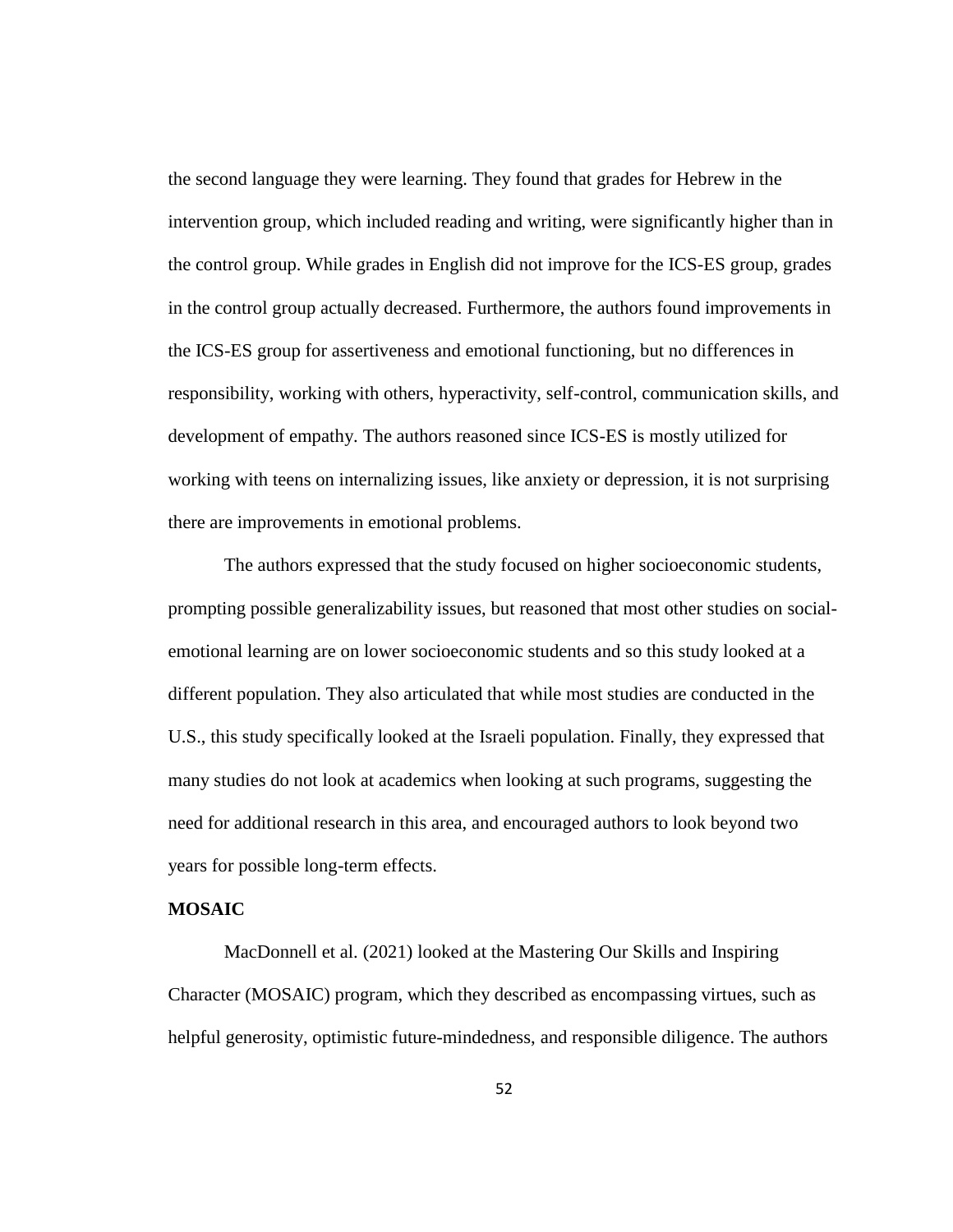the second language they were learning. They found that grades for Hebrew in the intervention group, which included reading and writing, were significantly higher than in the control group. While grades in English did not improve for the ICS-ES group, grades in the control group actually decreased. Furthermore, the authors found improvements in the ICS-ES group for assertiveness and emotional functioning, but no differences in responsibility, working with others, hyperactivity, self-control, communication skills, and development of empathy. The authors reasoned since ICS-ES is mostly utilized for working with teens on internalizing issues, like anxiety or depression, it is not surprising there are improvements in emotional problems.

The authors expressed that the study focused on higher socioeconomic students, prompting possible generalizability issues, but reasoned that most other studies on socialemotional learning are on lower socioeconomic students and so this study looked at a different population. They also articulated that while most studies are conducted in the U.S., this study specifically looked at the Israeli population. Finally, they expressed that many studies do not look at academics when looking at such programs, suggesting the need for additional research in this area, and encouraged authors to look beyond two years for possible long-term effects.

# **MOSAIC**

MacDonnell et al. (2021) looked at the Mastering Our Skills and Inspiring Character (MOSAIC) program, which they described as encompassing virtues, such as helpful generosity, optimistic future-mindedness, and responsible diligence. The authors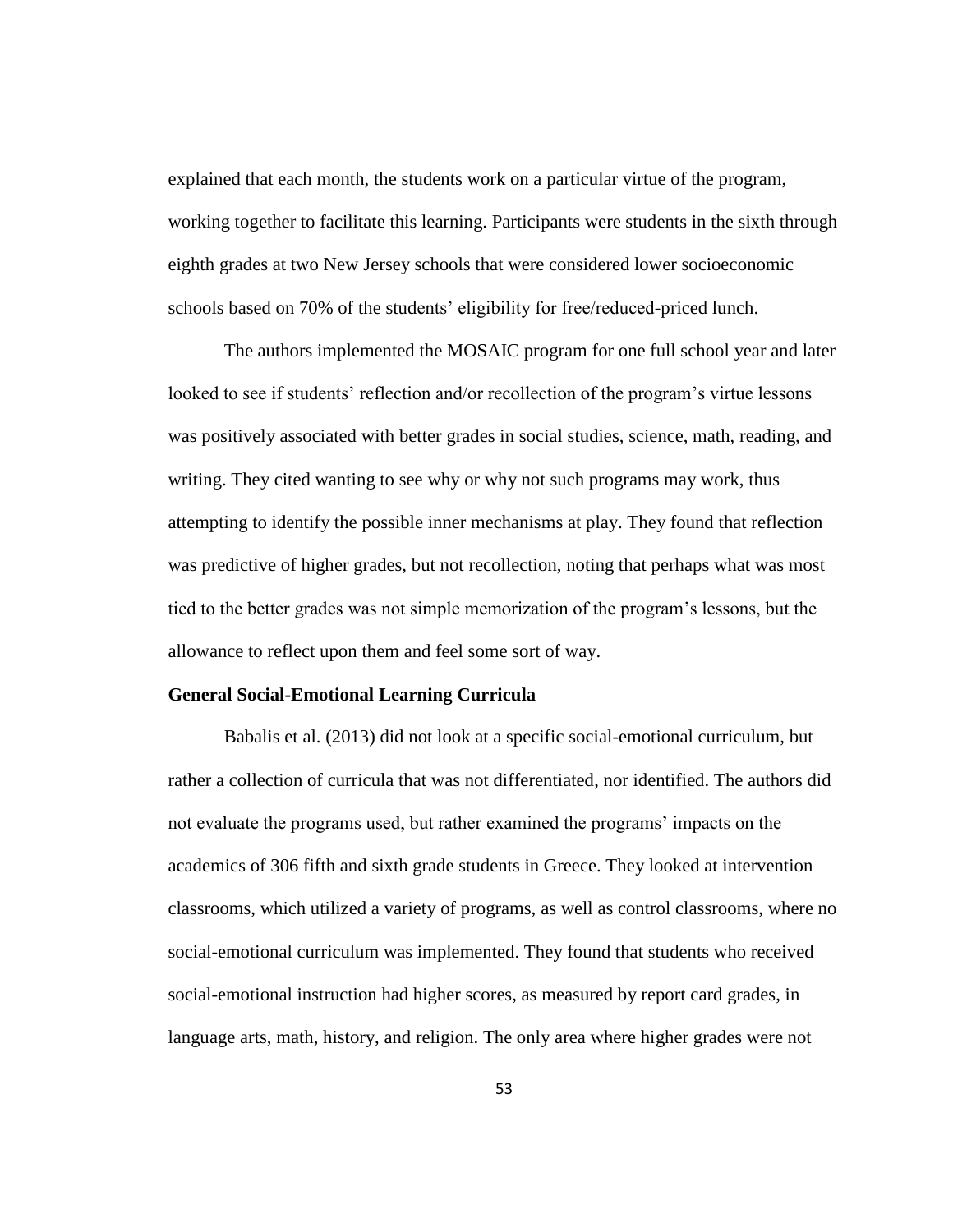explained that each month, the students work on a particular virtue of the program, working together to facilitate this learning. Participants were students in the sixth through eighth grades at two New Jersey schools that were considered lower socioeconomic schools based on 70% of the students' eligibility for free/reduced-priced lunch.

The authors implemented the MOSAIC program for one full school year and later looked to see if students' reflection and/or recollection of the program's virtue lessons was positively associated with better grades in social studies, science, math, reading, and writing. They cited wanting to see why or why not such programs may work, thus attempting to identify the possible inner mechanisms at play. They found that reflection was predictive of higher grades, but not recollection, noting that perhaps what was most tied to the better grades was not simple memorization of the program's lessons, but the allowance to reflect upon them and feel some sort of way.

### **General Social-Emotional Learning Curricula**

Babalis et al. (2013) did not look at a specific social-emotional curriculum, but rather a collection of curricula that was not differentiated, nor identified. The authors did not evaluate the programs used, but rather examined the programs' impacts on the academics of 306 fifth and sixth grade students in Greece. They looked at intervention classrooms, which utilized a variety of programs, as well as control classrooms, where no social-emotional curriculum was implemented. They found that students who received social-emotional instruction had higher scores, as measured by report card grades, in language arts, math, history, and religion. The only area where higher grades were not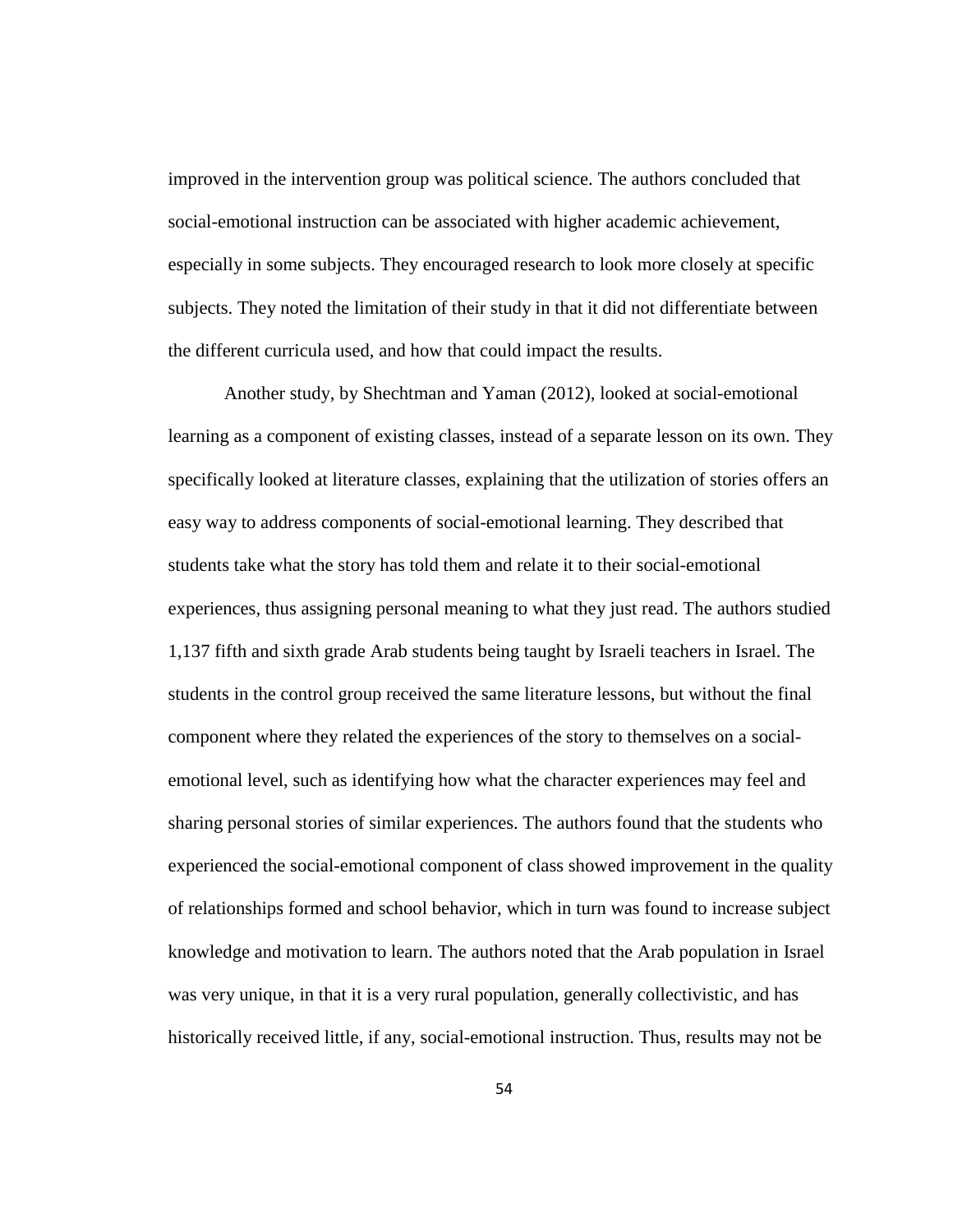improved in the intervention group was political science. The authors concluded that social-emotional instruction can be associated with higher academic achievement, especially in some subjects. They encouraged research to look more closely at specific subjects. They noted the limitation of their study in that it did not differentiate between the different curricula used, and how that could impact the results.

Another study, by Shechtman and Yaman (2012), looked at social-emotional learning as a component of existing classes, instead of a separate lesson on its own. They specifically looked at literature classes, explaining that the utilization of stories offers an easy way to address components of social-emotional learning. They described that students take what the story has told them and relate it to their social-emotional experiences, thus assigning personal meaning to what they just read. The authors studied 1,137 fifth and sixth grade Arab students being taught by Israeli teachers in Israel. The students in the control group received the same literature lessons, but without the final component where they related the experiences of the story to themselves on a socialemotional level, such as identifying how what the character experiences may feel and sharing personal stories of similar experiences. The authors found that the students who experienced the social-emotional component of class showed improvement in the quality of relationships formed and school behavior, which in turn was found to increase subject knowledge and motivation to learn. The authors noted that the Arab population in Israel was very unique, in that it is a very rural population, generally collectivistic, and has historically received little, if any, social-emotional instruction. Thus, results may not be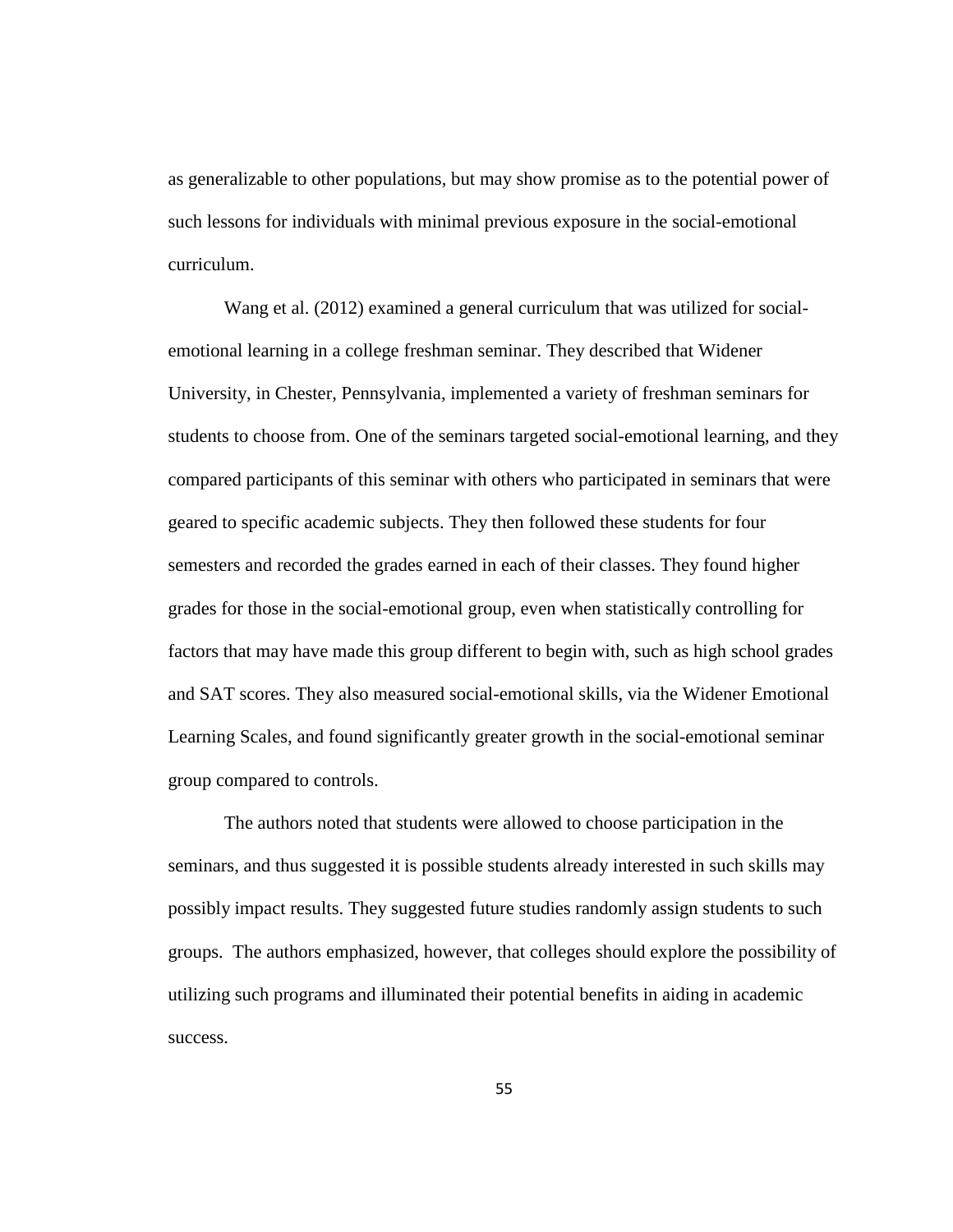as generalizable to other populations, but may show promise as to the potential power of such lessons for individuals with minimal previous exposure in the social-emotional curriculum.

Wang et al. (2012) examined a general curriculum that was utilized for socialemotional learning in a college freshman seminar. They described that Widener University, in Chester, Pennsylvania, implemented a variety of freshman seminars for students to choose from. One of the seminars targeted social-emotional learning, and they compared participants of this seminar with others who participated in seminars that were geared to specific academic subjects. They then followed these students for four semesters and recorded the grades earned in each of their classes. They found higher grades for those in the social-emotional group, even when statistically controlling for factors that may have made this group different to begin with, such as high school grades and SAT scores. They also measured social-emotional skills, via the Widener Emotional Learning Scales, and found significantly greater growth in the social-emotional seminar group compared to controls.

The authors noted that students were allowed to choose participation in the seminars, and thus suggested it is possible students already interested in such skills may possibly impact results. They suggested future studies randomly assign students to such groups. The authors emphasized, however, that colleges should explore the possibility of utilizing such programs and illuminated their potential benefits in aiding in academic success.

55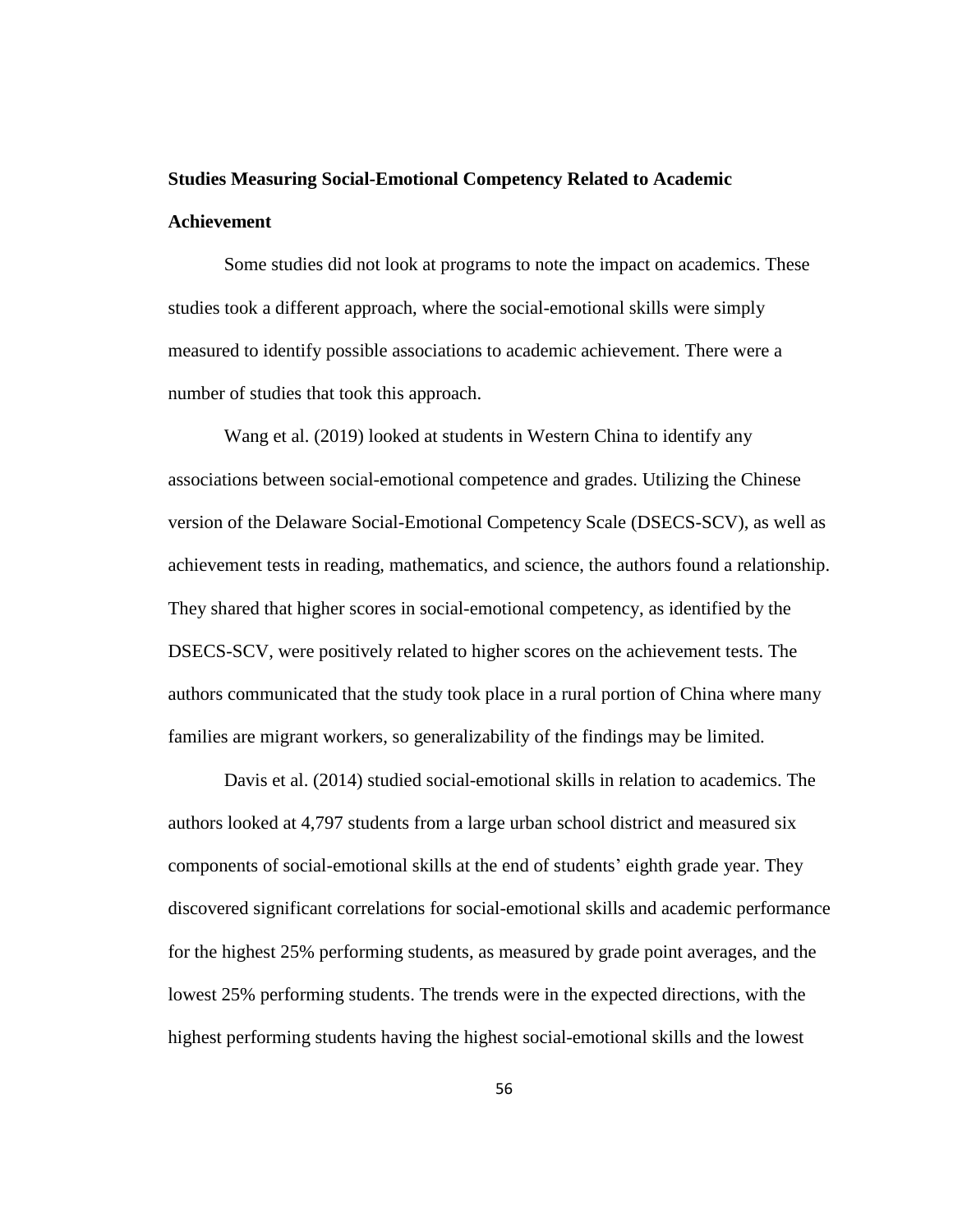# **Studies Measuring Social-Emotional Competency Related to Academic Achievement**

Some studies did not look at programs to note the impact on academics. These studies took a different approach, where the social-emotional skills were simply measured to identify possible associations to academic achievement. There were a number of studies that took this approach.

Wang et al. (2019) looked at students in Western China to identify any associations between social-emotional competence and grades. Utilizing the Chinese version of the Delaware Social-Emotional Competency Scale (DSECS-SCV), as well as achievement tests in reading, mathematics, and science, the authors found a relationship. They shared that higher scores in social-emotional competency, as identified by the DSECS-SCV, were positively related to higher scores on the achievement tests. The authors communicated that the study took place in a rural portion of China where many families are migrant workers, so generalizability of the findings may be limited.

Davis et al. (2014) studied social-emotional skills in relation to academics. The authors looked at 4,797 students from a large urban school district and measured six components of social-emotional skills at the end of students' eighth grade year. They discovered significant correlations for social-emotional skills and academic performance for the highest 25% performing students, as measured by grade point averages, and the lowest 25% performing students. The trends were in the expected directions, with the highest performing students having the highest social-emotional skills and the lowest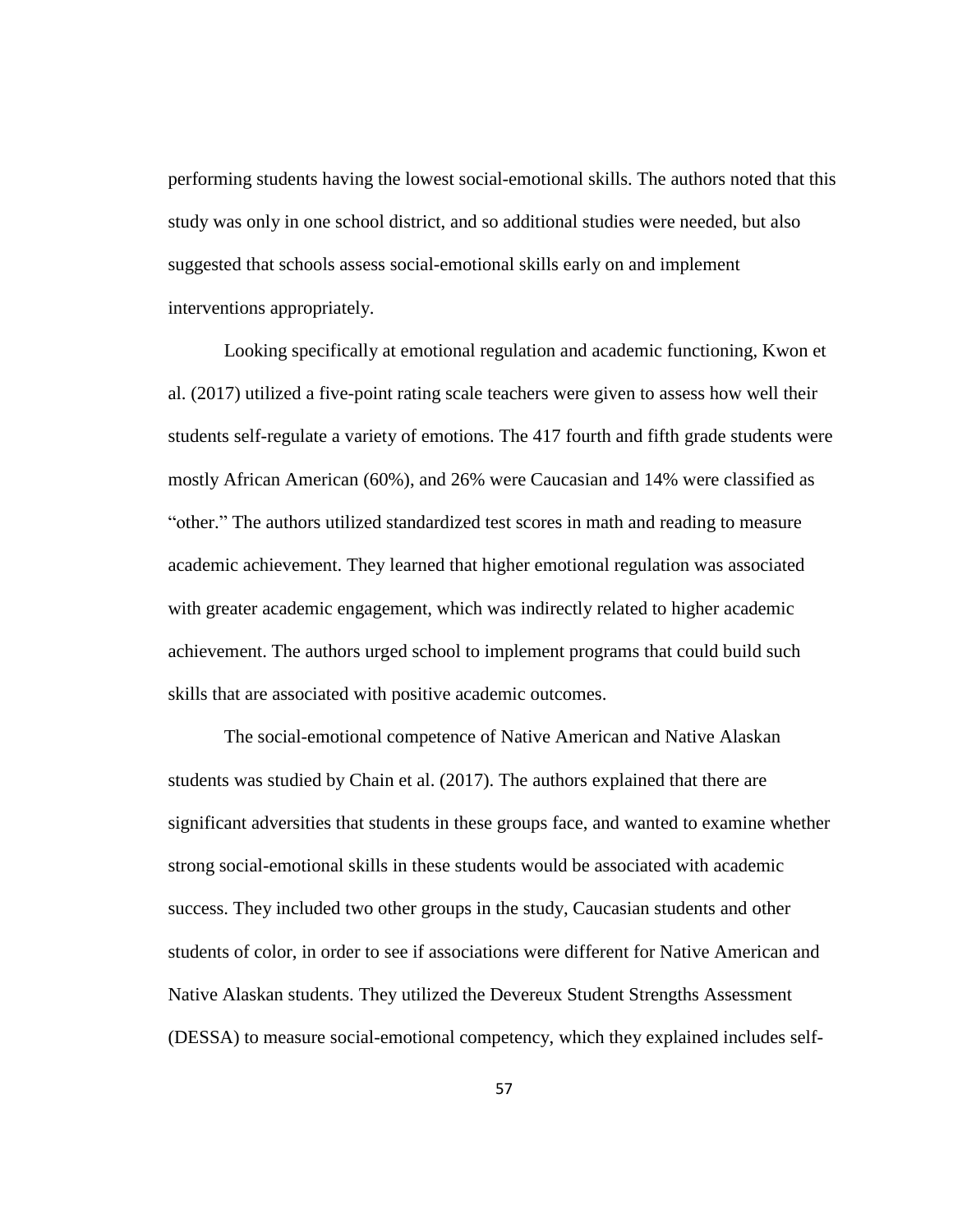performing students having the lowest social-emotional skills. The authors noted that this study was only in one school district, and so additional studies were needed, but also suggested that schools assess social-emotional skills early on and implement interventions appropriately.

Looking specifically at emotional regulation and academic functioning, Kwon et al. (2017) utilized a five-point rating scale teachers were given to assess how well their students self-regulate a variety of emotions. The 417 fourth and fifth grade students were mostly African American (60%), and 26% were Caucasian and 14% were classified as "other." The authors utilized standardized test scores in math and reading to measure academic achievement. They learned that higher emotional regulation was associated with greater academic engagement, which was indirectly related to higher academic achievement. The authors urged school to implement programs that could build such skills that are associated with positive academic outcomes.

The social-emotional competence of Native American and Native Alaskan students was studied by Chain et al. (2017). The authors explained that there are significant adversities that students in these groups face, and wanted to examine whether strong social-emotional skills in these students would be associated with academic success. They included two other groups in the study, Caucasian students and other students of color, in order to see if associations were different for Native American and Native Alaskan students. They utilized the Devereux Student Strengths Assessment (DESSA) to measure social-emotional competency, which they explained includes self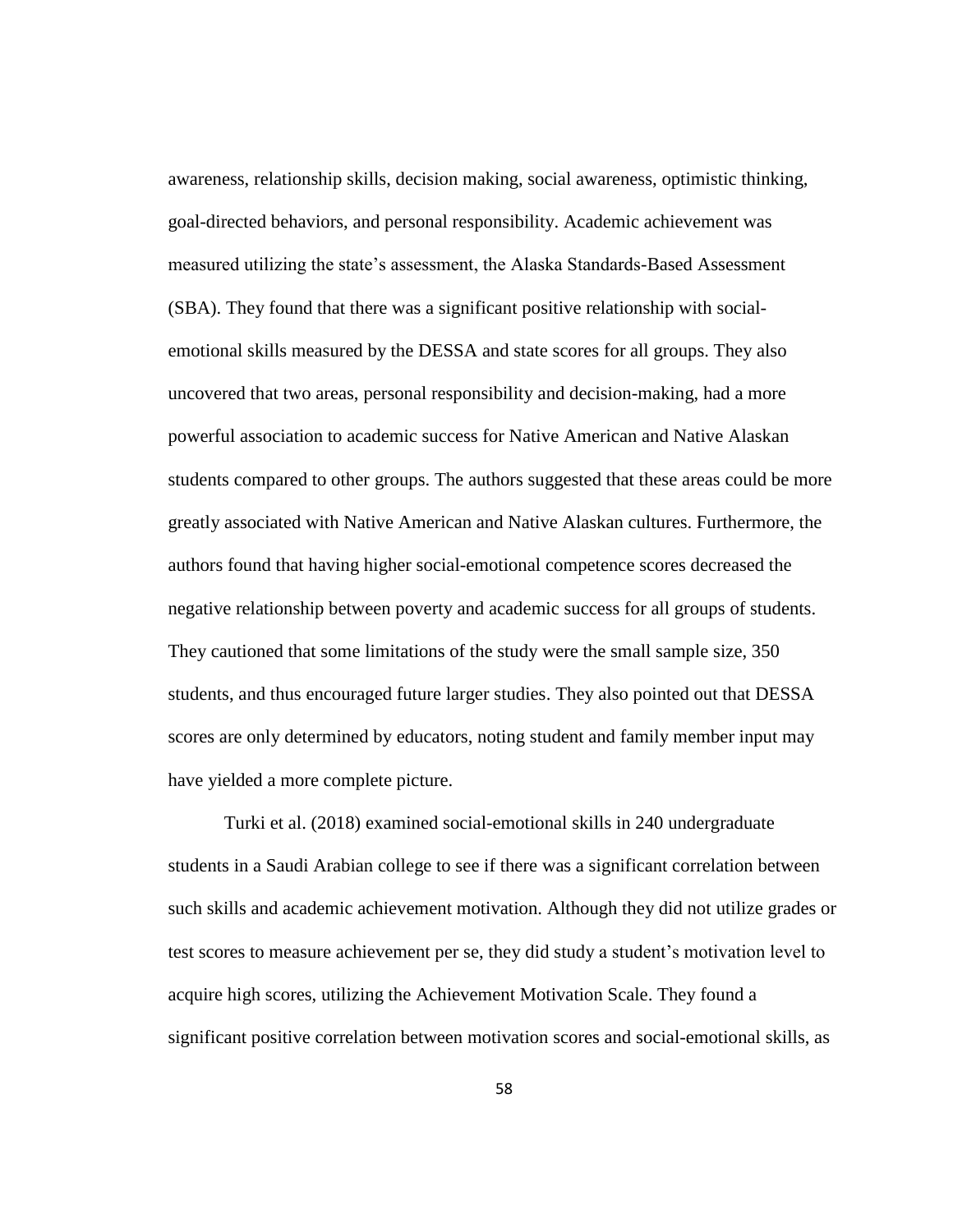awareness, relationship skills, decision making, social awareness, optimistic thinking, goal-directed behaviors, and personal responsibility. Academic achievement was measured utilizing the state's assessment, the Alaska Standards-Based Assessment (SBA). They found that there was a significant positive relationship with socialemotional skills measured by the DESSA and state scores for all groups. They also uncovered that two areas, personal responsibility and decision-making, had a more powerful association to academic success for Native American and Native Alaskan students compared to other groups. The authors suggested that these areas could be more greatly associated with Native American and Native Alaskan cultures. Furthermore, the authors found that having higher social-emotional competence scores decreased the negative relationship between poverty and academic success for all groups of students. They cautioned that some limitations of the study were the small sample size, 350 students, and thus encouraged future larger studies. They also pointed out that DESSA scores are only determined by educators, noting student and family member input may have yielded a more complete picture.

Turki et al. (2018) examined social-emotional skills in 240 undergraduate students in a Saudi Arabian college to see if there was a significant correlation between such skills and academic achievement motivation. Although they did not utilize grades or test scores to measure achievement per se, they did study a student's motivation level to acquire high scores, utilizing the Achievement Motivation Scale. They found a significant positive correlation between motivation scores and social-emotional skills, as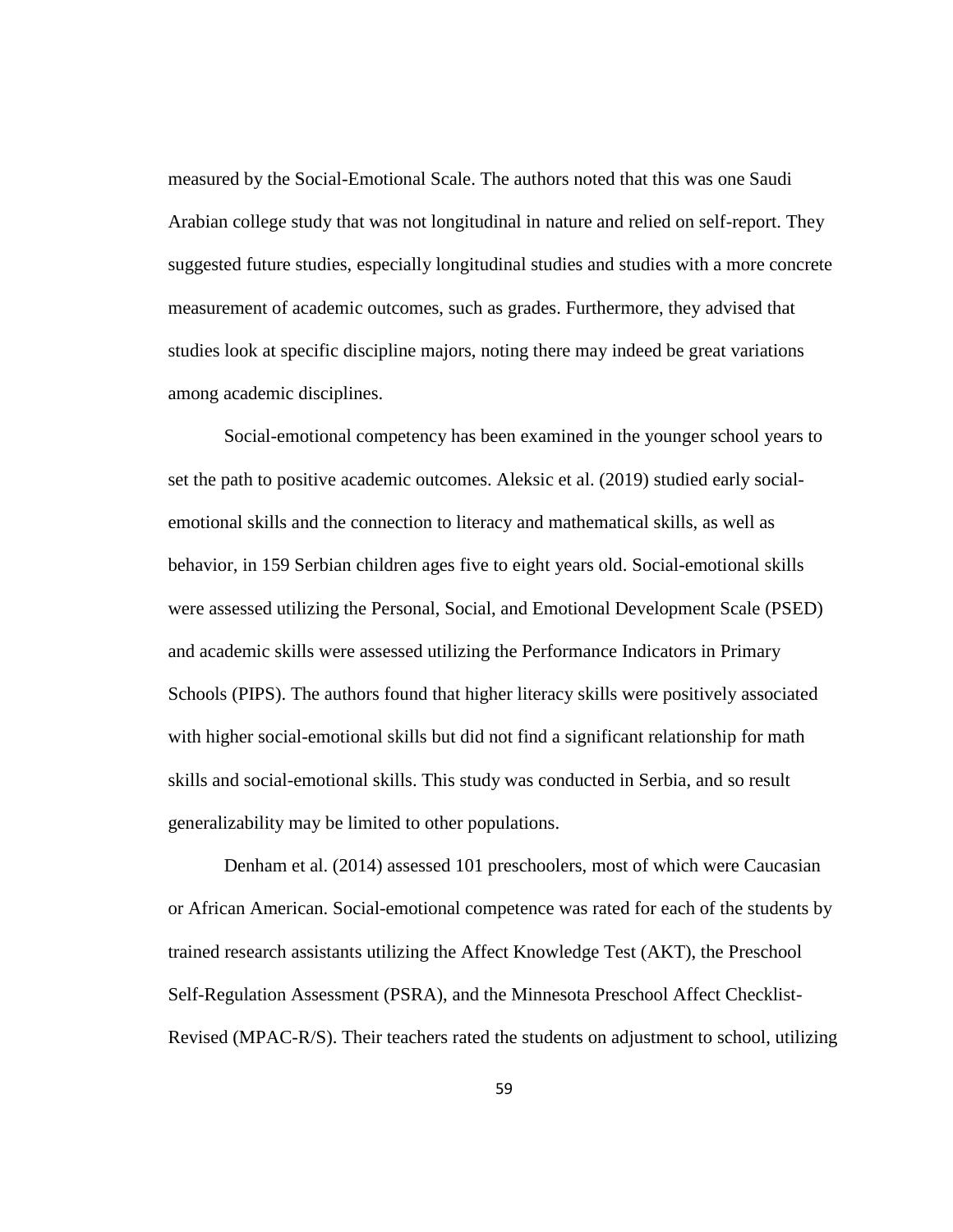measured by the Social-Emotional Scale. The authors noted that this was one Saudi Arabian college study that was not longitudinal in nature and relied on self-report. They suggested future studies, especially longitudinal studies and studies with a more concrete measurement of academic outcomes, such as grades. Furthermore, they advised that studies look at specific discipline majors, noting there may indeed be great variations among academic disciplines.

Social-emotional competency has been examined in the younger school years to set the path to positive academic outcomes. Aleksic et al. (2019) studied early socialemotional skills and the connection to literacy and mathematical skills, as well as behavior, in 159 Serbian children ages five to eight years old. Social-emotional skills were assessed utilizing the Personal, Social, and Emotional Development Scale (PSED) and academic skills were assessed utilizing the Performance Indicators in Primary Schools (PIPS). The authors found that higher literacy skills were positively associated with higher social-emotional skills but did not find a significant relationship for math skills and social-emotional skills. This study was conducted in Serbia, and so result generalizability may be limited to other populations.

Denham et al. (2014) assessed 101 preschoolers, most of which were Caucasian or African American. Social-emotional competence was rated for each of the students by trained research assistants utilizing the Affect Knowledge Test (AKT), the Preschool Self-Regulation Assessment (PSRA), and the Minnesota Preschool Affect Checklist-Revised (MPAC-R/S). Their teachers rated the students on adjustment to school, utilizing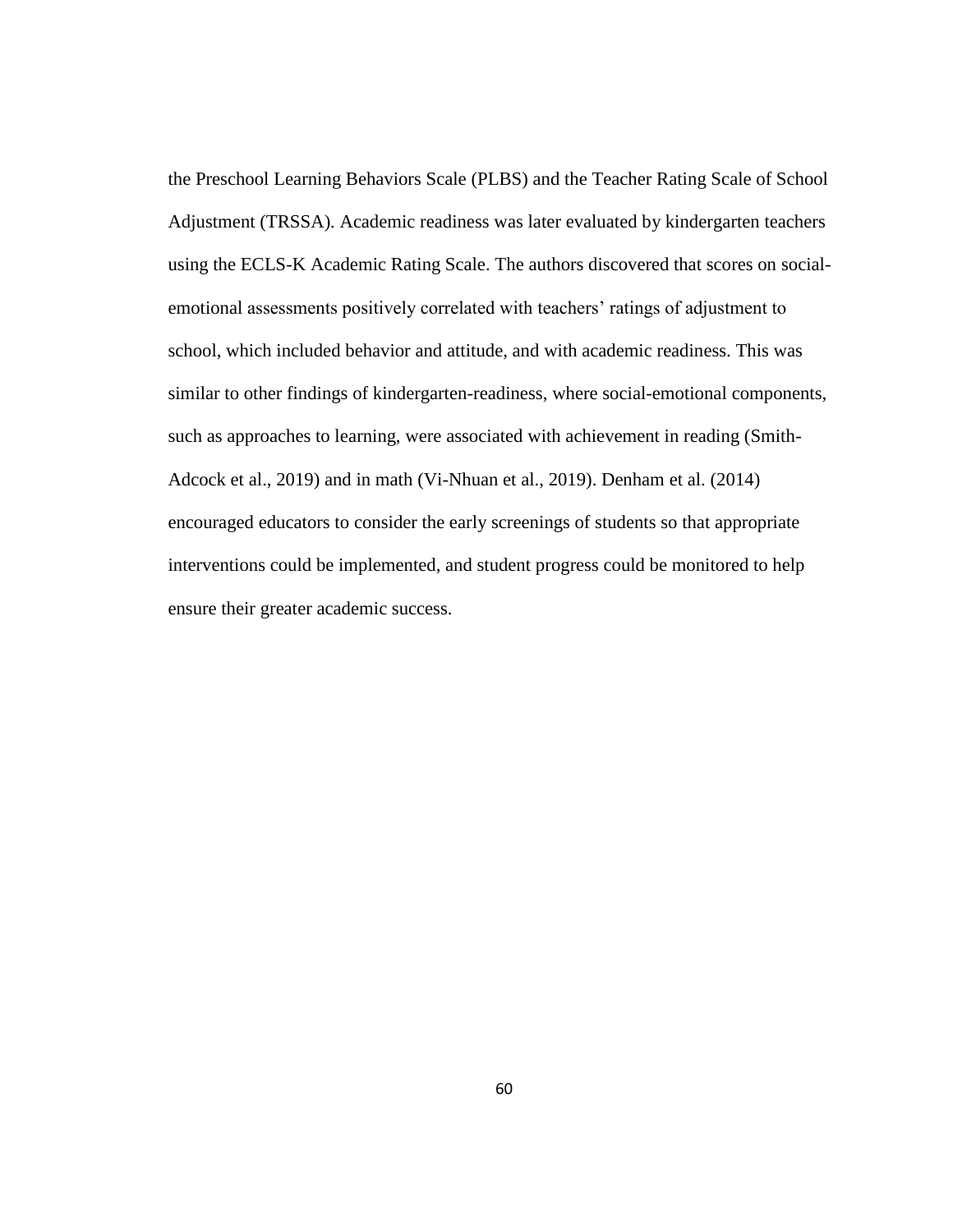the Preschool Learning Behaviors Scale (PLBS) and the Teacher Rating Scale of School Adjustment (TRSSA). Academic readiness was later evaluated by kindergarten teachers using the ECLS-K Academic Rating Scale. The authors discovered that scores on socialemotional assessments positively correlated with teachers' ratings of adjustment to school, which included behavior and attitude, and with academic readiness. This was similar to other findings of kindergarten-readiness, where social-emotional components, such as approaches to learning, were associated with achievement in reading (Smith-Adcock et al., 2019) and in math (Vi-Nhuan et al., 2019). Denham et al. (2014) encouraged educators to consider the early screenings of students so that appropriate interventions could be implemented, and student progress could be monitored to help ensure their greater academic success.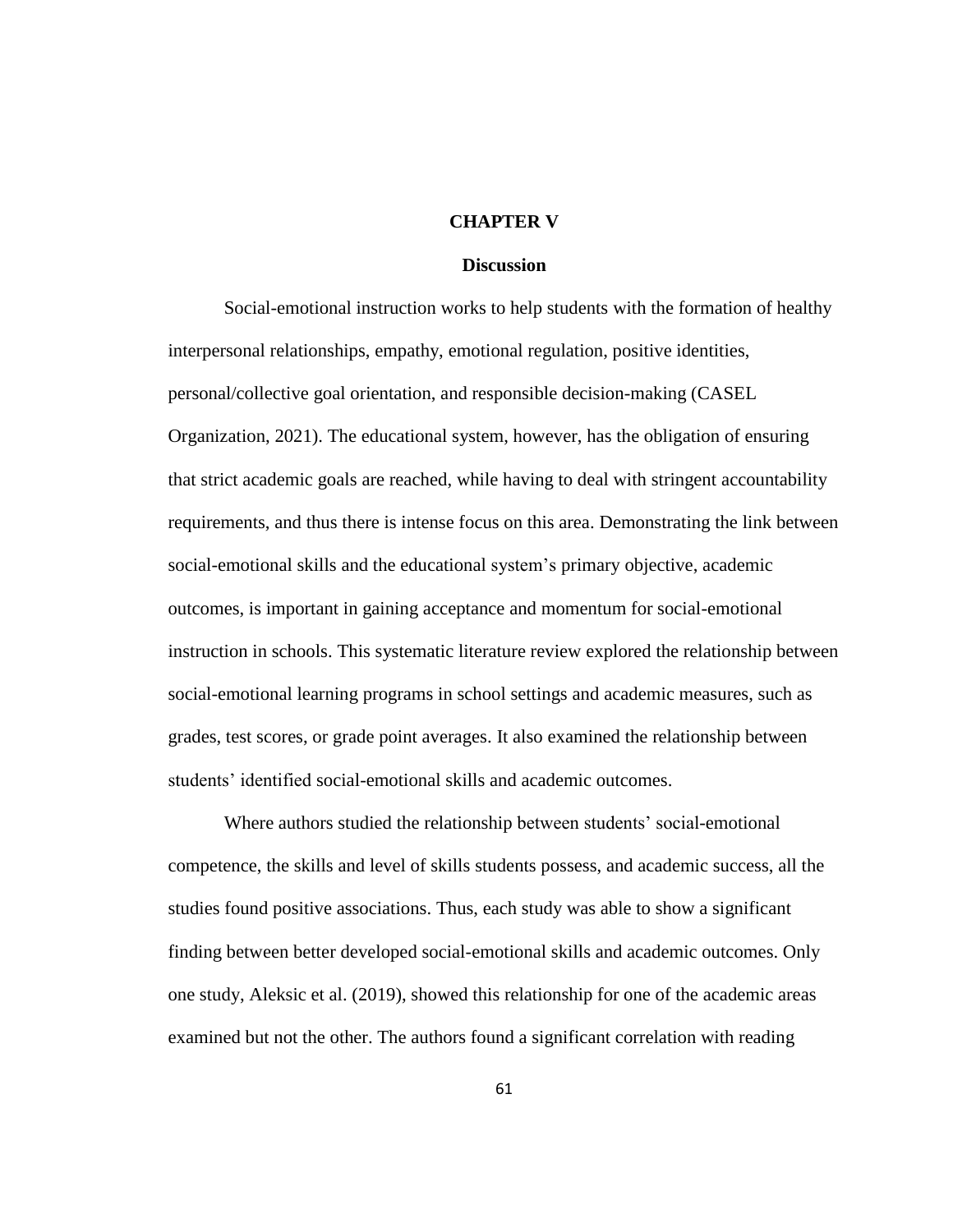## **CHAPTER V**

# **Discussion**

Social-emotional instruction works to help students with the formation of healthy interpersonal relationships, empathy, emotional regulation, positive identities, personal/collective goal orientation, and responsible decision-making (CASEL Organization, 2021). The educational system, however, has the obligation of ensuring that strict academic goals are reached, while having to deal with stringent accountability requirements, and thus there is intense focus on this area. Demonstrating the link between social-emotional skills and the educational system's primary objective, academic outcomes, is important in gaining acceptance and momentum for social-emotional instruction in schools. This systematic literature review explored the relationship between social-emotional learning programs in school settings and academic measures, such as grades, test scores, or grade point averages. It also examined the relationship between students' identified social-emotional skills and academic outcomes.

Where authors studied the relationship between students' social-emotional competence, the skills and level of skills students possess, and academic success, all the studies found positive associations. Thus, each study was able to show a significant finding between better developed social-emotional skills and academic outcomes. Only one study, Aleksic et al. (2019), showed this relationship for one of the academic areas examined but not the other. The authors found a significant correlation with reading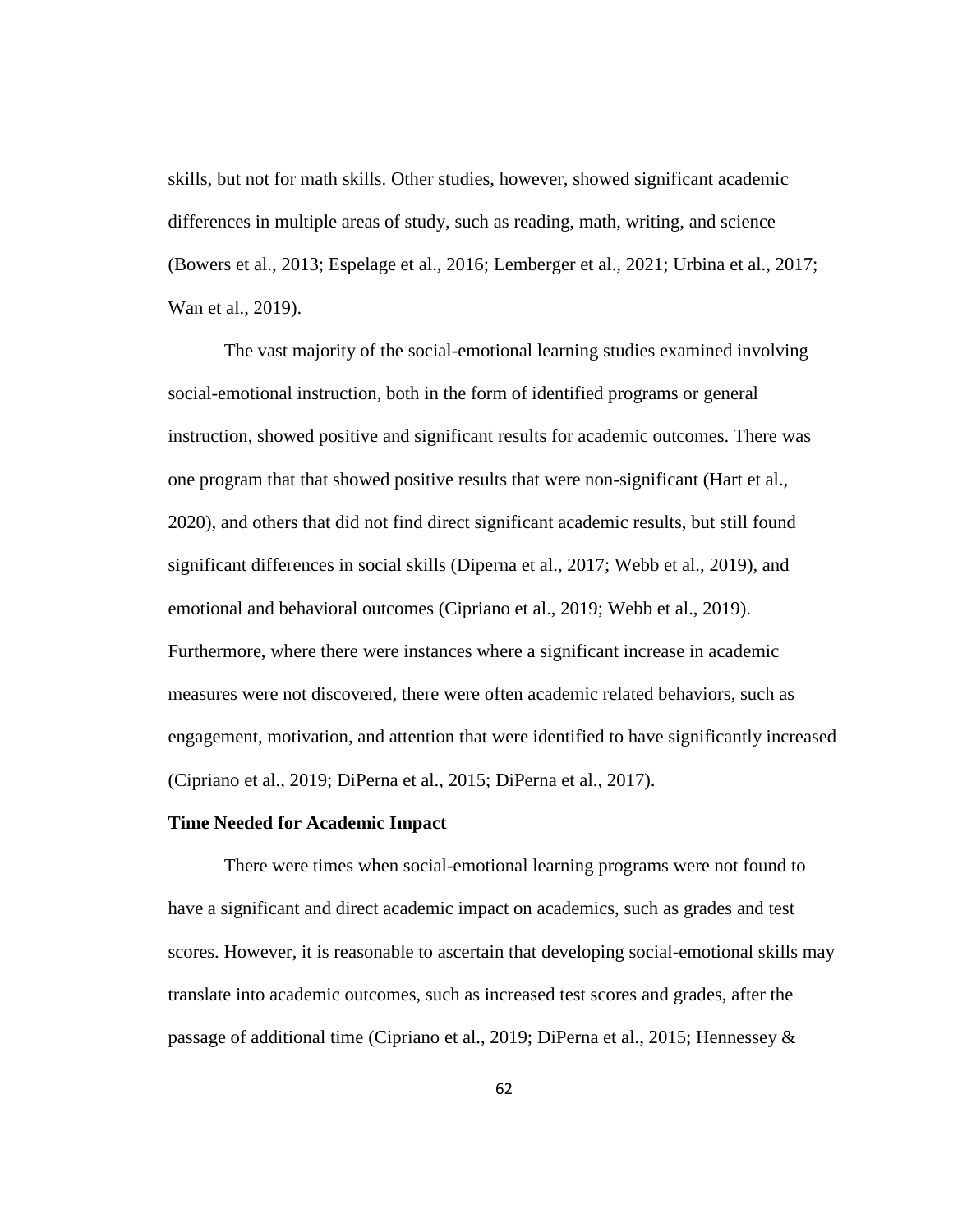skills, but not for math skills. Other studies, however, showed significant academic differences in multiple areas of study, such as reading, math, writing, and science (Bowers et al., 2013; Espelage et al., 2016; Lemberger et al., 2021; Urbina et al., 2017; Wan et al., 2019).

The vast majority of the social-emotional learning studies examined involving social-emotional instruction, both in the form of identified programs or general instruction, showed positive and significant results for academic outcomes. There was one program that that showed positive results that were non-significant (Hart et al., 2020), and others that did not find direct significant academic results, but still found significant differences in social skills (Diperna et al., 2017; Webb et al., 2019), and emotional and behavioral outcomes (Cipriano et al., 2019; Webb et al., 2019). Furthermore, where there were instances where a significant increase in academic measures were not discovered, there were often academic related behaviors, such as engagement, motivation, and attention that were identified to have significantly increased (Cipriano et al., 2019; DiPerna et al., 2015; DiPerna et al., 2017).

## **Time Needed for Academic Impact**

There were times when social-emotional learning programs were not found to have a significant and direct academic impact on academics, such as grades and test scores. However, it is reasonable to ascertain that developing social-emotional skills may translate into academic outcomes, such as increased test scores and grades, after the passage of additional time (Cipriano et al., 2019; DiPerna et al., 2015; Hennessey &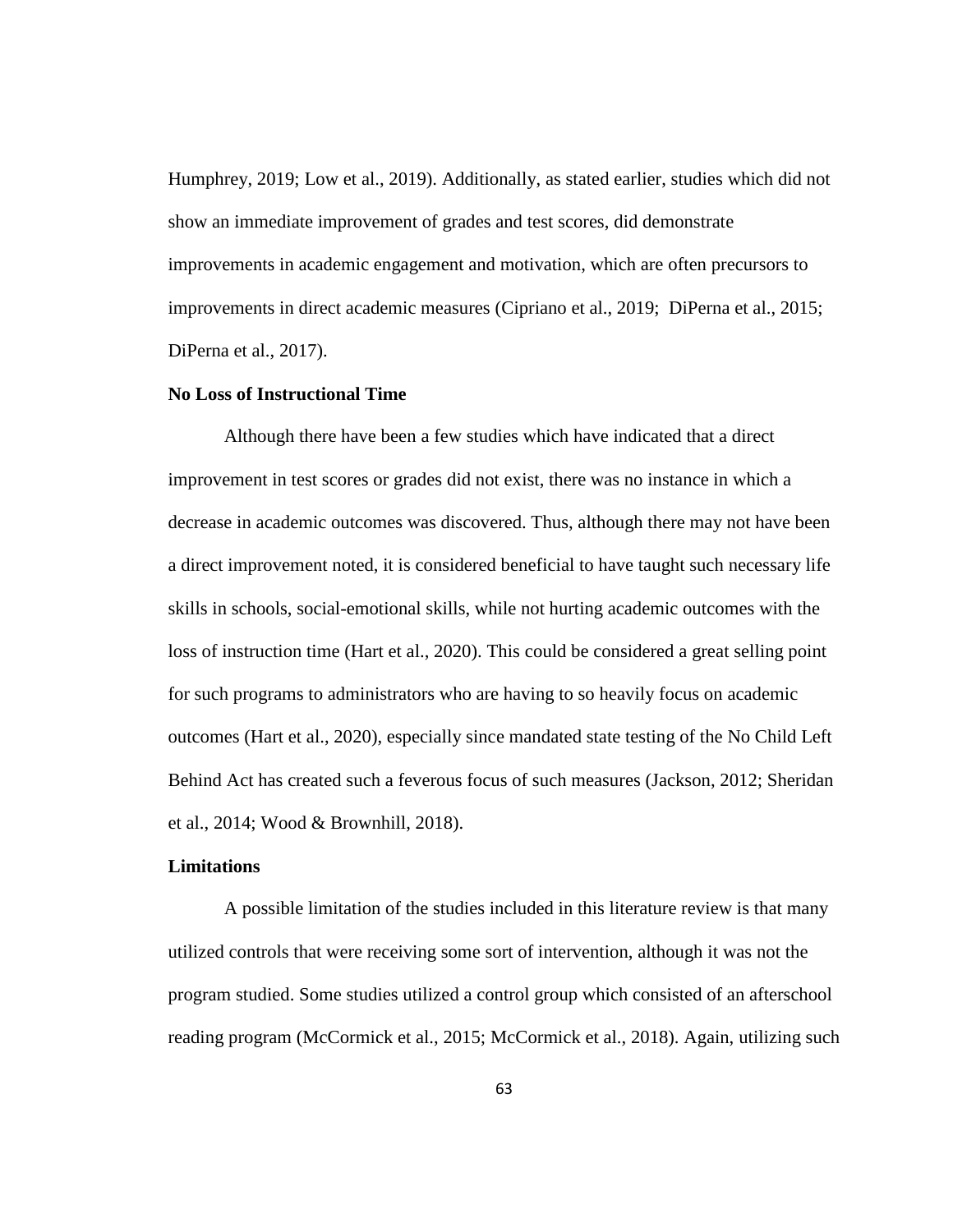Humphrey, 2019; Low et al., 2019). Additionally, as stated earlier, studies which did not show an immediate improvement of grades and test scores, did demonstrate improvements in academic engagement and motivation, which are often precursors to improvements in direct academic measures (Cipriano et al., 2019; DiPerna et al., 2015; DiPerna et al., 2017).

# **No Loss of Instructional Time**

Although there have been a few studies which have indicated that a direct improvement in test scores or grades did not exist, there was no instance in which a decrease in academic outcomes was discovered. Thus, although there may not have been a direct improvement noted, it is considered beneficial to have taught such necessary life skills in schools, social-emotional skills, while not hurting academic outcomes with the loss of instruction time (Hart et al., 2020). This could be considered a great selling point for such programs to administrators who are having to so heavily focus on academic outcomes (Hart et al., 2020), especially since mandated state testing of the No Child Left Behind Act has created such a feverous focus of such measures (Jackson, 2012; Sheridan et al., 2014; Wood & Brownhill, 2018).

## **Limitations**

A possible limitation of the studies included in this literature review is that many utilized controls that were receiving some sort of intervention, although it was not the program studied. Some studies utilized a control group which consisted of an afterschool reading program (McCormick et al., 2015; McCormick et al., 2018). Again, utilizing such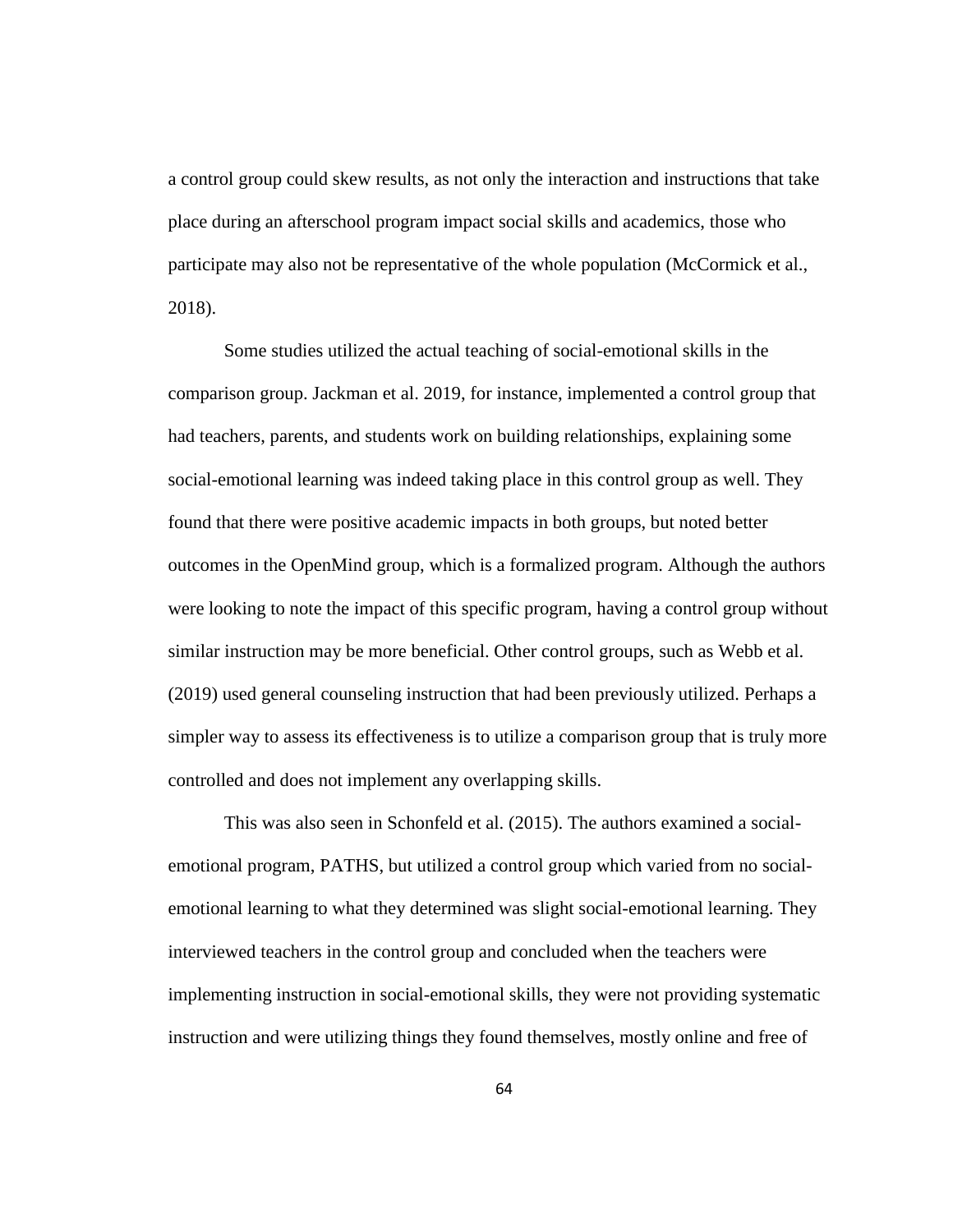a control group could skew results, as not only the interaction and instructions that take place during an afterschool program impact social skills and academics, those who participate may also not be representative of the whole population (McCormick et al., 2018).

Some studies utilized the actual teaching of social-emotional skills in the comparison group. Jackman et al. 2019, for instance, implemented a control group that had teachers, parents, and students work on building relationships, explaining some social-emotional learning was indeed taking place in this control group as well. They found that there were positive academic impacts in both groups, but noted better outcomes in the OpenMind group, which is a formalized program. Although the authors were looking to note the impact of this specific program, having a control group without similar instruction may be more beneficial. Other control groups, such as Webb et al. (2019) used general counseling instruction that had been previously utilized. Perhaps a simpler way to assess its effectiveness is to utilize a comparison group that is truly more controlled and does not implement any overlapping skills.

This was also seen in Schonfeld et al. (2015). The authors examined a socialemotional program, PATHS, but utilized a control group which varied from no socialemotional learning to what they determined was slight social-emotional learning. They interviewed teachers in the control group and concluded when the teachers were implementing instruction in social-emotional skills, they were not providing systematic instruction and were utilizing things they found themselves, mostly online and free of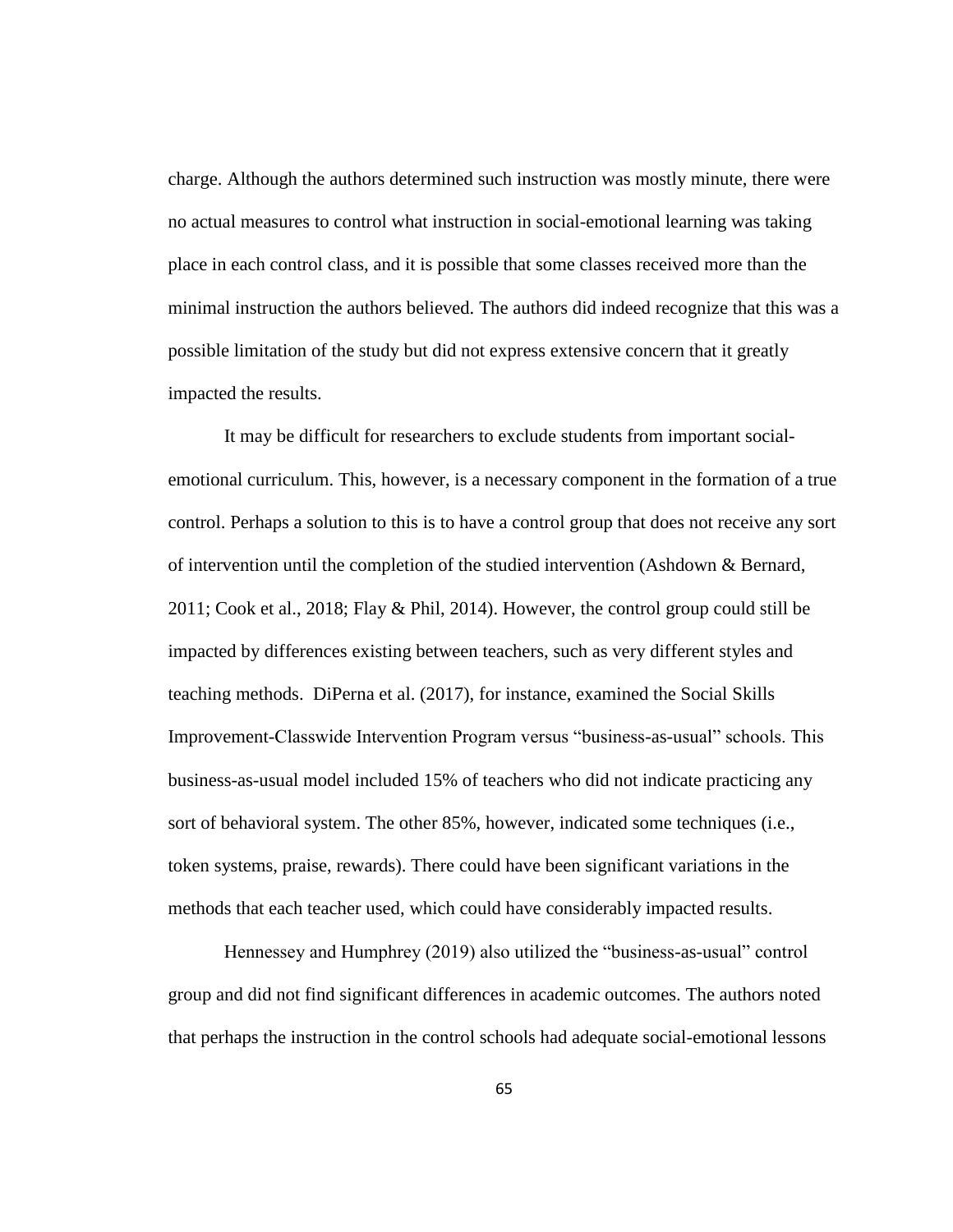charge. Although the authors determined such instruction was mostly minute, there were no actual measures to control what instruction in social-emotional learning was taking place in each control class, and it is possible that some classes received more than the minimal instruction the authors believed. The authors did indeed recognize that this was a possible limitation of the study but did not express extensive concern that it greatly impacted the results.

It may be difficult for researchers to exclude students from important socialemotional curriculum. This, however, is a necessary component in the formation of a true control. Perhaps a solution to this is to have a control group that does not receive any sort of intervention until the completion of the studied intervention (Ashdown & Bernard, 2011; Cook et al., 2018; Flay & Phil, 2014). However, the control group could still be impacted by differences existing between teachers, such as very different styles and teaching methods. DiPerna et al. (2017), for instance, examined the Social Skills Improvement-Classwide Intervention Program versus "business-as-usual" schools. This business-as-usual model included 15% of teachers who did not indicate practicing any sort of behavioral system. The other 85%, however, indicated some techniques (i.e., token systems, praise, rewards). There could have been significant variations in the methods that each teacher used, which could have considerably impacted results.

Hennessey and Humphrey (2019) also utilized the "business-as-usual" control group and did not find significant differences in academic outcomes. The authors noted that perhaps the instruction in the control schools had adequate social-emotional lessons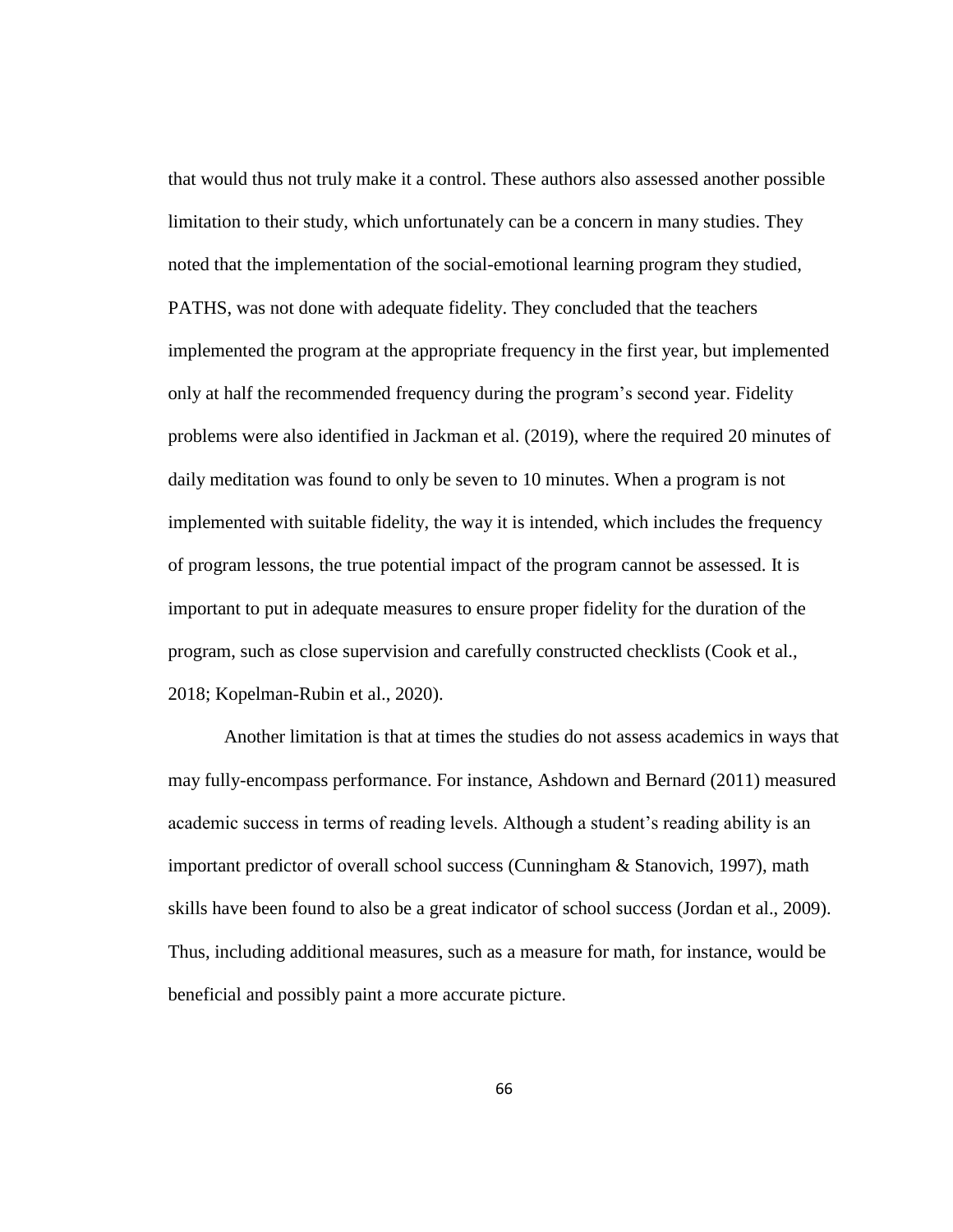that would thus not truly make it a control. These authors also assessed another possible limitation to their study, which unfortunately can be a concern in many studies. They noted that the implementation of the social-emotional learning program they studied, PATHS, was not done with adequate fidelity. They concluded that the teachers implemented the program at the appropriate frequency in the first year, but implemented only at half the recommended frequency during the program's second year. Fidelity problems were also identified in Jackman et al. (2019), where the required 20 minutes of daily meditation was found to only be seven to 10 minutes. When a program is not implemented with suitable fidelity, the way it is intended, which includes the frequency of program lessons, the true potential impact of the program cannot be assessed. It is important to put in adequate measures to ensure proper fidelity for the duration of the program, such as close supervision and carefully constructed checklists (Cook et al., 2018; Kopelman-Rubin et al., 2020).

Another limitation is that at times the studies do not assess academics in ways that may fully-encompass performance. For instance, Ashdown and Bernard (2011) measured academic success in terms of reading levels. Although a student's reading ability is an important predictor of overall school success (Cunningham & Stanovich, 1997), math skills have been found to also be a great indicator of school success (Jordan et al., 2009). Thus, including additional measures, such as a measure for math, for instance, would be beneficial and possibly paint a more accurate picture.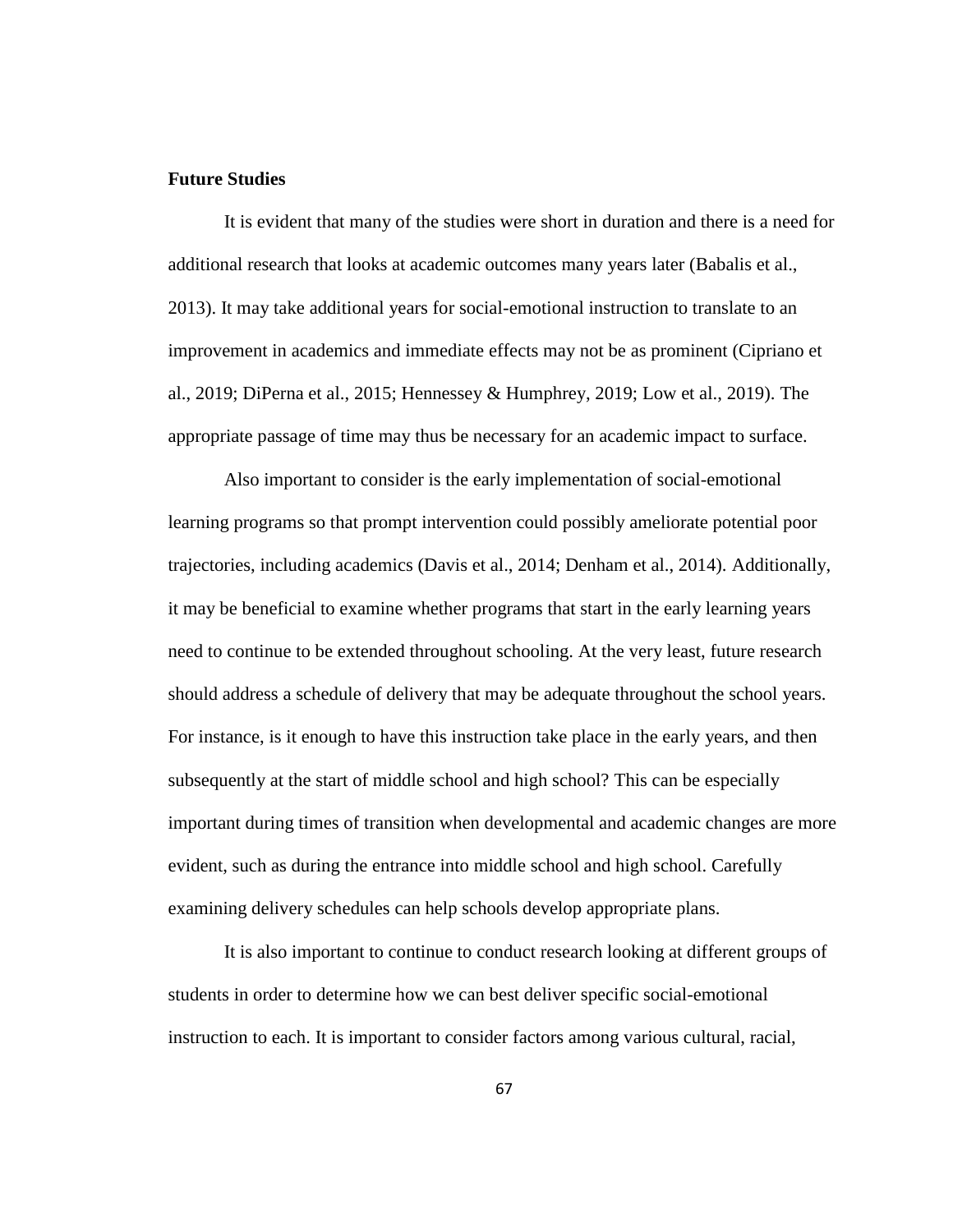## **Future Studies**

It is evident that many of the studies were short in duration and there is a need for additional research that looks at academic outcomes many years later (Babalis et al., 2013). It may take additional years for social-emotional instruction to translate to an improvement in academics and immediate effects may not be as prominent (Cipriano et al., 2019; DiPerna et al., 2015; Hennessey & Humphrey, 2019; Low et al., 2019). The appropriate passage of time may thus be necessary for an academic impact to surface.

Also important to consider is the early implementation of social-emotional learning programs so that prompt intervention could possibly ameliorate potential poor trajectories, including academics (Davis et al., 2014; Denham et al., 2014). Additionally, it may be beneficial to examine whether programs that start in the early learning years need to continue to be extended throughout schooling. At the very least, future research should address a schedule of delivery that may be adequate throughout the school years. For instance, is it enough to have this instruction take place in the early years, and then subsequently at the start of middle school and high school? This can be especially important during times of transition when developmental and academic changes are more evident, such as during the entrance into middle school and high school. Carefully examining delivery schedules can help schools develop appropriate plans.

It is also important to continue to conduct research looking at different groups of students in order to determine how we can best deliver specific social-emotional instruction to each. It is important to consider factors among various cultural, racial,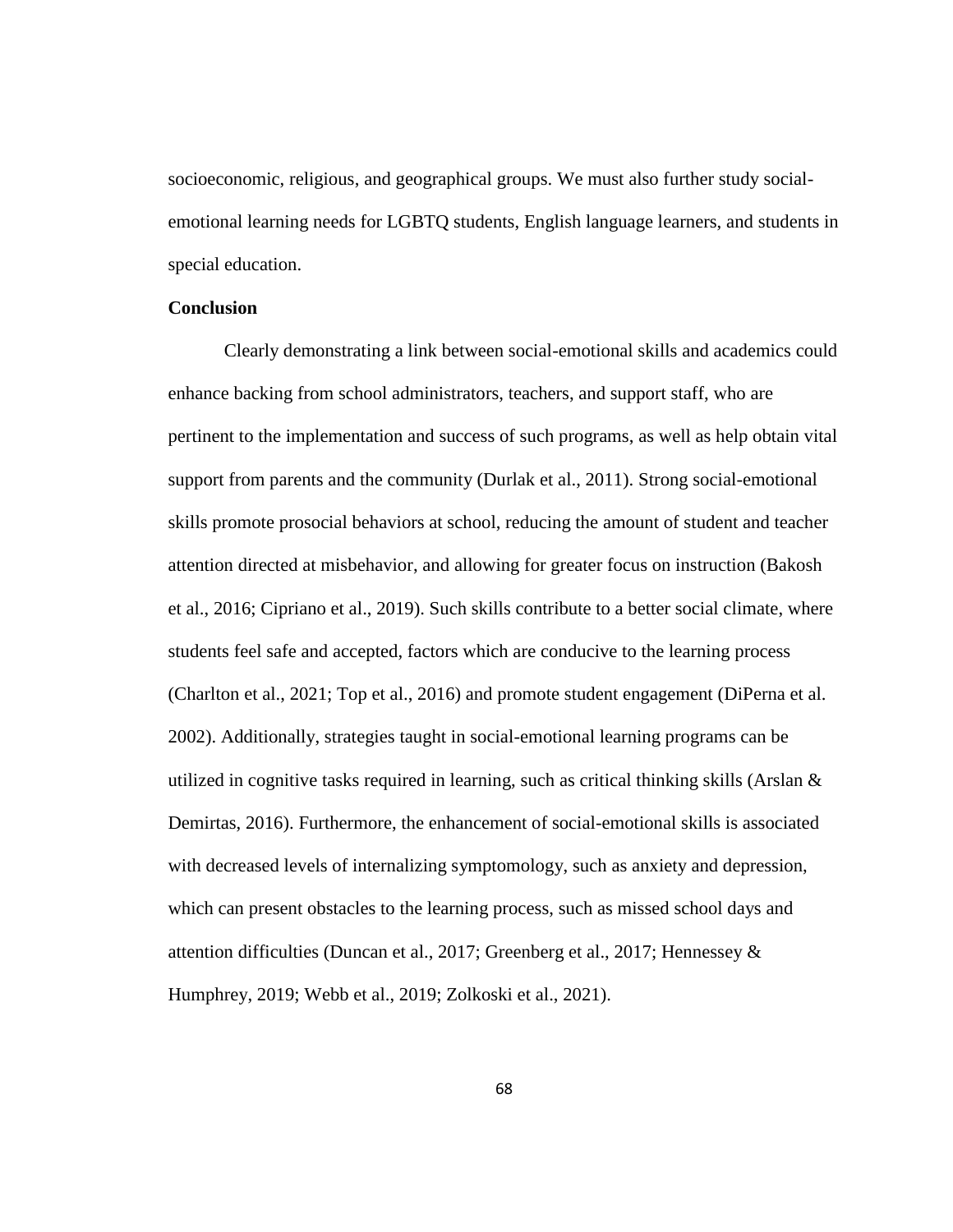socioeconomic, religious, and geographical groups. We must also further study socialemotional learning needs for LGBTQ students, English language learners, and students in special education.

### **Conclusion**

Clearly demonstrating a link between social-emotional skills and academics could enhance backing from school administrators, teachers, and support staff, who are pertinent to the implementation and success of such programs, as well as help obtain vital support from parents and the community (Durlak et al., 2011). Strong social-emotional skills promote prosocial behaviors at school, reducing the amount of student and teacher attention directed at misbehavior, and allowing for greater focus on instruction (Bakosh et al., 2016; Cipriano et al., 2019). Such skills contribute to a better social climate, where students feel safe and accepted, factors which are conducive to the learning process (Charlton et al., 2021; Top et al., 2016) and promote student engagement (DiPerna et al. 2002). Additionally, strategies taught in social-emotional learning programs can be utilized in cognitive tasks required in learning, such as critical thinking skills (Arslan  $\&$ Demirtas, 2016). Furthermore, the enhancement of social-emotional skills is associated with decreased levels of internalizing symptomology, such as anxiety and depression, which can present obstacles to the learning process, such as missed school days and attention difficulties (Duncan et al., 2017; Greenberg et al., 2017; Hennessey & Humphrey, 2019; Webb et al., 2019; Zolkoski et al., 2021).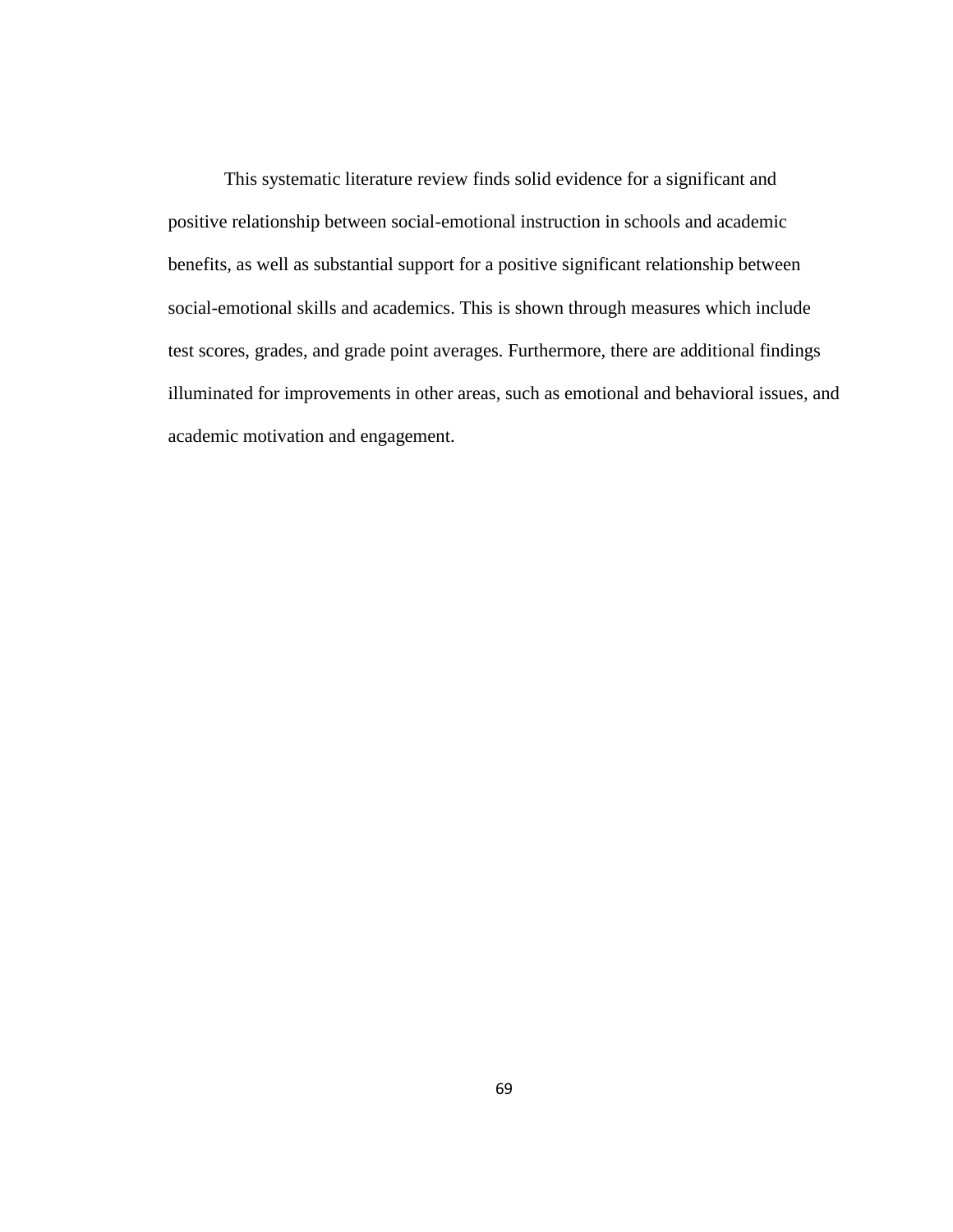This systematic literature review finds solid evidence for a significant and positive relationship between social-emotional instruction in schools and academic benefits, as well as substantial support for a positive significant relationship between social-emotional skills and academics. This is shown through measures which include test scores, grades, and grade point averages. Furthermore, there are additional findings illuminated for improvements in other areas, such as emotional and behavioral issues, and academic motivation and engagement.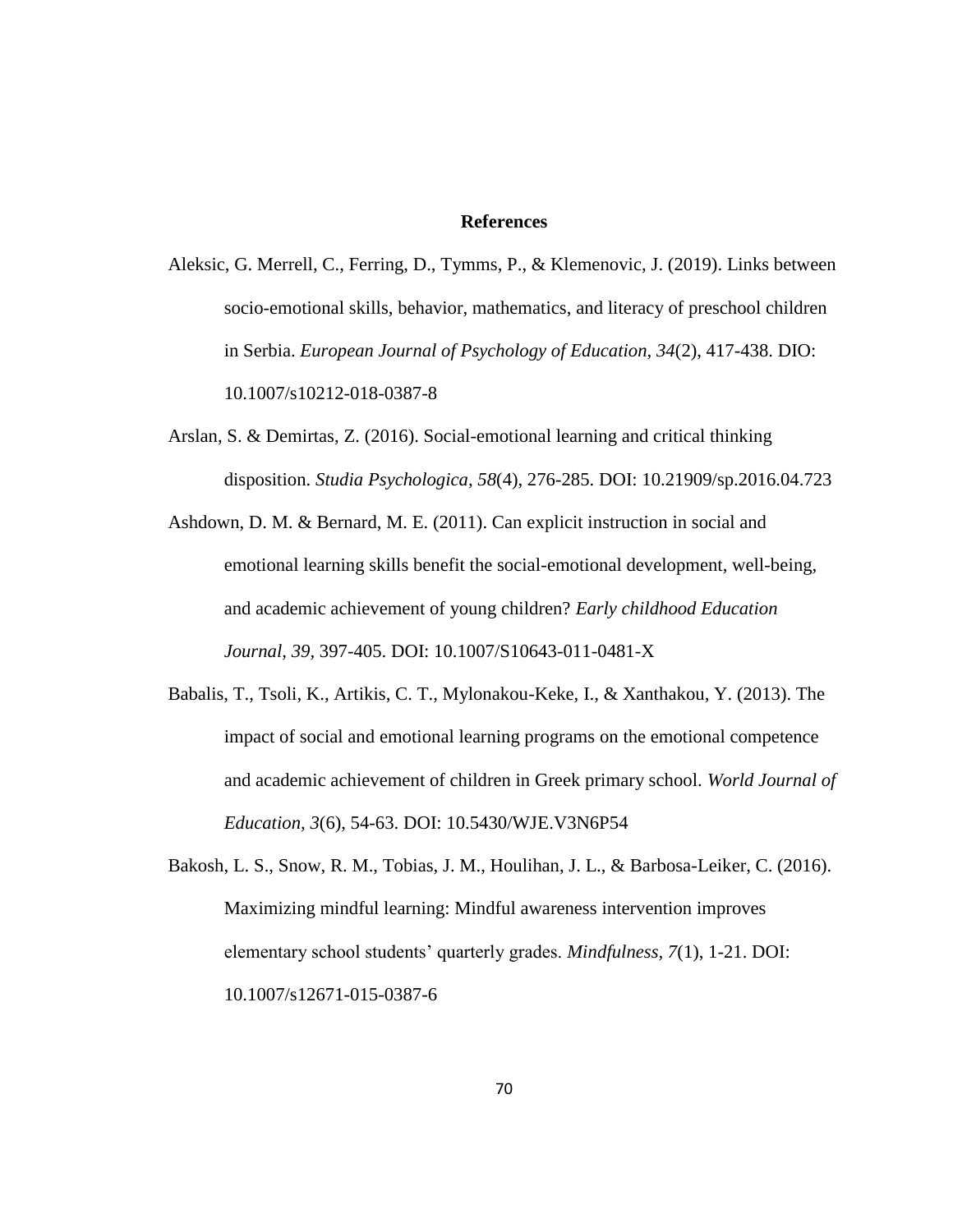#### **References**

- Aleksic, G. Merrell, C., Ferring, D., Tymms, P., & Klemenovic, J. (2019). Links between socio-emotional skills, behavior, mathematics, and literacy of preschool children in Serbia. *European Journal of Psychology of Education, 34*(2), 417-438. DIO: 10.1007/s10212-018-0387-8
- Arslan, S. & Demirtas, Z. (2016). Social-emotional learning and critical thinking disposition. *Studia Psychologica, 58*(4), 276-285. DOI: 10.21909/sp.2016.04.723
- Ashdown, D. M. & Bernard, M. E. (2011). Can explicit instruction in social and emotional learning skills benefit the social-emotional development, well-being, and academic achievement of young children? *Early childhood Education Journal, 39,* 397-405. DOI: 10.1007/S10643-011-0481-X
- Babalis, T., Tsoli, K., Artikis, C. T., Mylonakou-Keke, I., & Xanthakou, Y. (2013). The impact of social and emotional learning programs on the emotional competence and academic achievement of children in Greek primary school. *World Journal of Education, 3*(6), 54-63. DOI: 10.5430/WJE.V3N6P54
- Bakosh, L. S., Snow, R. M., Tobias, J. M., Houlihan, J. L., & Barbosa-Leiker, C. (2016). Maximizing mindful learning: Mindful awareness intervention improves elementary school students' quarterly grades. *Mindfulness, 7*(1), 1-21. DOI: 10.1007/s12671-015-0387-6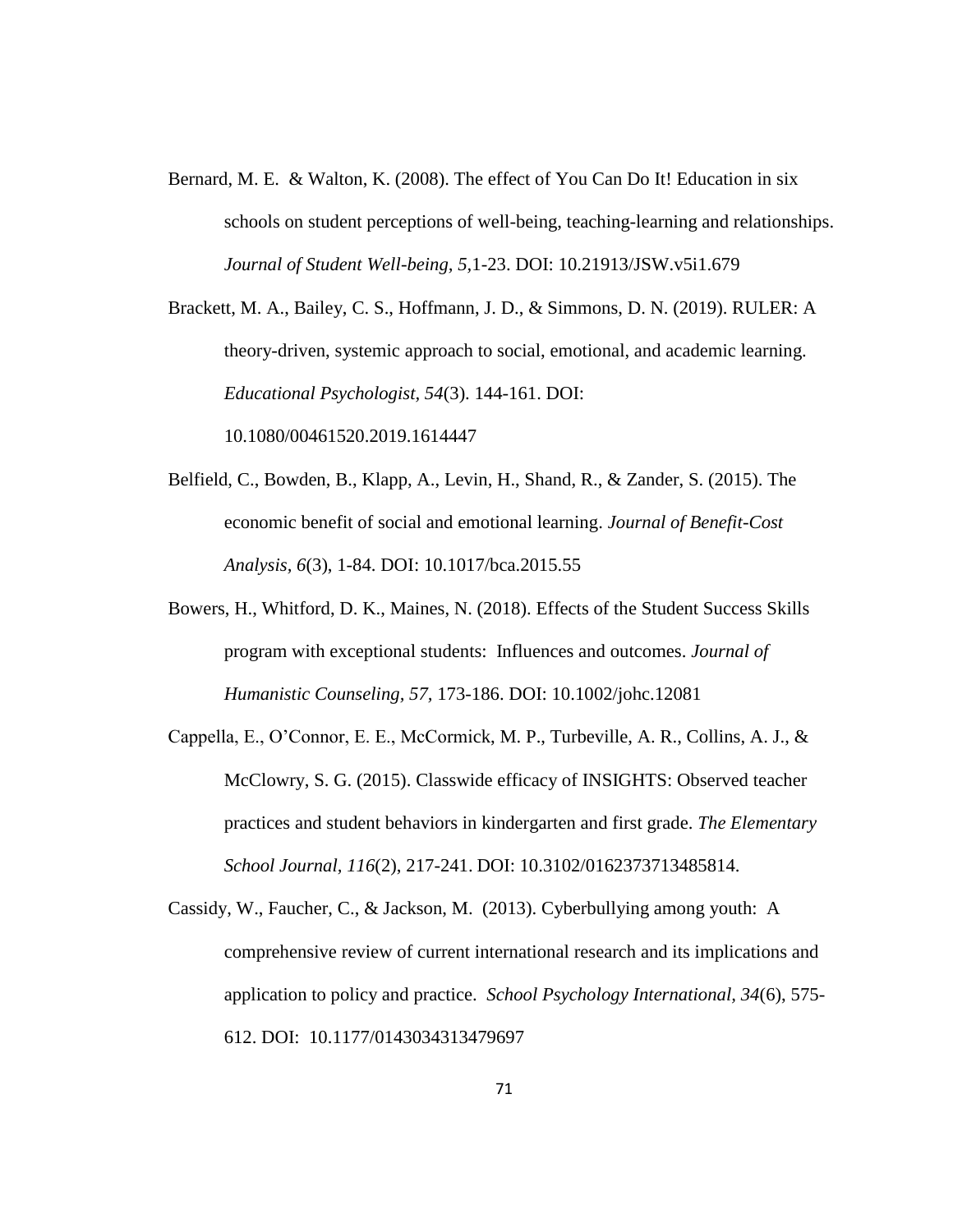Bernard, M. E. & Walton, K. (2008). The effect of You Can Do It! Education in six schools on student perceptions of well-being, teaching-learning and relationships. *Journal of Student Well-being, 5,*1-23. DOI: 10.21913/JSW.v5i1.679

Brackett, M. A., Bailey, C. S., Hoffmann, J. D., & Simmons, D. N. (2019). RULER: A theory-driven, systemic approach to social, emotional, and academic learning. *Educational Psychologist, 54*(3). 144-161. DOI: 10.1080/00461520.2019.1614447

- Belfield, C., Bowden, B., Klapp, A., Levin, H., Shand, R., & Zander, S. (2015). The economic benefit of social and emotional learning. *Journal of Benefit-Cost Analysis, 6*(3), 1-84. DOI: 10.1017/bca.2015.55
- Bowers, H., Whitford, D. K., Maines, N. (2018). Effects of the Student Success Skills program with exceptional students: Influences and outcomes. *Journal of Humanistic Counseling, 57,* 173-186. DOI: 10.1002/johc.12081
- Cappella, E., O'Connor, E. E., McCormick, M. P., Turbeville, A. R., Collins, A. J., & McClowry, S. G. (2015). Classwide efficacy of INSIGHTS: Observed teacher practices and student behaviors in kindergarten and first grade. *The Elementary School Journal, 116*(2), 217-241. DOI: 10.3102/0162373713485814.
- Cassidy, W., Faucher, C., & Jackson, M. (2013). Cyberbullying among youth: A comprehensive review of current international research and its implications and application to policy and practice. *School Psychology International, 34*(6), 575- 612. DOI: 10.1177/0143034313479697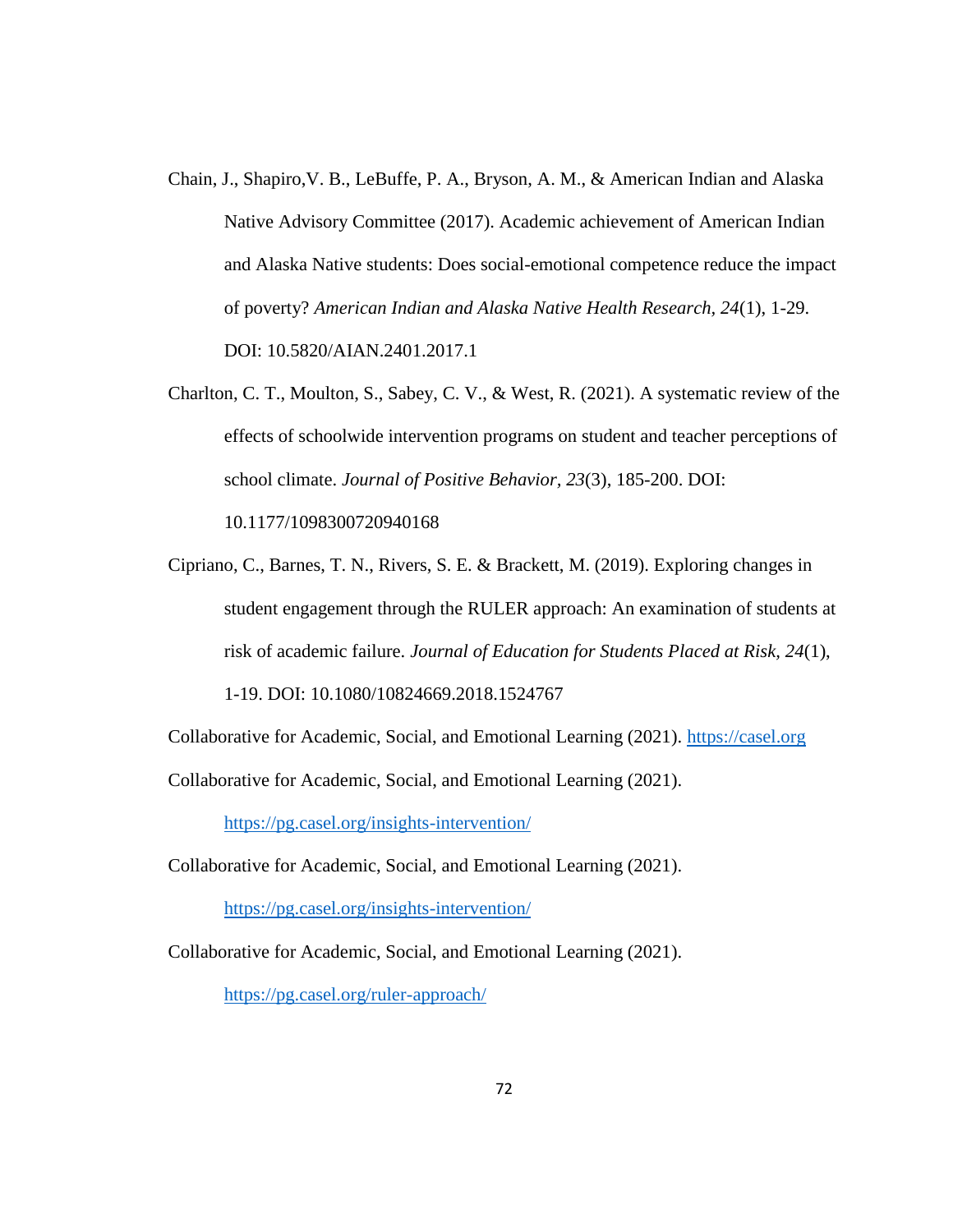- Chain, J., Shapiro,V. B., LeBuffe, P. A., Bryson, A. M., & American Indian and Alaska Native Advisory Committee (2017). Academic achievement of American Indian and Alaska Native students: Does social-emotional competence reduce the impact of poverty? *American Indian and Alaska Native Health Research, 24*(1), 1-29. DOI: 10.5820/AIAN.2401.2017.1
- Charlton, C. T., Moulton, S., Sabey, C. V., & West, R. (2021). A systematic review of the effects of schoolwide intervention programs on student and teacher perceptions of school climate. *Journal of Positive Behavior, 23*(3), 185-200. DOI: 10.1177/1098300720940168

Cipriano, C., Barnes, T. N., Rivers, S. E. & Brackett, M. (2019). Exploring changes in student engagement through the RULER approach: An examination of students at risk of academic failure. *Journal of Education for Students Placed at Risk, 24*(1), 1-19. DOI: 10.1080/10824669.2018.1524767

Collaborative for Academic, Social, and Emotional Learning (2021). [https://casel.org](https://casel.org/)

Collaborative for Academic, Social, and Emotional Learning (2021).

<https://pg.casel.org/insights-intervention/>

Collaborative for Academic, Social, and Emotional Learning (2021).

<https://pg.casel.org/insights-intervention/>

Collaborative for Academic, Social, and Emotional Learning (2021).

<https://pg.casel.org/ruler-approach/>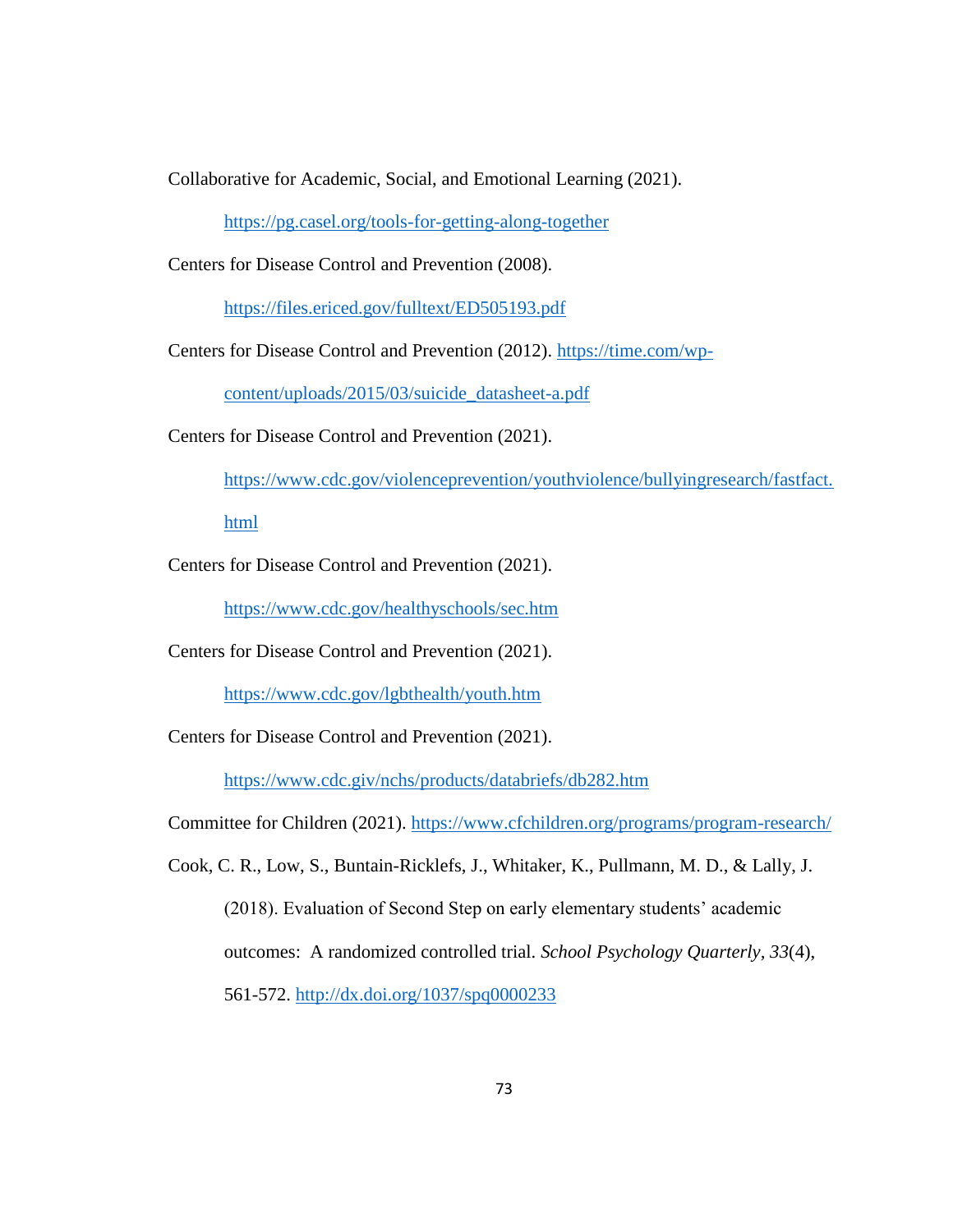Collaborative for Academic, Social, and Emotional Learning (2021).

<https://pg.casel.org/tools-for-getting-along-together>

Centers for Disease Control and Prevention (2008).

<https://files.ericed.gov/fulltext/ED505193.pdf>

Centers for Disease Control and Prevention (2012). [https://time.com/wp-](https://time.com/wp-content/uploads/2015/03/suicide_datasheet-a.pdf)

[content/uploads/2015/03/suicide\\_datasheet-a.pdf](https://time.com/wp-content/uploads/2015/03/suicide_datasheet-a.pdf)

Centers for Disease Control and Prevention (2021).

[https://www.cdc.gov/violenceprevention/youthviolence/bullyingresearch/fastfact.](https://www.cdc.gov/violenceprevention/youthviolence/bullyingresearch/fastfact.html)

[html](https://www.cdc.gov/violenceprevention/youthviolence/bullyingresearch/fastfact.html)

Centers for Disease Control and Prevention (2021).

<https://www.cdc.gov/healthyschools/sec.htm>

Centers for Disease Control and Prevention (2021).

<https://www.cdc.gov/lgbthealth/youth.htm>

Centers for Disease Control and Prevention (2021).

<https://www.cdc.giv/nchs/products/databriefs/db282.htm>

Committee for Children (2021).<https://www.cfchildren.org/programs/program-research/>

Cook, C. R., Low, S., Buntain-Ricklefs, J., Whitaker, K., Pullmann, M. D., & Lally, J.

(2018). Evaluation of Second Step on early elementary students' academic outcomes: A randomized controlled trial. *School Psychology Quarterly, 33*(4), 561-572.<http://dx.doi.org/1037/spq0000233>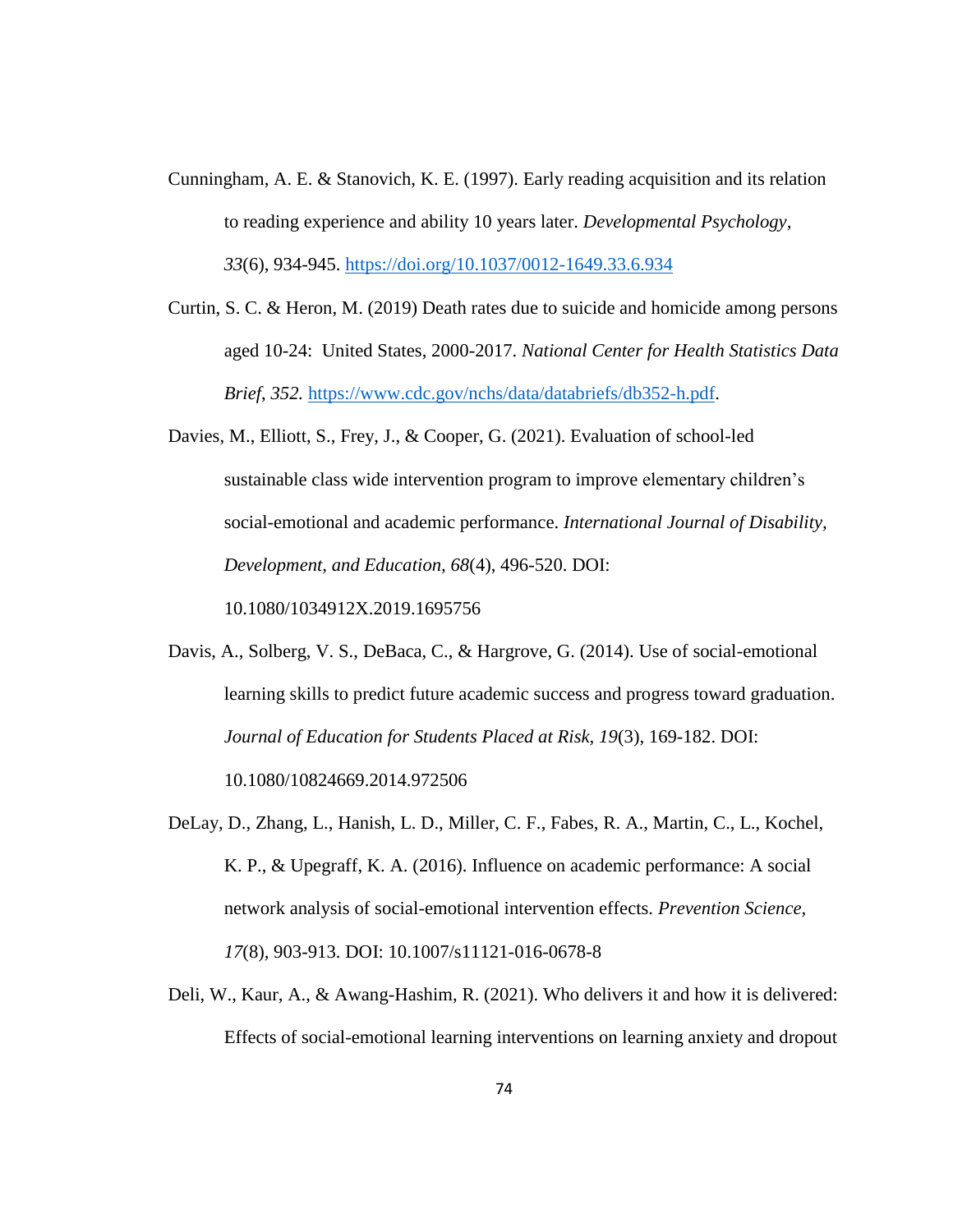- Cunningham, A. E. & Stanovich, K. E. (1997). Early reading acquisition and its relation to reading experience and ability 10 years later. *Developmental Psychology, 33*(6), 934-945.<https://doi.org/10.1037/0012-1649.33.6.934>
- Curtin, S. C. & Heron, M. (2019) Death rates due to suicide and homicide among persons aged 10-24: United States, 2000-2017. *National Center for Health Statistics Data Brief*, *352.* [https://www.cdc.gov/nchs/data/databriefs/db352-h.pdf.](https://www.cdc.gov/nchs/data/databriefs/db352-h.pdf)
- Davies, M., Elliott, S., Frey, J., & Cooper, G. (2021). Evaluation of school-led sustainable class wide intervention program to improve elementary children's social-emotional and academic performance. *International Journal of Disability, Development, and Education, 68*(4), 496-520. DOI: 10.1080/1034912X.2019.1695756
- Davis, A., Solberg, V. S., DeBaca, C., & Hargrove, G. (2014). Use of social-emotional learning skills to predict future academic success and progress toward graduation. *Journal of Education for Students Placed at Risk, 19*(3), 169-182. DOI: 10.1080/10824669.2014.972506
- DeLay, D., Zhang, L., Hanish, L. D., Miller, C. F., Fabes, R. A., Martin, C., L., Kochel, K. P., & Upegraff, K. A. (2016). Influence on academic performance: A social network analysis of social-emotional intervention effects. *Prevention Science, 17*(8)*,* 903-913. DOI: 10.1007/s11121-016-0678-8
- Deli, W., Kaur, A., & Awang-Hashim, R. (2021). Who delivers it and how it is delivered: Effects of social-emotional learning interventions on learning anxiety and dropout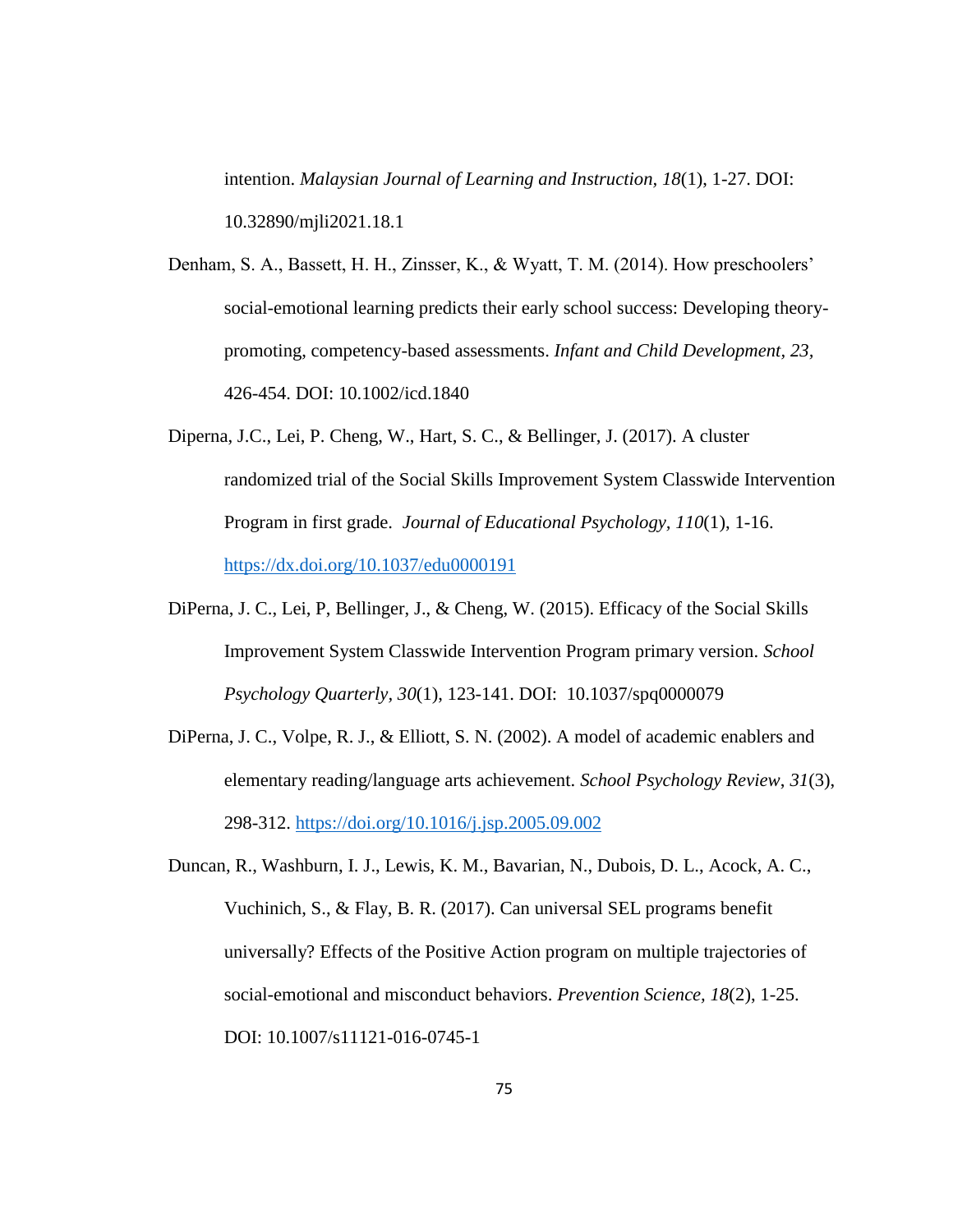intention. *Malaysian Journal of Learning and Instruction, 18*(1), 1-27. DOI: 10.32890/mjli2021.18.1

Denham, S. A., Bassett, H. H., Zinsser, K., & Wyatt, T. M. (2014). How preschoolers' social-emotional learning predicts their early school success: Developing theorypromoting, competency-based assessments. *Infant and Child Development, 23,* 426-454. DOI: 10.1002/icd.1840

- Diperna, J.C., Lei, P. Cheng, W., Hart, S. C., & Bellinger, J. (2017). A cluster randomized trial of the Social Skills Improvement System Classwide Intervention Program in first grade. *Journal of Educational Psychology, 110*(1), 1-16. <https://dx.doi.org/10.1037/edu0000191>
- DiPerna, J. C., Lei, P, Bellinger, J., & Cheng, W. (2015). Efficacy of the Social Skills Improvement System Classwide Intervention Program primary version. *School Psychology Quarterly, 30*(1), 123-141. DOI: 10.1037/spq0000079
- DiPerna, J. C., Volpe, R. J., & Elliott, S. N. (2002). A model of academic enablers and elementary reading/language arts achievement. *School Psychology Review*, *31*(3), 298-312. <https://doi.org/10.1016/j.jsp.2005.09.002>
- Duncan, R., Washburn, I. J., Lewis, K. M., Bavarian, N., Dubois, D. L., Acock, A. C., Vuchinich, S., & Flay, B. R. (2017). Can universal SEL programs benefit universally? Effects of the Positive Action program on multiple trajectories of social-emotional and misconduct behaviors. *Prevention Science, 18*(2), 1-25. DOI: 10.1007/s11121-016-0745-1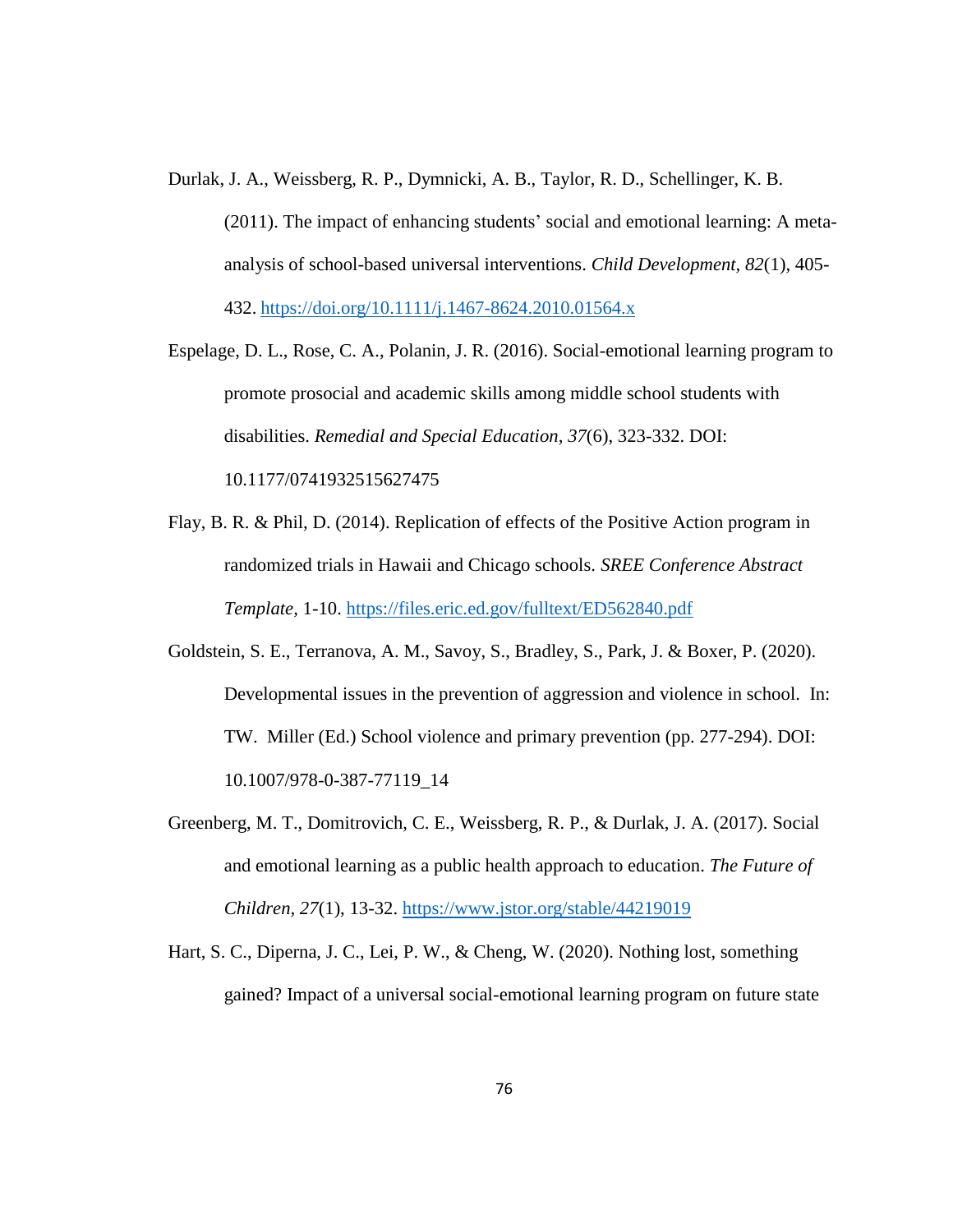- Durlak, J. A., Weissberg, R. P., Dymnicki, A. B., Taylor, R. D., Schellinger, K. B. (2011). The impact of enhancing students' social and emotional learning: A metaanalysis of school-based universal interventions. *Child Development, 82*(1), 405- 432. <https://doi.org/10.1111/j.1467-8624.2010.01564.x>
- Espelage, D. L., Rose, C. A., Polanin, J. R. (2016). Social-emotional learning program to promote prosocial and academic skills among middle school students with disabilities. *Remedial and Special Education, 37*(6), 323-332. DOI: 10.1177/0741932515627475
- Flay, B. R. & Phil, D. (2014). Replication of effects of the Positive Action program in randomized trials in Hawaii and Chicago schools. *SREE Conference Abstract Template,* 1-10.<https://files.eric.ed.gov/fulltext/ED562840.pdf>
- Goldstein, S. E., Terranova, A. M., Savoy, S., Bradley, S., Park, J. & Boxer, P. (2020). Developmental issues in the prevention of aggression and violence in school. In: TW. Miller (Ed.) School violence and primary prevention (pp. 277-294). DOI: 10.1007/978-0-387-77119\_14
- Greenberg, M. T., Domitrovich, C. E., Weissberg, R. P., & Durlak, J. A. (2017). Social and emotional learning as a public health approach to education. *The Future of Children, 27*(1), 13-32.<https://www.jstor.org/stable/44219019>
- Hart, S. C., Diperna, J. C., Lei, P. W., & Cheng, W. (2020). Nothing lost, something gained? Impact of a universal social-emotional learning program on future state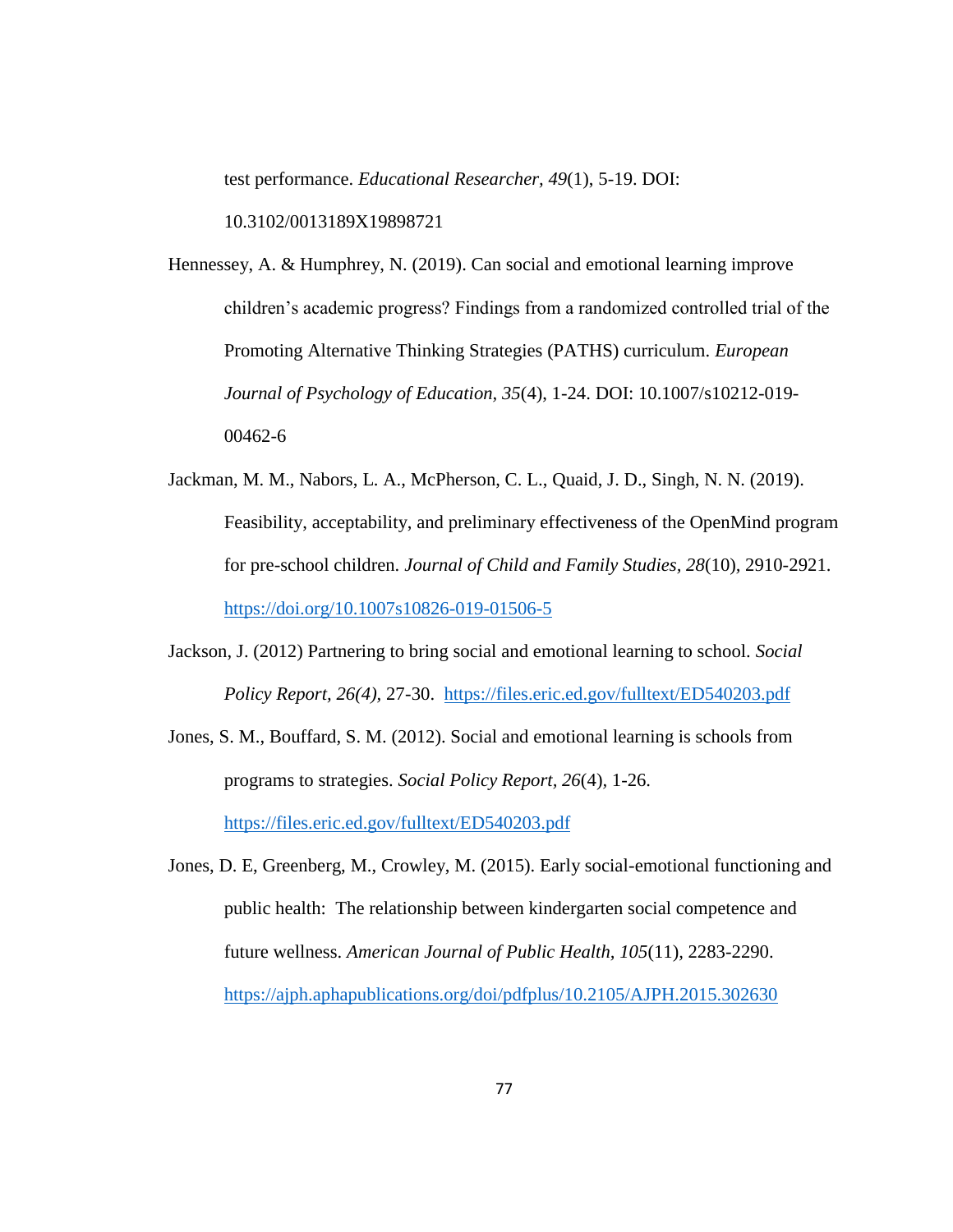test performance. *Educational Researcher, 49*(1), 5-19. DOI:

10.3102/0013189X19898721

Hennessey, A. & Humphrey, N. (2019). Can social and emotional learning improve children's academic progress? Findings from a randomized controlled trial of the Promoting Alternative Thinking Strategies (PATHS) curriculum. *European Journal of Psychology of Education, 35*(4), 1-24. DOI: 10.1007/s10212-019- 00462-6

- Jackman, M. M., Nabors, L. A., McPherson, C. L., Quaid, J. D., Singh, N. N. (2019). Feasibility, acceptability, and preliminary effectiveness of the OpenMind program for pre-school children. *Journal of Child and Family Studies, 28*(10)*,* 2910-2921. <https://doi.org/10.1007s10826-019-01506-5>
- Jackson, J. (2012) Partnering to bring social and emotional learning to school. *Social Policy Report, 26(4),* 27-30. <https://files.eric.ed.gov/fulltext/ED540203.pdf>
- Jones, S. M., Bouffard, S. M. (2012). Social and emotional learning is schools from programs to strategies. *Social Policy Report, 26*(4)*,* 1-26. <https://files.eric.ed.gov/fulltext/ED540203.pdf>
- Jones, D. E, Greenberg, M., Crowley, M. (2015). Early social-emotional functioning and public health: The relationship between kindergarten social competence and future wellness. *American Journal of Public Health, 105*(11)*,* 2283-2290. <https://ajph.aphapublications.org/doi/pdfplus/10.2105/AJPH.2015.302630>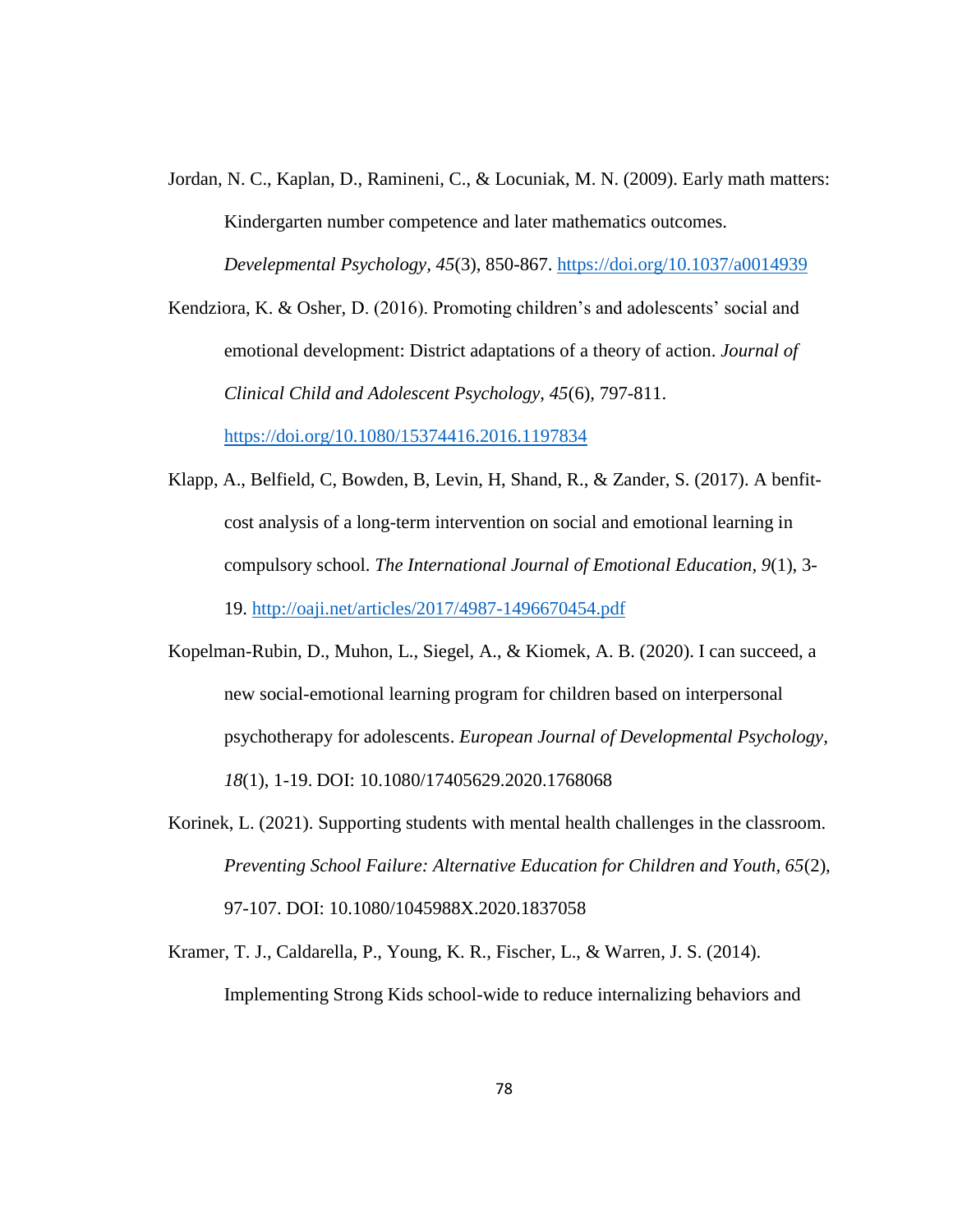Jordan, N. C., Kaplan, D., Ramineni, C., & Locuniak, M. N. (2009). Early math matters: Kindergarten number competence and later mathematics outcomes. *Develepmental Psychology, 45*(3), 850-867.<https://doi.org/10.1037/a0014939>

Kendziora, K. & Osher, D. (2016). Promoting children's and adolescents' social and emotional development: District adaptations of a theory of action. *Journal of Clinical Child and Adolescent Psychology, 45*(6)*,* 797-811.

<https://doi.org/10.1080/15374416.2016.1197834>

- Klapp, A., Belfield, C, Bowden, B, Levin, H, Shand, R., & Zander, S. (2017). A benfitcost analysis of a long-term intervention on social and emotional learning in compulsory school. *The International Journal of Emotional Education, 9*(1), 3- 19.<http://oaji.net/articles/2017/4987-1496670454.pdf>
- Kopelman-Rubin, D., Muhon, L., Siegel, A., & Kiomek, A. B. (2020). I can succeed, a new social-emotional learning program for children based on interpersonal psychotherapy for adolescents. *European Journal of Developmental Psychology, 18*(1), 1-19. DOI: 10.1080/17405629.2020.1768068
- Korinek, L. (2021). Supporting students with mental health challenges in the classroom. *Preventing School Failure: Alternative Education for Children and Youth, 65*(2), 97-107. DOI: 10.1080/1045988X.2020.1837058
- Kramer, T. J., Caldarella, P., Young, K. R., Fischer, L., & Warren, J. S. (2014). Implementing Strong Kids school-wide to reduce internalizing behaviors and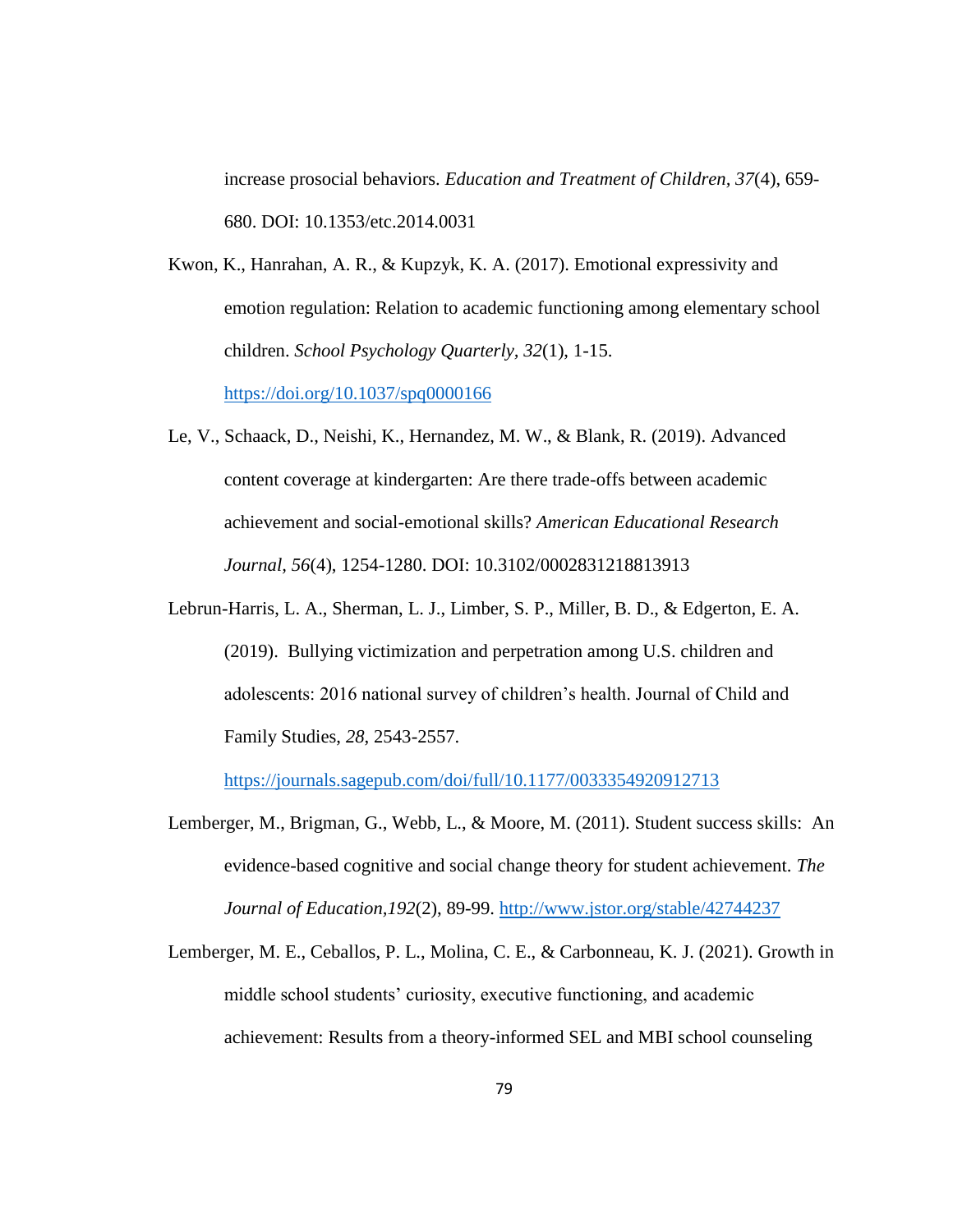increase prosocial behaviors. *Education and Treatment of Children, 37*(4), 659- 680. DOI: 10.1353/etc.2014.0031

Kwon, K., Hanrahan, A. R., & Kupzyk, K. A. (2017). Emotional expressivity and emotion regulation: Relation to academic functioning among elementary school children. *School Psychology Quarterly, 32*(1), 1-15. <https://doi.org/10.1037/spq0000166>

- Le, V., Schaack, D., Neishi, K., Hernandez, M. W., & Blank, R. (2019). Advanced content coverage at kindergarten: Are there trade-offs between academic achievement and social-emotional skills? *American Educational Research Journal, 56*(4), 1254-1280. DOI: 10.3102/0002831218813913
- Lebrun-Harris, L. A., Sherman, L. J., Limber, S. P., Miller, B. D., & Edgerton, E. A. (2019). Bullying victimization and perpetration among U.S. children and adolescents: 2016 national survey of children's health. Journal of Child and Family Studies, *28*, 2543-2557.

<https://journals.sagepub.com/doi/full/10.1177/0033354920912713>

- Lemberger, M., Brigman, G., Webb, L., & Moore, M. (2011). Student success skills: An evidence-based cognitive and social change theory for student achievement. *The Journal of Education,192*(2), 89-99.<http://www.jstor.org/stable/42744237>
- Lemberger, M. E., Ceballos, P. L., Molina, C. E., & Carbonneau, K. J. (2021). Growth in middle school students' curiosity, executive functioning, and academic achievement: Results from a theory-informed SEL and MBI school counseling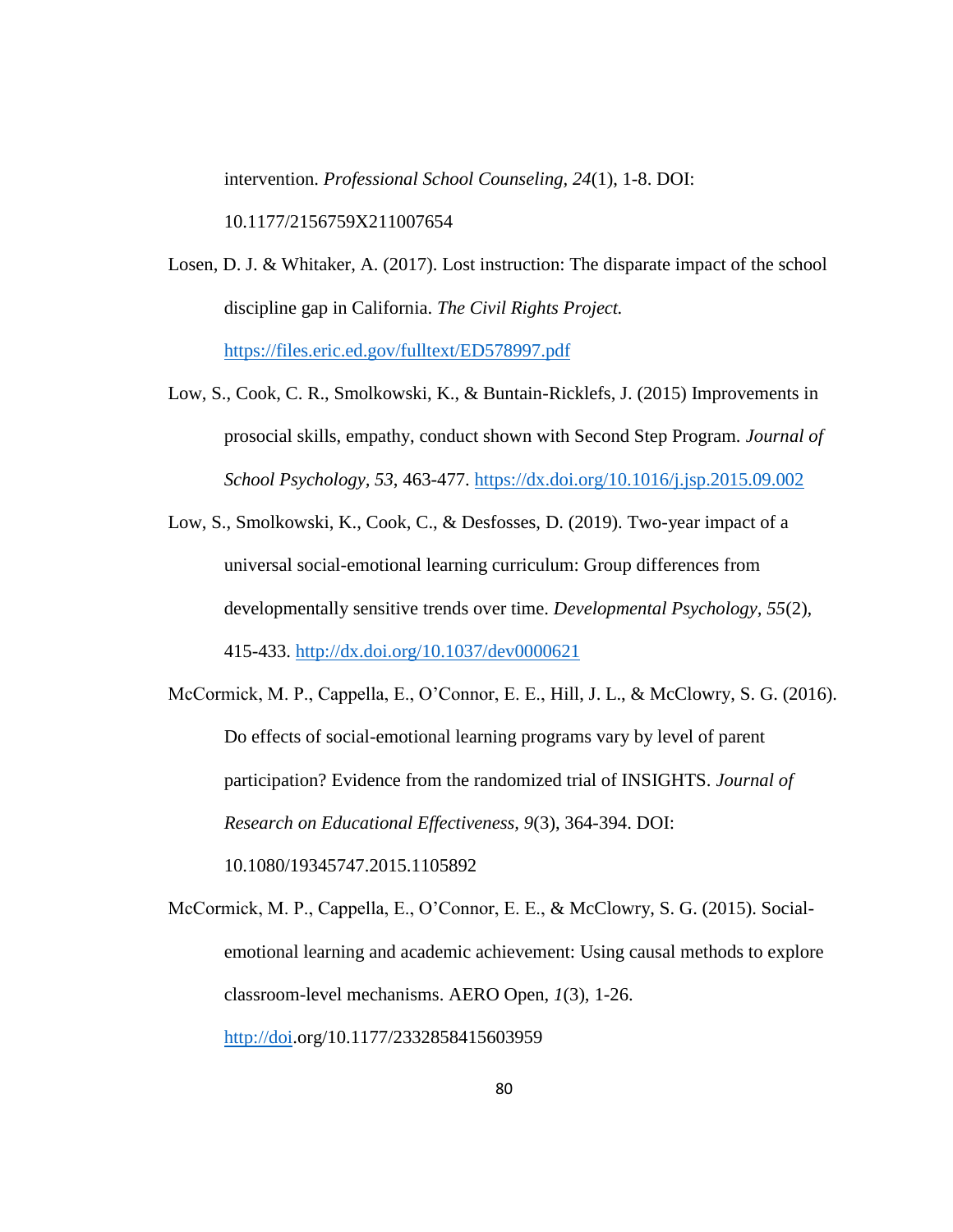intervention. *Professional School Counseling, 24*(1), 1-8. DOI:

10.1177/2156759X211007654

- Losen, D. J. & Whitaker, A. (2017). Lost instruction: The disparate impact of the school discipline gap in California. *The Civil Rights Project.* <https://files.eric.ed.gov/fulltext/ED578997.pdf>
- Low, S., Cook, C. R., Smolkowski, K., & Buntain-Ricklefs, J. (2015) Improvements in prosocial skills, empathy, conduct shown with Second Step Program. *Journal of School Psychology, 53*, 463-477.<https://dx.doi.org/10.1016/j.jsp.2015.09.002>
- Low, S., Smolkowski, K., Cook, C., & Desfosses, D. (2019). Two-year impact of a universal social-emotional learning curriculum: Group differences from developmentally sensitive trends over time. *Developmental Psychology, 55*(2)*,*  415-433.<http://dx.doi.org/10.1037/dev0000621>

McCormick, M. P., Cappella, E., O'Connor, E. E., Hill, J. L., & McClowry, S. G. (2016). Do effects of social-emotional learning programs vary by level of parent participation? Evidence from the randomized trial of INSIGHTS. *Journal of Research on Educational Effectiveness, 9*(3), 364-394. DOI: 10.1080/19345747.2015.1105892

McCormick, M. P., Cappella, E., O'Connor, E. E., & McClowry, S. G. (2015). Socialemotional learning and academic achievement: Using causal methods to explore classroom-level mechanisms. AERO Open, *1*(3), 1-26. [http://doi.](http://doi/)org/10.1177/2332858415603959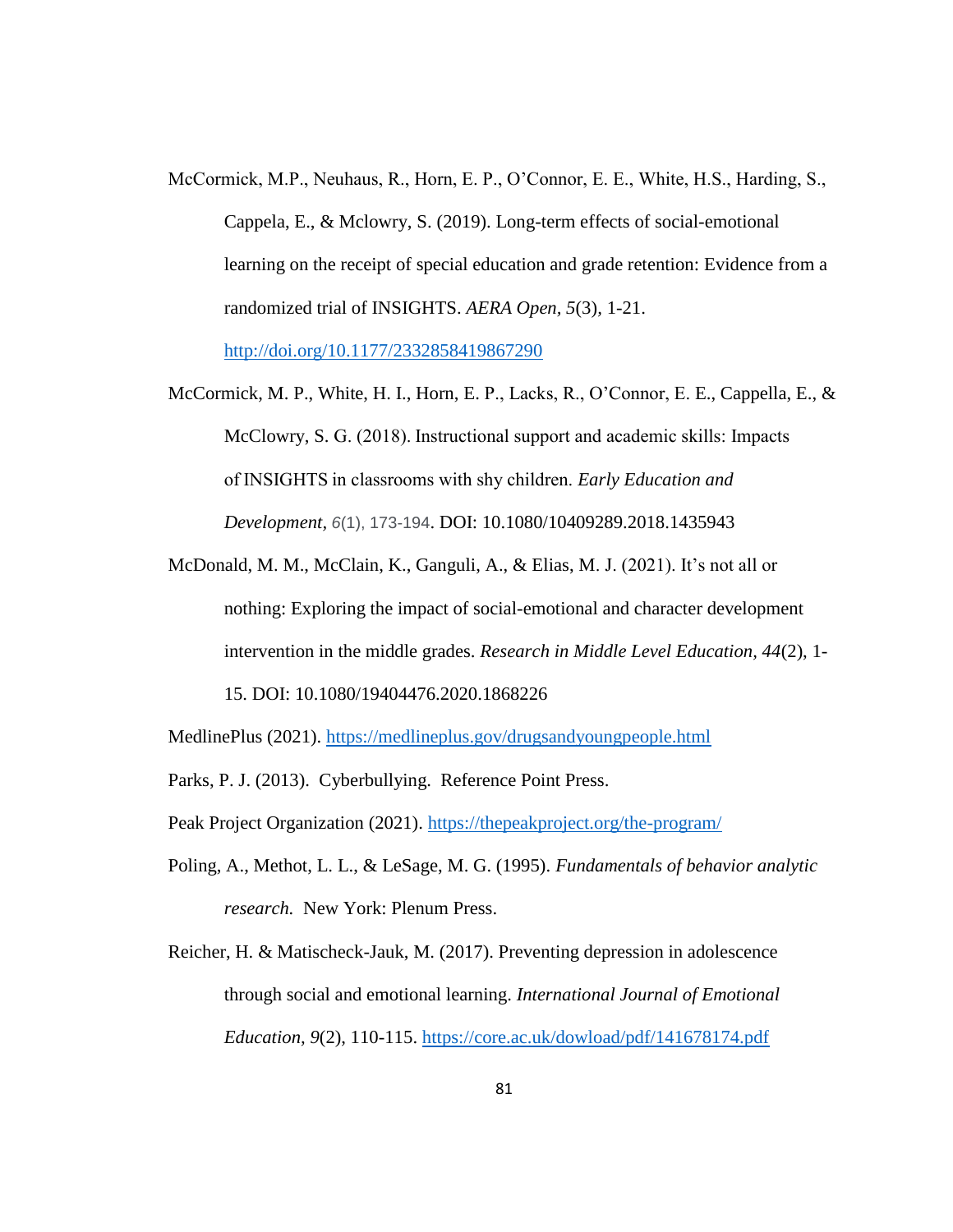- McCormick, M.P., Neuhaus, R., Horn, E. P., O'Connor, E. E., White, H.S., Harding, S., Cappela, E., & Mclowry, S. (2019). Long-term effects of social-emotional learning on the receipt of special education and grade retention: Evidence from a randomized trial of INSIGHTS. *AERA Open, 5*(3)*,* 1-21. <http://doi.org/10.1177/2332858419867290>
- McCormick, M. P., White, H. I., Horn, E. P., Lacks, R., O'Connor, E. E., Cappella, E., & McClowry, S. G. (2018). Instructional support and academic skills: Impacts of INSIGHTS in classrooms with shy children. *Early Education and Development, 6*(1), 173-194. DOI: 10.1080/10409289.2018.1435943
- McDonald, M. M., McClain, K., Ganguli, A., & Elias, M. J. (2021). It's not all or nothing: Exploring the impact of social-emotional and character development intervention in the middle grades. *Research in Middle Level Education, 44*(2), 1- 15. DOI: 10.1080/19404476.2020.1868226
- MedlinePlus (2021).<https://medlineplus.gov/drugsandyoungpeople.html>
- Parks, P. J. (2013). Cyberbullying. Reference Point Press.
- Peak Project Organization (2021).<https://thepeakproject.org/the-program/>
- Poling, A., Methot, L. L., & LeSage, M. G. (1995). *Fundamentals of behavior analytic research.* New York: Plenum Press.
- Reicher, H. & Matischeck-Jauk, M. (2017). Preventing depression in adolescence through social and emotional learning. *International Journal of Emotional Education, 9*(2), 110-115.<https://core.ac.uk/dowload/pdf/141678174.pdf>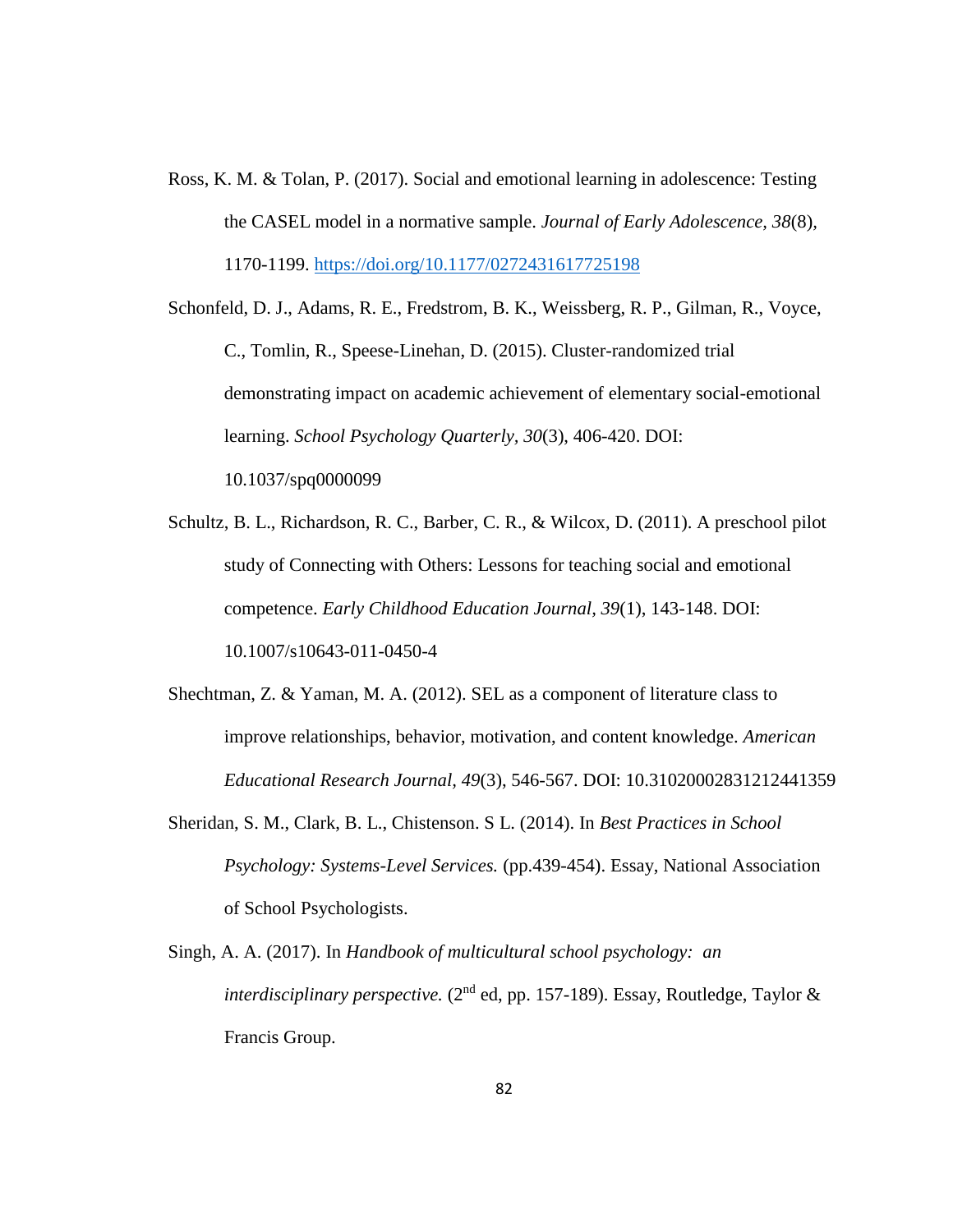Ross, K. M. & Tolan, P. (2017). Social and emotional learning in adolescence: Testing the CASEL model in a normative sample. *Journal of Early Adolescence, 38*(8)*,* 1170-1199.<https://doi.org/10.1177/0272431617725198>

Schonfeld, D. J., Adams, R. E., Fredstrom, B. K., Weissberg, R. P., Gilman, R., Voyce, C., Tomlin, R., Speese-Linehan, D. (2015). Cluster-randomized trial demonstrating impact on academic achievement of elementary social-emotional learning. *School Psychology Quarterly, 30*(3), 406-420. DOI: 10.1037/spq0000099

Schultz, B. L., Richardson, R. C., Barber, C. R., & Wilcox, D. (2011). A preschool pilot study of Connecting with Others: Lessons for teaching social and emotional competence. *Early Childhood Education Journal, 39*(1), 143-148. DOI: 10.1007/s10643-011-0450-4

- Shechtman, Z. & Yaman, M. A. (2012). SEL as a component of literature class to improve relationships, behavior, motivation, and content knowledge. *American Educational Research Journal, 49*(3), 546-567. DOI: 10.31020002831212441359
- Sheridan, S. M., Clark, B. L., Chistenson. S L. (2014). In *Best Practices in School Psychology: Systems-Level Services.* (pp.439-454). Essay, National Association of School Psychologists.
- Singh, A. A. (2017). In *Handbook of multicultural school psychology: an interdisciplinary perspective.* (2<sup>nd</sup> ed, pp. 157-189). Essay, Routledge, Taylor & Francis Group.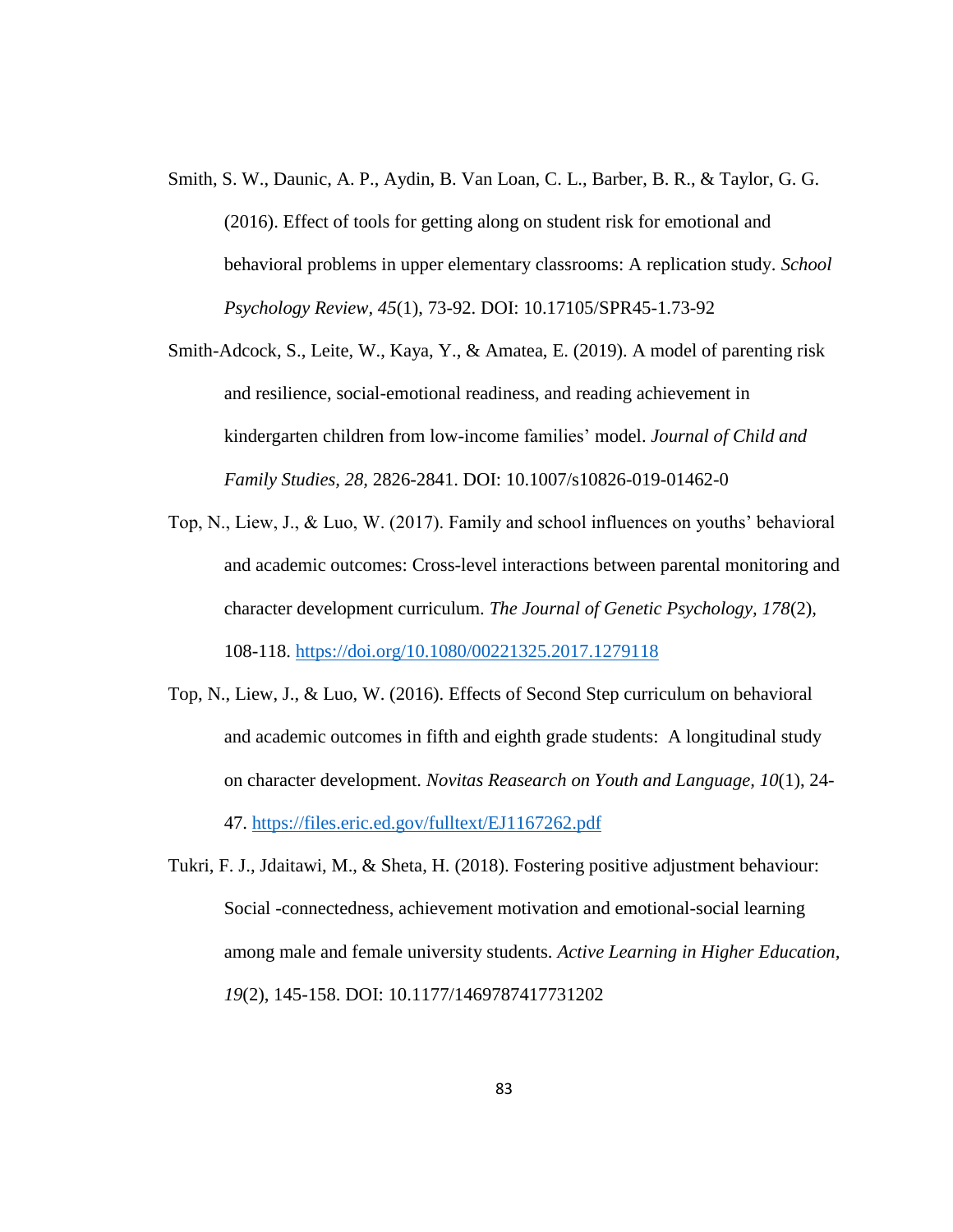- Smith, S. W., Daunic, A. P., Aydin, B. Van Loan, C. L., Barber, B. R., & Taylor, G. G. (2016). Effect of tools for getting along on student risk for emotional and behavioral problems in upper elementary classrooms: A replication study. *School Psychology Review, 45*(1), 73-92. DOI: 10.17105/SPR45-1.73-92
- Smith-Adcock, S., Leite, W., Kaya, Y., & Amatea, E. (2019). A model of parenting risk and resilience, social-emotional readiness, and reading achievement in kindergarten children from low-income families' model. *Journal of Child and Family Studies, 28,* 2826-2841. DOI: 10.1007/s10826-019-01462-0
- Top, N., Liew, J., & Luo, W. (2017). Family and school influences on youths' behavioral and academic outcomes: Cross-level interactions between parental monitoring and character development curriculum. *The Journal of Genetic Psychology, 178*(2)*,*  108-118.<https://doi.org/10.1080/00221325.2017.1279118>
- Top, N., Liew, J., & Luo, W. (2016). Effects of Second Step curriculum on behavioral and academic outcomes in fifth and eighth grade students: A longitudinal study on character development. *Novitas Reasearch on Youth and Language, 10*(1), 24- 47.<https://files.eric.ed.gov/fulltext/EJ1167262.pdf>
- Tukri, F. J., Jdaitawi, M., & Sheta, H. (2018). Fostering positive adjustment behaviour: Social -connectedness, achievement motivation and emotional-social learning among male and female university students. *Active Learning in Higher Education, 19*(2), 145-158. DOI: 10.1177/1469787417731202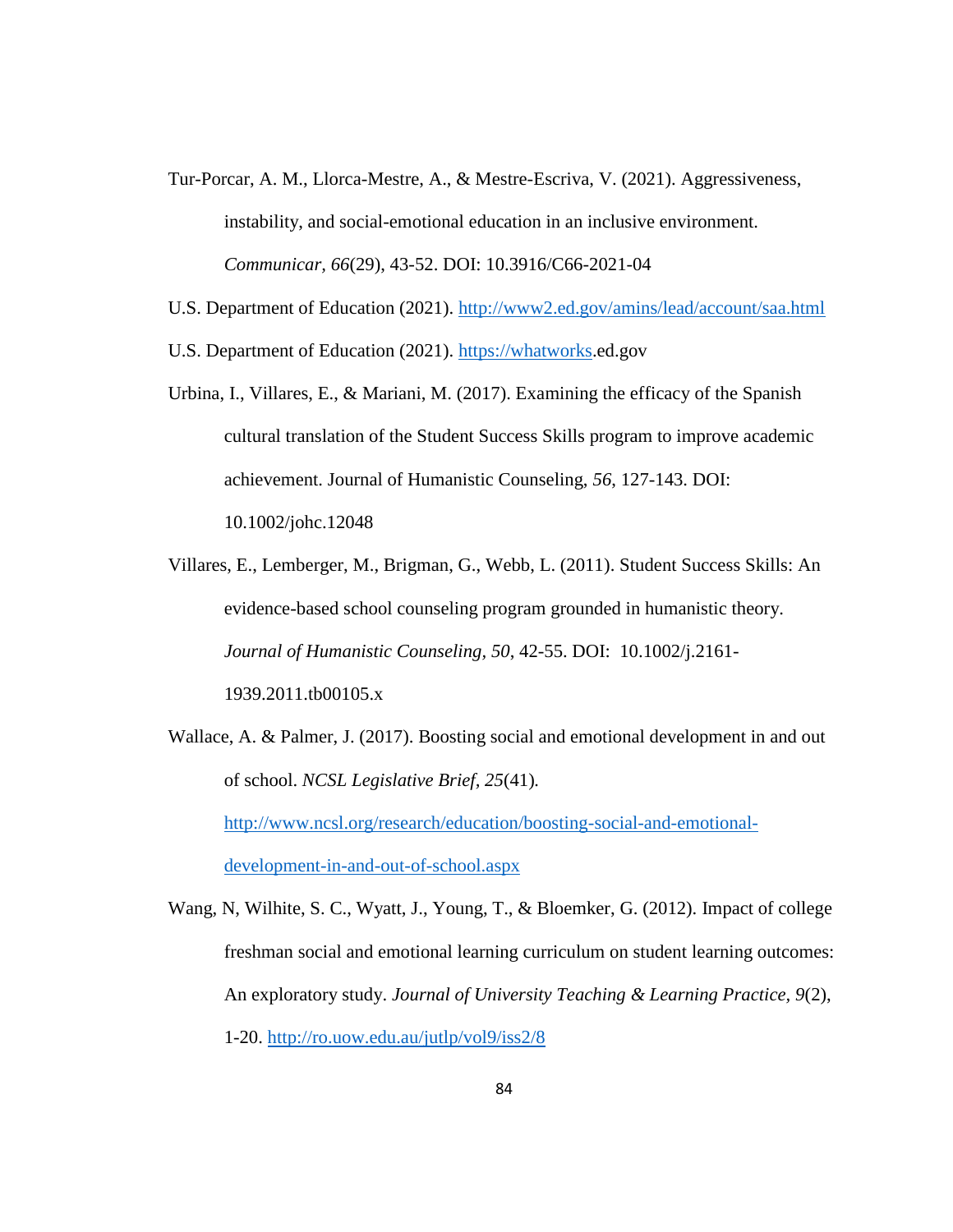- Tur-Porcar, A. M., Llorca-Mestre, A., & Mestre-Escriva, V. (2021). Aggressiveness, instability, and social-emotional education in an inclusive environment. *Communicar, 66*(29), 43-52. DOI: 10.3916/C66-2021-04
- U.S. Department of Education (2021).<http://www2.ed.gov/amins/lead/account/saa.html>
- U.S. Department of Education (2021). [https://whatworks.](https://whatworks/)ed.gov
- Urbina, I., Villares, E., & Mariani, M. (2017). Examining the efficacy of the Spanish cultural translation of the Student Success Skills program to improve academic achievement. Journal of Humanistic Counseling, *56*, 127-143. DOI: 10.1002/johc.12048
- Villares, E., Lemberger, M., Brigman, G., Webb, L. (2011). Student Success Skills: An evidence-based school counseling program grounded in humanistic theory. *Journal of Humanistic Counseling, 50*, 42-55. DOI: 10.1002/j.2161- 1939.2011.tb00105.x
- Wallace, A. & Palmer, J. (2017). Boosting social and emotional development in and out of school. *NCSL Legislative Brief, 25*(41)*.* [http://www.ncsl.org/research/education/boosting-social-and-emotional](http://www.ncsl.org/research/education/boosting-social-and-emotional-development-in-and-out-of-school.aspx)[development-in-and-out-of-school.aspx](http://www.ncsl.org/research/education/boosting-social-and-emotional-development-in-and-out-of-school.aspx)

Wang, N, Wilhite, S. C., Wyatt, J., Young, T., & Bloemker, G. (2012). Impact of college freshman social and emotional learning curriculum on student learning outcomes: An exploratory study. *Journal of University Teaching & Learning Practice, 9*(2), 1-20.<http://ro.uow.edu.au/jutlp/vol9/iss2/8>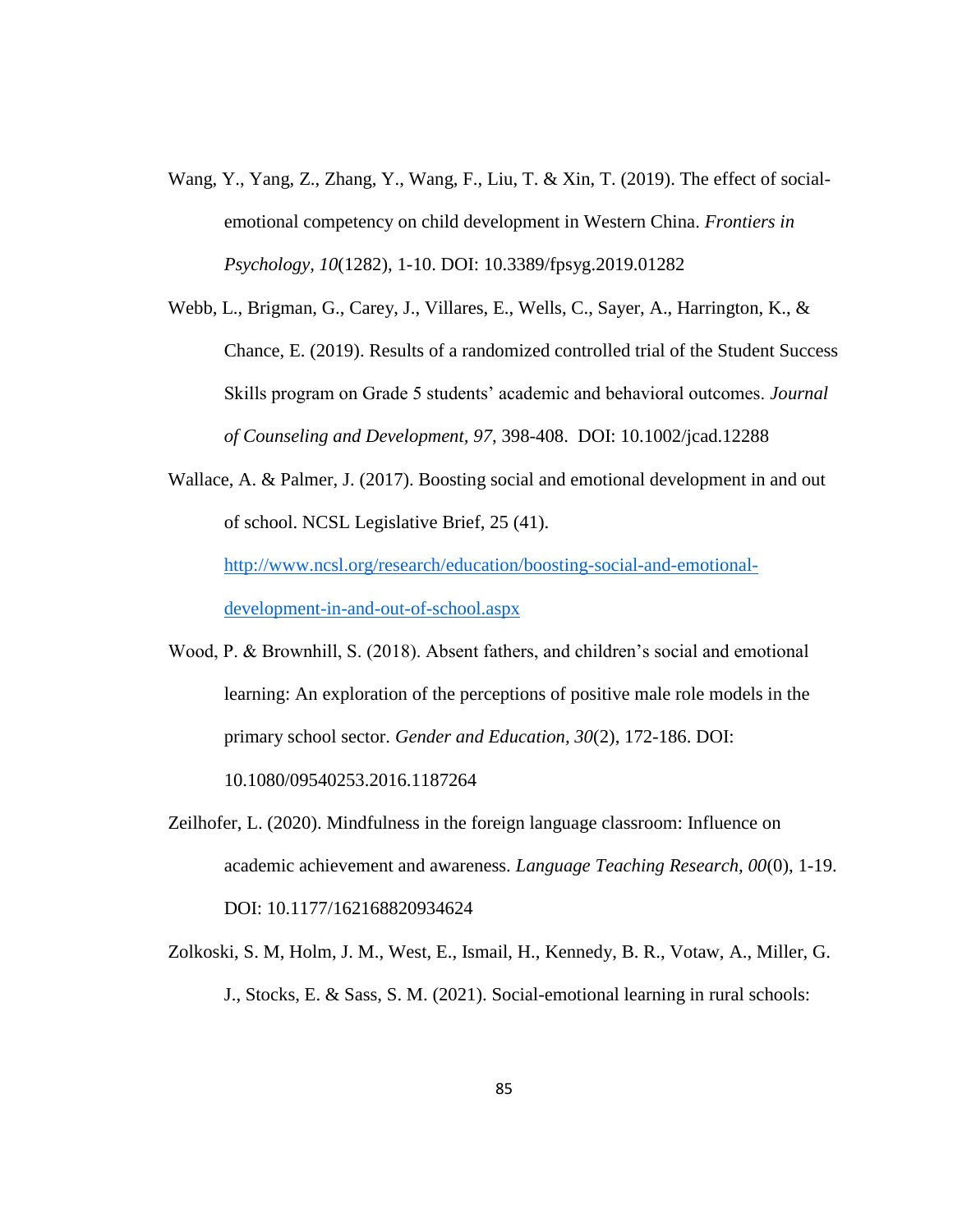- Wang, Y., Yang, Z., Zhang, Y., Wang, F., Liu, T. & Xin, T. (2019). The effect of socialemotional competency on child development in Western China. *Frontiers in Psychology, 10*(1282), 1-10. DOI: 10.3389/fpsyg.2019.01282
- Webb, L., Brigman, G., Carey, J., Villares, E., Wells, C., Sayer, A., Harrington, K., & Chance, E. (2019). Results of a randomized controlled trial of the Student Success Skills program on Grade 5 students' academic and behavioral outcomes. *Journal of Counseling and Development, 97*, 398-408. DOI: 10.1002/jcad.12288

Wallace, A. & Palmer, J. (2017). Boosting social and emotional development in and out of school. NCSL Legislative Brief, 25 (41). [http://www.ncsl.org/research/education/boosting-social-and-emotional](http://www.ncsl.org/research/education/boosting-social-and-emotional-development-in-and-out-of-school.aspx)[development-in-and-out-of-school.aspx](http://www.ncsl.org/research/education/boosting-social-and-emotional-development-in-and-out-of-school.aspx)

- Wood, P. & Brownhill, S. (2018). Absent fathers, and children's social and emotional learning: An exploration of the perceptions of positive male role models in the primary school sector. *Gender and Education, 30*(2), 172-186. DOI: 10.1080/09540253.2016.1187264
- Zeilhofer, L. (2020). Mindfulness in the foreign language classroom: Influence on academic achievement and awareness. *Language Teaching Research, 00*(0), 1-19. DOI: 10.1177/162168820934624
- Zolkoski, S. M, Holm, J. M., West, E., Ismail, H., Kennedy, B. R., Votaw, A., Miller, G. J., Stocks, E. & Sass, S. M. (2021). Social-emotional learning in rural schools: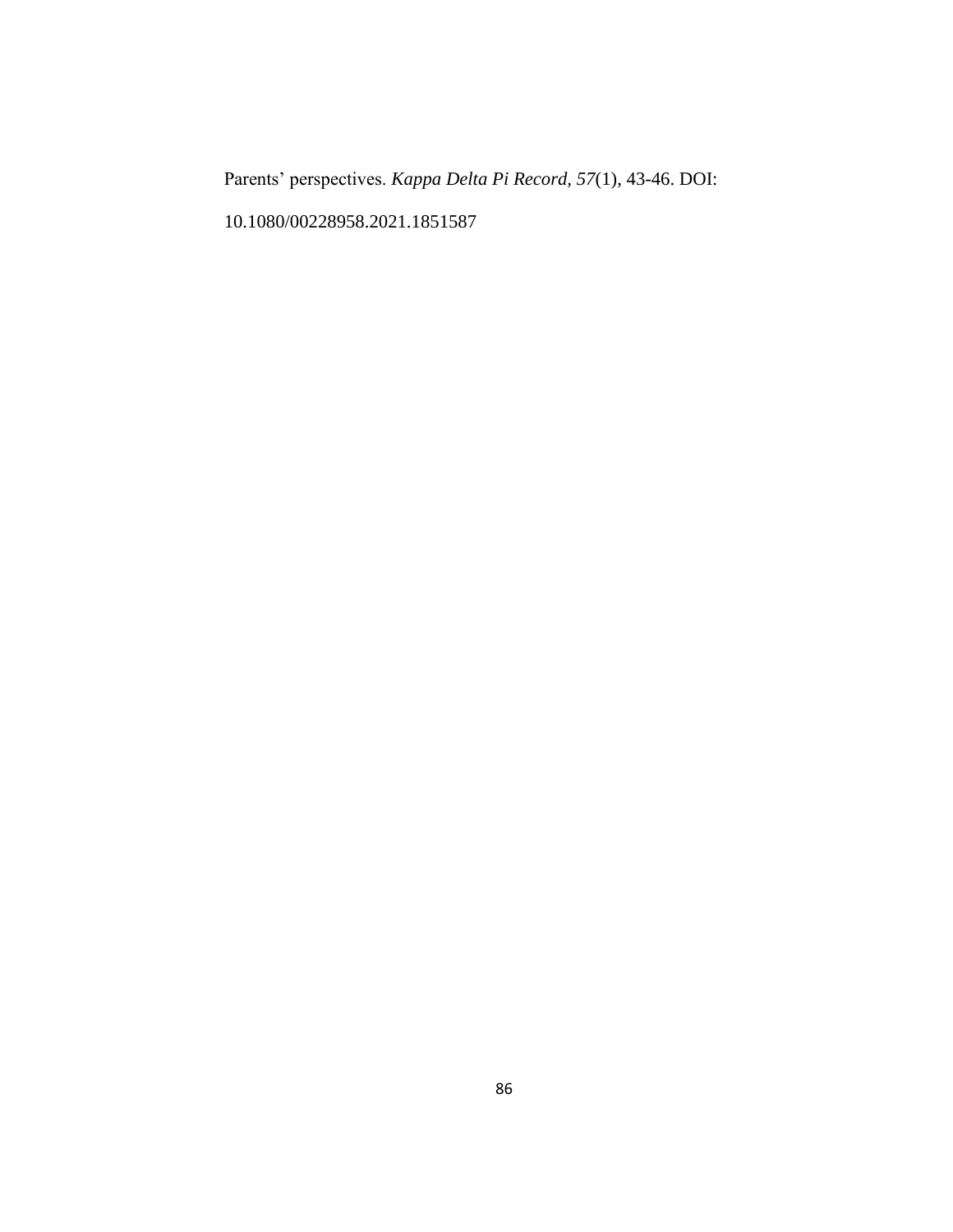Parents' perspectives. *Kappa Delta Pi Record, 57*(1), 43-46. DOI: 10.1080/00228958.2021.1851587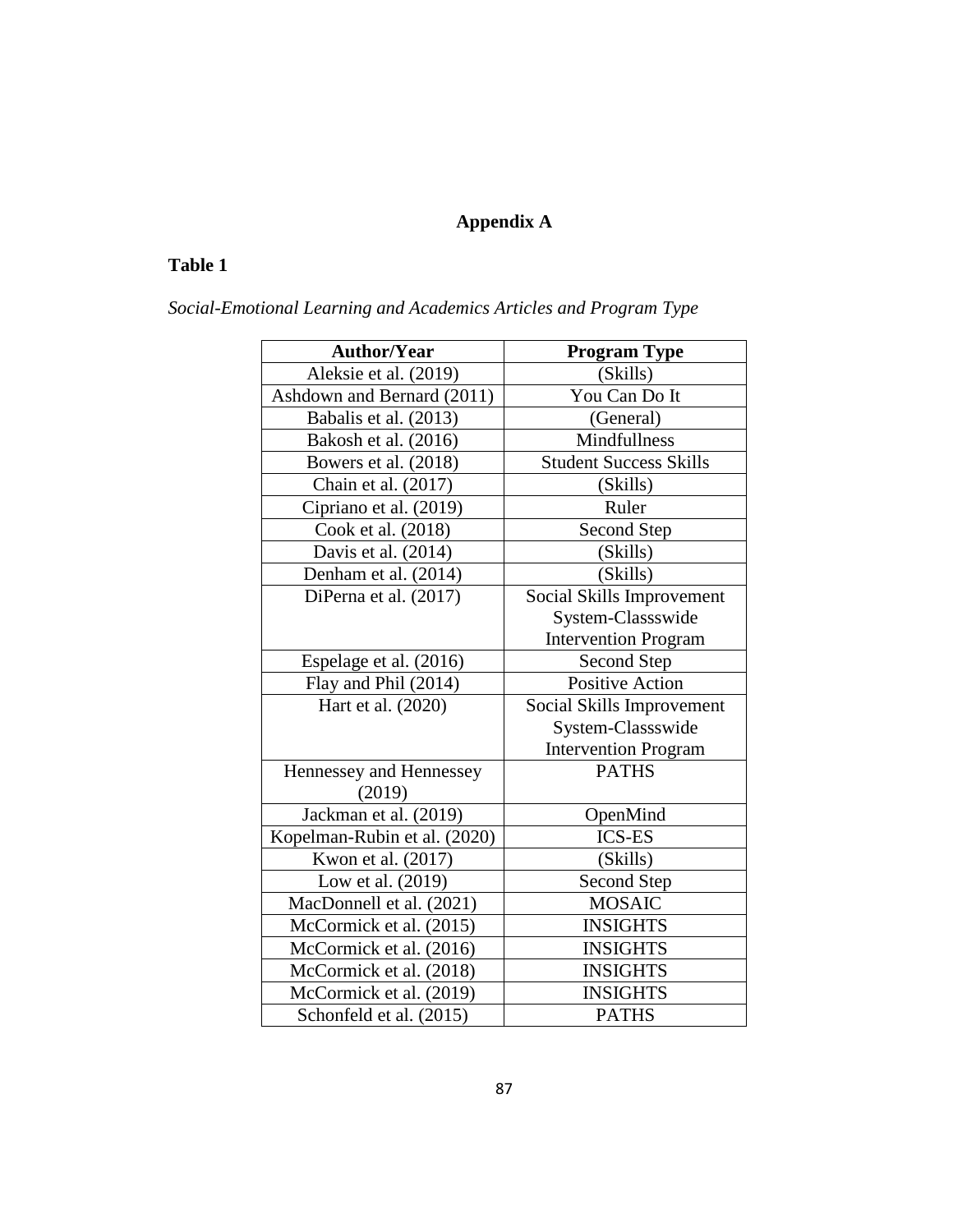# **Appendix A**

# **Table 1**

| Social-Emotional Learning and Academics Articles and Program Type |
|-------------------------------------------------------------------|
|-------------------------------------------------------------------|

| <b>Author/Year</b>           | <b>Program Type</b>           |
|------------------------------|-------------------------------|
| Aleksie et al. (2019)        | (Skills)                      |
| Ashdown and Bernard (2011)   | You Can Do It                 |
| Babalis et al. (2013)        | (General)                     |
| Bakosh et al. (2016)         | Mindfullness                  |
| Bowers et al. (2018)         | <b>Student Success Skills</b> |
| Chain et al. (2017)          | (Skills)                      |
| Cipriano et al. (2019)       | Ruler                         |
| Cook et al. (2018)           | Second Step                   |
| Davis et al. (2014)          | (Skills)                      |
| Denham et al. (2014)         | (Skills)                      |
| DiPerna et al. (2017)        | Social Skills Improvement     |
|                              | System-Classswide             |
|                              | <b>Intervention Program</b>   |
| Espelage et al. (2016)       | Second Step                   |
| Flay and Phil (2014)         | <b>Positive Action</b>        |
| Hart et al. (2020)           | Social Skills Improvement     |
|                              | System-Classswide             |
|                              | <b>Intervention Program</b>   |
| Hennessey and Hennessey      | <b>PATHS</b>                  |
| (2019)                       |                               |
| Jackman et al. (2019)        | OpenMind                      |
| Kopelman-Rubin et al. (2020) | <b>ICS-ES</b>                 |
| Kwon et al. (2017)           | (Skills)                      |
| Low et al. (2019)            | <b>Second Step</b>            |
| MacDonnell et al. (2021)     | <b>MOSAIC</b>                 |
| McCormick et al. (2015)      | <b>INSIGHTS</b>               |
| McCormick et al. (2016)      | <b>INSIGHTS</b>               |
| McCormick et al. (2018)      | <b>INSIGHTS</b>               |
| McCormick et al. (2019)      | <b>INSIGHTS</b>               |
| Schonfeld et al. (2015)      | <b>PATHS</b>                  |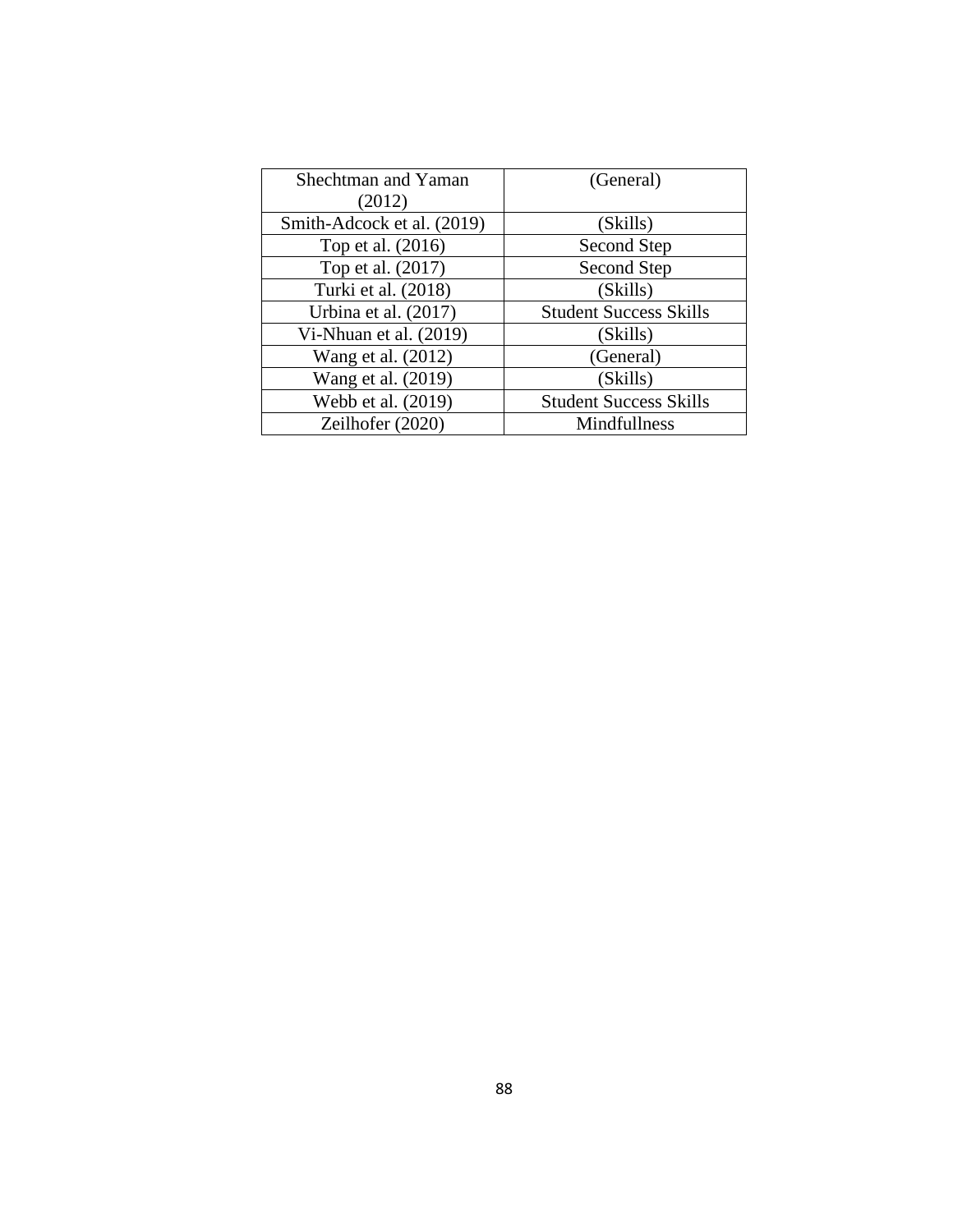| Shechtman and Yaman        | (General)                     |
|----------------------------|-------------------------------|
| (2012)                     |                               |
| Smith-Adcock et al. (2019) | (Skills)                      |
| Top et al. (2016)          | Second Step                   |
| Top et al. (2017)          | Second Step                   |
| Turki et al. (2018)        | (Skills)                      |
| Urbina et al. (2017)       | <b>Student Success Skills</b> |
| Vi-Nhuan et al. (2019)     | (Skills)                      |
| Wang et al. (2012)         | (General)                     |
| Wang et al. (2019)         | (Skills)                      |
| Webb et al. (2019)         | <b>Student Success Skills</b> |
| Zeilhofer (2020)           | Mindfullness                  |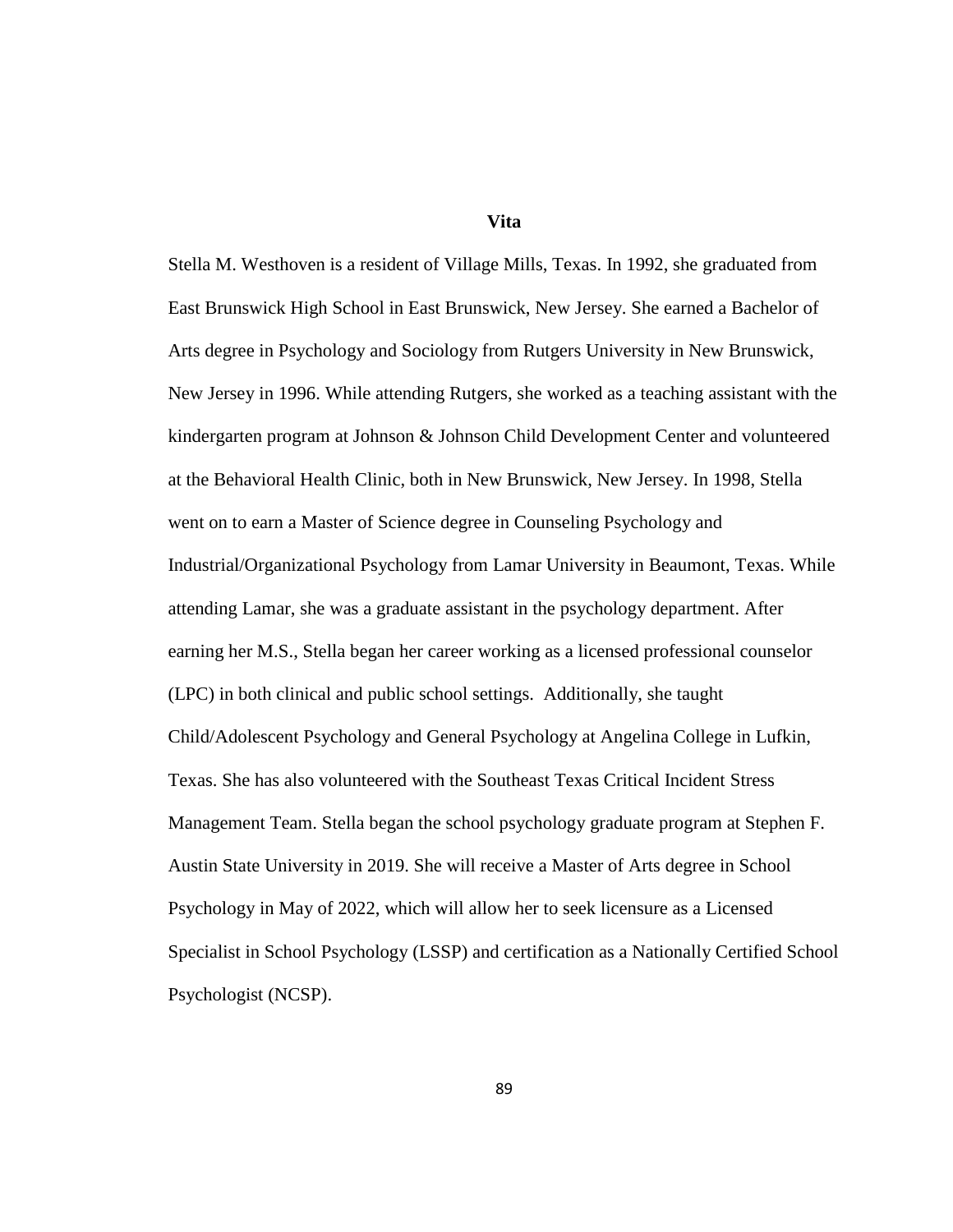**Vita**

Stella M. Westhoven is a resident of Village Mills, Texas. In 1992, she graduated from East Brunswick High School in East Brunswick, New Jersey. She earned a Bachelor of Arts degree in Psychology and Sociology from Rutgers University in New Brunswick, New Jersey in 1996. While attending Rutgers, she worked as a teaching assistant with the kindergarten program at Johnson & Johnson Child Development Center and volunteered at the Behavioral Health Clinic, both in New Brunswick, New Jersey. In 1998, Stella went on to earn a Master of Science degree in Counseling Psychology and Industrial/Organizational Psychology from Lamar University in Beaumont, Texas. While attending Lamar, she was a graduate assistant in the psychology department. After earning her M.S., Stella began her career working as a licensed professional counselor (LPC) in both clinical and public school settings. Additionally, she taught Child/Adolescent Psychology and General Psychology at Angelina College in Lufkin, Texas. She has also volunteered with the Southeast Texas Critical Incident Stress Management Team. Stella began the school psychology graduate program at Stephen F. Austin State University in 2019. She will receive a Master of Arts degree in School Psychology in May of 2022, which will allow her to seek licensure as a Licensed Specialist in School Psychology (LSSP) and certification as a Nationally Certified School Psychologist (NCSP).